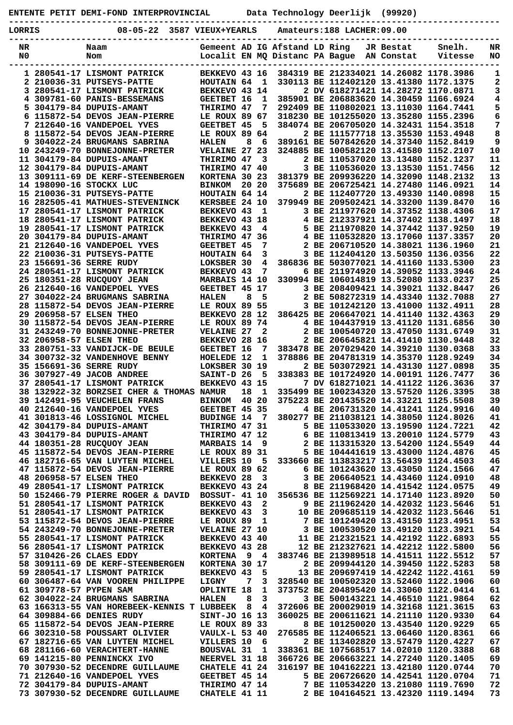**ENTENTE PETIT DEMI-FOND INTERPROVINCIAL Data Technology Deerlijk (99920)**

**----------------------------------------------------------------------------------------------- LORRIS 08-05-22 3587 VIEUX+YEARLS Amateurs:188 LACHER:09.00**

|                |                        |                                                                                                                                                                                                   | ------------                  |                |                         |     |                                                                                                       |           |                                                                                                                                  |          |
|----------------|------------------------|---------------------------------------------------------------------------------------------------------------------------------------------------------------------------------------------------|-------------------------------|----------------|-------------------------|-----|-------------------------------------------------------------------------------------------------------|-----------|----------------------------------------------------------------------------------------------------------------------------------|----------|
| NR             |                        | Naam                                                                                                                                                                                              | Gemeent AD IG Afstand LD Ring |                |                         |     |                                                                                                       | JR Bestat | Snelh.                                                                                                                           | NR       |
| N <sub>0</sub> |                        | Nom                                                                                                                                                                                               |                               |                |                         |     | Localit EN MO Distanc PA Baque AN Constat                                                             |           | Vitesse                                                                                                                          | NO       |
|                |                        |                                                                                                                                                                                                   |                               |                |                         |     |                                                                                                       |           |                                                                                                                                  |          |
|                |                        | 1 280541-17 LISMONT PATRICK                                                                                                                                                                       | BEKKEVO 43 16                 |                |                         |     | 384319 BE 212334021 14.26082 1178.3986                                                                |           |                                                                                                                                  | 1        |
|                |                        | 2 210036-31 PUTSEYS-PATTE                                                                                                                                                                         | HOUTAIN 64                    |                | $\mathbf{1}$            |     | 330113 BE 112402120 13.41380 1172.1375                                                                |           |                                                                                                                                  | 2        |
|                |                        | 3 280541-17 LISMONT PATRICK                                                                                                                                                                       | BEKKEVO 43 14                 |                |                         |     | 2 DV 618271421 14.28272 1170.0871                                                                     |           |                                                                                                                                  | 3        |
|                |                        | 4 309781-60 PANIS-BESSEMANS                                                                                                                                                                       | <b>GEETBET 16</b>             |                | 1                       |     | 385901 BE 206883620 14.30459 1166.6924                                                                |           |                                                                                                                                  | 4        |
|                |                        | 5 304179-84 DUPUIS-AMANT                                                                                                                                                                          | THIRIMO 47                    |                | 7                       |     | 292409 BE 110802021 13.11030 1164.7441                                                                |           |                                                                                                                                  | 5        |
|                |                        | 6 115872-54 DEVOS JEAN-PIERRE                                                                                                                                                                     | LE ROUX 89 67                 |                |                         |     | 318230 BE 101255020 13.35280 1155.2396                                                                |           |                                                                                                                                  | 6        |
|                |                        | 7 212640-16 VANDEPOEL YVES                                                                                                                                                                        | GEETBET 45                    |                | 5                       |     | 384074 BE 206705020 14.32431 1154.3518                                                                |           |                                                                                                                                  | 7        |
|                |                        | 8 115872-54 DEVOS JEAN-PIERRE                                                                                                                                                                     | LE ROUX 89 64                 |                |                         |     | 2 BE 111577718 13.35530 1153.4948                                                                     |           |                                                                                                                                  | 8        |
| 9              |                        | 304022-24 BRUGMANS SABRINA                                                                                                                                                                        | <b>HALEN</b>                  | 8              | 6                       |     | 389161 BE 507842620 14.37340 1152.8419                                                                |           |                                                                                                                                  | 9        |
|                |                        | 10 243249-70 BONNEJONNE-PRETER                                                                                                                                                                    | VELAINE 27 23                 |                |                         |     | 324885 BE 100582120 13.41580 1152.2107                                                                |           |                                                                                                                                  | 10       |
|                |                        | 11 304179-84 DUPUIS-AMANT                                                                                                                                                                         | THIRIMO 47                    |                | 3                       |     | 2 BE 110537020 13.13480 1152.1237                                                                     |           |                                                                                                                                  | 11       |
|                |                        | 12 304179-84 DUPUIS-AMANT                                                                                                                                                                         | THIRIMO 47 40                 |                |                         |     | 3 BE 110536020 13.13530 1151.7456                                                                     |           |                                                                                                                                  | 12       |
|                |                        | 13 309111-69 DE KERF-STEENBERGEN                                                                                                                                                                  | KORTENA 30 23                 |                |                         |     | 381379 BE 209936220 14.32090 1148.2132                                                                |           |                                                                                                                                  | 13       |
|                |                        | 14 198090-16 STOCKX LUC                                                                                                                                                                           | <b>BINKOM</b>                 |                | 20 20                   |     | 375689 BE 206725421 14.27480 1146.0921                                                                |           |                                                                                                                                  | 14       |
|                |                        | 15 210036-31 PUTSEYS-PATTE                                                                                                                                                                        | HOUTAIN 64 14                 |                |                         |     | 2 BE 112407720 13.49330 1140.0898                                                                     |           |                                                                                                                                  | 15       |
|                |                        | 16 282505-41 MATHUES-STEVENINCK                                                                                                                                                                   | KERSBEE 24 10                 |                |                         |     | 379949 BE 209502421 14.33200 1139.8470                                                                |           |                                                                                                                                  | 16       |
|                |                        | 17 280541-17 LISMONT PATRICK                                                                                                                                                                      | BEKKEVO 43                    |                | - 1                     |     | 3 BE 211977620 14.37352 1138.4306                                                                     |           |                                                                                                                                  | 17       |
|                |                        | 18 280541-17 LISMONT PATRICK                                                                                                                                                                      | BEKKEVO 43 18                 |                |                         |     | 4 BE 212337921 14.37402 1138.1497                                                                     |           |                                                                                                                                  | 18       |
|                |                        | 19 280541-17 LISMONT PATRICK                                                                                                                                                                      | BEKKEVO 43                    |                | 4                       |     | 5 BE 211970820 14.37442 1137.9250                                                                     |           |                                                                                                                                  | 19       |
|                |                        | 20 304179-84 DUPUIS-AMANT                                                                                                                                                                         | THIRIMO 47 36                 |                |                         |     | 4 BE 110532820 13.17060 1137.3357                                                                     |           |                                                                                                                                  | 20       |
|                |                        | 21 212640-16 VANDEPOEL YVES                                                                                                                                                                       | GEETBET 45                    |                | 7                       |     | 2 BE 206710520 14.38021 1136.1960                                                                     |           |                                                                                                                                  | 21       |
|                |                        | 22 210036-31 PUTSEYS-PATTE                                                                                                                                                                        | HOUTAIN 64                    |                | 3                       |     | 3 BE 112404120 13.50350 1136.0356                                                                     |           |                                                                                                                                  | 22       |
|                |                        | 23 156691-36 SERRE RUDY                                                                                                                                                                           | LOKSBER 30                    |                | 4                       |     | 386836 BE 503077021 14.41160 1133.5300                                                                |           |                                                                                                                                  | 23       |
|                |                        | 24 280541-17 LISMONT PATRICK                                                                                                                                                                      | BEKKEVO 43                    |                | 7                       |     | 6 BE 211974920 14.39052 1133.3946                                                                     |           |                                                                                                                                  | 24       |
|                |                        | 25 180351-28 RUCQUOY JEAN                                                                                                                                                                         | MARBAIS 14 10                 |                |                         |     | 330994 BE 106014819 13.52080 1133.0237                                                                |           |                                                                                                                                  | 25       |
|                |                        | 26 212640-16 VANDEPOEL YVES<br>27 304022-24 BRUGMANS SABRINA                                                                                                                                      | GEETBET 45 17                 | 8              | 5                       |     | 3 BE 208409421 14.39021 1132.8447<br>2 BE 508272319 14.43340 1132.7088                                |           |                                                                                                                                  | 26<br>27 |
|                |                        | 28 115872-54 DEVOS JEAN-PIERRE                                                                                                                                                                    | <b>HALEN</b><br>LE ROUX 89 55 |                |                         |     | 3 BE 101242120 13.41000 1132.4911                                                                     |           |                                                                                                                                  | 28       |
|                |                        | 29 206958-57 ELSEN THEO                                                                                                                                                                           | BEKKEVO 28 12                 |                |                         |     | 386425 BE 206647021 14.41140 1132.4363                                                                |           |                                                                                                                                  | 29       |
|                |                        | 30 115872-54 DEVOS JEAN-PIERRE                                                                                                                                                                    | LE ROUX 89 74                 |                |                         |     | 4 BE 104437919 13.41120 1131.6856                                                                     |           |                                                                                                                                  | 30       |
|                |                        | 31 243249-70 BONNEJONNE-PRETER                                                                                                                                                                    | <b>VELAINE 27</b>             |                | $\mathbf{2}$            |     | 2 BE 100540720 13.47050 1131.6749                                                                     |           |                                                                                                                                  | 31       |
|                |                        | 32 206958-57 ELSEN THEO                                                                                                                                                                           | BEKKEVO 28 16                 |                |                         |     | 2 BE 206645821 14.41410 1130.9448                                                                     |           |                                                                                                                                  | 32       |
|                |                        | 33 280751-33 VANDIJCK-DE BEULE                                                                                                                                                                    | GEETBET 16                    |                | 7                       |     | 383478 BE 207029420 14.39210 1130.0368                                                                |           |                                                                                                                                  | 33       |
|                |                        | 34 300732-32 VANDENHOVE BENNY                                                                                                                                                                     | HOELEDE 12                    |                | 1                       |     | 378886 BE 204781319 14.35370 1128.9249                                                                |           |                                                                                                                                  | 34       |
|                |                        | 35 156691-36 SERRE RUDY                                                                                                                                                                           | LOKSBER 30 19                 |                |                         |     | 2 BE 503072921 14.43130 1127.0898                                                                     |           |                                                                                                                                  | 35       |
|                |                        | 36 307927-49 JACOB ANDREE                                                                                                                                                                         | SAINT-D 26                    |                | 5                       |     | 338383 BE 101724920 14.00191 1126.7477                                                                |           |                                                                                                                                  | 36       |
|                |                        | 37 280541-17 LISMONT PATRICK                                                                                                                                                                      | BEKKEVO 43 15                 |                |                         |     | 7 DV 618271021 14.41122 1126.3636                                                                     |           |                                                                                                                                  | 37       |
|                |                        | 38 132922-32 BORZSEI CHER & THOMAS NAMUR                                                                                                                                                          |                               | 18             | 1                       |     | 335499 BE 100234320 13.57520 1126.3395                                                                |           |                                                                                                                                  | 38       |
|                |                        | 39 142491-95 VEUCHELEN FRANS                                                                                                                                                                      | <b>BINKOM</b>                 |                | 40 20                   |     | 375223 BE 201435520 14.33221 1125.5508                                                                |           |                                                                                                                                  | 39       |
|                |                        | 40 212640-16 VANDEPOEL YVES                                                                                                                                                                       | GEETBET 45 35                 |                |                         |     | 4 BE 206731320 14.41241 1124.9916                                                                     |           |                                                                                                                                  | 40       |
|                |                        | 41 301813-46 LOSSIGNOL MICHEL                                                                                                                                                                     |                               |                |                         |     | BUDINGE 14 7 380277 BE 211038121 14.38050 1124.8026                                                   |           |                                                                                                                                  | 41       |
|                |                        | 42 304179-84 DUPUIS-AMANT                                                                                                                                                                         | THIRIMO 47 31                 |                |                         |     | 5 BE 110533020 13.19590 1124.7221                                                                     |           |                                                                                                                                  | 42       |
|                |                        |                                                                                                                                                                                                   |                               |                |                         |     |                                                                                                       |           |                                                                                                                                  | 43       |
|                |                        | 43 304179-84 DUPUIS-AMANT<br>44 180351-28 RUCQUOY JEAN                                                                                                                                            |                               |                |                         |     |                                                                                                       |           |                                                                                                                                  | 44       |
|                |                        | 45 115872-54 DEVOS JEAN-PIERRE                                                                                                                                                                    | LE ROUX 89 31                 |                |                         |     | 5 BE 104441619 13.43000 1124.4876                                                                     |           |                                                                                                                                  | 45       |
|                |                        | 46 182716-65 VAN LUYTEN MICHEL                                                                                                                                                                    |                               |                |                         |     | VILLERS 10 5 333660 BE 113833217 13.56439 1124.4503                                                   |           |                                                                                                                                  | 46       |
|                |                        | 47 115872-54 DEVOS JEAN-PIERRE                                                                                                                                                                    | LE ROUX 89 62                 |                |                         |     | 6 BE 101243620 13.43050 1124.1566                                                                     |           |                                                                                                                                  | 47       |
|                |                        | 48 206958-57 ELSEN THEO                                                                                                                                                                           | BEKKEVO 28 3                  |                |                         |     | 3 BE 206640521 14.43460 1124.0910                                                                     |           |                                                                                                                                  | 48       |
|                |                        | 49 280541-17 LISMONT PATRICK                                                                                                                                                                      | BEKKEVO 43 24                 |                |                         |     | 8 BE 211968420 14.41542 1124.0575                                                                     |           |                                                                                                                                  | 49       |
|                |                        | 50 152466-79 PIERRE ROGER & DAVID BOSSUT- 41 10 356536 BE 112569221 14.17140 1123.8920                                                                                                            |                               |                |                         |     |                                                                                                       |           |                                                                                                                                  | 50       |
|                |                        | 51 280541-17 LISMONT PATRICK                                                                                                                                                                      | BEKKEVO 43                    |                | $\overline{\mathbf{2}}$ |     | 9 BE 211962420 14.42032 1123.5646                                                                     |           |                                                                                                                                  | 51       |
|                |                        | 51 280541-17 LISMONT PATRICK                                                                                                                                                                      |                               |                |                         |     | 10 BE 209685119 14.42032 1123.5646                                                                    |           |                                                                                                                                  | 51       |
|                |                        | 53 115872-54 DEVOS JEAN-PIERRE                                                                                                                                                                    | BEKKEVO 43 3<br>LE ROUX 89 1  |                |                         |     | 7 BE 101249420 13.43150 1123.4951                                                                     |           |                                                                                                                                  | 53       |
|                |                        | 54 243249-70 BONNEJONNE-PRETER                                                                                                                                                                    | <b>VELAINE 27 10</b>          |                |                         |     | 3 BE 100530520 13.49120 1123.3921                                                                     |           |                                                                                                                                  | 54       |
|                |                        | 55 280541-17 LISMONT PATRICK                                                                                                                                                                      |                               |                |                         |     |                                                                                                       |           |                                                                                                                                  | 55       |
|                |                        | 56 280541-17 LISMONT PATRICK                                                                                                                                                                      |                               |                |                         |     |                                                                                                       |           | EXAMPLE 212321521 14.42192 1123.3921<br>BEXKEVO 43 40 11 BE 212321521 14.42192 1122.6893<br>EXAMPLE 212321521 14.42192 1122.6893 | 56       |
|                |                        | 57 310426-26 CLAES EDDY                                                                                                                                                                           |                               |                |                         |     |                                                                                                       |           | KORTENA 9 4 383746 BE 213989518 14.41511 1122.5512                                                                               | 57       |
|                |                        | 58 309111-69 DE KERF-STEENBERGEN KORTENA 30 17                                                                                                                                                    |                               |                |                         |     |                                                                                                       |           | 2 BE 209944120 14.39450 1122.5283                                                                                                | 58       |
|                |                        | 59 280541-17 LISMONT PATRICK                                                                                                                                                                      | BEKKEVO 43 5                  |                |                         |     | 13 BE 209697419 14.42242 1122.4161                                                                    |           |                                                                                                                                  | 59       |
|                |                        | 60 306487-64 VAN VOOREN PHILIPPE                                                                                                                                                                  | <b>LIGNY</b>                  | $\overline{7}$ |                         |     | 3 328540 BE 100502320 13.52460 1122.1906                                                              |           |                                                                                                                                  | 60       |
|                | 61 309778-57 PYPEN SAM |                                                                                                                                                                                                   | <b>OPLINTE 18</b>             |                | $\mathbf{1}$            |     |                                                                                                       |           | 373752 BE 204895420 14.33060 1122.0414                                                                                           | 61       |
|                |                        | 62 304022-24 BRUGMANS SABRINA                                                                                                                                                                     | <b>HALEN</b>                  |                |                         | 8 3 |                                                                                                       |           | 3 BE 500143221 14.46510 1121.9864                                                                                                | 62       |
|                |                        | 63 166313-55 VAN HOREBEEK-KENNIS T LUBBEEK 8 4 372606 BE 200029019 14.32168 1121.3615                                                                                                             |                               |                |                         |     |                                                                                                       |           |                                                                                                                                  | 63       |
|                |                        | 64 309884-66 DENIES RUDY SINT-JO 16 13 360025 BE 200611621 14.21110 1120.9330                                                                                                                     |                               |                |                         |     |                                                                                                       |           |                                                                                                                                  | 64       |
|                |                        | 65 115872-54 DEVOS JEAN-PIERRE LE ROUX 89 33                                                                                                                                                      |                               |                |                         |     | 8 BE 101250020 13.43540 1120.9229                                                                     |           |                                                                                                                                  | 65       |
|                |                        | 66 302310-58 POUSSART OLIVIER VAULX-L 53 40                                                                                                                                                       |                               |                |                         |     | 276585 BE 112406521 13.06460 1120.8361                                                                |           |                                                                                                                                  | 66       |
|                |                        | 67 182716-65 VAN LUYTEN MICHEL                                                                                                                                                                    |                               |                |                         |     |                                                                                                       |           |                                                                                                                                  | 67       |
|                |                        | 68 281166-60 VERACHTERT-HANNE                                                                                                                                                                     |                               |                |                         |     | VILLERS 10 6 2 BE 113402820 13.57479 1120.4227<br>BOUSVAL 31 1 338361 BE 107568517 14.02010 1120.3388 |           |                                                                                                                                  | 68       |
|                |                        | 69 141215-80 PENNINCKX IVO<br>70 307930-52 DECENDRE GUILLAUME CHATELE 41 24 316197 BE 104162221 13.42180 1120.0744<br>71 212640-16 VANDEPOEL YVES GEETBET 45 14 5 BE 206726620 14.42541 1120.0704 |                               |                |                         |     |                                                                                                       |           |                                                                                                                                  | 69       |
|                |                        |                                                                                                                                                                                                   |                               |                |                         |     |                                                                                                       |           |                                                                                                                                  | 70       |
|                |                        |                                                                                                                                                                                                   |                               |                |                         |     |                                                                                                       |           |                                                                                                                                  | 71       |
|                |                        | 72 304179-84 DUPUIS-AMANT                                                                                                                                                                         |                               |                |                         |     |                                                                                                       |           | THIRIMO 47 14 7 BE 110534220 13.21080 1119.7690                                                                                  | 72       |
|                |                        | 73 307930-52 DECENDRE GUILLAUME CHATELE 41 11                                                                                                                                                     |                               |                |                         |     |                                                                                                       |           | 2 BE 104164521 13.42320 1119.1494                                                                                                | 73       |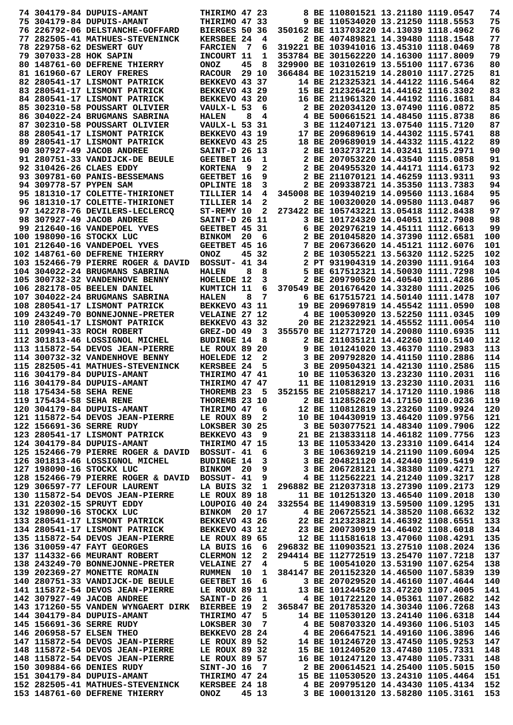|                         | 74 304179-84 DUPUIS-AMANT                                         | THIRIMO 47 23                          |                |                |                                                         | 8 BE 110801521 13.21180 1119.0547      |  | 74         |
|-------------------------|-------------------------------------------------------------------|----------------------------------------|----------------|----------------|---------------------------------------------------------|----------------------------------------|--|------------|
|                         | 75 304179-84 DUPUIS-AMANT                                         | THIRIMO 47 33                          |                |                |                                                         | 9 BE 110534020 13.21250 1118.5553      |  | 75         |
|                         | 76 226792-06 DELSTANCHE-GOFFARD                                   | BIERGES 50 36                          |                |                |                                                         | 350162 BE 113703220 14.13039 1118.4962 |  | 76         |
|                         | 77 282505-41 MATHUES-STEVENINCK                                   | <b>KERSBEE 24</b>                      |                | 4              |                                                         | 2 BE 407489821 14.39480 1118.1548      |  | 77         |
|                         | 78 229758-62 DESWERT GUY                                          | <b>FARCIEN</b>                         | $\overline{7}$ | 6              |                                                         | 319221 BE 103941016 13.45310 1118.0469 |  | 78         |
| 79 307033-28 HOK SAPIN  |                                                                   | INCOURT 11                             |                | 1              |                                                         | 353784 BE 301562220 14.16300 1117.8009 |  | 79         |
|                         |                                                                   |                                        |                |                |                                                         |                                        |  |            |
|                         | 80 148761-60 DEFRENE THIERRY                                      | <b>ONOZ</b>                            | 45             | 8              |                                                         | 329900 BE 103102619 13.55100 1117.6736 |  | 80         |
|                         | 81 161960-67 LEROY FRERES                                         | <b>RACOUR</b>                          |                | 29 10          |                                                         | 366484 BE 102315219 14.28010 1117.2725 |  | 81         |
|                         | 82 280541-17 LISMONT PATRICK                                      | BEKKEVO 43 37                          |                |                |                                                         | 14 BE 212325321 14.44122 1116.5464     |  | 82         |
|                         | 83 280541-17 LISMONT PATRICK                                      | BEKKEVO 43 29                          |                |                |                                                         | 15 BE 212326421 14.44162 1116.3302     |  | 83         |
|                         | 84 280541-17 LISMONT PATRICK                                      | BEKKEVO 43 20                          |                |                |                                                         | 16 BE 211961320 14.44192 1116.1681     |  | 84         |
|                         | 85 302310-58 POUSSART OLIVIER                                     | VAULX-L 53                             |                | 6              |                                                         | 2 BE 202034120 13.07490 1116.0872      |  | 85         |
|                         | 86 304022-24 BRUGMANS SABRINA                                     | <b>HALEN</b>                           | 8              | 4              |                                                         | 4 BE 500661521 14.48450 1115.8738      |  | 86         |
|                         | 87 302310-58 POUSSART OLIVIER                                     | <b>VAULX-L 53 31</b>                   |                |                |                                                         | 3 BE 112407121 13.07540 1115.7120      |  | 87         |
|                         | 88 280541-17 LISMONT PATRICK                                      | BEKKEVO 43 19                          |                |                |                                                         | 17 BE 209689619 14.44302 1115.5741     |  | 88         |
|                         |                                                                   |                                        |                |                |                                                         |                                        |  |            |
|                         | 89 280541-17 LISMONT PATRICK                                      | BEKKEVO 43 25                          |                |                |                                                         | 18 BE 209689019 14.44332 1115.4122     |  | 89         |
|                         | 90 307927-49 JACOB ANDREE                                         | SAINT-D 26 13                          |                |                |                                                         | 2 BE 103273721 14.03241 1115.2971      |  | 90         |
|                         | 91 280751-33 VANDIJCK-DE BEULE                                    | GEETBET 16                             |                | 1              |                                                         | 2 BE 207053220 14.43540 1115.0858      |  | 91         |
|                         | 92 310426-26 CLAES EDDY                                           | <b>KORTENA</b>                         | 9              | 2              |                                                         | 2 BE 204955320 14.44171 1114.6173      |  | 92         |
|                         | 93 309781-60 PANIS-BESSEMANS                                      | GEETBET 16                             |                | 9              |                                                         | 2 BE 211070121 14.46259 1113.9311      |  | 93         |
| 94 309778-57 PYPEN SAM  |                                                                   | OPLINTE 18                             |                | 3              |                                                         | 2 BE 209338721 14.35350 1113.7383      |  | 94         |
|                         | 95 181310-17 COLETTE-THIRIONET                                    | TILLIER 14                             |                | 4              |                                                         | 345008 BE 103940219 14.09560 1113.1684 |  | 95         |
|                         | 96 181310-17 COLETTE-THIRIONET                                    | TILLIER 14                             |                | $\mathbf{2}$   |                                                         | 2 BE 100320020 14.09580 1113.0487      |  | 96         |
|                         | 97 142278-76 DEVILERS-LECLERCO                                    | ST-REMY 10                             |                | 2              |                                                         | 273422 BE 105743221 13.05418 1112.8438 |  | 97         |
|                         | 98 307927-49 JACOB ANDREE                                         | SAINT-D 26 11                          |                |                |                                                         | 3 BE 101724320 14.04051 1112.7908      |  | 98         |
|                         |                                                                   |                                        |                |                |                                                         |                                        |  |            |
|                         | 99 212640-16 VANDEPOEL YVES                                       | GEETBET 45 31                          |                |                |                                                         | 6 BE 202976219 14.45111 1112.6613      |  | 99         |
|                         | 100 198090-16 STOCKX LUC                                          | <b>BINKOM</b>                          | 20             | $6^{\circ}$    |                                                         | 2 BE 201045820 14.37390 1112.6581      |  | 100        |
|                         | 101 212640-16 VANDEPOEL YVES                                      | GEETBET 45 16                          |                |                |                                                         | 7 BE 206736620 14.45121 1112.6076      |  | 101        |
|                         | 102 148761-60 DEFRENE THIERRY                                     | <b>ONOZ</b>                            |                | 45 32          |                                                         | 2 BE 103055221 13.56320 1112.5225      |  | 102        |
|                         | 103 152466-79 PIERRE ROGER & DAVID                                | BOSSUT- 41 34                          |                |                |                                                         | 2 PT 931904319 14.20390 1111.9164      |  | 103        |
|                         | 104 304022-24 BRUGMANS SABRINA                                    | <b>HALEN</b>                           | 8              | 8              |                                                         | 5 BE 617512321 14.50030 1111.7298      |  | 104        |
|                         | 105 300732-32 VANDENHOVE BENNY                                    | HOELEDE 12                             |                | 3              |                                                         | 2 BE 209790520 14.40540 1111.4286      |  | 105        |
|                         | 106 282178-05 BEELEN DANIEL                                       | KUMTICH 11                             |                | 6              |                                                         | 370549 BE 201676420 14.33280 1111.2025 |  | 106        |
|                         | 107 304022-24 BRUGMANS SABRINA                                    | <b>HALEN</b>                           | 8              | 7              |                                                         | 6 BE 617515721 14.50140 1111.1478      |  | 107        |
|                         |                                                                   |                                        |                |                |                                                         |                                        |  |            |
|                         | 108 280541-17 LISMONT PATRICK                                     | BEKKEVO 43 11                          |                |                |                                                         | 19 BE 209697819 14.45542 1111.0590     |  | 108        |
|                         | 109 243249-70 BONNEJONNE-PRETER                                   | <b>VELAINE 27 12</b>                   |                |                |                                                         | 4 BE 100530920 13.52250 1111.0345      |  | 109        |
|                         | 110 280541-17 LISMONT PATRICK                                     | BEKKEVO 43 32                          |                |                |                                                         | 20 BE 212322921 14.45552 1111.0054     |  | 110        |
|                         | 111 209941-33 ROCH ROBERT                                         | $GREZ-DO$ 49                           |                | 3              |                                                         | 355570 BE 112771720 14.20080 1110.6935 |  | 111        |
|                         | 112 301813-46 LOSSIGNOL MICHEL                                    | <b>BUDINGE 14</b>                      |                | 8              |                                                         | 2 BE 211035121 14.42260 1110.5140      |  | 112        |
|                         | 113 115872-54 DEVOS JEAN-PIERRE                                   | LE ROUX 89 20                          |                |                |                                                         | 9 BE 101241020 13.46370 1110.2983      |  | 113        |
|                         | 114 300732-32 VANDENHOVE BENNY                                    | HOELEDE 12                             |                | 2              |                                                         | 3 BE 209792820 14.41150 1110.2886      |  | 114        |
|                         | 115 282505-41 MATHUES-STEVENINCK                                  | <b>KERSBEE 24</b>                      |                | 5              |                                                         | 3 BE 209504321 14.42130 1110.2586      |  | 115        |
|                         | 116 304179-84 DUPUIS-AMANT                                        | THIRIMO 47 41                          |                |                |                                                         | 10 BE 110536320 13.23230 1110.2031     |  | 116        |
|                         | 116 304179-84 DUPUIS-AMANT                                        | THIRIMO 47 47                          |                |                |                                                         | 11 BE 110812919 13.23230 1110.2031     |  | 116        |
|                         |                                                                   |                                        |                |                |                                                         |                                        |  |            |
| 118 175434-58 SEHA RENE |                                                                   | THOREMB 23                             |                | 5              |                                                         | 352155 BE 210588217 14.17120 1110.1986 |  | 118        |
|                         |                                                                   | THOREMB 23 10                          |                |                |                                                         | 2 BE 112852620 14.17150 1110.0236      |  | 119        |
|                         | 119 175434-58 SEHA RENE<br>120 304179-84 DUPUIS-AMANT             | THIRIMO 47 6                           |                |                |                                                         | 12 BE 110812819 13.23260 1109.9924     |  | 120        |
|                         | 121 115872-54 DEVOS JEAN-PIERRE LE ROUX 89                        |                                        |                | $\mathbf{2}$   |                                                         | 10 BE 104430919 13.46420 1109.9756     |  | 121        |
|                         | 122 156691-36 SERRE RUDY                                          | LOKSBER 30 25                          |                |                |                                                         | 3 BE 503077521 14.48340 1109.7906      |  | 122        |
|                         | 123 280541-17 LISMONT PATRICK                                     | BEKKEVO 43 9                           |                |                |                                                         | 21 BE 213833118 14.46182 1109.7756     |  | 123        |
|                         | 124 304179-84 DUPUIS-AMANT                                        | THIRIMO 47 15                          |                |                |                                                         | 13 BE 110533420 13.23310 1109.6414     |  | 124        |
|                         | 125 152466-79 PIERRE ROGER & DAVID                                | BOSSUT- 41                             |                | 6              |                                                         | 3 BE 106369219 14.21190 1109.6094      |  | 125        |
|                         | 126 301813-46 LOSSIGNOL MICHEL                                    | <b>BUDINGE 14</b>                      |                | 3              |                                                         | 3 BE 204821120 14.42440 1109.5419      |  | 126        |
|                         | 127 198090-16 STOCKX LUC                                          |                                        |                | 9              |                                                         | 3 BE 206728121 14.38380 1109.4271      |  | 127        |
|                         |                                                                   | BINKOM 20                              |                |                |                                                         |                                        |  |            |
|                         | 128 152466-79 PIERRE ROGER & DAVID BOSSUT- 41                     |                                        |                |                | $9 \left( \begin{array}{ccc} 9 & 1 \end{array} \right)$ | 4 BE 112562221 14.21240 1109.3217      |  | 128        |
|                         | 129 306597-77 LEFOUR LAURENT                                      | LA BUIS 32                             |                | $\mathbf{1}$   |                                                         | 296882 BE 212037318 13.27390 1109.2173 |  | 129        |
|                         | 130 115872-54 DEVOS JEAN-PIERRE                                   | LE ROUX 89 18                          |                |                |                                                         | 11 BE 101251320 13.46540 1109.2018     |  | 130        |
|                         | 131 220302-15 SPRUYT EDDY                                         | LOUPOIG 40 24<br>BINKOM 20 17          |                |                | 332554 BE 114908319 13.59500 1109.1295                  |                                        |  | 131        |
|                         | 132 198090-16 STOCKX LUC                                          |                                        |                |                |                                                         | 4 BE 206725521 14.38520 1108.6632      |  | 132        |
|                         | 133 280541-17 LISMONT PATRICK                                     | <b>BEKKEVO 43 26</b>                   |                |                |                                                         | 22 BE 212323821 14.46392 1108.6551     |  | 133        |
|                         | 134 280541-17 LISMONT PATRICK                                     |                                        |                |                |                                                         | 23 BE 200730919 14.46402 1108.6018     |  | 134        |
|                         | 135 115872-54 DEVOS JEAN-PIERRE                                   | <b>BEKKEVO 43 12<br/>LE ROUX 89 65</b> |                |                |                                                         | 12 BE 111581618 13.47060 1108.4291     |  | 135        |
|                         | 136 310059-47 FAYT GEORGES                                        | LA BUIS 16 6                           |                |                |                                                         | 296832 BE 110903521 13.27510 1108.2024 |  | 136        |
|                         | 137 114332-66 MEURANT ROBERT                                      | <b>CLERMON 12</b>                      |                |                |                                                         |                                        |  | 137        |
|                         |                                                                   |                                        |                | $\mathbf{2}$   |                                                         | 294414 BE 112772519 13.25470 1107.7218 |  |            |
|                         | 138 243249-70 BONNEJONNE-PRETER                                   | <b>VELAINE 27</b>                      |                | 4              |                                                         | 5 BE 100541020 13.53190 1107.6254      |  | 138        |
|                         | 139 202369-27 MONETTE ROMAIN                                      | <b>RUMMEN</b> 10                       |                | $\mathbf 1$    |                                                         | 384147 BE 201152320 14.46500 1107.5839 |  | 139        |
|                         | 140 280751-33 VANDIJCK-DE BEULE                                   | <b>GEETBET 16</b>                      |                | 6              |                                                         | 3 BE 207029520 14.46160 1107.4644      |  | 140        |
|                         | 141 115872-54 DEVOS JEAN-PIERRE                                   | LE ROUX 89 11                          |                |                |                                                         | 13 BE 101244520 13.47220 1107.4005     |  | 141        |
|                         | 142 307927-49 JACOB ANDREE                                        | SAINT-D 26                             |                | 1              |                                                         | 4 BE 101722120 14.05361 1107.2682      |  | 142        |
|                         | 143 171260-55 VANDEN WYNGAERT DIRK                                | <b>BIERBEE 19</b>                      |                | $\mathbf{2}$   |                                                         | 365847 BE 201785320 14.30340 1106.7268 |  | 143        |
|                         | 144 304179-84 DUPUIS-AMANT                                        | THIRIMO 47                             |                | 5              |                                                         | 14 BE 110530120 13.24140 1106.6318     |  | 144        |
|                         | 145 156691-36 SERRE RUDY                                          | LOKSBER 30                             |                | $\overline{7}$ |                                                         | 4 BE 508703320 14.49360 1106.5103      |  | 145        |
|                         | 146 206958-57 ELSEN THEO                                          |                                        |                |                |                                                         | 4 BE 206647521 14.49160 1106.3896      |  | 146        |
|                         | 147 115872-54 DEVOS JEAN-PIERRE                                   | BEKKEVU 20 27<br>LE ROUX 89 52         |                |                |                                                         | 14 BE 101246720 13.47450 1105.9253     |  | 147        |
|                         |                                                                   |                                        |                |                |                                                         | 15 BE 101240520 13.47480 1105.7331     |  | 148        |
|                         |                                                                   |                                        |                |                |                                                         |                                        |  |            |
|                         | 148 115872-54 DEVOS JEAN-PIERRE                                   | LE ROUX 89 32                          |                |                |                                                         |                                        |  |            |
|                         | 148 115872-54 DEVOS JEAN-PIERRE                                   | LE ROUX 89 57                          |                |                |                                                         | 16 BE 101247120 13.47480 1105.7331     |  | 148        |
|                         | 150 309884-66 DENIES RUDY                                         | $SINT-JO 16 7$                         |                |                |                                                         | 2 BE 200614521 14.25400 1105.5015      |  | 150        |
|                         | 151 304179-84 DUPUIS-AMANT                                        | <b>THIRIMO 47 24</b>                   |                |                |                                                         | 15 BE 110530520 13.24310 1105.4464     |  | 151        |
|                         | 152 282505-41 MATHUES-STEVENINCK<br>153 148761-60 DEFRENE THIERRY | <b>KERSBEE 24 18</b><br>ONOZ           |                | 45 13          | 4 BE 209795120 14.43430 1105.4134                       | 3 BE 100013120 13.58280 1105.3161      |  | 152<br>153 |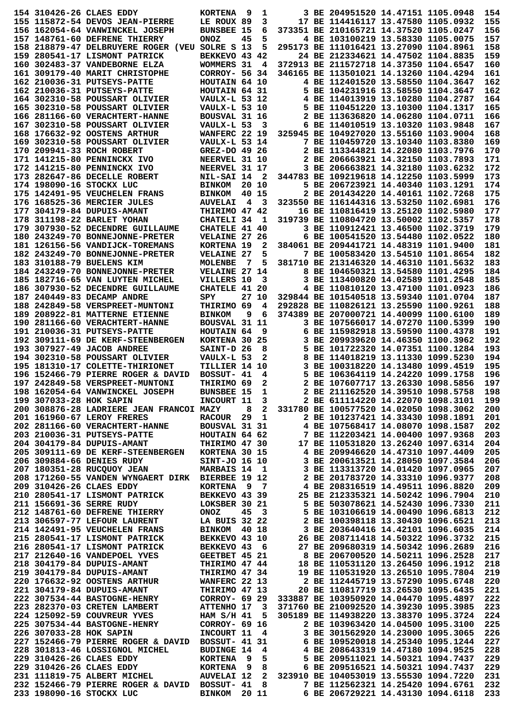|                         | 154 310426-26 CLAES EDDY                                                                                                                                                                                                                     | <b>KORTENA</b>              | - 9            | 1            |                                                                                                                                                                                                                       | 3 BE 204951520 14.47151 1105.0948                                      |  | 154        |
|-------------------------|----------------------------------------------------------------------------------------------------------------------------------------------------------------------------------------------------------------------------------------------|-----------------------------|----------------|--------------|-----------------------------------------------------------------------------------------------------------------------------------------------------------------------------------------------------------------------|------------------------------------------------------------------------|--|------------|
|                         | 155 115872-54 DEVOS JEAN-PIERRE                                                                                                                                                                                                              | LE ROUX 89                  |                | 3            |                                                                                                                                                                                                                       | 17 BE 114416117 13.47580 1105.0932                                     |  | 155        |
|                         | 156 162054-64 VANWINCKEL JOSEPH                                                                                                                                                                                                              | <b>BUNSBEE 15</b>           |                | 6            |                                                                                                                                                                                                                       | 373351 BE 210165721 14.37520 1105.0247                                 |  | 156        |
|                         | 157 148761-60 DEFRENE THIERRY                                                                                                                                                                                                                | <b>ONOZ</b>                 | 45             | 5            |                                                                                                                                                                                                                       | 4 BE 103100219 13.58330 1105.0075                                      |  | 157        |
|                         | 158 218879-47 DELBRUYERE ROGER (VEU                                                                                                                                                                                                          | SOLRE S 13                  |                | 5            |                                                                                                                                                                                                                       | 295173 BE 111016421 13.27090 1104.8961                                 |  | 158        |
|                         | 159 280541-17 LISMONT PATRICK                                                                                                                                                                                                                | BEKKEVO 43 42               |                |              |                                                                                                                                                                                                                       | 24 BE 212334621 14.47502 1104.8835                                     |  | 159        |
|                         | 160 302483-37 VANDEBORNE ELZA                                                                                                                                                                                                                | WOMMERS 31                  |                | 4            |                                                                                                                                                                                                                       | 372913 BE 211572718 14.37350 1104.6547                                 |  | 160        |
|                         | 161 309179-40 MARIT CHRISTOPHE                                                                                                                                                                                                               | CORROY- 56 34               |                |              |                                                                                                                                                                                                                       | 346165 BE 113501021 14.13260 1104.4294                                 |  | 161        |
|                         | 162 210036-31 PUTSEYS-PATTE                                                                                                                                                                                                                  | HOUTAIN 64 10               |                |              |                                                                                                                                                                                                                       | 4 BE 112401520 13.58550 1104.3647                                      |  | 162        |
|                         | 162 210036-31 PUTSEYS-PATTE                                                                                                                                                                                                                  | HOUTAIN 64 31               |                |              |                                                                                                                                                                                                                       | 5 BE 104231916 13.58550 1104.3647                                      |  | 162        |
|                         | 164 302310-58 POUSSART OLIVIER                                                                                                                                                                                                               | <b>VAULX-L 53 12</b>        |                |              |                                                                                                                                                                                                                       | 4 BE 114013919 13.10280 1104.2787                                      |  | 164        |
|                         | 165 302310-58 POUSSART OLIVIER                                                                                                                                                                                                               | <b>VAULX-L 53 10</b>        |                |              |                                                                                                                                                                                                                       | 5 BE 110451220 13.10300 1104.1317<br>2 BE 113636820 14.06280 1104.0711 |  | 165        |
|                         | 166 281166-60 VERACHTERT-HANNE<br>167 302310-58 POUSSART OLIVIER                                                                                                                                                                             | BOUSVAL 31 16<br>VAULX-L 53 |                |              |                                                                                                                                                                                                                       | 6 BE 114010519 13.10320 1103.9848                                      |  | 166<br>167 |
|                         | 168 176632-92 OOSTENS ARTHUR                                                                                                                                                                                                                 | WANFERC 22 19               |                | 3            |                                                                                                                                                                                                                       | 325945 BE 104927020 13.55160 1103.9004                                 |  | 168        |
|                         | 169 302310-58 POUSSART OLIVIER                                                                                                                                                                                                               | <b>VAULX-L 53 14</b>        |                |              |                                                                                                                                                                                                                       | 7 BE 110459720 13.10340 1103.8380                                      |  | 169        |
|                         | 170 209941-33 ROCH ROBERT                                                                                                                                                                                                                    | GREZ-DO 49 26               |                |              |                                                                                                                                                                                                                       | 2 BE 113344821 14.22080 1103.7976                                      |  | 170        |
|                         | 171 141215-80 PENNINCKX IVO                                                                                                                                                                                                                  | NEERVEL 31 10               |                |              |                                                                                                                                                                                                                       | 2 BE 206663921 14.32150 1103.7893                                      |  | 171        |
|                         | 172 141215-80 PENNINCKX IVO                                                                                                                                                                                                                  | NEERVEL 31 17               |                |              |                                                                                                                                                                                                                       | 3 BE 206663821 14.32180 1103.6232                                      |  | 172        |
|                         | 173 282647-86 DECELLE ROBERT                                                                                                                                                                                                                 | NIL-SAI 14                  |                | 2            |                                                                                                                                                                                                                       | 344783 BE 109219618 14.12250 1103.5999                                 |  | 173        |
|                         | 174 198090-16 STOCKX LUC                                                                                                                                                                                                                     | <b>BINKOM</b>               |                | 20 10        |                                                                                                                                                                                                                       | 5 BE 206723921 14.40340 1103.1291                                      |  | 174        |
|                         | 175 142491-95 VEUCHELEN FRANS                                                                                                                                                                                                                | <b>BINKOM</b>               |                | 40 15        |                                                                                                                                                                                                                       | 2 BE 201434220 14.40161 1102.7268                                      |  | 175        |
|                         | 176 168525-36 MERCIER JULES                                                                                                                                                                                                                  | <b>AUVELAI</b>              | 4              | 3            |                                                                                                                                                                                                                       | 323550 BE 116144316 13.53250 1102.6981                                 |  | 176        |
|                         | 177 304179-84 DUPUIS-AMANT                                                                                                                                                                                                                   | THIRIMO 47 42               |                |              |                                                                                                                                                                                                                       | 16 BE 110816419 13.25120 1102.5980                                     |  | 177        |
|                         | 178 311198-22 BARLET YOHAN                                                                                                                                                                                                                   | CHATELI 34                  |                | -1           |                                                                                                                                                                                                                       | 319739 BE 110804720 13.50002 1102.5357                                 |  | 178        |
|                         | 179 307930-52 DECENDRE GUILLAUME                                                                                                                                                                                                             | CHATELE 41 40               |                |              |                                                                                                                                                                                                                       | 3 BE 110912421 13.46500 1102.3719                                      |  | 179        |
|                         | 180 243249-70 BONNEJONNE-PRETER                                                                                                                                                                                                              | <b>VELAINE 27 26</b>        |                |              |                                                                                                                                                                                                                       | 6 BE 100541520 13.54480 1102.0522                                      |  | 180        |
|                         | 181 126156-56 VANDIJCK-TOREMANS                                                                                                                                                                                                              | KORTENA 19                  |                | 2            |                                                                                                                                                                                                                       | 384061 BE 209441721 14.48319 1101.9400                                 |  | 181        |
|                         | 182 243249-70 BONNEJONNE-PRETER                                                                                                                                                                                                              | <b>VELAINE 27</b>           |                | 5            |                                                                                                                                                                                                                       | 7 BE 100583420 13.54510 1101.8654                                      |  | 182        |
|                         | 183 310188-79 BUELENS KIM                                                                                                                                                                                                                    | MOLENBE                     | $\overline{7}$ | 5            |                                                                                                                                                                                                                       | 381710 BE 213146320 14.46310 1101.5632                                 |  | 183        |
|                         | 184 243249-70 BONNEJONNE-PRETER                                                                                                                                                                                                              | VELAINE 27 14               |                |              |                                                                                                                                                                                                                       | 8 BE 104650321 13.54580 1101.4295                                      |  | 184        |
|                         | 185 182716-65 VAN LUYTEN MICHEL                                                                                                                                                                                                              | VILLERS 10                  |                | 3            |                                                                                                                                                                                                                       | 3 BE 113400820 14.02589 1101.2548                                      |  | 185        |
|                         | 186 307930-52 DECENDRE GUILLAUME                                                                                                                                                                                                             | CHATELE 41 20               |                |              |                                                                                                                                                                                                                       | 4 BE 110810120 13.47100 1101.0923                                      |  | 186        |
|                         | 187 240449-83 DECAMP ANDRE                                                                                                                                                                                                                   | SPY                         |                | 27 10        |                                                                                                                                                                                                                       | 329844 BE 101540518 13.59340 1101.0704                                 |  | 187        |
|                         | 188 242849-58 VERSPREET-MUNTONI                                                                                                                                                                                                              | THIRIMO 69                  |                | 4            |                                                                                                                                                                                                                       | 292828 BE 110826121 13.25590 1100.9261                                 |  | 188        |
|                         | <b>189 208922-81 MATTERNE ETIENNE</b>                                                                                                                                                                                                        | <b>BINKOM</b>               | 9              | 6            |                                                                                                                                                                                                                       | 374389 BE 207000721 14.40099 1100.6100                                 |  | 189        |
|                         | 190 281166-60 VERACHTERT-HANNE                                                                                                                                                                                                               | BOUSVAL 31 11               |                |              |                                                                                                                                                                                                                       | 3 BE 107566017 14.07270 1100.5399                                      |  | 190        |
|                         | 191 210036-31 PUTSEYS-PATTE                                                                                                                                                                                                                  | HOUTAIN 64                  |                | 9            |                                                                                                                                                                                                                       | 6 BE 115982918 13.59590 1100.4378                                      |  | 191        |
|                         | 192 309111-69 DE KERF-STEENBERGEN                                                                                                                                                                                                            | KORTENA 30 25               |                |              |                                                                                                                                                                                                                       | 3 BE 209939620 14.46350 1100.3962                                      |  | 192        |
|                         | 193 307927-49 JACOB ANDREE                                                                                                                                                                                                                   | SAINT-D 26                  |                | 8            |                                                                                                                                                                                                                       | 5 BE 101722320 14.07351 1100.1284                                      |  | 193        |
|                         | 194 302310-58 POUSSART OLIVIER<br>195 181310-17 COLETTE-THIRIONET                                                                                                                                                                            | VAULX-L 53                  |                | 2            |                                                                                                                                                                                                                       | 8 BE 114018219 13.11330 1099.5230                                      |  | 194        |
|                         | 196 152466-79 PIERRE ROGER & DAVID                                                                                                                                                                                                           | TILLIER 14 10<br>BOSSUT- 41 |                | 4            |                                                                                                                                                                                                                       | 3 BE 100318220 14.13480 1099.4519<br>5 BE 106364119 14.24220 1099.1758 |  | 195<br>196 |
|                         | 197 242849-58 VERSPREET-MUNTONI                                                                                                                                                                                                              | THIRIMO 69                  |                | 2            |                                                                                                                                                                                                                       | 2 BE 107607717 13.26330 1098.5856                                      |  | 197        |
|                         | 198 162054-64 VANWINCKEL JOSEPH                                                                                                                                                                                                              | <b>BUNSBEE 15</b>           |                | $\mathbf{1}$ |                                                                                                                                                                                                                       | 2 BE 211162520 14.39510 1098.5758                                      |  | 198        |
|                         | 199 307033-28 HOK SAPIN                                                                                                                                                                                                                      | INCOURT 11 3                |                |              |                                                                                                                                                                                                                       | 2 BE 611114220 14.22070 1098.3101                                      |  | 199        |
|                         | 200 308876-28 LADRIERE JEAN FRANCOI MAZY 8 2 331780 BE 100577520 14.02050 1098.3062                                                                                                                                                          |                             |                |              |                                                                                                                                                                                                                       |                                                                        |  | 200        |
|                         |                                                                                                                                                                                                                                              |                             |                |              |                                                                                                                                                                                                                       | 2 BE 101237421 14.33430 1098.1891                                      |  | 201        |
|                         | 201 161960-67 LEROY FRERES<br>202 281166-60 VERACHTERT-HANNE<br>203 210036-31 PUTSEYS-PATTE<br>204 304179-84 DUPUIS-AMANT<br>204 304179-84 DUPUIS-AMANT<br>204 304179-84 DUPUIS-AMANT<br>205                                                 |                             |                |              | 4 BE 107568417 14.08070 1098.1587                                                                                                                                                                                     |                                                                        |  | 202        |
|                         |                                                                                                                                                                                                                                              |                             |                |              |                                                                                                                                                                                                                       |                                                                        |  | 203        |
|                         |                                                                                                                                                                                                                                              |                             |                |              | 7 BE 112203421 14.00400 1097.9368<br>17 BE 110531820 13.26240 1097.6314                                                                                                                                               |                                                                        |  | 204        |
|                         | 205 309111-69 DE KERF-STEENBERGEN KORTENA 30 15                                                                                                                                                                                              |                             |                |              |                                                                                                                                                                                                                       |                                                                        |  | 205        |
|                         | <b>SINT-JO 16 10</b><br>206 309884-66 DENIES RUDY                                                                                                                                                                                            |                             |                |              |                                                                                                                                                                                                                       |                                                                        |  | 206        |
|                         | 207 180351-28 RUCQUOY JEAN MARBAIS 14 1                                                                                                                                                                                                      |                             |                |              | 4 BE 209946620 14.47310 1097.4409<br>3 BE 200613521 14.28050 1097.3584<br>3 BE 113313720 14.01420 1097.0965                                                                                                           |                                                                        |  | 207        |
|                         | 208 171260-55 VANDEN WYNGAERT DIRK BIERBEE 19 12                                                                                                                                                                                             |                             |                |              | 2 BE 201783720 14.33310 1096.9377<br>4 BE 208316519 14.49511 1096.8820<br>25 BE 212335321 14.50242 1096.7904                                                                                                          |                                                                        |  | 208        |
|                         | 209 310426-26 CLAES EDDY                                                                                                                                                                                                                     | KORTENA 9 7                 |                |              |                                                                                                                                                                                                                       |                                                                        |  | 209        |
|                         | 210 280541-17 LISMONT PATRICK BEKKEVO 43 39                                                                                                                                                                                                  |                             |                |              |                                                                                                                                                                                                                       |                                                                        |  | 210        |
|                         |                                                                                                                                                                                                                                              |                             |                |              | 5 BE 503078621 14.52430 1096.7330                                                                                                                                                                                     |                                                                        |  | 211        |
|                         |                                                                                                                                                                                                                                              |                             |                |              |                                                                                                                                                                                                                       | 5 BE 103106619 14.00490 1096.6813                                      |  | 212        |
|                         |                                                                                                                                                                                                                                              |                             |                |              | 2 BE 100398118 13.30430 1096.6521                                                                                                                                                                                     |                                                                        |  | 213        |
|                         |                                                                                                                                                                                                                                              |                             |                |              |                                                                                                                                                                                                                       |                                                                        |  | 214        |
|                         | 211 156691-36 SERRE RUDY LOKSBER 30 21<br>212 148761-60 DEFRENE THIERRY ONOZ 45 3<br>213 306597-77 LEFOUR LAURENT LA BUIS 32 22<br>214 142491-95 VEUCHELEN FRANS BINKOM 40 18<br>215 280541-17 LISMONT PATRICK BEKKEVO 43 10<br>215 2805     |                             |                |              | 3 BE 203640416 14.42101 1096.6035<br>26 BE 208711418 14.50322 1096.3732<br>27 BE 209680319 14.50342 1096.2689                                                                                                         |                                                                        |  | 215        |
|                         |                                                                                                                                                                                                                                              |                             |                |              |                                                                                                                                                                                                                       |                                                                        |  | 216        |
|                         |                                                                                                                                                                                                                                              |                             |                |              | 8 BE 206700520 14.50211 1096.2528<br>18 BE 110531120 13.26450 1096.1912<br>19 BE 110531920 13.26510 1095.7804                                                                                                         |                                                                        |  | 217        |
|                         |                                                                                                                                                                                                                                              |                             |                |              |                                                                                                                                                                                                                       |                                                                        |  | 218        |
|                         |                                                                                                                                                                                                                                              |                             |                |              |                                                                                                                                                                                                                       |                                                                        |  | 219        |
|                         |                                                                                                                                                                                                                                              |                             |                |              |                                                                                                                                                                                                                       |                                                                        |  | 220        |
|                         | 217 212640-16 VANDEPOEL YVES<br>217 212640-16 VANDEPOEL YVES<br>218 304179-84 DUPUIS-AMANT<br>219 304179-84 DUPUIS-AMANT<br>220 176632-92 OOSTENS ARTHUR<br>221 304179-84 DUPUIS-AMANT<br>221 304179-84 DUPUIS-AMANT<br>221 304179-84 DUPUIS |                             |                |              |                                                                                                                                                                                                                       |                                                                        |  | 221<br>222 |
|                         |                                                                                                                                                                                                                                              |                             |                |              |                                                                                                                                                                                                                       |                                                                        |  | 223        |
|                         | 223 282370-03 CRETEN LAMBERT ATTENHO 17 3 371760 BE 210092520 14.39230 1095.3985<br>224 125092-59 COUVREUR YVES HAM S/H 41 5 305189 BE 114938220 13.38370 1095.3724                                                                          |                             |                |              |                                                                                                                                                                                                                       |                                                                        |  | 224        |
|                         | 225 307534-44 BASTOGNE-HENRY CORROY- 69 16 2 BE 103963420 14.04500 1095.3100                                                                                                                                                                 |                             |                |              |                                                                                                                                                                                                                       |                                                                        |  | 225        |
| 226 307033-28 HOK SAPIN |                                                                                                                                                                                                                                              |                             |                |              |                                                                                                                                                                                                                       |                                                                        |  | 226        |
|                         | 227 152466-79 PIERRE ROGER & DAVID BOSSUT- 41 31                                                                                                                                                                                             |                             |                |              |                                                                                                                                                                                                                       |                                                                        |  | 227        |
|                         | 228 301813-46 LOSSIGNOL MICHEL                                                                                                                                                                                                               |                             |                |              |                                                                                                                                                                                                                       |                                                                        |  | 228        |
|                         |                                                                                                                                                                                                                                              |                             |                |              | NCOURT 11 4<br>3 BE 301562920 14.23000 1095.3065<br>DAVID BOSSUT- 41 31<br>6 BE 109520018 14.25340 1095.1244<br>EL BUDINGE 14 4 4 BE 208643319 14.47180 1094.9525<br>KORTENA 9 5<br>5 BE 209511021 14.50321 1094.7437 |                                                                        |  | 229        |
|                         | 229 310426-26 CLAES EDDY (229 310426-26 CLAES EDDY ) KORTENA 9 5 5 BE 209511021 14.50321 1094.7437<br>229 310426-26 CLAES EDDY (231 111819-75 ALBERT MICHEL ) AUVELAI 12 2 323910 BE 104053019 13.55530 1094.7220                            |                             |                |              |                                                                                                                                                                                                                       |                                                                        |  | 229        |
|                         |                                                                                                                                                                                                                                              |                             |                |              |                                                                                                                                                                                                                       |                                                                        |  | 231        |
|                         | 232 152466-79 PIERRE ROGER & DAVID BOSSUT- 41 8 7 BE 112562321 14.25420 1094.6761                                                                                                                                                            |                             |                |              |                                                                                                                                                                                                                       |                                                                        |  | 232        |
|                         | 233 198090-16 STOCKX LUC<br><b>BINKOM</b> 20 11                                                                                                                                                                                              |                             |                |              | 6 BE 206729221 14.43130 1094.6118                                                                                                                                                                                     |                                                                        |  | 233        |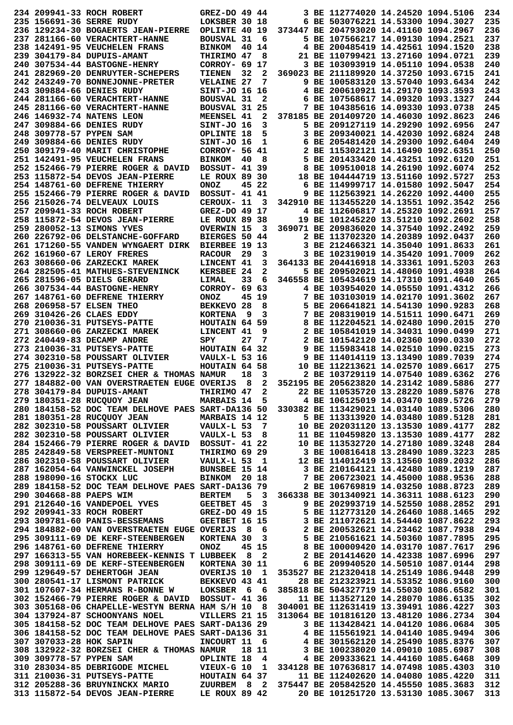|                         | 234 209941-33 ROCH ROBERT                         | $GREZ-DO$ 49 44         |                         |                                        | 3 BE 112774020 14.24520 1094.5106      |  | 234 |
|-------------------------|---------------------------------------------------|-------------------------|-------------------------|----------------------------------------|----------------------------------------|--|-----|
|                         | 235 156691-36 SERRE RUDY                          | LOKSBER 30 18           |                         |                                        | 6 BE 503076221 14.53300 1094.3027      |  | 235 |
|                         | 236 129234-30 BOGAERTS JEAN-PIERRE                | OPLINTE 40 19           |                         |                                        | 373447 BE 204793020 14.41160 1094.2967 |  | 236 |
|                         |                                                   | <b>BOUSVAL 31</b>       | 6                       |                                        | 5 BE 107566217 14.09130 1094.2521      |  | 237 |
|                         | 238 142491-95 VEUCHELEN FRANS                     | <b>BINKOM</b>           | 40 14                   |                                        | 4 BE 200485419 14.42561 1094.1520      |  | 238 |
|                         | 239 304179-84 DUPUIS-AMANT                        | THIRIMO 47              | 8                       |                                        | 21 BE 110799421 13.27160 1094.0721     |  | 239 |
|                         | 240 307534-44 BASTOGNE-HENRY                      | CORROY- 69 17           |                         |                                        | 3 BE 103093919 14.05110 1094.0538      |  | 240 |
|                         |                                                   |                         |                         |                                        |                                        |  |     |
|                         | 241 282969-20 DENRUYTER-SCHEPERS                  | - 32<br><b>TIENEN</b>   | $\mathbf{2}$            |                                        | 369023 BE 211189920 14.37250 1093.6715 |  | 241 |
|                         | 242 243249-70 BONNEJONNE-PRETER                   | <b>VELAINE 27</b>       | 7                       |                                        | 9 BE 100583120 13.57040 1093.6434      |  | 242 |
|                         | 243 309884-66 DENIES RUDY                         | SINT-JO 16 16           |                         |                                        | 4 BE 200610921 14.29170 1093.3593      |  | 243 |
|                         | 244 281166-60 VERACHTERT-HANNE                    | <b>BOUSVAL 31</b>       | 2                       |                                        | 6 BE 107568617 14.09320 1093.1327      |  | 244 |
|                         | 245 281166-60 VERACHTERT-HANNE                    | BOUSVAL 31 25           |                         |                                        | 7 BE 104385616 14.09330 1093.0738      |  | 245 |
|                         | 246 146932-74 NATENS LEON                         | MEENSEL 41              | 2                       |                                        | 378185 BE 201409720 14.46030 1092.8623 |  | 246 |
|                         | 247 309884-66 DENIES RUDY                         | SINT-JO 16              | 3                       |                                        | 5 BE 209127119 14.29290 1092.6956      |  | 247 |
| 248 309778-57 PYPEN SAM |                                                   | OPLINTE 18              | 5                       |                                        | 3 BE 209340021 14.42030 1092.6824      |  | 248 |
|                         | 249 309884-66 DENIES RUDY                         | SINT-JO 16              | 1                       |                                        | 6 BE 205481420 14.29300 1092.6404      |  | 249 |
|                         | 250 309179-40 MARIT CHRISTOPHE                    | CORROY- 56 41           |                         |                                        | 2 BE 115302121 14.16490 1092.6351      |  | 250 |
|                         | 251 142491-95 VEUCHELEN FRANS                     | <b>BINKOM</b><br>40     | 8                       |                                        | 5 BE 201433420 14.43251 1092.6120      |  | 251 |
|                         | 252 152466-79 PIERRE ROGER & DAVID                | <b>BOSSUT- 41 39</b>    |                         |                                        | 8 BE 109510018 14.26190 1092.6074      |  | 252 |
|                         |                                                   |                         |                         |                                        |                                        |  |     |
|                         | 253 115872-54 DEVOS JEAN-PIERRE                   | LE ROUX 89 30           |                         |                                        | 18 BE 104444719 13.51160 1092.5727     |  | 253 |
|                         | 254 148761-60 DEFRENE THIERRY                     | <b>ONOZ</b>             | 45 22                   |                                        | 6 BE 114999717 14.01580 1092.5047      |  | 254 |
|                         | 255 152466-79 PIERRE ROGER & DAVID                | <b>BOSSUT- 41 41</b>    |                         |                                        | 9 BE 112563921 14.26220 1092.4400      |  | 255 |
|                         | 256 215026-74 DELVEAUX LOUIS                      | CEROUX- 11              | 3                       |                                        | 342910 BE 113455220 14.13551 1092.3542 |  | 256 |
|                         | 257 209941-33 ROCH ROBERT                         | GREZ-DO 49 17           |                         |                                        | 4 BE 112606817 14.25320 1092.2691      |  | 257 |
|                         | 258 115872-54 DEVOS JEAN-PIERRE                   | LE ROUX 89 38           |                         |                                        | 19 BE 101245220 13.51210 1092.2602     |  | 258 |
|                         | 259 280052-13 SIMONS YVES                         | <b>OVERWIN 15</b>       | 3                       |                                        | 369071 BE 209836020 14.37540 1092.2492 |  | 259 |
|                         | 260 226792-06 DELSTANCHE-GOFFARD                  | BIERGES 50 44           |                         |                                        | 2 BE 113702320 14.20389 1092.0437      |  | 260 |
|                         | 261 171260-55 VANDEN WYNGAERT DIRK                | <b>BIERBEE 19 13</b>    |                         |                                        | 3 BE 212466321 14.35040 1091.8633      |  | 261 |
|                         | 262 161960-67 LEROY FRERES                        | 29<br><b>RACOUR</b>     | 3                       |                                        | 3 BE 102319019 14.35420 1091.7009      |  | 262 |
|                         | 263 308660-06 ZARZECKI MAREK                      | LINCENT 41              | 3                       |                                        | 364133 BE 204416918 14.33361 1091.5203 |  | 263 |
|                         | 264 282505-41 MATHUES-STEVENINCK                  | <b>KERSBEE 24</b>       | 2                       |                                        | 5 BE 209502021 14.48060 1091.4938      |  | 264 |
|                         |                                                   |                         |                         |                                        |                                        |  |     |
|                         | 265 281596-05 DIELS GERARD                        | 33<br>LIMAL             | 6                       |                                        | 346558 BE 105434619 14.17310 1091.4640 |  | 265 |
|                         | 266 307534-44 BASTOGNE-HENRY                      | CORROY- 69 63           |                         |                                        | 4 BE 103954020 14.05550 1091.4312      |  | 266 |
|                         | 267 148761-60 DEFRENE THIERRY                     | <b>ONOZ</b>             | 45 19                   |                                        | 7 BE 103103019 14.02170 1091.3602      |  | 267 |
|                         | 268 206958-57 ELSEN THEO                          | BEKKEVO <sub>28</sub>   | 8                       |                                        | 5 BE 206641821 14.54130 1090.9283      |  | 268 |
|                         | 269 310426-26 CLAES EDDY                          | <b>KORTENA</b><br>9     | 3                       |                                        | 7 BE 208319019 14.51511 1090.6471      |  | 269 |
|                         | 270 210036-31 PUTSEYS-PATTE                       | HOUTAIN 64 59           |                         |                                        | 8 BE 112204521 14.02480 1090.2015      |  | 270 |
|                         | 271 308660-06 ZARZECKI MAREK                      | LINCENT 41              | 9                       |                                        | 2 BE 105841019 14.34031 1090.0499      |  | 271 |
|                         | 272 240449-83 DECAMP ANDRE                        | 27<br>SPY               | 7                       |                                        | 2 BE 101542120 14.02360 1090.0330      |  | 272 |
|                         |                                                   |                         |                         |                                        |                                        |  |     |
|                         |                                                   |                         |                         |                                        |                                        |  |     |
|                         | 273 210036-31 PUTSEYS-PATTE                       | HOUTAIN 64 32           |                         |                                        | 9 BE 115983418 14.02510 1090.0215      |  | 273 |
|                         | 274 302310-58 POUSSART OLIVIER                    | <b>VAULX-L 53 16</b>    |                         |                                        | 9 BE 114014119 13.13490 1089.7039      |  | 274 |
|                         | 275 210036-31 PUTSEYS-PATTE                       | HOUTAIN 64 58           |                         |                                        | 10 BE 112213621 14.02570 1089.6617     |  | 275 |
|                         | 276 132922-32 BORZSEI CHER & THOMAS NAMUR         | 18                      | 3                       |                                        | 2 BE 103729119 14.07540 1089.6362      |  | 276 |
|                         | 277 184882-00 VAN OVERSTRAETEN EUGE OVERIJS       | 8                       | 2                       |                                        | 352195 BE 205623820 14.23142 1089.5886 |  | 277 |
|                         | 278 304179-84 DUPUIS-AMANT                        | THIRIMO 47              | $\overline{2}$          |                                        | 22 BE 110535720 13.28220 1089.5876     |  | 278 |
|                         | 279 180351-28 RUCQUOY JEAN                        | MARBAIS 14 5            |                         |                                        | 4 BE 106125019 14.03470 1089.5726      |  | 279 |
|                         | 280 184158-52 DOC TEAM DELHOVE PAES SART-DA136 50 |                         |                         |                                        | 330382 BE 113429021 14.03140 1089.5306 |  | 280 |
|                         | 281 180351-28 RUCQUOY JEAN                        | MARBAIS 14 12           |                         |                                        | 5 BE 113313920 14.03480 1089.5128      |  | 281 |
|                         | 282 302310-58 POUSSART OLIVIER                    | VAULX-L 53              | $\overline{7}$          |                                        | 10 BE 202031120 13.13530 1089.4177     |  | 282 |
|                         | 282 302310-58 POUSSART OLIVIER                    | VAULX-L 53              | - 8                     |                                        | 11 BE 110459820 13.13530 1089.4177     |  | 282 |
|                         | 284 152466-79 PIERRE ROGER & DAVID                | <b>BOSSUT- 41 22</b>    |                         |                                        | 10 BE 113532720 14.27180 1089.3248     |  | 284 |
|                         |                                                   |                         |                         |                                        | 3 BE 100816418 13.28490 1089.3223      |  |     |
|                         | 285 242849-58 VERSPREET-MUNTONI                   | THIRIMO 69 29           |                         |                                        |                                        |  | 285 |
|                         | 286 302310-58 POUSSART OLIVIER                    | VAULX-L 53              | $\mathbf{1}$            |                                        | 12 BE 114012419 13.13560 1089.2032     |  | 286 |
|                         | 287 162054-64 VANWINCKEL JOSEPH                   | <b>BUNSBEE 15 14</b>    |                         |                                        | 3 BE 210164121 14.42480 1089.1219      |  | 287 |
|                         | 288 198090-16 STOCKX LUC                          | BINKOM 20 18            |                         |                                        | 7 BE 206723021 14.45000 1088.9536      |  | 288 |
|                         | 289 184158-52 DOC TEAM DELHOVE PAES SART-DA136 79 |                         |                         |                                        | 2 BE 106769819 14.03250 1088.8723      |  | 289 |
| 290 304668-88 PAEPS WIM |                                                   | <b>BERTEM</b><br>5      | 3                       |                                        | 366338 BE 301340921 14.36311 1088.6123 |  | 290 |
|                         | 291 212640-16 VANDEPOEL YVES                      | <b>GEETBET 45</b>       | 3                       |                                        | 9 BE 202993719 14.52550 1088.2852      |  | 291 |
|                         | 292 209941-33 ROCH ROBERT                         | <b>GREZ-DO 49 15</b>    |                         |                                        | 5 BE 112773120 14.26460 1088.1465      |  | 292 |
|                         | 293 309781-60 PANIS-BESSEMANS                     | GEETBET 16 15           |                         |                                        | 3 BE 211072621 14.54440 1087.8622      |  | 293 |
|                         | 294 184882-00 VAN OVERSTRAETEN EUGE OVERIJS       | - 8                     | 6                       |                                        | 2 BE 200532621 14.23462 1087.7938      |  | 294 |
|                         | 295 309111-69 DE KERF-STEENBERGEN                 | KORTENA 30              | 3                       |                                        | 5 BE 210561621 14.50360 1087.7895      |  | 295 |
|                         | 296 148761-60 DEFRENE THIERRY                     | <b>ONOZ</b>             | 45 15                   |                                        | 8 BE 100009420 14.03170 1087.7617      |  | 296 |
|                         | 297 166313-55 VAN HOREBEEK-KENNIS T LUBBEEK       | $\overline{\mathbf{8}}$ | $\overline{\mathbf{2}}$ |                                        | 2 BE 201414620 14.42338 1087.6996      |  | 297 |
|                         | 298 309111-69 DE KERF-STEENBERGEN                 | <b>KORTENA 30 11</b>    |                         |                                        | 6 BE 209940520 14.50510 1087.0144      |  | 298 |
|                         | 299 129649-57 DEHERTOGH JEAN                      | OVERIJS 10              | - 1                     |                                        | 353527 BE 212320418 14.25149 1086.9448 |  | 299 |
|                         |                                                   |                         |                         |                                        |                                        |  |     |
|                         | 300 280541-17 LISMONT PATRICK                     | <b>BEKKEVO 43 41</b>    |                         |                                        | 28 BE 212323921 14.53352 1086.9160     |  | 300 |
|                         | 301 107607-34 HERMANS R-BONNE W                   | <b>LOKSBER 6</b>        | - 6                     |                                        | 385818 BE 504327719 14.55030 1086.6582 |  | 301 |
|                         | 302 152466-79 PIERRE ROGER & DAVID                | <b>BOSSUT- 41 36</b>    |                         |                                        | 11 BE 113527120 14.28070 1086.6135     |  | 302 |
|                         | 303 305168-06 CHAPELLE-WESTYN BERNA HAM S/H 10 8  |                         |                         |                                        | 304001 BE 112631419 13.39491 1086.4227 |  | 303 |
|                         | 304 137924-87 SCHOONYANS NOEL                     | VILLERS 21 15           |                         | 313064 BE 101816120 13.48120 1086.2734 |                                        |  | 304 |
|                         | 305 184158-52 DOC TEAM DELHOVE PAES SART-DA136 29 |                         |                         |                                        | 3 BE 113428421 14.04120 1086.0684      |  | 305 |
|                         | 306 184158-52 DOC TEAM DELHOVE PAES SART-DA136 31 |                         |                         |                                        | 4 BE 115561921 14.04140 1085.9494      |  | 306 |
| 307 307033-28 HOK SAPIN |                                                   | INCOURT 11              | - 6                     |                                        | 4 BE 301562120 14.25490 1085.8376      |  | 307 |
|                         | 308 132922-32 BORZSEI CHER & THOMAS NAMUR         |                         | 18 11                   |                                        | 3 BE 100238020 14.09010 1085.6987      |  | 308 |
| 309 309778-57 PYPEN SAM |                                                   | OPLINTE 18              | 4                       |                                        | 4 BE 209333621 14.44160 1085.6468      |  | 309 |
|                         | 310 283034-85 DEBRIGODE MICHEL                    | VIEUX-G 10              | $\mathbf{1}$            | 334128 BE 107636817 14.07498 1085.4303 |                                        |  | 310 |
|                         | 311 210036-31 PUTSEYS-PATTE                       | <b>HOUTAIN 64 37</b>    |                         |                                        | 11 BE 112402620 14.04080 1085.4220     |  | 311 |
|                         |                                                   |                         |                         | 375447 BE 205842520 14.45550 1085.3683 |                                        |  | 312 |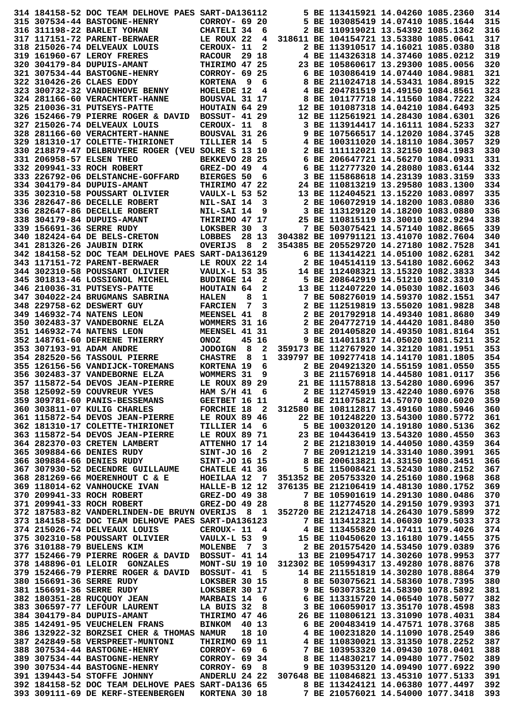| 314 184158-52 DOC TEAM DELHOVE PAES SART-DA136112                                                    |                                      | 5 BE 113415921 14.04260 1085.2360<br>314                                                                                                                                                                                                             |
|------------------------------------------------------------------------------------------------------|--------------------------------------|------------------------------------------------------------------------------------------------------------------------------------------------------------------------------------------------------------------------------------------------------|
| 315 307534-44 BASTOGNE-HENRY                                                                         | CORROY- 69 20                        | 5 BE 103085419 14.07410 1085.1644<br>315                                                                                                                                                                                                             |
| 316 311198-22 BARLET YOHAN                                                                           | CHATELI 34<br>6                      | 2 BE 110919021 13.54392 1085.1362<br>316                                                                                                                                                                                                             |
| 317 117151-72 PARENT-BERWAER                                                                         | LE ROUX 22<br>4                      | 318611 BE 104154721 13.53380 1085.0641<br>317                                                                                                                                                                                                        |
| 318 215026-74 DELVEAUX LOUIS                                                                         | 2<br>CEROUX- 11                      | 2 BE 113910517 14.16021 1085.0380<br>318                                                                                                                                                                                                             |
| 319 161960-67 LEROY FRERES                                                                           |                                      | 4 BE 114326318 14.37460 1085.0212<br>319                                                                                                                                                                                                             |
|                                                                                                      | <b>RACOUR</b><br>29 18               |                                                                                                                                                                                                                                                      |
| 320 304179-84 DUPUIS-AMANT                                                                           | THIRIMO 47 25                        | 23 BE 105860617 13.29300 1085.0056<br>320                                                                                                                                                                                                            |
| 321 307534-44 BASTOGNE-HENRY                                                                         | CORROY- 69 25                        | 6 BE 103086419 14.07440 1084.9881<br>321                                                                                                                                                                                                             |
| 322 310426-26 CLAES EDDY                                                                             | <b>KORTENA</b><br>- 9<br>6           | 322<br>8 BE 211024718 14.53431 1084.8915                                                                                                                                                                                                             |
| 323 300732-32 VANDENHOVE BENNY                                                                       | HOELEDE 12<br>4                      | 4 BE 204781519 14.49150 1084.8561<br>323                                                                                                                                                                                                             |
| 324 281166-60 VERACHTERT-HANNE                                                                       | BOUSVAL 31 17                        | 8 BE 101177718 14.11560 1084.7222<br>324                                                                                                                                                                                                             |
| 325 210036-31 PUTSEYS-PATTE                                                                          | HOUTAIN 64 29                        | 12 BE 101087318 14.04210 1084.6493<br>325                                                                                                                                                                                                            |
| 326 152466-79 PIERRE ROGER & DAVID                                                                   | <b>BOSSUT- 41 29</b>                 | 12 BE 112561921 14.28430 1084.6301<br>326                                                                                                                                                                                                            |
| 327 215026-74 DELVEAUX LOUIS                                                                         | CEROUX- 11<br>8                      | 3 BE 113914417 14.16111 1084.5233<br>327                                                                                                                                                                                                             |
| 328 281166-60 VERACHTERT-HANNE                                                                       | BOUSVAL 31 26                        | 328<br>9 BE 107566517 14.12020 1084.3745                                                                                                                                                                                                             |
| 329 181310-17 COLETTE-THIRIONET                                                                      | <b>TILLIER 14</b><br>5               | 4 BE 100311020 14.18110 1084.3057<br>329                                                                                                                                                                                                             |
| 330 218879-47 DELBRUYERE ROGER (VEU SOLRE S 13 10                                                    |                                      | 2 BE 111112021 13.32150 1084.1983<br>330                                                                                                                                                                                                             |
| 331 206958-57 ELSEN THEO                                                                             | BEKKEVO 28 25                        | 6 BE 206647721 14.56270 1084.0931<br>331                                                                                                                                                                                                             |
|                                                                                                      |                                      |                                                                                                                                                                                                                                                      |
| 332 209941-33 ROCH ROBERT                                                                            | GREZ-DO 49<br>4                      | 6 BE 112777320 14.28080 1083.6144<br>332                                                                                                                                                                                                             |
| 333 226792-06 DELSTANCHE-GOFFARD                                                                     | <b>BIERGES 50</b><br>6               | 3 BE 115868618 14.23139 1083.3159<br>333                                                                                                                                                                                                             |
| 334 304179-84 DUPUIS-AMANT                                                                           | THIRIMO 47 22                        | 24 BE 110813219 13.29580 1083.1300<br>334                                                                                                                                                                                                            |
| 335 302310-58 POUSSART OLIVIER                                                                       | <b>VAULX-L 53 52</b>                 | 13 BE 112404521 13.15220 1083.0897<br>335                                                                                                                                                                                                            |
| 336 282647-86 DECELLE ROBERT                                                                         | NIL-SAI 14<br>3                      | 2 BE 106072919 14.18200 1083.0880<br>336                                                                                                                                                                                                             |
| 336 282647-86 DECELLE ROBERT                                                                         | NIL-SAI 14<br>9                      | 3 BE 113129120 14.18200 1083.0880<br>336                                                                                                                                                                                                             |
| 338 304179-84 DUPUIS-AMANT                                                                           | THIRIMO 47 17                        | 25 BE 110815119 13.30010 1082.9294<br>338                                                                                                                                                                                                            |
| 339 156691-36 SERRE RUDY                                                                             | LOKSBER 30<br>3                      | 7 BE 503075421 14.57140 1082.8665<br>339                                                                                                                                                                                                             |
| 340 182424-64 DE BELS-CRETON                                                                         | 28 13<br>LOBBES                      | 304382 BE 109791121 13.41070 1082.7604<br>340                                                                                                                                                                                                        |
| 341 281326-26 JAUBIN DIRK                                                                            | OVERIJS<br>- 8<br>2                  | 354385 BE 205529720 14.27180 1082.7528<br>341                                                                                                                                                                                                        |
| 342 184158-52 DOC TEAM DELHOVE PAES SART-DA136129                                                    |                                      | 6 BE 113414221 14.05100 1082.6281<br>342                                                                                                                                                                                                             |
| 343 117151-72 PARENT-BERWAER                                                                         | LE ROUX 22 14                        | 2 BE 104514119 13.54180 1082.6062<br>343                                                                                                                                                                                                             |
| 344 302310-58 POUSSART OLIVIER                                                                       | <b>VAULX-L 53 35</b>                 | 14 BE 112408321 13.15320 1082.3833<br>344                                                                                                                                                                                                            |
| 345 301813-46 LOSSIGNOL MICHEL                                                                       | 2<br><b>BUDINGE 14</b>               | 5 BE 208642919 14.51210 1082.3310<br>345                                                                                                                                                                                                             |
|                                                                                                      |                                      | 13 BE 112407220 14.05030 1082.1603<br>346                                                                                                                                                                                                            |
| 346 210036-31 PUTSEYS-PATTE                                                                          | 2<br>HOUTAIN 64                      |                                                                                                                                                                                                                                                      |
| 347 304022-24 BRUGMANS SABRINA                                                                       | 8<br>1<br><b>HALEN</b>               | 7 BE 508276019 14.59370 1082.1551<br>347                                                                                                                                                                                                             |
| 348 229758-62 DESWERT GUY                                                                            | 7<br>3<br><b>FARCIEN</b>             | 2 BE 112519819 13.55020 1081.9828<br>348                                                                                                                                                                                                             |
| 349 146932-74 NATENS LEON                                                                            | MEENSEL 41<br>8                      | 2 BE 201792918 14.49340 1081.8680<br>349                                                                                                                                                                                                             |
| 350 302483-37 VANDEBORNE ELZA                                                                        | WOMMERS 31 16                        | 2 BE 204772719 14.44420 1081.8480<br>350                                                                                                                                                                                                             |
| 351 146932-74 NATENS LEON                                                                            | MEENSEL 41 31                        | 3 BE 201405820 14.49350 1081.8164<br>351                                                                                                                                                                                                             |
| 352 148761-60 DEFRENE THIERRY                                                                        | 45 16<br><b>ONOZ</b>                 | 9 BE 114011817 14.05020 1081.5211<br>352                                                                                                                                                                                                             |
| 353 307193-91 ADAM ANDRE                                                                             | 8<br><b>JODOIGN</b><br>2             | 359173 BE 112767920 14.32120 1081.1951<br>353                                                                                                                                                                                                        |
| 354 282520-56 TASSOUL PIERRE                                                                         | $\mathbf 1$<br>- 8<br><b>CHASTRE</b> | 339797 BE 109277418 14.14170 1081.1805<br>354                                                                                                                                                                                                        |
| 355 126156-56 VANDIJCK-TOREMANS                                                                      | KORTENA 19<br>6                      | 2 BE 204921320 14.55159 1081.0550<br>355                                                                                                                                                                                                             |
| 356 302483-37 VANDEBORNE ELZA                                                                        | 9<br>WOMMERS 31                      | 3 BE 211576918 14.44580 1081.0117<br>356                                                                                                                                                                                                             |
| 357 115872-54 DEVOS JEAN-PIERRE                                                                      | LE ROUX 89 29                        | 21 BE 111578818 13.54280 1080.6996<br>357                                                                                                                                                                                                            |
| 358 125092-59 COUVREUR YVES                                                                          | HAM $S/H$ 41<br>6                    | 358<br>2 BE 112745919 13.42240 1080.6976                                                                                                                                                                                                             |
| 359 309781-60 PANIS-BESSEMANS                                                                        | GEETBET 16 11                        | 4 BE 211075821 14.57070 1080.6020<br>359                                                                                                                                                                                                             |
| 360 303811-07 KULIG CHARLES                                                                          |                                      | FORCHIE 18 2 312580 BE 108112817 13.49160 1080.5946<br>360                                                                                                                                                                                           |
| 361 115872-54 DEVOS JEAN-PIERRE LE ROUX 89 46                                                        |                                      | 22 BE 101248220 13.54300 1080.5772<br>361                                                                                                                                                                                                            |
| 362 181310-17 COLETTE-THIRIONET                                                                      |                                      | 362                                                                                                                                                                                                                                                  |
| 363 115872-54 DEVOS JEAN-PIERRE                                                                      | TILLIER 14 6<br>LE ROUX 89 71        | 5 BE 100320120 14.19180 1080.5136<br>23 BE 104436419 13.54320 1080.4550<br>2 BE 212183019 14.44050 1080.4359<br>7 BE 209121219 14.33140 1080.3991<br>8 BE 200613821 14.33150 1080.3451<br>363                                                        |
| 364 282370-03 CRETEN LAMBERT                                                                         | ATTENHO 17 14                        | 364                                                                                                                                                                                                                                                  |
|                                                                                                      |                                      |                                                                                                                                                                                                                                                      |
| 365 309884-66 DENIES RUDY SINT-JO 16 2<br>366 309884-66 DENIES RUDY SINT-JO 16 15                    |                                      | 365                                                                                                                                                                                                                                                  |
|                                                                                                      |                                      | 366<br>367 307930-52 DECENDRE GUILLAUME CHATELE 41 36 5 BE 115008421 13.52430 1080.2152                                                                                                                                                              |
|                                                                                                      |                                      | 367                                                                                                                                                                                                                                                  |
|                                                                                                      |                                      | 368                                                                                                                                                                                                                                                  |
|                                                                                                      |                                      | 368 281269-66 MOERENHOUT C & E<br>369 118014-62 VANHOUCKE IVAN HALLE-B 12 12 376135 BE 205753320 14.25160 1080.1968<br>370 209941-33 ROCH ROBERT GREZ-DO 49 38 7 BE 105901619 14.29130 1080.0486<br>369                                              |
|                                                                                                      |                                      | 370                                                                                                                                                                                                                                                  |
| 371 209941-33 ROCH ROBERT GREZ-DO 49 28                                                              |                                      | 8 BE 112774520 14.29150 1079.9393<br>371                                                                                                                                                                                                             |
|                                                                                                      |                                      | 372 187583-82 VANDERLINDEN-DE BRUYN OVERIJS 8 1 352720 BE 212124718 14.26430 1079.5899<br>372                                                                                                                                                        |
| 373 184158-52 DOC TEAM DELHOVE PAES SART-DA136123                                                    |                                      | 373                                                                                                                                                                                                                                                  |
| 374 215026-74 DELVEAUX LOUIS                                                                         |                                      | PAES SART-DA136123 7 BE 113412321 14.06030 1079.5033<br>CEROUX- 11 4 4 BE 113455820 14.17411 1079.4026<br>VAULX-L 53 9 15 BE 110450620 13.16180 1079.1455<br>MOLENBE 7 3 2 BE 201575420 14.53450 1079.0389<br>374                                    |
| 375 302310-58 POUSSART OLIVIER                                                                       |                                      | 375                                                                                                                                                                                                                                                  |
| 376 310188-79 BUELENS KIM                                                                            |                                      | 376                                                                                                                                                                                                                                                  |
| 377 152466-79 PIERRE ROGER & DAVID BOSSUT- 41 14                                                     |                                      | 13 BE 210954717 14.30260 1078.9953<br>377                                                                                                                                                                                                            |
|                                                                                                      |                                      |                                                                                                                                                                                                                                                      |
|                                                                                                      |                                      |                                                                                                                                                                                                                                                      |
| 378 148896-01 LELOIR GONZALES                                                                        |                                      | MONT-SU 19 10 312302 BE 105994317 13.49280 1078.8876<br>378                                                                                                                                                                                          |
| 379 152466-79 PIERRE ROGER & DAVID BOSSUT- 41 5                                                      |                                      | 14 BE 211551819 14.30280 1078.8864<br>379                                                                                                                                                                                                            |
|                                                                                                      |                                      | 380                                                                                                                                                                                                                                                  |
|                                                                                                      |                                      | 381                                                                                                                                                                                                                                                  |
|                                                                                                      |                                      | 382                                                                                                                                                                                                                                                  |
|                                                                                                      |                                      | 383                                                                                                                                                                                                                                                  |
|                                                                                                      |                                      | 384                                                                                                                                                                                                                                                  |
|                                                                                                      |                                      | 385                                                                                                                                                                                                                                                  |
| 386 132922-32 BORZSEI CHER & THOMAS NAMUR                                                            | 18 10                                | 380 156691-36 SERRE RUDY<br>380 156691-36 SERRE RUDY<br>381 156691-36 SERRE RUDY<br>382 180351-28 RUCQUOY JEAN<br>382 180351-28 RUCQUOY JEAN<br>382 180351-28 RUCQUOY JEAN<br>382 180351-28 RUCQUOY JEAN<br>382 180351-28 RUCQUOY JEAN<br>383<br>386 |
| 387 242849-58 VERSPREET-MUNTONI                                                                      | THIRIMO 69 11                        | 387                                                                                                                                                                                                                                                  |
| 388 307534-44 BASTOGNE-HENRY                                                                         | CORROY- 69 6                         | 388                                                                                                                                                                                                                                                  |
| 389 307534-44 BASTOGNE-HENRY                                                                         | CORROY- 69 34                        | 4 BE 100231820 14.11090 1078.2549<br>4 BE 110830021 13.31350 1078.2252<br>7 BE 103953320 14.09430 1078.0401<br>8 BE 114830217 14.09480 1077.7502<br>389                                                                                              |
| 390 307534-44 BASTOGNE-HENRY                                                                         | CORROY- 69 8                         | 9 BE 103953120 14.09490 1077.6922<br>390                                                                                                                                                                                                             |
| 391 139443-54 STOFFE JOHNNY ANDERLU 24 22                                                            |                                      | 307648 BE 110846821 13.45310 1077.5133<br>391                                                                                                                                                                                                        |
| 392 184158-52 DOC TEAM DELHOVE PAES SART-DA136 65<br>393 309111-69 DE KERF-STEENBERGEN KORTENA 30 18 |                                      | 8 BE 113424121 14.06380 1077.4497<br>392<br>7 BE 210576021 14.54000 1077.3418<br>393                                                                                                                                                                 |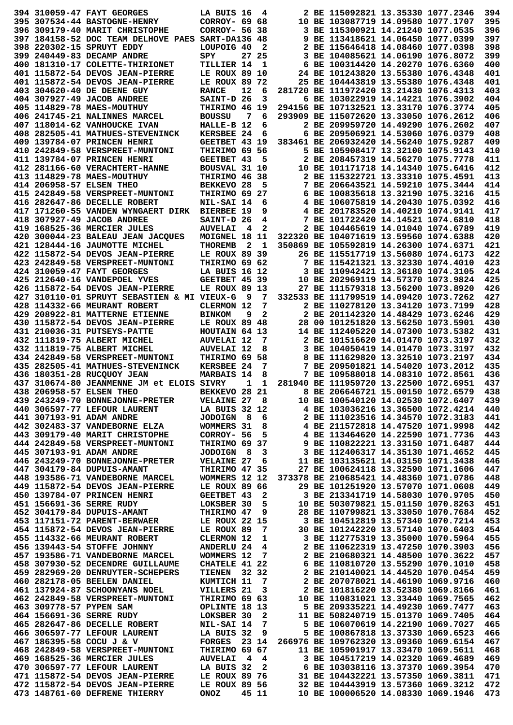|  | 394 310059-47 FAYT GEORGES                                                                                                                                                                                                                   | LA BUIS 16                     |                         | 4              |                                                                                                                                                                                                                                        | 2 BE 115092821 13.35330 1077.2346                                           |  | 394        |
|--|----------------------------------------------------------------------------------------------------------------------------------------------------------------------------------------------------------------------------------------------|--------------------------------|-------------------------|----------------|----------------------------------------------------------------------------------------------------------------------------------------------------------------------------------------------------------------------------------------|-----------------------------------------------------------------------------|--|------------|
|  | 395 307534-44 BASTOGNE-HENRY                                                                                                                                                                                                                 | CORROY- 69 68                  |                         |                |                                                                                                                                                                                                                                        | 10 BE 103087719 14.09580 1077.1707                                          |  | 395        |
|  | 396 309179-40 MARIT CHRISTOPHE                                                                                                                                                                                                               | CORROY- 56 38                  |                         |                |                                                                                                                                                                                                                                        | 3 BE 115300921 14.21240 1077.0535                                           |  | 396        |
|  | 397 184158-52 DOC TEAM DELHOVE PAES SART-DA136 48                                                                                                                                                                                            |                                |                         |                |                                                                                                                                                                                                                                        | 9 BE 113418621 14.06450 1077.0399                                           |  | 397        |
|  | 398 220302-15 SPRUYT EDDY                                                                                                                                                                                                                    | LOUPOIG 40                     |                         | 2              |                                                                                                                                                                                                                                        | 2 BE 115646418 14.08460 1077.0398                                           |  | 398        |
|  | 399 240449-83 DECAMP ANDRE                                                                                                                                                                                                                   | SPY                            |                         | 27 25          |                                                                                                                                                                                                                                        | 3 BE 104085621 14.06190 1076.8072                                           |  | 399        |
|  | 400 181310-17 COLETTE-THIRIONET                                                                                                                                                                                                              | TILLIER 14                     |                         | 1              |                                                                                                                                                                                                                                        | 6 BE 100314420 14.20270 1076.6360                                           |  | 400        |
|  | 401 115872-54 DEVOS JEAN-PIERRE                                                                                                                                                                                                              | LE ROUX 89 10                  |                         |                |                                                                                                                                                                                                                                        | 24 BE 101243820 13.55380 1076.4348                                          |  | 401        |
|  | 401 115872-54 DEVOS JEAN-PIERRE                                                                                                                                                                                                              | LE ROUX 89 72                  |                         |                |                                                                                                                                                                                                                                        | 25 BE 104443819 13.55380 1076.4348                                          |  | 401        |
|  | 403 304620-40 DE DEENE GUY                                                                                                                                                                                                                   | <b>RANCE</b>                   | 12                      | 6              |                                                                                                                                                                                                                                        | 281720 BE 111972420 13.21430 1076.4313                                      |  | 403        |
|  | 404 307927-49 JACOB ANDREE                                                                                                                                                                                                                   | SAINT-D 26                     |                         | 3              |                                                                                                                                                                                                                                        | 6 BE 103022919 14.14221 1076.3902                                           |  | 404        |
|  | 405 114829-78 MAES-MOUTHUY                                                                                                                                                                                                                   | THIRIMO 46 19                  |                         |                |                                                                                                                                                                                                                                        | 294156 BE 107132521 13.33170 1076.3774                                      |  | 405        |
|  | 406 241745-21 NALINNES MARCEL<br>407 118014-62 VANHOUCKE IVAN                                                                                                                                                                                | <b>BOUSSU</b><br>HALLE-B 12    | 7                       | 6<br>6         |                                                                                                                                                                                                                                        | 293909 BE 115072620 13.33050 1076.2612<br>2 BE 209959720 14.49290 1076.2602 |  | 406<br>407 |
|  | 408 282505-41 MATHUES-STEVENINCK                                                                                                                                                                                                             | <b>KERSBEE 24</b>              |                         | 6              |                                                                                                                                                                                                                                        | 6 BE 209506921 14.53060 1076.0379                                           |  | 408        |
|  | 409 139784-07 PRINCEN HENRI                                                                                                                                                                                                                  | GEETBET 43 19                  |                         |                |                                                                                                                                                                                                                                        | 383461 BE 206932420 14.56240 1075.9287                                      |  | 409        |
|  | 410 242849-58 VERSPREET-MUNTONI                                                                                                                                                                                                              | THIRIMO 69 56                  |                         |                |                                                                                                                                                                                                                                        | 5 BE 105908417 13.32100 1075.9143                                           |  | 410        |
|  | 411 139784-07 PRINCEN HENRI                                                                                                                                                                                                                  | GEETBET 43                     |                         | 5              |                                                                                                                                                                                                                                        | 2 BE 208457319 14.56270 1075.7778                                           |  | 411        |
|  | 412 281166-60 VERACHTERT-HANNE                                                                                                                                                                                                               | BOUSVAL 31 10                  |                         |                |                                                                                                                                                                                                                                        | 10 BE 101171718 14.14340 1075.6416                                          |  | 412        |
|  | 413 114829-78 MAES-MOUTHUY                                                                                                                                                                                                                   | THIRIMO 46 38                  |                         |                |                                                                                                                                                                                                                                        | 2 BE 115322721 13.33310 1075.4591                                           |  | 413        |
|  | 414 206958-57 ELSEN THEO                                                                                                                                                                                                                     | BEKKEVO 28                     |                         | 5              |                                                                                                                                                                                                                                        | 7 BE 206643521 14.59210 1075.3444                                           |  | 414        |
|  | 415 242849-58 VERSPREET-MUNTONI                                                                                                                                                                                                              | THIRIMO 69 27                  |                         |                |                                                                                                                                                                                                                                        | 6 BE 100835618 13.32190 1075.3216                                           |  | 415        |
|  | 416 282647-86 DECELLE ROBERT                                                                                                                                                                                                                 | NIL-SAI 14                     |                         | 6              |                                                                                                                                                                                                                                        | 4 BE 106075819 14.20430 1075.0392                                           |  | 416        |
|  | 417 171260-55 VANDEN WYNGAERT DIRK                                                                                                                                                                                                           | <b>BIERBEE 19</b>              |                         | 9              |                                                                                                                                                                                                                                        | 4 BE 201783520 14.40210 1074.9141                                           |  | 417        |
|  | 418 307927-49 JACOB ANDREE                                                                                                                                                                                                                   | SAINT-D 26                     |                         | 4              |                                                                                                                                                                                                                                        | 7 BE 101722420 14.14521 1074.6810                                           |  | 418        |
|  | 419 168525-36 MERCIER JULES                                                                                                                                                                                                                  | <b>AUVELAI</b>                 | $\overline{\mathbf{4}}$ | 2              |                                                                                                                                                                                                                                        | 2 BE 104465619 14.01040 1074.6789                                           |  | 419        |
|  | 420 300044-23 BALEAU JEAN JACQUES                                                                                                                                                                                                            | MOIGNEL 18 11                  |                         |                |                                                                                                                                                                                                                                        | 322320 BE 104071619 13.59560 1074.6388                                      |  | 420        |
|  | 421 128444-16 JAUMOTTE MICHEL                                                                                                                                                                                                                | <b>THOREMB</b>                 | 2                       | 1              |                                                                                                                                                                                                                                        | 350869 BE 105592819 14.26300 1074.6371                                      |  | 421        |
|  | 422 115872-54 DEVOS JEAN-PIERRE                                                                                                                                                                                                              | LE ROUX 89 39                  |                         |                |                                                                                                                                                                                                                                        | 26 BE 115517719 13.56080 1074.6173                                          |  | 422        |
|  | 423 242849-58 VERSPREET-MUNTONI                                                                                                                                                                                                              | THIRIMO 69 62                  |                         |                |                                                                                                                                                                                                                                        | 7 BE 115421321 13.32330 1074.4010                                           |  | 423        |
|  | 424 310059-47 FAYT GEORGES                                                                                                                                                                                                                   | LA BUIS 16 12<br>GEETBET 45 39 |                         |                |                                                                                                                                                                                                                                        | 3 BE 110942421 13.36180 1074.3105<br>10 BE 202969119 14.57370 1073.9824     |  | 424<br>425 |
|  | 425 212640-16 VANDEPOEL YVES<br>426 115872-54 DEVOS JEAN-PIERRE                                                                                                                                                                              | LE ROUX 89 13                  |                         |                |                                                                                                                                                                                                                                        | 27 BE 111579318 13.56200 1073.8920                                          |  | 426        |
|  | 427 310110-01 SPRUYT SEBASTIEN & MI VIEUX-G                                                                                                                                                                                                  |                                | 9                       | 7              |                                                                                                                                                                                                                                        | 332533 BE 111799519 14.09420 1073.7262                                      |  | 427        |
|  | 428 114332-66 MEURANT ROBERT                                                                                                                                                                                                                 | CLERMON 12                     |                         | 7              |                                                                                                                                                                                                                                        | 2 BE 110278120 13.34120 1073.7199                                           |  | 428        |
|  | 429 208922-81 MATTERNE ETIENNE                                                                                                                                                                                                               | <b>BINKOM</b>                  | 9                       | 2              |                                                                                                                                                                                                                                        | 2 BE 201142320 14.48429 1073.6246                                           |  | 429        |
|  | 430 115872-54 DEVOS JEAN-PIERRE                                                                                                                                                                                                              | LE ROUX 89 48                  |                         |                |                                                                                                                                                                                                                                        | 28 00 101251820 13.56250 1073.5901                                          |  | 430        |
|  | 431 210036-31 PUTSEYS-PATTE                                                                                                                                                                                                                  | HOUTAIN 64 13                  |                         |                |                                                                                                                                                                                                                                        | 14 BE 112405220 14.07300 1073.5382                                          |  | 431        |
|  | 432 111819-75 ALBERT MICHEL                                                                                                                                                                                                                  | <b>AUVELAI 12</b>              |                         | 7              |                                                                                                                                                                                                                                        | 2 BE 101516620 14.01470 1073.3197                                           |  | 432        |
|  | 432 111819-75 ALBERT MICHEL                                                                                                                                                                                                                  | <b>AUVELAI 12</b>              |                         | 8              |                                                                                                                                                                                                                                        | 3 BE 104050419 14.01470 1073.3197                                           |  | 432        |
|  | 434 242849-58 VERSPREET-MUNTONI                                                                                                                                                                                                              | THIRIMO 69 58                  |                         |                |                                                                                                                                                                                                                                        | 8 BE 111629820 13.32510 1073.2197                                           |  | 434        |
|  | 435 282505-41 MATHUES-STEVENINCK                                                                                                                                                                                                             | KERSBEE 24                     |                         | 7              |                                                                                                                                                                                                                                        | 7 BE 209501821 14.54020 1073.2012                                           |  | 435        |
|  | 436 180351-28 RUCQUOY JEAN                                                                                                                                                                                                                   | <b>MARBAIS 14</b>              |                         | 8              |                                                                                                                                                                                                                                        | 7 BE 109588018 14.08310 1072.8561                                           |  | 436        |
|  | 437 310674-80 JEANMENNE JM et ELOIS SIVRY                                                                                                                                                                                                    |                                | 1                       | 1              |                                                                                                                                                                                                                                        | 281940 BE 111959720 13.22500 1072.6951                                      |  | 437        |
|  | 438 206958-57 ELSEN THEO                                                                                                                                                                                                                     | BEKKEVO 28 21                  |                         |                |                                                                                                                                                                                                                                        | 8 BE 206646721 15.00150 1072.6579                                           |  | 438        |
|  | 439 243249-70 BONNEJONNE-PRETER                                                                                                                                                                                                              | VELAINE 27 8                   |                         |                |                                                                                                                                                                                                                                        | 10 BE 100540120 14.02530 1072.6407                                          |  | 439        |
|  | 440 306597-77 LEFOUR LAURENT                                                                                                                                                                                                                 | LA BUIS 32 12                  |                         |                | LA BUIS 32 12 4 BE 103036216 13.36500 1072.4214<br>JODOIGN 8 6 2 BE 111023516 14.34570 1072.3183                                                                                                                                       | 4 BE 103036216 13.36500 1072.4214                                           |  | 440        |
|  | 441 307193-91 ADAM ANDRE<br>442 302483-37 VANDEBORNE ELZA                                                                                                                                                                                    | <b>WOMMERS 31</b>              |                         | 8              |                                                                                                                                                                                                                                        |                                                                             |  | 441<br>442 |
|  | 443 309179-40 MARIT CHRISTOPHE                                                                                                                                                                                                               | CORROY- 56 5                   |                         |                | 4 BE 211572818 14.47520 1071.9998<br>4 BE 113464620 14.22590 1071.7736<br>9 BE 110822221 13.33150 1071.6487                                                                                                                            |                                                                             |  | 443        |
|  | 444 242849-58 VERSPREET-MUNTONI                                                                                                                                                                                                              | THIRIMO 69 37                  |                         |                |                                                                                                                                                                                                                                        |                                                                             |  | 444        |
|  | 445 307193-91 ADAM ANDRE                                                                                                                                                                                                                     | <b>JODOIGN 8</b>               |                         | 3              |                                                                                                                                                                                                                                        | 3 BE 112406317 14.35130 1071.4652                                           |  | 445        |
|  | 446 243249-70 BONNEJONNE-PRETER                                                                                                                                                                                                              | VELAINE 27 6                   |                         |                |                                                                                                                                                                                                                                        | 11 BE 103135621 14.03150 1071.3438                                          |  | 446        |
|  | 447 304179-84 DUPUIS-AMANT                                                                                                                                                                                                                   | THIRIMO 47 35                  |                         |                |                                                                                                                                                                                                                                        | 27 BE 100624118 13.32590 1071.1606                                          |  | 447        |
|  | -<br>448 193586-71 VANDEBORNE MARCEL MOMMERS 12 12<br>449 115872-54 DEVOS JEAN-PIERRE LE ROUX 89 66                                                                                                                                          |                                |                         |                | 373378 BE 210685421 14.48360 1071.0786                                                                                                                                                                                                 |                                                                             |  | 448        |
|  |                                                                                                                                                                                                                                              |                                |                         |                |                                                                                                                                                                                                                                        | 29 BE 101251920 13.57070 1071.0608                                          |  | 449        |
|  | 450 139784-07 PRINCEN HENRI                                                                                                                                                                                                                  | GEETBET 43 2                   |                         |                |                                                                                                                                                                                                                                        | 3 BE 213341719 14.58030 1070.9705                                           |  | 450        |
|  | 451 156691-36 SERRE RUDY<br>452 304179-84 DUPUIS-AMANT THIRIMO 47 9<br>453 117151-72 PARENT-BERWAER LE ROUX 22 15                                                                                                                            |                                |                         |                | 10 BE 503079821 15.01150 1070.8263                                                                                                                                                                                                     |                                                                             |  | 451        |
|  |                                                                                                                                                                                                                                              |                                |                         |                |                                                                                                                                                                                                                                        | 28 BE 110799821 13.33050 1070.7684                                          |  | 452        |
|  |                                                                                                                                                                                                                                              |                                |                         |                |                                                                                                                                                                                                                                        | 3 BE 104512819 13.57340 1070.7214                                           |  | 453        |
|  | 454 115872-54 DEVOS JEAN-PIERRE LE ROUX 89                                                                                                                                                                                                   |                                |                         | $\overline{7}$ |                                                                                                                                                                                                                                        | 30 BE 101242220 13.57140 1070.6403                                          |  | 454        |
|  | 455 114332-66 MEURANT ROBERT                                                                                                                                                                                                                 |                                |                         |                |                                                                                                                                                                                                                                        |                                                                             |  | 455        |
|  | 456 139443-54 STOFFE JOHNNY<br>457 193586-71 VANDEBORNE MARCEL WOMMERS 12                                                                                                                                                                    |                                |                         |                |                                                                                                                                                                                                                                        |                                                                             |  | 456<br>457 |
|  | 458 307930-52 DECENDRE GUILLAUME                                                                                                                                                                                                             |                                |                         |                |                                                                                                                                                                                                                                        |                                                                             |  | 458        |
|  | 459 282969-20 DENRUYTER-SCHEPERS                                                                                                                                                                                                             |                                |                         |                |                                                                                                                                                                                                                                        |                                                                             |  | 459        |
|  | 460 282178-05 BEELEN DANIEL                                                                                                                                                                                                                  |                                |                         |                |                                                                                                                                                                                                                                        |                                                                             |  | 460        |
|  | 461 137924-87 SCHOONYANS NOEL                                                                                                                                                                                                                |                                |                         |                | CLERMON 12 1 3 BE 112775219 13.35000 1070.5964<br>ANDERLU 24 4 2 BE 110622319 13.47250 1070.5964<br>WOMMERS 12 7 2 BE 210680321 14.48500 1070.3622<br>CHATELE 41 22 6 BE 110810720 13.55290 1070.1019<br>TIENEN 32 32 2 BE 210140021 1 |                                                                             |  | 461        |
|  |                                                                                                                                                                                                                                              |                                |                         |                |                                                                                                                                                                                                                                        |                                                                             |  | 462        |
|  |                                                                                                                                                                                                                                              |                                |                         |                |                                                                                                                                                                                                                                        |                                                                             |  | 463        |
|  |                                                                                                                                                                                                                                              |                                |                         |                |                                                                                                                                                                                                                                        | 5 BE 209335221 14.49230 1069.7477<br>11 BE 508240719 15.01370 1069.7405     |  | 464        |
|  | 461 137924-67 SCHOONTANS NOEL VIELERS 21 3<br>462 242849-58 VERSPREET-MUNTONI THIRIMO 69 63<br>463 309778-57 PYPEN SAM OPLINTE 18 13<br>464 156691-36 SERRE RUDY LOKSBER 30 2<br>465 282647-86 DECELLE ROBERT NIL-SAI 14 7                   |                                |                         |                |                                                                                                                                                                                                                                        | 5 BE 106070619 14.22190 1069.7027                                           |  | 465        |
|  |                                                                                                                                                                                                                                              |                                |                         |                |                                                                                                                                                                                                                                        |                                                                             |  | 466        |
|  |                                                                                                                                                                                                                                              |                                |                         |                |                                                                                                                                                                                                                                        |                                                                             |  | 467        |
|  |                                                                                                                                                                                                                                              |                                |                         |                |                                                                                                                                                                                                                                        |                                                                             |  | 468        |
|  |                                                                                                                                                                                                                                              |                                |                         |                |                                                                                                                                                                                                                                        |                                                                             |  | 469        |
|  | 466 306597-77 LEFOUR LAURENT<br>466 306597-77 LEFOUR LAURENT<br>468 242849-58 COCU J & V<br>468 242849-58 VERSPREET-MUNTONI<br>468 242849-58 VERSPREET-MUNTONI<br>469 168525-36 MERCIER JULES<br>470 306597-77 LEFOUR LAURENT<br>470 306597- |                                |                         |                |                                                                                                                                                                                                                                        |                                                                             |  | 470        |
|  |                                                                                                                                                                                                                                              |                                |                         |                |                                                                                                                                                                                                                                        |                                                                             |  | 471        |
|  | 472 115872-54 DEVOS JEAN-PIERRE<br>473 148761-60 DEFRENE THIERRY                                                                                                                                                                             | LE ROUX 89 56<br><b>ONOZ</b>   |                         | 45 11          | 32 BE 104443919 13.57360 1069.3212                                                                                                                                                                                                     | 10 BE 100006520 14.08330 1069.1946                                          |  | 472<br>473 |
|  |                                                                                                                                                                                                                                              |                                |                         |                |                                                                                                                                                                                                                                        |                                                                             |  |            |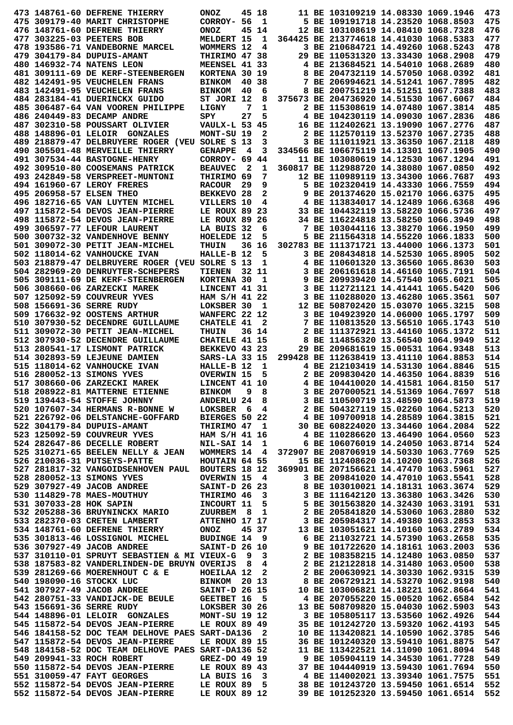|                             | 473 148761-60 DEFRENE THIERRY                                                                                                                                                              | <b>ONOZ</b>                           |     | 45 18        | 11 BE 103109219 14.08330 1069.1946                                       |                                   | 473        |
|-----------------------------|--------------------------------------------------------------------------------------------------------------------------------------------------------------------------------------------|---------------------------------------|-----|--------------|--------------------------------------------------------------------------|-----------------------------------|------------|
|                             | 475 309179-40 MARIT CHRISTOPHE                                                                                                                                                             | CORROY- 56                            |     | $\mathbf{1}$ | 5 BE 109191718 14.23520 1068.8503                                        |                                   | 475        |
|                             | 476 148761-60 DEFRENE THIERRY                                                                                                                                                              | <b>ONOZ</b>                           |     | 45 14        | 12 BE 103108619 14.08410 1068.7328                                       |                                   | 476        |
|                             | 477 303225-03 PEETERS BOB                                                                                                                                                                  | MELDERT 15                            |     | 1            | 364425 BE 213774618 14.41030 1068.5383                                   |                                   | 477        |
|                             | 478 193586-71 VANDEBORNE MARCEL                                                                                                                                                            | WOMMERS 12                            |     | 4            | 3 BE 210684721 14.49260 1068.5243                                        |                                   | 478        |
|                             | 479 304179-84 DUPUIS-AMANT                                                                                                                                                                 | THIRIMO 47 38                         |     |              | 29 BE 110531320 13.33430 1068.2908                                       |                                   | 479        |
|                             |                                                                                                                                                                                            |                                       |     |              |                                                                          |                                   |            |
|                             | 480 146932-74 NATENS LEON                                                                                                                                                                  | MEENSEL 41 33                         |     |              | 4 BE 213684521 14.54010 1068.2689                                        |                                   | 480        |
|                             | 481 309111-69 DE KERF-STEENBERGEN                                                                                                                                                          | KORTENA 30 19                         |     |              | 8 BE 204732119 14.57050 1068.0392                                        |                                   | 481        |
|                             | 482 142491-95 VEUCHELEN FRANS                                                                                                                                                              | <b>BINKOM</b>                         |     | 40 38        | 7 BE 206994621 14.51241 1067.7895                                        |                                   | 482        |
|                             | 483 142491-95 VEUCHELEN FRANS                                                                                                                                                              | <b>BINKOM</b>                         | 40  | 6            | 8 BE 200751219 14.51251 1067.7388                                        |                                   | 483        |
|                             | 484 283184-41 DUERINCKX GUIDO                                                                                                                                                              | ST JORI 12                            |     | 8            | 375673 BE 204736920 14.51530 1067.6067                                   |                                   | 484        |
|                             | 485 306487-64 VAN VOOREN PHILIPPE                                                                                                                                                          | LIGNY                                 | 7   | 1            | 2 BE 115308619 14.07480 1067.3814                                        |                                   | 485        |
|                             | 486 240449-83 DECAMP ANDRE                                                                                                                                                                 | SPY                                   | 27  | 5            | 4 BE 104230119 14.09030 1067.2836                                        |                                   | 486        |
|                             | 487 302310-58 POUSSART OLIVIER                                                                                                                                                             | <b>VAULX-L 53 45</b>                  |     |              | 16 BE 112402621 13.19090 1067.2776                                       |                                   | 487        |
|                             | 488 148896-01 LELOIR GONZALES                                                                                                                                                              | MONT-SU 19                            |     | 2            | 2 BE 112570119 13.52370 1067.2735                                        |                                   | 488        |
|                             | 489 218879-47 DELBRUYERE ROGER (VEU SOLRE S 13                                                                                                                                             |                                       |     | 3            | 3 BE 111011921 13.36350 1067.2118                                        |                                   | 489        |
|                             |                                                                                                                                                                                            |                                       | - 4 | 3            | 334566 BE 106675119 14.13301 1067.1905                                   |                                   | 490        |
|                             | 490 305501-48 MERVEILLE THIERRY                                                                                                                                                            | <b>GENAPPE</b>                        |     |              |                                                                          |                                   |            |
|                             | 491 307534-44 BASTOGNE-HENRY                                                                                                                                                               | CORROY- 69                            |     | 44           | 11 BE 103080619 14.12530 1067.1294                                       |                                   | 491        |
|                             | 492 309510-80 COOSEMANS PATRICK                                                                                                                                                            | <b>BEAUVEC</b>                        | 2   | 1            | 360817 BE 112988720 14.38080 1067.0850                                   |                                   | 492        |
|                             | 493 242849-58 VERSPREET-MUNTONI                                                                                                                                                            | THIRIMO 69                            |     | 7            | 12 BE 110989119 13.34300 1066.7687                                       |                                   | 493        |
|                             | 494 161960-67 LEROY FRERES                                                                                                                                                                 | <b>RACOUR</b>                         | 29  | 9            | 5 BE 102320419 14.43330 1066.7559                                        |                                   | 494        |
|                             | 495 206958-57 ELSEN THEO                                                                                                                                                                   | BEKKEVO <sub>28</sub>                 |     | 2            | 9 BE 201374620 15.02170 1066.6375                                        |                                   | 495        |
|                             | 496 182716-65 VAN LUYTEN MICHEL                                                                                                                                                            | VILLERS 10                            |     | 4            | 4 BE 113834017 14.12489 1066.6368                                        |                                   | 496        |
|                             | 497 115872-54 DEVOS JEAN-PIERRE                                                                                                                                                            | LE ROUX 89 23                         |     |              | 33 BE 104432119 13.58220 1066.5736                                       |                                   | 497        |
|                             | 498 115872-54 DEVOS JEAN-PIERRE                                                                                                                                                            | LE ROUX 89 26                         |     |              | 34 BE 116224818 13.58250 1066.3949                                       |                                   | 498        |
|                             | 499 306597-77 LEFOUR LAURENT                                                                                                                                                               | LA BUIS 32                            |     | 6            | 7 BE 103044116 13.38270 1066.1950                                        |                                   | 499        |
|                             | 500 300732-32 VANDENHOVE BENNY                                                                                                                                                             | HOELEDE 12                            |     | 5            | 5 BE 211564318 14.55220 1066.1833                                        |                                   | 500        |
|                             | 501 309072-30 PETIT JEAN-MICHEL                                                                                                                                                            | <b>THUIN</b>                          |     | 36 16        | 302783 BE 111371721 13.44000 1066.1373                                   |                                   | 501        |
|                             |                                                                                                                                                                                            |                                       |     |              |                                                                          |                                   |            |
|                             | 502 118014-62 VANHOUCKE IVAN                                                                                                                                                               | HALLE-B 12                            |     | 5            | 3 BE 208434818 14.52530 1065.8905                                        |                                   | 502        |
|                             | 503 218879-47 DELBRUYERE ROGER (VEU SOLRE S 13                                                                                                                                             |                                       |     | 1            | 4 BE 110601320 13.36560 1065.8630                                        |                                   | 503        |
|                             | 504 282969-20 DENRUYTER-SCHEPERS                                                                                                                                                           | <b>TIENEN</b>                         |     | 32 11        | 3 BE 206161618 14.46160 1065.7191                                        |                                   | 504        |
|                             | 505 309111-69 DE KERF-STEENBERGEN                                                                                                                                                          | KORTENA 30                            |     | 1            | 9 BE 209939420 14.57540 1065.6021                                        |                                   | 505        |
|                             | 506 308660-06 ZARZECKI MAREK                                                                                                                                                               | LINCENT 41 31                         |     |              | 3 BE 112721121 14.41441 1065.5420                                        |                                   | 506        |
|                             | 507 125092-59 COUVREUR YVES                                                                                                                                                                | HAM S/H 41 22                         |     |              | 3 BE 110288020 13.46280 1065.3561                                        |                                   | 507        |
|                             | 508 156691-36 SERRE RUDY                                                                                                                                                                   | LOKSBER 30                            |     | 1            | 12 BE 508702420 15.03070 1065.3215                                       |                                   | 508        |
|                             | 509 176632-92 OOSTENS ARTHUR                                                                                                                                                               | WANFERC 22 12                         |     |              | 3 BE 104923920 14.06000 1065.1797                                        |                                   | 509        |
|                             | 510 307930-52 DECENDRE GUILLAUME                                                                                                                                                           | <b>CHATELE 41</b>                     |     | 2            | 7 BE 110813520 13.56510 1065.1743                                        |                                   | 510        |
|                             | 511 309072-30 PETIT JEAN-MICHEL                                                                                                                                                            | <b>THUIN</b>                          |     | 36 14        | 2 BE 111372921 13.44160 1065.1372                                        |                                   | 511        |
|                             | 512 307930-52 DECENDRE GUILLAUME                                                                                                                                                           |                                       |     |              | 8 BE 114856320 13.56540 1064.9949                                        |                                   | 512        |
|                             |                                                                                                                                                                                            | CHATELE 41 15                         |     |              |                                                                          |                                   |            |
|                             | 513 280541-17 LISMONT PATRICK                                                                                                                                                              | BEKKEVO 43 23                         |     |              | 29 BE 209681619 15.00531 1064.9348                                       |                                   | 513        |
|                             | 514 302893-59 LEJEUNE DAMIEN                                                                                                                                                               | SARS-LA 33 15                         |     |              | 299428 BE 112638419 13.41110 1064.8853                                   |                                   | 514        |
|                             | 515 118014-62 VANHOUCKE IVAN                                                                                                                                                               | HALLE-B 12                            |     | 1            | 4 BE 212103419 14.53130 1064.8846                                        |                                   | 515        |
|                             | 516 280052-13 SIMONS YVES                                                                                                                                                                  | <b>OVERWIN 15</b>                     |     | 5            | 2 BE 209830420 14.46350 1064.8839                                        |                                   | 516        |
|                             | 517 308660-06 ZARZECKI MAREK                                                                                                                                                               | LINCENT 41 10                         |     |              | 4 BE 104410020 14.41581 1064.8150                                        |                                   | 517        |
|                             | 518 208922-81 MATTERNE ETIENNE                                                                                                                                                             | <b>BINKOM</b>                         | 9   | 8            | 3 BE 207000521 14.51369 1064.7697                                        |                                   | 518        |
|                             | 519 139443-54 STOFFE JOHNNY                                                                                                                                                                | ANDERLU 24 8                          |     |              | 3 BE 110500719 13.48590 1064.5873                                        |                                   | 519        |
|                             | 520 107607-34 HERMANS R-BONNE W                                                                                                                                                            | LOKSBER 6 4                           |     |              | 2 BE 504327119 15.02260 1064.5213                                        |                                   | 520        |
|                             | 521 226792-06 DELSTANCHE-GOFFARD                                                                                                                                                           | <b>BIERGES 50 22</b>                  |     |              | 4 BE 109700918 14.28589 1064.3815                                        |                                   | 521        |
|                             | 522 304179-84 DUPUIS-AMANT                                                                                                                                                                 | THIRIMO 47 1                          |     |              | 30 BE 608224020 13.34460 1064.2084                                       |                                   | 522        |
|                             | 523 125092-59 COUVREUR YVES                                                                                                                                                                | HAM S/H 41 16                         |     |              | 4 BE 110286620 13.46490 1064.0560                                        |                                   | 523        |
|                             | 524 282647-86 DECELLE ROBERT                                                                                                                                                               | NIL-SAI 14 1                          |     |              |                                                                          |                                   | 524        |
|                             | 525 310271-65 BEELEN NELLY & JEAN                                                                                                                                                          | WOMMERS 14 4                          |     |              |                                                                          |                                   |            |
|                             |                                                                                                                                                                                            |                                       |     |              |                                                                          | 6 BE 106076019 14.24050 1063.8714 |            |
| 526 210036-31 PUTSEYS-PATTE |                                                                                                                                                                                            |                                       |     |              | 372907 BE 208706919 14.50330 1063.7769                                   |                                   | 525        |
|                             |                                                                                                                                                                                            | HOUTAIN 64 55                         |     |              | 15 BE 112408620 14.10200 1063.7368                                       |                                   | 526        |
|                             | 527 281817-32 VANGOIDSENHOVEN PAUL BOUTERS 18 12                                                                                                                                           |                                       |     |              | 369901 BE 207156621 14.47470 1063.5961                                   |                                   | 527        |
|                             | 528 280052-13 SIMONS YVES                                                                                                                                                                  | OVERWIN 15 4                          |     |              | 3 BE 209841020 14.47010 1063.5541                                        |                                   | 528        |
|                             | 529 307927-49 JACOB ANDREE                                                                                                                                                                 | <b>SAINT-D 26 23</b>                  |     |              | 8 BE 103010021 14.18131 1063.3674                                        |                                   | 529        |
|                             |                                                                                                                                                                                            |                                       |     |              | 3 BE 111642120 13.36380 1063.3426                                        |                                   | 530        |
|                             |                                                                                                                                                                                            |                                       |     |              |                                                                          |                                   | 531        |
|                             |                                                                                                                                                                                            |                                       |     |              | 5 5 BE 301563820 14.32430 1063.3191<br>2 BE 205841820 14.53060 1063.2880 |                                   | 532        |
|                             |                                                                                                                                                                                            |                                       |     |              |                                                                          |                                   | 533        |
|                             | 530 114829-78 MAES-MOUTHUY<br>531 307033-28 HOK SAPIN INCOURT 11 5<br>532 205288-36 BRUYNINCKX MARIO ZUURBEM 8 1<br>533 282370-03 CRETEN LAMBERT ATTENHO 17 17                             |                                       |     |              | 3 BE 205984317 14.49380 1063.2853                                        |                                   |            |
|                             | 534 148761-60 DEFRENE THIERRY                                                                                                                                                              |                                       |     |              | 13 BE 103051621 14.10160 1063.2789                                       |                                   | 534        |
|                             | 535 301813-46 LOSSIGNOL MICHEL                                                                                                                                                             | ONOZ 4537<br>BUDINGE 149              |     |              | 6 BE 211032721 14.57390 1063.2658                                        |                                   | 535        |
|                             | 536 307927-49 JACOB ANDREE                                                                                                                                                                 | <b>SAINT-D 26 10</b>                  |     |              | 9 BE 101722620 14.18161 1063.2003                                        |                                   | 536        |
|                             | 537 310110-01 SPRUYT SEBASTIEN & MI VIEUX-G                                                                                                                                                |                                       | - 9 | $_{3}$       | 2 BE 108358215 14.12480 1063.0850                                        |                                   | 537        |
|                             | 538 187583-82 VANDERLINDEN-DE BRUYN OVERIJS                                                                                                                                                |                                       | 8   | 4            | 2 BE 212122818 14.31480 1063.0500                                        |                                   | 538        |
|                             | 539 281269-66 MOERENHOUT C & E                                                                                                                                                             | HOEILAA 12 2                          |     |              | 2 BE 200630921 14.30330 1062.9315                                        |                                   | 539        |
|                             | 540 198090-16 STOCKX LUC                                                                                                                                                                   |                                       |     |              | 8 BE 206729121 14.53270 1062.9198                                        |                                   | 540        |
|                             |                                                                                                                                                                                            | <b>BINKOM 20 13<br/>SAINT-D 26 15</b> |     |              | 10 BE 103006821 14.18221 1062.8664                                       |                                   | 541        |
|                             |                                                                                                                                                                                            |                                       |     |              | 4 BE 207055220 15.00520 1062.6584                                        |                                   | 542        |
|                             |                                                                                                                                                                                            |                                       |     |              | 13 BE 508709820 15.04030 1062.5903                                       |                                   | 543        |
|                             |                                                                                                                                                                                            |                                       |     |              | 3 BE 105805117 13.53560 1062.4926                                        |                                   | 544        |
|                             | 541 307927-49 JACOB ANDREE (16 542 280751-33 VANDIJCK-DE BEULE (6)<br>542 280751-33 VANDIJCK-DE BEULE (6)<br>543 156691-36 SERRE RUDY (1) LOKSBER 30 26<br>545 115872-54 DEVOS JEAN-PIERRE | LE ROUX 89 49                         |     |              | 35 BE 101242720 13.59320 1062.4193                                       |                                   | 545        |
|                             | 546 184158-52 DOC TEAM DELHOVE PAES SART-DA136 2                                                                                                                                           |                                       |     |              | 10 BE 113420821 14.10590 1062.3785                                       |                                   | 546        |
|                             | 547 115872-54 DEVOS JEAN-PIERRE                                                                                                                                                            |                                       |     |              |                                                                          |                                   | 547        |
|                             |                                                                                                                                                                                            | LE ROUX 89 15                         |     |              | 36 BE 101240320 13.59410 1061.8875                                       |                                   |            |
|                             | 548 184158-52 DOC TEAM DELHOVE PAES SART-DA136 52                                                                                                                                          |                                       |     |              | 11 BE 113422521 14.11090 1061.8094                                       |                                   | 548        |
|                             | 549 209941-33 ROCH ROBERT                                                                                                                                                                  | GREZ-DO 49 19                         |     |              | 9 BE 105904119 14.34530 1061.7728                                        |                                   | 549        |
|                             | 550 115872-54 DEVOS JEAN-PIERRE                                                                                                                                                            | <b>LE ROUX 89 43</b>                  |     |              | 37 BE 104440919 13.59430 1061.7694                                       |                                   | 550        |
|                             | 551 310059-47 FAYT GEORGES                                                                                                                                                                 | LA BUIS 16                            |     | 3            | 4 BE 114002021 13.39340 1061.7575                                        |                                   | 551        |
|                             | 552 115872-54 DEVOS JEAN-PIERRE LE ROUX 89 5<br>552 115872-54 DEVOS JEAN-PIERRE                                                                                                            | <b>LE ROUX 89 12</b>                  |     |              | 38 BE 101243720 13.59450 1061.6514<br>39 BE 101252320 13.59450 1061.6514 |                                   | 552<br>552 |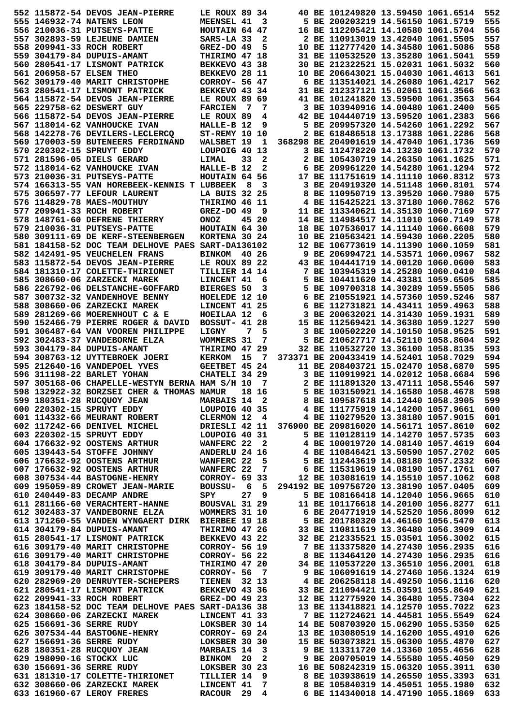|  | 552 115872-54 DEVOS JEAN-PIERRE                                                                                                 | LE ROUX 89 34                  |                     |  | 40 BE 101249820 13.59450 1061.6514                                                                        |                                                                                                       | 552        |
|--|---------------------------------------------------------------------------------------------------------------------------------|--------------------------------|---------------------|--|-----------------------------------------------------------------------------------------------------------|-------------------------------------------------------------------------------------------------------|------------|
|  | 555 146932-74 NATENS LEON                                                                                                       | MEENSEL 41                     | 3                   |  | 5 BE 200203219 14.56150 1061.5719                                                                         |                                                                                                       | 555        |
|  | 556 210036-31 PUTSEYS-PATTE                                                                                                     | HOUTAIN 64 47                  |                     |  | 16 BE 112205421 14.10580 1061.5704                                                                        |                                                                                                       | 556        |
|  | 557 302893-59 LEJEUNE DAMIEN                                                                                                    | SARS-LA 33                     | 2                   |  | 2 BE 110913019 13.42040 1061.5505                                                                         |                                                                                                       | 557        |
|  | 558 209941-33 ROCH ROBERT                                                                                                       | $GREZ-DO$ 49                   | 5                   |  | 10 BE 112777420 14.34580 1061.5086                                                                        |                                                                                                       | 558        |
|  |                                                                                                                                 | THIRIMO 47 18                  |                     |  | 31 BE 110532520 13.35280 1061.5041                                                                        |                                                                                                       | 559        |
|  | 559 304179-84 DUPUIS-AMANT                                                                                                      |                                |                     |  |                                                                                                           |                                                                                                       |            |
|  | 560 280541-17 LISMONT PATRICK                                                                                                   | BEKKEVO 43 38                  |                     |  | 30 BE 212322521 15.02031 1061.5032                                                                        |                                                                                                       | 560        |
|  | 561 206958-57 ELSEN THEO                                                                                                        | BEKKEVO 28 11                  |                     |  | 10 BE 206643021 15.04030 1061.4613                                                                        |                                                                                                       | 561        |
|  | 562 309179-40 MARIT CHRISTOPHE                                                                                                  | CORROY- 56 47                  |                     |  | 6 BE 113514021 14.26080 1061.4217                                                                         |                                                                                                       | 562        |
|  | 563 280541-17 LISMONT PATRICK                                                                                                   | BEKKEVO 43 34                  |                     |  | 31 BE 212337121 15.02061 1061.3566                                                                        |                                                                                                       | 563        |
|  | 564 115872-54 DEVOS JEAN-PIERRE                                                                                                 | LE ROUX 89 69                  |                     |  | 41 BE 101241820 13.59500 1061.3563                                                                        |                                                                                                       | 564        |
|  | 565 229758-62 DESWERT GUY                                                                                                       | <b>FARCIEN</b>                 | $\overline{7}$<br>7 |  | 3 BE 103940916 14.00480 1061.2400                                                                         |                                                                                                       | 565        |
|  | 566 115872-54 DEVOS JEAN-PIERRE                                                                                                 | LE ROUX 89                     | 4                   |  | 42 BE 104440719 13.59520 1061.2383                                                                        |                                                                                                       | 566        |
|  | 567 118014-62 VANHOUCKE IVAN                                                                                                    | HALLE-B 12                     | 9                   |  | 5 BE 209957320 14.54260 1061.2292                                                                         |                                                                                                       | 567        |
|  | 568 142278-76 DEVILERS-LECLERCO                                                                                                 | <b>ST-REMY 10 10</b>           |                     |  | 2 BE 618486518 13.17388 1061.2286                                                                         |                                                                                                       | 568        |
|  | 569 170003-59 BUTENEERS FERDINAND                                                                                               | WALSBET 19                     | 1                   |  | 368298 BE 204901619 14.47040 1061.1736                                                                    |                                                                                                       | 569        |
|  | 570 220302-15 SPRUYT EDDY                                                                                                       | LOUPOIG 40 13                  |                     |  | 3 BE 112478220 14.13230 1061.1732                                                                         |                                                                                                       | 570        |
|  | 571 281596-05 DIELS GERARD                                                                                                      | LIMAL                          | 2<br>33             |  | 2 BE 105430719 14.26350 1061.1625                                                                         |                                                                                                       | 571        |
|  | 572 118014-62 VANHOUCKE IVAN                                                                                                    | HALLE-B 12                     | 2                   |  | 6 BE 209961220 14.54280 1061.1294                                                                         |                                                                                                       | 572        |
|  | 573 210036-31 PUTSEYS-PATTE                                                                                                     | HOUTAIN 64 56                  |                     |  | 17 BE 111751619 14.11110 1060.8312                                                                        |                                                                                                       | 573        |
|  |                                                                                                                                 |                                |                     |  | 3 BE 204919320 14.51148 1060.8101                                                                         |                                                                                                       |            |
|  | 574 166313-55 VAN HOREBEEK-KENNIS T LUBBEEK                                                                                     |                                | - 8<br>3            |  |                                                                                                           |                                                                                                       | 574        |
|  | 575 306597-77 LEFOUR LAURENT                                                                                                    | LA BUIS 32 25                  |                     |  | 8 BE 110950719 13.39520 1060.7980                                                                         |                                                                                                       | 575        |
|  | 576 114829-78 MAES-MOUTHUY                                                                                                      | THIRIMO 46 11                  |                     |  | 4 BE 115425221 13.37180 1060.7862                                                                         |                                                                                                       | 576        |
|  | 577 209941-33 ROCH ROBERT                                                                                                       | $GREZ-DO$ 49                   | 9                   |  | 11 BE 113340621 14.35130 1060.7169                                                                        |                                                                                                       | 577        |
|  | 578 148761-60 DEFRENE THIERRY                                                                                                   | <b>ONOZ</b>                    | 45 20               |  | 14 BE 114984517 14.11010 1060.7149                                                                        |                                                                                                       | 578        |
|  | 579 210036-31 PUTSEYS-PATTE                                                                                                     | HOUTAIN 64 30                  |                     |  | 18 BE 107536017 14.11140 1060.6608                                                                        |                                                                                                       | 579        |
|  | 580 309111-69 DE KERF-STEENBERGEN                                                                                               | KORTENA 30 24                  |                     |  | 10 BE 210563421 14.59430 1060.2205                                                                        |                                                                                                       | 580        |
|  | 581 184158-52 DOC TEAM DELHOVE PAES SART-DA136102                                                                               |                                |                     |  | 12 BE 106773619 14.11390 1060.1059                                                                        |                                                                                                       | 581        |
|  | 582 142491-95 VEUCHELEN FRANS                                                                                                   | BINKOM 40 26                   |                     |  | 9 BE 206994721 14.53571 1060.0967                                                                         |                                                                                                       | 582        |
|  | 583 115872-54 DEVOS JEAN-PIERRE                                                                                                 | LE ROUX 89 22                  |                     |  | 43 BE 104441719 14.00120 1060.0600                                                                        |                                                                                                       | 583        |
|  | 584 181310-17 COLETTE-THIRIONET                                                                                                 | <b>TILLIER 14 14</b>           |                     |  | 7 BE 103945319 14.25280 1060.0410                                                                         |                                                                                                       | 584        |
|  | 585 308660-06 ZARZECKI MAREK                                                                                                    | LINCENT 41                     | 6                   |  | 5 BE 104411620 14.43381 1059.6505                                                                         |                                                                                                       | 585        |
|  | 586 226792-06 DELSTANCHE-GOFFARD                                                                                                | <b>BIERGES 50</b>              | 3                   |  | 5 BE 109700318 14.30289 1059.5505                                                                         |                                                                                                       | 586        |
|  | 587 300732-32 VANDENHOVE BENNY                                                                                                  | HOELEDE 12 10                  |                     |  | 6 BE 210551921 14.57360 1059.5246                                                                         |                                                                                                       | 587        |
|  | 588 308660-06 ZARZECKI MAREK                                                                                                    |                                |                     |  | 6 BE 112731821 14.43411 1059.4963                                                                         |                                                                                                       | 588        |
|  |                                                                                                                                 | LINCENT 41 25                  |                     |  |                                                                                                           |                                                                                                       |            |
|  | 589 281269-66 MOERENHOUT C & E                                                                                                  | HOEILAA 12                     | 6                   |  | 3 BE 200632021 14.31430 1059.1931                                                                         |                                                                                                       | 589        |
|  | 590 152466-79 PIERRE ROGER & DAVID                                                                                              | <b>BOSSUT- 41 28</b>           |                     |  | 15 BE 112569421 14.36380 1059.1227                                                                        |                                                                                                       | 590        |
|  | 591 306487-64 VAN VOOREN PHILIPPE                                                                                               | LIGNY                          | 7<br>5              |  | 3 BE 100502220 14.10150 1058.9525                                                                         |                                                                                                       | 591        |
|  | 592 302483-37 VANDEBORNE ELZA                                                                                                   | WOMMERS 31                     | 7                   |  | 5 BE 210627717 14.52110 1058.8604                                                                         |                                                                                                       | 592        |
|  | 593 304179-84 DUPUIS-AMANT                                                                                                      | THIRIMO 47 29                  |                     |  | 32 BE 110532720 13.36100 1058.8135                                                                        |                                                                                                       | 593        |
|  | 594 308763-12 UYTTEBROEK JOERI                                                                                                  | KERKOM 15                      | 7                   |  | 373371 BE 200433419 14.52401 1058.7029                                                                    |                                                                                                       | 594        |
|  | 595 212640-16 VANDEPOEL YVES                                                                                                    | GEETBET 45 24                  |                     |  |                                                                                                           |                                                                                                       |            |
|  |                                                                                                                                 |                                |                     |  |                                                                                                           | 11 BE 208403721 15.02470 1058.6870                                                                    | 595        |
|  | 596 311198-22 BARLET YOHAN                                                                                                      | CHATELI 34 29                  |                     |  | 3 BE 110919921 14.02012 1058.6684                                                                         |                                                                                                       | 596        |
|  | 597 305168-06 CHAPELLE-WESTYN BERNA HAM S/H 10                                                                                  |                                | 7                   |  | 2 BE 111891320 13.47111 1058.5546                                                                         |                                                                                                       | 597        |
|  | 598 132922-32 BORZSEI CHER & THOMAS NAMUR                                                                                       |                                | 18 16               |  | 5 BE 103150921 14.16580 1058.4678                                                                         |                                                                                                       | 598        |
|  |                                                                                                                                 |                                |                     |  |                                                                                                           |                                                                                                       | 599        |
|  |                                                                                                                                 |                                |                     |  | 8 BE 109587618 14.12440 1058.3905<br>4 BE 111775919 14.14200 1057.9661                                    |                                                                                                       | 600        |
|  |                                                                                                                                 |                                |                     |  |                                                                                                           |                                                                                                       |            |
|  | 599 180351-28 RUCQUOY JEAN MARBAIS 14 2<br>600 220302-15 SPRUYT EDDY LOUPOIG 40 35<br>601 114332-66 MEURANT ROBERT CLERMON 12 4 |                                |                     |  | 4 BE 110279520 13.38180 1057.9015                                                                         |                                                                                                       | 601        |
|  | 602 117242-66 DENIVEL MICHEL                                                                                                    |                                |                     |  | 376900 BE 209816020 14.56171 1057.8610                                                                    |                                                                                                       | 602        |
|  | 603 220302-15 SPRUYT EDDY                                                                                                       | DRIESLI 42 11<br>LOUPOIG 40 31 |                     |  | 5 BE 110128119 14.14270 1057.5735                                                                         |                                                                                                       | 603        |
|  | 604 176632-92 OOSTENS ARTHUR                                                                                                    | WANFERC 22 2                   |                     |  | 4 BE 100019720 14.08140 1057.4619                                                                         |                                                                                                       | 604        |
|  | 605 139443-54 STOFFE JOHNNY                                                                                                     | <b>ANDERLU 24 16</b>           |                     |  |                                                                                                           |                                                                                                       | 605        |
|  | 606 176632-92 OOSTENS ARTHUR                                                                                                    |                                |                     |  |                                                                                                           | ANDERLU 24 16   4 BE 110846421 13.50590 1057.2702<br>WANFERC 22 5   5 BE 112443619 14.08180 1057.2332 | 606        |
|  | 607 176632-92 OOSTENS ARTHUR                                                                                                    | WANFERC 22                     |                     |  | 7 6 BE 115319619 14.08190 1057.1761                                                                       |                                                                                                       | 607        |
|  | 608 307534-44 BASTOGNE-HENRY                                                                                                    |                                |                     |  | 12 BE 103081619 14.15510 1057.1062                                                                        |                                                                                                       | 608        |
|  | 609 195059-89 CROWET JEAN-MARIE                                                                                                 |                                |                     |  | CORROY- 69 33 12 BE 103081619 14.15510 1057.1062<br>IE BOUSSU- 6 5 294192 BE 109756720 13.38190 1057.0405 |                                                                                                       | 609        |
|  | 610 240449-83 DECAMP ANDRE                                                                                                      | SPY                            | 27 9                |  | 5 BE 108166418 14.12040 1056.9665                                                                         |                                                                                                       | 610        |
|  | 611 281166-60 VERACHTERT-HANNE                                                                                                  | <b>BOUSVAL 31 29</b>           |                     |  | 11 BE 101176618 14.20100 1056.8277                                                                        |                                                                                                       | 611        |
|  | 612 302483-37 VANDEBORNE ELZA                                                                                                   | WOMMERS 31 10                  |                     |  | 6 BE 204771919 14.52520 1056.8099                                                                         |                                                                                                       | 612        |
|  | 613 171260-55 VANDEN WYNGAERT DIRK BIERBEE 19 18                                                                                |                                |                     |  | 5 BE 201780320 14.46160 1056.5470                                                                         |                                                                                                       | 613        |
|  | 614 304179-84 DUPUIS-AMANT                                                                                                      | THIRIMO 47 26                  |                     |  |                                                                                                           |                                                                                                       | 614        |
|  | 615 280541-17 LISMONT PATRICK                                                                                                   | BEKKEVO 43 22                  |                     |  |                                                                                                           |                                                                                                       | 615        |
|  | 616 309179-40 MARIT CHRISTOPHE                                                                                                  | <b>CORROY- 56 19</b>           |                     |  | 7 BE 113375820 14.27430 1056.2935                                                                         | 33 BE 110811619 13.36480 1056.3909<br>32 BE 212335521 15.03501 1056.3002                              | 616        |
|  | 616 309179-40 MARIT CHRISTOPHE                                                                                                  |                                |                     |  |                                                                                                           |                                                                                                       | 616        |
|  | 618 304179-84 DUPUIS-AMANT                                                                                                      | CORROY- 56 22<br>THIRIMO 47 20 |                     |  |                                                                                                           |                                                                                                       |            |
|  |                                                                                                                                 |                                |                     |  | 8 BE 113464120 14.27430 1056.2935<br>34 BE 110537220 13.36510 1056.2001                                   |                                                                                                       | 618        |
|  | 619 309179-40 MARIT CHRISTOPHE                                                                                                  | CORROY- 56 7                   |                     |  | 9 BE 106091619 14.27460 1056.1324                                                                         |                                                                                                       | 619        |
|  | 620 282969-20 DENRUYTER-SCHEPERS                                                                                                | TIENEN 32 13                   |                     |  |                                                                                                           |                                                                                                       | 620        |
|  | 621 280541-17 LISMONT PATRICK                                                                                                   | BEKKEVO 43 36                  |                     |  | 4 BE 206258118 14.49250 1056.1116<br>33 BE 211094421 15                                                   |                                                                                                       | 621        |
|  | 622 209941-33 ROCH ROBERT                                                                                                       | GREZ-DO 49 23                  |                     |  | 12 BE 112775920 14.36480 1055.7304                                                                        |                                                                                                       | 622        |
|  | 623 184158-52 DOC TEAM DELHOVE PAES SART-DA136 38                                                                               |                                |                     |  | 13 BE 113418821 14.12570 1055.7022                                                                        |                                                                                                       | 623        |
|  | 624 308660-06 ZARZECKI MAREK                                                                                                    | LINCENT 41 33                  |                     |  | 7 BE 112724621 14.44581 1055.5549                                                                         |                                                                                                       | 624        |
|  | 625 156691-36 SERRE RUDY                                                                                                        | LOKSBER 30 14                  |                     |  | 14 BE 508703920 15.06290 1055.5350                                                                        |                                                                                                       | 625        |
|  |                                                                                                                                 |                                |                     |  | 13 BE 103080519 14.16200 1055.4910                                                                        |                                                                                                       | 626        |
|  |                                                                                                                                 |                                |                     |  | 15 BE 503073821 15.06300 1055.4870                                                                        |                                                                                                       | 627        |
|  | 626 307534-44 BASTOGNE-HENRY CORROY- 69 24<br>627 156691-36 SERRE RUDY LOKSBER 30 30<br>628 180351-28 RUCQUOY JEAN MARBAIS 14 3 |                                |                     |  | 9 BE 113311720 14.13360 1055.4656                                                                         |                                                                                                       | 628        |
|  | 629 198090-16 STOCKX LUC                                                                                                        |                                |                     |  | 9 BE 200705019 14.55580 1055.4050                                                                         |                                                                                                       | 629        |
|  | EXEMPLE BRINKOM 20 2<br>LOKSBER 30 23<br>630 156691-36 SERRE RUDY                                                               |                                |                     |  | 16 BE 508242319 15.06320 1055.3911                                                                        |                                                                                                       | 630        |
|  | 631 181310-17 COLETTE-THIRIONET TILLIER 14                                                                                      |                                | - 9                 |  | 8 BE 103938619 14.26550 1055.3393                                                                         |                                                                                                       | 631        |
|  | 632 308660-06 ZARZECKI MAREK LINCENT 41<br>633 161960-67 LEROY FRERES                                                           | RACOUR 29 4                    | 7                   |  | 8 BE 105840319 14.45051 1055.1980<br>6 BE 114340018 14.47190 1055.1869                                    |                                                                                                       | 632<br>633 |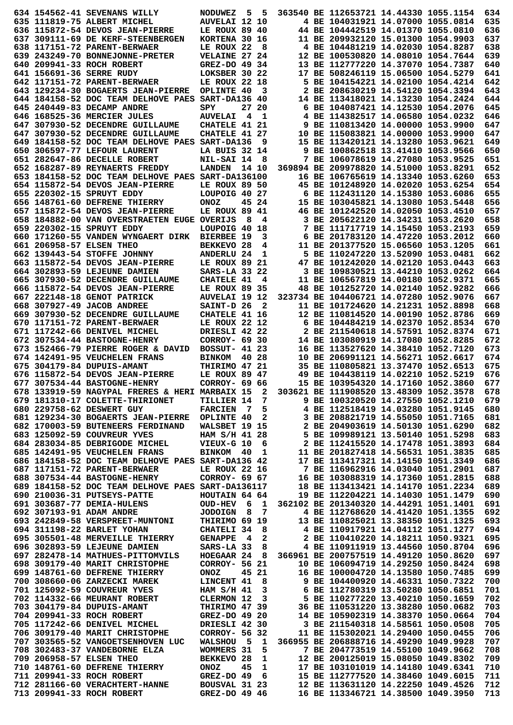|  | 634 154562-41 SEVENANS WILLY                                        | <b>NODUWEZ</b><br>5<br>5                                  | 363540 BE 112653721 14.44330 1055.1154                                       |                                   | 634        |
|--|---------------------------------------------------------------------|-----------------------------------------------------------|------------------------------------------------------------------------------|-----------------------------------|------------|
|  | 635 111819-75 ALBERT MICHEL                                         | <b>AUVELAI 12 10</b>                                      | 4 BE 104031921 14.07000 1055.0814                                            |                                   | 635        |
|  | 636 115872-54 DEVOS JEAN-PIERRE                                     | LE ROUX 89 40                                             | 44 BE 104442519 14.01370 1055.0810                                           |                                   | 636        |
|  | 637 309111-69 DE KERF-STEENBERGEN                                   | KORTENA 30 16                                             | 11 BE 209932120 15.01300 1054.9903                                           |                                   | 637        |
|  | 638 117151-72 PARENT-BERWAER                                        | LE ROUX 22<br>8                                           | 4 BE 104481219 14.02030 1054.8287                                            |                                   | 638        |
|  | 639 243249-70 BONNEJONNE-PRETER                                     | <b>VELAINE 27 24</b>                                      | 12 BE 100530820 14.08010 1054.7644                                           |                                   | 639        |
|  | 640 209941-33 ROCH ROBERT                                           | GREZ-DO 49 34                                             | 13 BE 112777220 14.37070 1054.7387                                           |                                   | 640        |
|  | 641 156691-36 SERRE RUDY                                            | LOKSBER 30 22                                             | 17 BE 508246119 15.06500 1054.5279                                           |                                   | 641        |
|  | 642 117151-72 PARENT-BERWAER                                        | LE ROUX 22 18                                             | 5 BE 104154221 14.02100 1054.4214                                            |                                   | 642        |
|  | 643 129234-30 BOGAERTS JEAN-PIERRE                                  | OPLINTE 40<br>з                                           | 2 BE 208630219 14.54120 1054.3394                                            |                                   | 643        |
|  | 644 184158-52 DOC TEAM DELHOVE PAES SART-DA136 40                   |                                                           | 14 BE 113418021 14.13230 1054.2424                                           |                                   | 644        |
|  | 645 240449-83 DECAMP ANDRE                                          | SPY<br>27 20                                              | 6 BE 104087421 14.12530 1054.2076                                            |                                   | 645        |
|  | 646 168525-36 MERCIER JULES                                         | <b>AUVELAI</b><br>4<br>1                                  | 4 BE 114382517 14.06580 1054.0232                                            |                                   | 646        |
|  | 647 307930-52 DECENDRE GUILLAUME                                    | CHATELE 41 21                                             | 9 BE 110813420 14.00000 1053.9900                                            |                                   | 647        |
|  | 647 307930-52 DECENDRE GUILLAUME                                    | CHATELE 41 27                                             | 10 BE 115083821 14.00000 1053.9900                                           |                                   | 647        |
|  | 649 184158-52 DOC TEAM DELHOVE PAES SART-DA136                      | 9                                                         | 15 BE 113420121 14.13280 1053.9621                                           |                                   | 649        |
|  | 650 306597-77 LEFOUR LAURENT                                        | LA BUIS 32 14                                             | 9 BE 100862518 13.41410 1053.9566                                            |                                   | 650        |
|  | 651 282647-86 DECELLE ROBERT                                        | NIL-SAI 14<br>8                                           | 7 BE 106078619 14.27080 1053.9525                                            |                                   | 651        |
|  | 652 168287-89 REYNAERTS FREDDY                                      | LANDEN 14 10                                              | 369894 BE 209978820 14.51000 1053.8291                                       |                                   | 652        |
|  | 653 184158-52 DOC TEAM DELHOVE PAES SART-DA136100                   |                                                           | 16 BE 106765619 14.13340 1053.6260                                           |                                   | 653        |
|  | 654 115872-54 DEVOS JEAN-PIERRE                                     | LE ROUX 89 50                                             | 45 BE 101248920 14.02020 1053.6254                                           |                                   | 654        |
|  | 655 220302-15 SPRUYT EDDY                                           | LOUPOIG 40 27                                             | 6 BE 112431120 14.15380 1053.6086                                            |                                   | 655        |
|  | 656 148761-60 DEFRENE THIERRY                                       | 45 24<br><b>ONOZ</b>                                      | 15 BE 103045821 14.13080 1053.5448                                           |                                   | 656        |
|  | 657 115872-54 DEVOS JEAN-PIERRE                                     | LE ROUX 89 41                                             | 46 BE 101242520 14.02050 1053.4510                                           |                                   | 657        |
|  | 658 184882-00 VAN OVERSTRAETEN EUGE OVERIJS                         | - 8<br>4                                                  | 3 BE 205622120 14.34231 1053.2620                                            |                                   | 658        |
|  | 659 220302-15 SPRUYT EDDY                                           | LOUPOIG 40 18                                             | 7 BE 111717719 14.15450 1053.2193                                            |                                   | 659        |
|  | 660 171260-55 VANDEN WYNGAERT DIRK                                  | <b>BIERBEE 19</b><br>3                                    | 6 BE 201783120 14.47220 1053.2012                                            |                                   | 660        |
|  | 661 206958-57 ELSEN THEO                                            | BEKKEVO <sub>28</sub><br>4                                | 11 BE 201377520 15.06560 1053.1205                                           |                                   | 661        |
|  | 662 139443-54 STOFFE JOHNNY                                         | ANDERLU 24<br>1                                           | 5 BE 110247220 13.52090 1053.0481                                            |                                   | 662        |
|  | 663 115872-54 DEVOS JEAN-PIERRE                                     | LE ROUX 89 21                                             | 47 BE 101242020 14.02120 1053.0443                                           |                                   | 663        |
|  | 664 302893-59 LEJEUNE DAMIEN                                        | SARS-LA 33 22                                             | 3 BE 109830521 13.44210 1053.0262                                            |                                   | 664        |
|  | 665 307930-52 DECENDRE GUILLAUME                                    | <b>CHATELE 41</b><br>4                                    | 11 BE 106567819 14.00180 1052.9371                                           |                                   | 665        |
|  | 666 115872-54 DEVOS JEAN-PIERRE                                     | LE ROUX 89 35                                             | 48 BE 101252720 14.02140 1052.9282                                           |                                   | 666        |
|  | 667 222148-18 GENOT PATRICK                                         | AUVELAI 19 12                                             | 323734 BE 104406721 14.07280 1052.9076                                       |                                   | 667        |
|  | 668 307927-49 JACOB ANDREE                                          | SAINT-D 26<br>2                                           | 11 BE 101724620 14.21231 1052.8898                                           |                                   | 668        |
|  | 669 307930-52 DECENDRE GUILLAUME                                    | CHATELE 41 16                                             | 12 BE 110814520 14.00190 1052.8786<br>6 BE 104484219 14.02370 1052.8534      |                                   | 669<br>670 |
|  | 670 117151-72 PARENT-BERWAER<br>671 117242-66 DENIVEL MICHEL        | LE ROUX 22 12<br>DRIESLI 42 22                            | 2 BE 211540618 14.57591 1052.8374                                            |                                   | 671        |
|  | 672 307534-44 BASTOGNE-HENRY                                        | CORROY- 69 30                                             | 14 BE 103080919 14.17080 1052.8285                                           |                                   | 672        |
|  | 673 152466-79 PIERRE ROGER & DAVID                                  | <b>BOSSUT- 41 23</b>                                      | 16 BE 113527620 14.38410 1052.7120                                           |                                   | 673        |
|  | 674 142491-95 VEUCHELEN FRANS                                       | 40 28<br><b>BINKOM</b>                                    | 10 BE 206991121 14.56271 1052.6617                                           |                                   | 674        |
|  | 675 304179-84 DUPUIS-AMANT                                          | THIRIMO 47 21                                             | 35 BE 110805821 13.37470 1052.6513                                           |                                   | 675        |
|  | 676 115872-54 DEVOS JEAN-PIERRE                                     | LE ROUX 89 47                                             | 49 BE 104438119 14.02210 1052.5219                                           |                                   | 676        |
|  | 677 307534-44 BASTOGNE-HENRY                                        | CORROY- 69 66                                             | 15 BE 103954320 14.17160 1052.3860                                           |                                   | 677        |
|  | 678 133919-59 NAGYPAL FRERES & HERI MARBAIX 15                      | 2                                                         | 303621 BE 111908520 13.48309 1052.3578                                       |                                   | 678        |
|  | 679 181310-17 COLETTE-THIRIONET                                     | 7<br><b>TILLIER 14</b>                                    | 9 BE 100320520 14.27550 1052.1210                                            |                                   | 679        |
|  | 680 229758-62 DESWERT GUY                                           | 5<br>FARCIEN 7                                            | 4 BE 112518419 14.03280 1051.9145                                            |                                   | 680        |
|  | 681 129234-30 BOGAERTS JEAN-PIERRE OPLINTE 40                       | 2                                                         | 3 BE 208821719 14.55050 1051.7165                                            |                                   | 681        |
|  | 682 170003-59 BUTENEERS FERDINAND                                   | WALSBET 19 15                                             | 2 BE 204903619 14.50130 1051.6290                                            |                                   | 682        |
|  | 683 125092-59 COUVREUR YVES                                         | HAM S/H 41 28                                             |                                                                              |                                   |            |
|  |                                                                     |                                                           |                                                                              | 5 BE 109989121 13.50140 1051.5298 | 683        |
|  | 684 283034-85 DEBRIGODE MICHEL                                      | VIEUX-G 10<br>6                                           | 2 BE 112415520 14.17478 1051.3893                                            |                                   | 684        |
|  | 685 142491-95 VEUCHELEN FRANS                                       | BINKOM 40<br>1                                            | 11 BE 201827418 14.56531 1051.3835                                           |                                   | 685        |
|  | 686 184158-52 DOC TEAM DELHOVE PAES SART-DA136 42                   |                                                           | 17 BE 113417321 14.14150 1051.3349                                           |                                   | 686        |
|  | 687 117151-72 PARENT-BERWAER                                        | LE ROUX 22 16                                             | 7 BE 116962916 14.03040 1051.2901                                            |                                   | 687        |
|  | 688 307534-44 BASTOGNE-HENRY                                        | CORROY- 69 67                                             | 16 BE 103088319 14.17360 1051.2815                                           |                                   | 688        |
|  | 689 184158-52 DOC TEAM DELHOVE PAES SART-DA136117                   |                                                           | 18 BE 113413421 14.14170 1051.2234                                           |                                   | 689        |
|  | 690 210036-31 PUTSEYS-PATTE                                         | HOUTAIN 64 64                                             | 19 BE 112204221 14.14030 1051.1479                                           |                                   | 690        |
|  | 691 303687-77 DEMIA-HULENS                                          | OUD-HEV 6<br>1                                            | 362102 BE 201340320 14.44291 1051.1401                                       |                                   | 691        |
|  | 692 307193-91 ADAM ANDRE                                            | 7<br>8<br><b>JODOIGN</b>                                  | 4 BE 112768620 14.41420 1051.1355                                            |                                   | 692        |
|  | 693 242849-58 VERSPREET-MUNTONI                                     | THIRIMO 69 19                                             | 13 BE 110825021 13.38350 1051.1325                                           |                                   | 693        |
|  | 694 311198-22 BARLET YOHAN                                          | <b>CHATELI 34</b><br>8                                    | 4 BE 110917921 14.04112 1051.1277                                            |                                   | 694        |
|  | 695 305501-48 MERVEILLE THIERRY                                     | $\mathbf{2}$<br><b>GENAPPE</b><br>$\overline{\mathbf{4}}$ | 2 BE 110410220 14.18211 1050.9321                                            |                                   | 695        |
|  | 696 302893-59 LEJEUNE DAMIEN                                        | SARS-LA 33<br>8                                           | 4 BE 110911919 13.44560 1050.8704                                            |                                   | 696        |
|  | 697 282478-14 MATHUES-PITTOMVILS                                    | HOEGAAR 24<br>8                                           | 366961 BE 200757519 14.49120 1050.8620                                       |                                   | 697        |
|  | 698 309179-40 MARIT CHRISTOPHE                                      | CORROY- 56 21                                             | 10 BE 106094719 14.29250 1050.8424                                           |                                   | 698        |
|  | 699 148761-60 DEFRENE THIERRY                                       | <b>ONOZ</b><br>45 21                                      | 16 BE 100004720 14.13580 1050.7485                                           |                                   | 699        |
|  | 700 308660-06 ZARZECKI MAREK                                        | LINCENT 41<br>- 8                                         | 9 BE 104400920 14.46331 1050.7322                                            |                                   | 700        |
|  | 701 125092-59 COUVREUR YVES                                         | 3<br>HAM S/H 41                                           | 6 BE 112780319 13.50280 1050.6851                                            |                                   | 701        |
|  | 702 114332-66 MEURANT ROBERT                                        | CLERMON 12<br>3                                           | 5 BE 110277220 13.40210 1050.1659                                            |                                   | 702        |
|  | 703 304179-84 DUPUIS-AMANT                                          | THIRIMO 47 39                                             | 36 BE 110531220 13.38280 1050.0682                                           |                                   | 703        |
|  | 704 209941-33 ROCH ROBERT                                           | GREZ-DO 49 20                                             | 14 BE 105902319 14.38370 1050.0664                                           |                                   | 704        |
|  | 705 117242-66 DENIVEL MICHEL                                        | DRIESLI 42 30                                             | 3 BE 211540318 14.58561 1050.0508                                            |                                   | 705        |
|  | 706 309179-40 MARIT CHRISTOPHE<br>707 303565-52 VANGOETSENHOVEN LUC | CORROY- 56 32<br>1<br><b>WALSHOU</b><br>- 5               | 11 BE 115302021 14.29400 1050.0455<br>366955 BE 206888716 14.49290 1049.9928 |                                   | 706<br>707 |
|  | 708 302483-37 VANDEBORNE ELZA                                       | WOMMERS 31                                                | 7 BE 204773519 14.55100 1049.9662                                            |                                   | 708        |
|  | 709 206958-57 ELSEN THEO                                            | 5<br>BEKKEVO <sub>28</sub><br>1                           | 12 BE 200125019 15.08050 1049.8302                                           |                                   | 709        |
|  | 710 148761-60 DEFRENE THIERRY                                       | 45<br>1<br><b>ONOZ</b>                                    | 17 BE 103101019 14.14180 1049.6341                                           |                                   | 710        |
|  | 711 209941-33 ROCH ROBERT                                           | GREZ-DO 49<br>6                                           | 15 BE 112777520 14.38460 1049.6015                                           |                                   | 711        |
|  | 712 281166-60 VERACHTERT-HANNE<br>713 209941-33 ROCH ROBERT         | BOUSVAL 31 23<br>GREZ-DO 49 46                            | 12 BE 113631120 14.22250 1049.4526<br>16 BE 113346721 14.38500 1049.3950     |                                   | 712<br>713 |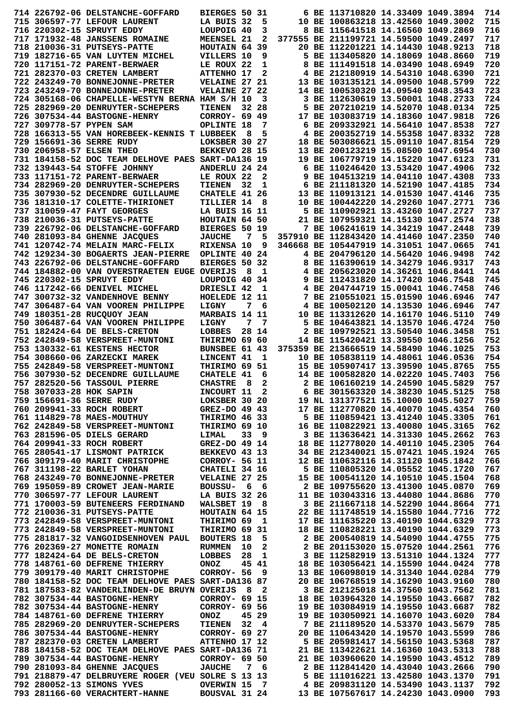|                              | 714 226792-06 DELSTANCHE-GOFFARD                                                    | BIERGES 50 31                      |             |                         |  | 6 BE 113710820 14.33409 1049.3894                                        |                                    | 714        |
|------------------------------|-------------------------------------------------------------------------------------|------------------------------------|-------------|-------------------------|--|--------------------------------------------------------------------------|------------------------------------|------------|
|                              | 715 306597-77 LEFOUR LAURENT                                                        | LA BUIS 32                         |             | 5                       |  | 10 BE 100863218 13.42560 1049.3002                                       |                                    | 715        |
|                              | 716 220302-15 SPRUYT EDDY                                                           | LOUPOIG 40                         |             | 3                       |  | 8 BE 115641518 14.16560 1049.2869                                        |                                    | 716        |
|                              | 717 171932-48 JANSSENS ROMAINE                                                      | MEENSEL 21                         |             | 2                       |  | 377555 BE 211199721 14.59500 1049.2497                                   |                                    | 717        |
|                              | 718 210036-31 PUTSEYS-PATTE                                                         | HOUTAIN 64 39                      |             |                         |  | 20 BE 112201221 14.14430 1048.9213                                       |                                    | 718        |
|                              | 719 182716-65 VAN LUYTEN MICHEL                                                     | VILLERS 10                         |             | 9                       |  | 5 BE 113405820 14.18069 1048.8660                                        |                                    | 719        |
|                              | 720 117151-72 PARENT-BERWAER                                                        | LE ROUX 22                         |             | 1                       |  | 8 BE 111491518 14.03490 1048.6949                                        |                                    | 720        |
|                              | 721 282370-03 CRETEN LAMBERT                                                        | ATTENHO 17                         |             | 2                       |  | 4 BE 212180919 14.54310 1048.6390                                        |                                    | 721        |
|                              | 722 243249-70 BONNEJONNE-PRETER                                                     | VELAINE 27 21                      |             |                         |  | 13 BE 103135121 14.09500 1048.5799                                       |                                    | 722        |
|                              | 723 243249-70 BONNEJONNE-PRETER                                                     | VELAINE 27 22                      |             |                         |  | 14 BE 100530320 14.09540 1048.3543                                       |                                    | 723        |
|                              | 724 305168-06 CHAPELLE-WESTYN BERNA HAM S/H 10                                      |                                    |             | 3                       |  | 3 BE 112630619 13.50001 1048.2733                                        |                                    | 724        |
|                              | 725 282969-20 DENRUYTER-SCHEPERS                                                    | TIENEN                             |             | 32 28                   |  | 5 BE 207210219 14.52070 1048.0134                                        |                                    | 725        |
|                              | 726 307534-44 BASTOGNE-HENRY                                                        | CORROY- 69 49                      |             |                         |  | 17 BE 103083719 14.18360 1047.9818                                       |                                    | 726        |
| 727 309778-57 PYPEN SAM      |                                                                                     | OPLINTE 18                         |             | 7                       |  | 6 BE 209332921 14.56410 1047.8538                                        |                                    | 727        |
|                              | 728 166313-55 VAN HOREBEEK-KENNIS T LUBBEEK                                         |                                    | 8           | 5                       |  | 4 BE 200352719 14.55358 1047.8332                                        |                                    | 728        |
|                              | 729 156691-36 SERRE RUDY                                                            | LOKSBER 30 27                      |             |                         |  | 18 BE 503086621 15.09110 1047.8154                                       |                                    | 729        |
|                              | 730 206958-57 ELSEN THEO                                                            | BEKKEVO 28 15                      |             |                         |  | 13 BE 200123219 15.08500 1047.6954                                       |                                    | 730        |
|                              | 731 184158-52 DOC TEAM DELHOVE PAES SART-DA136 19                                   |                                    |             |                         |  | 19 BE 106779719 14.15220 1047.6123                                       |                                    | 731        |
|                              | 732 139443-54 STOFFE JOHNNY                                                         | <b>ANDERLU 24 24</b><br>LE ROUX 22 |             |                         |  | 6 BE 110246420 13.53420 1047.4906                                        |                                    | 732<br>733 |
|                              | 733 117151-72 PARENT-BERWAER                                                        |                                    | 32          | 2                       |  | 9 BE 104513219 14.04110 1047.4308<br>6 BE 211181320 14.52190 1047.4185   |                                    | 734        |
|                              | 734 282969-20 DENRUYTER-SCHEPERS<br>735 307930-52 DECENDRE GUILLAUME                | <b>TIENEN</b><br>CHATELE 41 26     |             | 1                       |  | 13 BE 110913121 14.01530 1047.4146                                       |                                    | 735        |
|                              | 736 181310-17 COLETTE-THIRIONET                                                     | TILLIER 14                         |             | - 8                     |  | 10 BE 100442220 14.29260 1047.2771                                       |                                    | 736        |
|                              | 737 310059-47 FAYT GEORGES                                                          | LA BUIS 16 11                      |             |                         |  | 5 BE 110902921 13.43260 1047.2727                                        |                                    | 737        |
|                              | 738 210036-31 PUTSEYS-PATTE                                                         | HOUTAIN 64 50                      |             |                         |  | 21 BE 107959321 14.15130 1047.2574                                       |                                    | 738        |
|                              | 739 226792-06 DELSTANCHE-GOFFARD                                                    | <b>BIERGES 50 19</b>               |             |                         |  | 7 BE 106241619 14.34219 1047.2448                                        |                                    | 739        |
|                              | 740 281093-84 GHENNE JACQUES                                                        | <b>JAUCHE</b>                      | 7           | 5                       |  | 357910 BE 112843420 14.41460 1047.2350                                   |                                    | 740        |
|                              | 741 120742-74 MELAIN MARC-FELIX                                                     | RIXENSA 10                         |             | 9                       |  | 346668 BE 105447919 14.31051 1047.0665                                   |                                    | 741        |
|                              | 742 129234-30 BOGAERTS JEAN-PIERRE                                                  | OPLINTE 40 24                      |             |                         |  | 4 BE 204796120 14.56420 1046.9498                                        |                                    | 742        |
|                              | 743 226792-06 DELSTANCHE-GOFFARD                                                    | BIERGES 50 32                      |             |                         |  | 8 BE 116390619 14.34279 1046.9317                                        |                                    | 743        |
|                              | 744 184882-00 VAN OVERSTRAETEN EUGE OVERIJS                                         |                                    | - 8         | 1                       |  | 4 BE 205623020 14.36261 1046.8441                                        |                                    | 744        |
|                              | 745 220302-15 SPRUYT EDDY                                                           | LOUPOIG 40 34                      |             |                         |  | 9 BE 112431820 14.17420 1046.7548                                        |                                    | 745        |
|                              | 746 117242-66 DENIVEL MICHEL                                                        | DRIESLI 42                         |             | 1                       |  | 4 BE 204744719 15.00041 1046.7458                                        |                                    | 746        |
|                              | 747 300732-32 VANDENHOVE BENNY                                                      | HOELEDE 12 11                      |             |                         |  | 7 BE 210551021 15.01590 1046.6946                                        |                                    | 747        |
|                              | 747 306487-64 VAN VOOREN PHILIPPE                                                   | LIGNY                              |             | 7<br>6                  |  | 4 BE 100502120 14.13530 1046.6946                                        |                                    | 747        |
|                              | 749 180351-28 RUCQUOY JEAN                                                          | <b>MARBAIS 14 11</b>               |             |                         |  | 10 BE 113312620 14.16170 1046.5110                                       |                                    | 749        |
|                              | 750 306487-64 VAN VOOREN PHILIPPE                                                   | LIGNY                              | 7           | 7                       |  | 5 BE 104643821 14.13570 1046.4724                                        |                                    | 750        |
|                              | 751 182424-64 DE BELS-CRETON                                                        | LOBBES                             |             | 28 14                   |  | 2 BE 109792521 13.50540 1046.3458                                        |                                    | 751        |
|                              | 752 242849-58 VERSPREET-MUNTONI                                                     | THIRIMO 69 60                      |             |                         |  | 14 BE 115420421 13.39550 1046.1256                                       |                                    | 752        |
|                              | 753 130332-61 KESTENS HECTOR                                                        | <b>BUNSBEE 61 43</b>               |             |                         |  | 375359 BE 213666519 14.58490 1046.1025                                   |                                    | 753        |
|                              | 754 308660-06 ZARZECKI MAREK                                                        | LINCENT 41                         |             | 1                       |  | 10 BE 105838119 14.48061 1046.0536                                       |                                    | 754        |
|                              | 755 242849-58 VERSPREET-MUNTONI                                                     | THIRIMO 69 51                      |             |                         |  | 15 BE 105907417 13.39590 1045.8765                                       |                                    | 755        |
|                              | 756 307930-52 DECENDRE GUILLAUME                                                    | <b>CHATELE 41</b>                  |             | 6                       |  | 14 BE 100582820 14.02220 1045.7403                                       |                                    | 756        |
|                              | 757 282520-56 TASSOUL PIERRE                                                        | <b>CHASTRE</b>                     | - 8         | 2                       |  | 2 BE 106160219 14.24590 1045.5829                                        |                                    | 757        |
| 758 307033-28 HOK SAPIN      |                                                                                     | INCOURT 11                         |             | $\overline{\mathbf{2}}$ |  | 6 BE 301563320 14.38230 1045.5125                                        |                                    | 758        |
|                              | 759 156691-36 SERRE RUDY                                                            | LOKSBER 30 20                      |             |                         |  | 19 NL 131377521 15.10000 1045.5027                                       |                                    | 759        |
|                              | 760 209941-33 ROCH ROBERT                                                           | GREZ-DO 49 43                      |             |                         |  | 17 BE 112770820 14.40070 1045.4354                                       |                                    | 760        |
|                              | 761 114829-78 MAES-MOUTHUY                                                          | THIRIMO 46 33                      |             |                         |  | 5 BE 110859421 13.41240 1045.3305                                        |                                    | 761        |
|                              | 762 242849-58 VERSPREET-MUNTONI                                                     | THIRIMO 69 10                      |             |                         |  | 16 BE 110822921 13.40080 1045.3165                                       |                                    | 762        |
|                              | 763 281596-05 DIELS GERARD                                                          | LIMAL                              | 33          | و _                     |  | 3 BE 113636421 14.31330 1045.2662                                        |                                    | 763        |
|                              | 764 209941-33 ROCH ROBERT                                                           | GREZ-DO 49 14                      |             |                         |  | 18 BE 112778020 14.40110 1045.2305                                       |                                    | 764        |
|                              | 765 280541-17 LISMONT PATRICK                                                       | BEKKEVO 43 13                      |             |                         |  | 34 BE 212340021 15.07421 1045.1924                                       |                                    | 765        |
|                              | 766 309179-40 MARIT CHRISTOPHE                                                      | <b>CORROY- 56 11</b>               |             |                         |  | 12 BE 110632116 14.31120 1045.1842                                       |                                    | 766        |
|                              | 767 311198-22 BARLET YOHAN                                                          | CHATELI 34 16                      |             |                         |  | 5 BE 110805320 14.05552 1045.1720                                        |                                    | 767        |
|                              | 768 243249-70 BONNEJONNE-PRETER                                                     | <b>VELAINE 27 25</b>               |             |                         |  | 15 BE 100541120 14.10510 1045.1504                                       |                                    | 768        |
|                              | 769 195059-89 CROWET JEAN-MARIE                                                     | BOUSSU-                            | $6^{\circ}$ | - 6                     |  | 2 BE 109755620 13.41300 1045.0870                                        |                                    | 769        |
|                              | 770 306597-77 LEFOUR LAURENT                                                        | LA BUIS 32 26                      |             |                         |  | 11 BE 103043316 13.44080 1044.8686                                       |                                    | 770        |
|                              | 771 170003-59 BUTENEERS FERDINAND                                                   | WALSBET 19                         |             | - 8                     |  | 3 BE 211667118 14.52290 1044.8664                                        |                                    | 771        |
|                              | 772 210036-31 PUTSEYS-PATTE                                                         | HOUTAIN 64 15                      |             |                         |  | 22 BE 111748519 14.15580 1044.7716                                       |                                    | 772        |
|                              | 773 242849-58 VERSPREET-MUNTONI                                                     | THIRIMO 69                         |             | 1                       |  | 17 BE 111635220 13.40190 1044.6329                                       |                                    | 773        |
|                              | 773 242849-58 VERSPREET-MUNTONI                                                     | THIRIMO 69 31                      |             |                         |  | 18 BE 110828221 13.40190 1044.6329                                       |                                    | 773        |
|                              | 775 281817-32 VANGOIDSENHOVEN PAUL                                                  | <b>BOUTERS 18</b>                  |             | 5                       |  | 2 BE 200540819 14.54090 1044.4755                                        |                                    | 775        |
|                              | 776 202369-27 MONETTE ROMAIN<br>777 182424-64 DE BELS-CRETON                        | <b>RUMMEN</b><br>LOBBES            | 10<br>28    | 2<br>1                  |  | 2 BE 201153020 15.07520 1044.2561<br>3 BE 112582919 13.51310 1044.1324   |                                    | 776<br>777 |
|                              | 778 148761-60 DEFRENE THIERRY                                                       | <b>ONOZ</b>                        |             | 45 41                   |  | 18 BE 103056421 14.15590 1044.0424                                       |                                    | 778        |
|                              |                                                                                     |                                    |             |                         |  |                                                                          |                                    | 779        |
|                              | 779 309179-40 MARIT CHRISTOPHE<br>780 184158-52 DOC TEAM DELHOVE PAES SART-DA136 87 | CORROY- 56                         |             | 9                       |  | 13 BE 106098019 14.31340 1044.0284<br>20 BE 106768519 14.16290 1043.9160 |                                    | 780        |
|                              | 781 187583-82 VANDERLINDEN-DE BRUYN OVERIJS                                         |                                    | - 8         | $\mathbf{2}$            |  | 3 BE 212125018 14.37560 1043.7562                                        |                                    | 781        |
|                              | 782 307534-44 BASTOGNE-HENRY                                                        | CORROY- 69 15                      |             |                         |  | 18 BE 103964320 14.19550 1043.6687                                       |                                    | 782        |
|                              | 782 307534-44 BASTOGNE-HENRY                                                        | CORROY- 69 56                      |             |                         |  | 19 BE 103084919 14.19550 1043.6687                                       |                                    | 782        |
|                              | 784 148761-60 DEFRENE THIERRY                                                       | <b>ONOZ</b>                        |             | 45 29                   |  | 19 BE 103050921 14.16070 1043.6020                                       |                                    | 784        |
|                              | 785 282969-20 DENRUYTER-SCHEPERS                                                    | <b>TIENEN</b>                      | 32          | 4                       |  | 7 BE 211189520 14.53370 1043.5679                                        |                                    | 785        |
|                              | 786 307534-44 BASTOGNE-HENRY                                                        | CORROY- 69 27                      |             |                         |  | 20 BE 110643420 14.19570 1043.5599                                       |                                    | 786        |
|                              |                                                                                     | ATTENHO 17 12                      |             |                         |  | 5 BE 205981417 14.56150 1043.5368                                        |                                    | 787        |
|                              |                                                                                     |                                    |             |                         |  |                                                                          |                                    |            |
| 787 282370-03 CRETEN LAMBERT |                                                                                     |                                    |             |                         |  |                                                                          |                                    |            |
|                              | 788 184158-52 DOC TEAM DELHOVE PAES SART-DA136 71                                   |                                    |             |                         |  |                                                                          | 21 BE 113422621 14.16360 1043.5313 | 788        |
|                              | 789 307534-44 BASTOGNE-HENRY                                                        | CORROY- 69 50                      |             |                         |  | 21 BE 103960620 14.19590 1043.4512                                       |                                    | 789        |
|                              | 790 281093-84 GHENNE JACQUES                                                        | <b>JAUCHE</b>                      |             | $7\quad 6$              |  | 2 BE 112841420 14.43040 1043.2666<br>5 BE 111016221 13.42580 1043.1370   |                                    | 790        |
|                              | 791 218879-47 DELBRUYERE ROGER (VEU SOLRE S 13 13<br>792 280052-13 SIMONS YVES      | <b>OVERWIN 15</b>                  |             | - 7                     |  | 4 BE 209831120 14.53490 1043.1137                                        |                                    | 791<br>792 |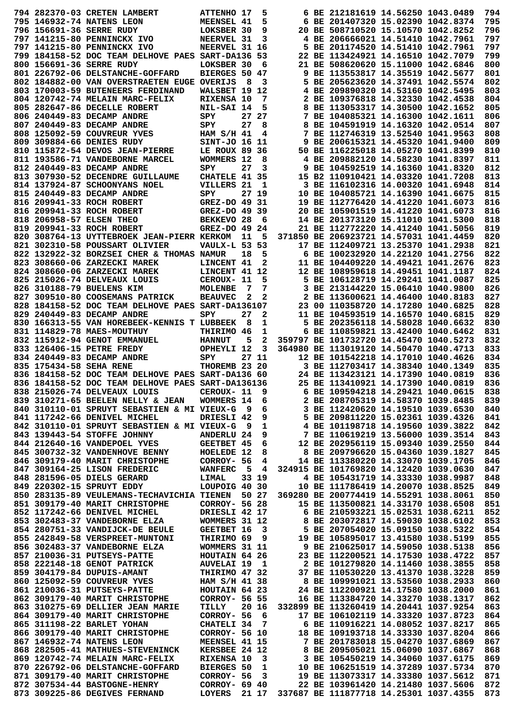|                           | 794 282370-03 CRETEN LAMBERT                                   | ATTENHO 17                            | 5 | 6 BE 212181619 14.56250 1043.0489                                                                            |  | 794        |
|---------------------------|----------------------------------------------------------------|---------------------------------------|---|--------------------------------------------------------------------------------------------------------------|--|------------|
|                           | 795 146932-74 NATENS LEON                                      | MEENSEL 41                            | 5 | 6 BE 201407320 15.02390 1042.8374                                                                            |  | 795        |
|                           | 796 156691-36 SERRE RUDY                                       | LOKSBER 30                            | 9 | 20 BE 508710520 15.10570 1042.8252                                                                           |  | 796        |
|                           | 797 141215-80 PENNINCKX IVO                                    | NEERVEL 31                            | 3 | 4 BE 206666021 14.51410 1042.7961                                                                            |  | 797        |
|                           | 797 141215-80 PENNINCKX IVO                                    | NEERVEL 31 16                         |   | 5 BE 201174520 14.51410 1042.7961                                                                            |  | 797        |
|                           | 799 184158-52 DOC TEAM DELHOVE PAES SART-DA136 53              |                                       |   | 22 BE 113424921 14.16510 1042.7079                                                                           |  | 799        |
|                           | 800 156691-36 SERRE RUDY                                       | LOKSBER 30<br>6                       |   | 21 BE 508620620 15.11000 1042.6846                                                                           |  | 800        |
|                           | 801 226792-06 DELSTANCHE-GOFFARD                               | BIERGES 50 47                         |   | 9 BE 113553817 14.35519 1042.5677                                                                            |  | 801        |
|                           | 802 184882-00 VAN OVERSTRAETEN EUGE OVERIJS                    | - 8                                   | 3 | 5 BE 205623620 14.37491 1042.5574                                                                            |  | 802        |
|                           | 803 170003-59 BUTENEERS FERDINAND                              | WALSBET 19 12                         |   | 4 BE 209890320 14.53160 1042.5495                                                                            |  | 803        |
|                           | 804 120742-74 MELAIN MARC-FELIX                                | RIXENSA 10                            | 7 | 2 BE 109376818 14.32330 1042.4538                                                                            |  | 804        |
|                           | 805 282647-86 DECELLE ROBERT                                   | NIL-SAI 14                            | 5 | 8 BE 113053317 14.30500 1042.1652                                                                            |  | 805        |
|                           | 806 240449-83 DECAMP ANDRE                                     | SPY<br>27 27                          |   | 7 BE 104085321 14.16300 1042.1611                                                                            |  | 806        |
|                           | 807 240449-83 DECAMP ANDRE                                     | 27<br>8<br>SPY                        |   | 8 BE 104591919 14.16320 1042.0514                                                                            |  | 807        |
|                           | 808 125092-59 COUVREUR YVES                                    | <b>HAM S/H 41</b>                     | 4 | 7 BE 112746319 13.52540 1041.9563                                                                            |  | 808        |
|                           | 809 309884-66 DENIES RUDY                                      | SINT-JO 16 11                         |   | 9 BE 200615321 14.45320 1041.9400                                                                            |  | 809        |
|                           | 810 115872-54 DEVOS JEAN-PIERRE                                | LE ROUX 89 36                         |   | 50 BE 116225018 14.05270 1041.8399                                                                           |  | 810        |
|                           | 811 193586-71 VANDEBORNE MARCEL                                | WOMMERS 12                            | 8 | 4 BE 209882120 14.58230 1041.8397                                                                            |  | 811        |
|                           | 812 240449-83 DECAMP ANDRE                                     | 27<br>SPY                             | 3 | 9 BE 104592519 14.16360 1041.8320                                                                            |  | 812        |
|                           | 813 307930-52 DECENDRE GUILLAUME                               | CHATELE 41 35                         |   | 15 B2 110910421 14.03320 1041.7208                                                                           |  | 813        |
|                           | 814 137924-87 SCHOONYANS NOEL<br>815 240449-83 DECAMP ANDRE    | VILLERS 21<br>1<br>27 19              |   | 3 BE 116102316 14.00320 1041.6948<br>10 BE 104085721 14.16390 1041.6675                                      |  | 814<br>815 |
|                           | 816 209941-33 ROCH ROBERT                                      | SPY                                   |   | 19 BE 112776420 14.41220 1041.6073                                                                           |  | 816        |
|                           | 816 209941-33 ROCH ROBERT                                      | GREZ-DO 49 31<br><b>GREZ-DO 49 39</b> |   | 20 BE 105901519 14.41220 1041.6073                                                                           |  | 816        |
|                           | 818 206958-57 ELSEN THEO                                       | <b>BEKKEVO 28</b><br>6                |   | 14 BE 201373120 15.11010 1041.5300                                                                           |  | 818        |
|                           | 819 209941-33 ROCH ROBERT                                      | GREZ-DO $49$ 24                       |   | 21 BE 112772220 14.41240 1041.5056                                                                           |  | 819        |
|                           | 820 308764-13 UYTTEBROEK JEAN-PIERR KERKOM                     | 11                                    | 5 | 371850 BE 206923721 14.57031 1041.4459                                                                       |  | 820        |
|                           | 821 302310-58 POUSSART OLIVIER                                 | <b>VAULX-L 53 53</b>                  |   | 17 BE 112409721 13.25370 1041.2938                                                                           |  | 821        |
|                           | 822 132922-32 BORZSEI CHER & THOMAS NAMUR                      | 18                                    | 5 | 6 BE 100232920 14.22120 1041.2756                                                                            |  | 822        |
|                           | 823 308660-06 ZARZECKI MAREK                                   | LINCENT 41                            | 2 | 11 BE 104409220 14.49421 1041.2676                                                                           |  | 823        |
|                           | 824 308660-06 ZARZECKI MAREK                                   | LINCENT 41 12                         |   | 12 BE 108959618 14.49451 1041.1187                                                                           |  | 824        |
|                           | 825 215026-74 DELVEAUX LOUIS                                   | CEROUX- 11                            | 5 | 5 BE 106128719 14.29241 1041.0087                                                                            |  | 825        |
|                           | 826 310188-79 BUELENS KIM                                      | 7<br><b>MOLENBE</b>                   | 7 | 3 BE 213144220 15.06410 1040.9800                                                                            |  | 826        |
|                           | 827 309510-80 COOSEMANS PATRICK                                | <b>BEAUVEC</b><br>2                   | 2 | 2 BE 113600621 14.46400 1040.8183                                                                            |  | 827        |
|                           | 828 184158-52 DOC TEAM DELHOVE PAES SART-DA136107              |                                       |   | 23 00 110358720 14.17280 1040.6825                                                                           |  | 828        |
|                           | 829 240449-83 DECAMP ANDRE                                     | 27<br>SPY                             | 2 | 11 BE 104593519 14.16570 1040.6815                                                                           |  | 829        |
|                           | 830 166313-55 VAN HOREBEEK-KENNIS T LUBBEEK                    | 8                                     | 1 | 5 BE 202356118 14.58028 1040.6632                                                                            |  | 830        |
|                           | 831 114829-78 MAES-MOUTHUY                                     | THIRIMO 46                            | 1 | 6 BE 110859821 13.42400 1040.6462                                                                            |  | 831        |
|                           | 832 115912-94 GENOT EMMANUEL                                   | 5<br><b>HANNUT</b>                    | 2 | 359797 BE 101732720 14.45470 1040.5273                                                                       |  | 832        |
| 833 126406-15 PETRE FREDY |                                                                | OPHEYLI 12                            | 3 | 364980 BE 113019120 14.50470 1040.4713                                                                       |  |            |
|                           |                                                                |                                       |   |                                                                                                              |  | 833        |
|                           | 834 240449-83 DECAMP ANDRE                                     | 27 11<br>SPY                          |   | 12 BE 101542218 14.17010 1040.4626                                                                           |  | 834        |
| 835 175434-58 SEHA RENE   |                                                                | THOREMB 23 20                         |   | 3 BE 112703417 14.38340 1040.1349                                                                            |  | 835        |
|                           | 836 184158-52 DOC TEAM DELHOVE PAES SART-DA136 60              |                                       |   | 24 BE 113423121 14.17390 1040.0819                                                                           |  | 836        |
|                           | 836 184158-52 DOC TEAM DELHOVE PAES SART-DA136136              |                                       |   | 25 BE 113410921 14.17390 1040.0819                                                                           |  | 836        |
|                           | 838 215026-74 DELVEAUX LOUIS                                   | CEROUX- 11                            | 9 | 6 BE 109594218 14.29421 1040.0615                                                                            |  | 838        |
|                           | 839 310271-65 BEELEN NELLY & JEAN                              | WOMMERS 14                            | 6 | 2 BE 208705319 14.58370 1039.8485                                                                            |  | 839        |
|                           | 840 310110-01 SPRUYT SEBASTIEN & MI VIEUX-G 9                  |                                       | 6 | 3 BE 112420620 14.19510 1039.6530                                                                            |  | 840        |
|                           | 841 117242-66 DENIVEL MICHEL                                   | DRIESLI 42                            | 9 | 5 BE 209811220 15.02361 1039.4326                                                                            |  | 841        |
|                           | 842 310110-01 SPRUYT SEBASTIEN & MI VIEUX-G                    | - 9                                   | 1 | 4 BE 101198718 14.19560 1039.3822                                                                            |  | 842        |
|                           | 843 139443-54 STOFFE JOHNNY                                    | <b>ANDERLU 24</b>                     | 9 | 7 BE 110619219 13.56000 1039.3514                                                                            |  | 843        |
|                           | 844 212640-16 VANDEPOEL YVES                                   | GEETBET 45                            | 6 | 12 BE 202956119 15.09340 1039.2550                                                                           |  | 844        |
|                           | 845 300732-32 VANDENHOVE BENNY                                 | HOELEDE 12                            | 8 | 8 BE 209796620 15.04360 1039.1827                                                                            |  | 845        |
|                           | 846 309179-40 MARIT CHRISTOPHE                                 | CORROY- 56                            | 4 | 14 BE 113380220 14.33070 1039.1705                                                                           |  | 846        |
|                           | 847 309164-25 LISON FREDERIC                                   | <b>WANFERC</b><br>$-5$                | 4 | 324915 BE 101769820 14.12420 1039.0630                                                                       |  | 847        |
|                           | 848 281596-05 DIELS GERARD                                     | <b>LIMAL</b><br>33 19                 |   | 4 BE 105431719 14.33330 1038.9987                                                                            |  | 848        |
|                           | 849 220302-15 SPRUYT EDDY                                      | LOUPOIG 40 30                         |   | 10 BE 111786419 14.20070 1038.8525                                                                           |  | 849        |
|                           | 850 283135-89 VEULEMANS-TECHAVICHIA TIENEN 50 27               |                                       |   | 369280 BE 200774419 14.55291 1038.8061                                                                       |  | 850        |
|                           | 851 309179-40 MARIT CHRISTOPHE                                 | CORROY- 56 28                         |   | 15 BE 113500821 14.33170 1038.6508                                                                           |  | 851        |
|                           | 852 117242-66 DENIVEL MICHEL                                   | DRIESLI 42 17                         |   | 6 BE 210593221 15.02531 1038.6211                                                                            |  | 852        |
|                           | 853 302483-37 VANDEBORNE ELZA                                  | WOMMERS 31 12                         |   | 8 BE 203072817 14.59030 1038.6102                                                                            |  | 853        |
|                           | 854 280751-33 VANDIJCK-DE BEULE                                | GEETBET 16                            | 3 | 5 BE 207054020 15.09150 1038.5322                                                                            |  | 854        |
|                           | 855 242849-58 VERSPREET-MUNTONI                                | THIRIMO 69 9                          |   |                                                                                                              |  | 855        |
|                           | 856 302483-37 VANDEBORNE ELZA                                  | WOMMERS 31 11                         |   | 5 BE 207034020 13.41580 1038.5199<br>19 BE 105895017 13.41580 1038.5199<br>9 BE 210625017 14.59050 1038.5138 |  | 856        |
|                           | 857 210036-31 PUTSEYS-PATTE                                    | HOUTAIN 64 26                         |   | 23 BE 112200521 14.17530 1038.4722                                                                           |  | 857        |
|                           | 858 222148-18 GENOT PATRICK                                    | AUVELAI 19 1                          |   | 2 BE 101279820 14.11460 1038.3855                                                                            |  | 858        |
|                           | 859 304179-84 DUPUIS-AMANT                                     | THIRIMO 47 32                         |   | 37 BE 110530220 13.41370 1038.3228                                                                           |  | 859        |
|                           | 860 125092-59 COUVREUR YVES                                    | HAM S/H 41 38                         |   | 8 BE 109991021 13.53560 1038.2933                                                                            |  | 860        |
|                           | 861 210036-31 PUTSEYS-PATTE                                    | <b>HOUTAIN 64 23</b>                  |   | 24 BE 112200921 14.17580 1038.2000                                                                           |  | 861        |
|                           | 862 309179-40 MARIT CHRISTOPHE CORROY- 56 55                   |                                       |   | 16 BE 113384720 14.33270 1038.1317                                                                           |  | 862        |
|                           | 863 310275-69 DELLIER JEAN MARIE                               | TILLY<br>20 16                        |   | 332899 BE 113260419 14.20441 1037.9254                                                                       |  | 863        |
|                           | 864 309179-40 MARIT CHRISTOPHE                                 | CORROY- 56 6                          |   | 17 BE 106102119 14.33320 1037.8723                                                                           |  | 864        |
|                           | 865 311198-22 BARLET YOHAN                                     | CHATELI 34 7                          |   | 6 BE 110916221 14.08052 1037.8217                                                                            |  | 865        |
|                           | 866 309179-40 MARIT CHRISTOPHE                                 | CORROY- 56 10                         |   | 18 BE 109193718 14.33330 1037.8204                                                                           |  | 866        |
|                           | 867 146932-74 NATENS LEON                                      | MEENSEL 41 15                         |   | 7 BE 201783018 15.04270 1037.6869                                                                            |  | 867        |
|                           | 868 282505-41 MATHUES-STEVENINCK                               | KERSBEE 24 12                         |   | 8 BE 209505021 15.06090 1037.6867                                                                            |  | 868        |
|                           | 869 120742-74 MELAIN MARC-FELIX                                | RIXENSA 10                            | 3 | 3 BE 105450219 14.34060 1037.6175                                                                            |  | 869        |
|                           | 870 226792-06 DELSTANCHE-GOFFARD                               | <b>BIERGES 50</b><br>1<br>CORROY- 56  |   | 3 BE 105450413 14.37289 1037.5734<br>10 BE 106251519 14.37289 1037.5734                                      |  | 870        |
|                           | 871 309179-40 MARIT CHRISTOPHE<br>872 307534-44 BASTOGNE-HENRY | CORROY- 69 40                         | 3 | 19 BE 113073317 14.33380 1037.5612<br>22 BE 103961420 14.21480 1037.5606                                     |  | 871<br>872 |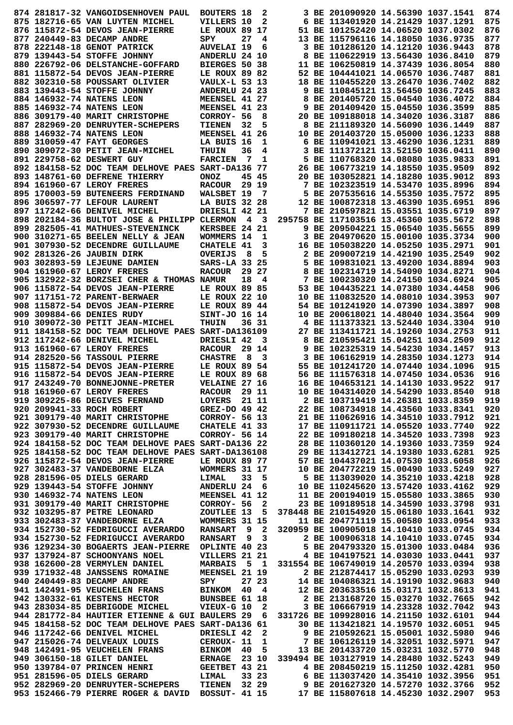|  | 874 281817-32 VANGOIDSENHOVEN PAUL                                                                                                                                                                                                                  | 2<br><b>BOUTERS 18</b>                                                                        |                                                                          | 3 BE 201090920 14.56390 1037.1541      |                                    | 874        |
|--|-----------------------------------------------------------------------------------------------------------------------------------------------------------------------------------------------------------------------------------------------------|-----------------------------------------------------------------------------------------------|--------------------------------------------------------------------------|----------------------------------------|------------------------------------|------------|
|  | 875 182716-65 VAN LUYTEN MICHEL                                                                                                                                                                                                                     | 2<br>VILLERS 10                                                                               |                                                                          | 6 BE 113401920 14.21429 1037.1291      |                                    | 875        |
|  | 876 115872-54 DEVOS JEAN-PIERRE                                                                                                                                                                                                                     | LE ROUX 89 17                                                                                 |                                                                          | 51 BE 101252420 14.06520 1037.0302     |                                    | 876        |
|  | 877 240449-83 DECAMP ANDRE                                                                                                                                                                                                                          | 27<br>SPY<br>4                                                                                |                                                                          | 13 BE 115796116 14.18050 1036.9735     |                                    | 877        |
|  | 878 222148-18 GENOT PATRICK                                                                                                                                                                                                                         | <b>AUVELAI 19</b><br>6                                                                        |                                                                          | 3 BE 101286120 14.12120 1036.9443      |                                    | 878        |
|  | 879 139443-54 STOFFE JOHNNY                                                                                                                                                                                                                         |                                                                                               |                                                                          | 8 BE 110622919 13.56430 1036.8410      |                                    | 879        |
|  |                                                                                                                                                                                                                                                     | ANDERLU 24 10                                                                                 |                                                                          |                                        |                                    |            |
|  | 880 226792-06 DELSTANCHE-GOFFARD                                                                                                                                                                                                                    | BIERGES 50 38                                                                                 |                                                                          | 11 BE 106250819 14.37439 1036.8054     |                                    | 880        |
|  | 881 115872-54 DEVOS JEAN-PIERRE                                                                                                                                                                                                                     | LE ROUX 89 82                                                                                 |                                                                          | 52 BE 104441021 14.06570 1036.7487     |                                    | 881        |
|  | 882 302310-58 POUSSART OLIVIER                                                                                                                                                                                                                      | <b>VAULX-L 53 13</b>                                                                          |                                                                          | 18 BE 110455220 13.26470 1036.7402     |                                    | 882        |
|  | 883 139443-54 STOFFE JOHNNY                                                                                                                                                                                                                         | ANDERLU 24 23                                                                                 |                                                                          | 9 BE 110845121 13.56450 1036.7245      |                                    | 883        |
|  | 884 146932-74 NATENS LEON                                                                                                                                                                                                                           | MEENSEL 41 27                                                                                 | 8                                                                        | BE 201405720 15.04540 1036.4072        |                                    | 884        |
|  | 885 146932-74 NATENS LEON                                                                                                                                                                                                                           | MEENSEL 41 23                                                                                 |                                                                          | 9 BE 201409420 15.04550 1036.3599      |                                    | 885        |
|  | 886 309179-40 MARIT CHRISTOPHE                                                                                                                                                                                                                      | CORROY- 56<br>8                                                                               |                                                                          | 20 BE 109188018 14.34020 1036.3187     |                                    | 886        |
|  | 887 282969-20 DENRUYTER-SCHEPERS                                                                                                                                                                                                                    | 32<br><b>TIENEN</b><br>5                                                                      |                                                                          | 8 BE 211189320 14.56090 1036.1449      |                                    | 887        |
|  | 888 146932-74 NATENS LEON                                                                                                                                                                                                                           | <b>MEENSEL 41</b><br>26                                                                       |                                                                          | 10 BE 201403720 15.05000 1036.1233     |                                    | 888        |
|  | 889 310059-47 FAYT GEORGES                                                                                                                                                                                                                          | LA BUIS 16<br>1                                                                               |                                                                          | 6 BE 110941021 13.46290 1036.1231      |                                    | 889        |
|  | 890 309072-30 PETIT JEAN-MICHEL                                                                                                                                                                                                                     |                                                                                               |                                                                          | 3 BE 111372121 13.52150 1036.0411      |                                    | 890        |
|  |                                                                                                                                                                                                                                                     | THUIN<br>36<br>4                                                                              |                                                                          |                                        |                                    |            |
|  | 891 229758-62 DESWERT GUY                                                                                                                                                                                                                           | <b>FARCIEN</b><br>7<br>1                                                                      |                                                                          | 5 BE 110768320 14.08080 1035.9833      |                                    | 891        |
|  | 892 184158-52 DOC TEAM DELHOVE PAES SART-DA136                                                                                                                                                                                                      | - 77                                                                                          |                                                                          | 26 BE 106773219 14.18550 1035.9509     |                                    | 892        |
|  | 893 148761-60 DEFRENE THIERRY                                                                                                                                                                                                                       | 45 45<br><b>ONOZ</b>                                                                          |                                                                          | 20 BE 103052821 14.18280 1035.9012     |                                    | 893        |
|  | 894 161960-67 LEROY FRERES                                                                                                                                                                                                                          | <b>RACOUR</b><br>29 19                                                                        |                                                                          | 7 BE 102323519 14.53470 1035.8996      |                                    | 894        |
|  | 895 170003-59 BUTENEERS FERDINAND                                                                                                                                                                                                                   | WALSBET 19<br>7                                                                               |                                                                          | 5 BE 207535616 14.55350 1035.7572      |                                    | 895        |
|  | 896 306597-77 LEFOUR LAURENT                                                                                                                                                                                                                        | LA BUIS 32 28                                                                                 |                                                                          | 12 BE 100872318 13.46390 1035.6951     |                                    | 896        |
|  | 897 117242-66 DENIVEL MICHEL                                                                                                                                                                                                                        | DRIESLI 42 21                                                                                 |                                                                          | 7 BE 210597821 15.03551 1035.6719      |                                    | 897        |
|  | 898 202184-36 BULTOT JOSE & PHILIPP CLERMON                                                                                                                                                                                                         | 4<br>3                                                                                        |                                                                          | 295758 BE 117103516 13.45360 1035.5672 |                                    | 898        |
|  | 899 282505-41 MATHUES-STEVENINCK                                                                                                                                                                                                                    | KERSBEE 24 21                                                                                 |                                                                          | 9 BE 209504221 15.06540 1035.5655      |                                    | 899        |
|  | 900 310271-65 BEELEN NELLY & JEAN                                                                                                                                                                                                                   | WOMMERS 14<br>1                                                                               |                                                                          | 3 BE 204970620 15.00100 1035.3734      |                                    | 900        |
|  | 901 307930-52 DECENDRE GUILLAUME                                                                                                                                                                                                                    |                                                                                               |                                                                          | 16 BE 105038220 14.05250 1035.2971     |                                    | 901        |
|  |                                                                                                                                                                                                                                                     | <b>CHATELE 41</b><br>3                                                                        |                                                                          |                                        |                                    |            |
|  | 902 281326-26 JAUBIN DIRK                                                                                                                                                                                                                           | 5<br><b>OVERIJS</b><br>- 8                                                                    |                                                                          | 2 BE 209007219 14.42190 1035.2549      |                                    | 902        |
|  | 903 302893-59 LEJEUNE DAMIEN                                                                                                                                                                                                                        | SARS-LA 33 25                                                                                 |                                                                          | 5 BE 109831021 13.49200 1034.8894      |                                    | 903        |
|  | 904 161960-67 LEROY FRERES                                                                                                                                                                                                                          | 29 27<br><b>RACOUR</b>                                                                        |                                                                          | 8 BE 102314719 14.54090 1034.8271      |                                    | 904        |
|  | 905 132922-32 BORZSEI CHER & THOMAS NAMUR                                                                                                                                                                                                           | 18<br>4                                                                                       |                                                                          | 7 BE 100230320 14.24150 1034.6924      |                                    | 905        |
|  | 906 115872-54 DEVOS JEAN-PIERRE                                                                                                                                                                                                                     | LE ROUX 89 85                                                                                 |                                                                          | 53 BE 104435221 14.07380 1034.4458     |                                    | 906        |
|  | 907 117151-72 PARENT-BERWAER                                                                                                                                                                                                                        | LE ROUX 22 10                                                                                 |                                                                          | 10 BE 110832520 14.08010 1034.3953     |                                    | 907        |
|  | 908 115872-54 DEVOS JEAN-PIERRE                                                                                                                                                                                                                     | LE ROUX 89 44                                                                                 |                                                                          | 54 BE 101241920 14.07390 1034.3897     |                                    | 908        |
|  | 909 309884-66 DENIES RUDY                                                                                                                                                                                                                           | SINT-JO 16 14                                                                                 |                                                                          | 10 BE 200618021 14.48040 1034.3564     |                                    | 909        |
|  | 910 309072-30 PETIT JEAN-MICHEL                                                                                                                                                                                                                     | <b>THUIN</b><br>36 31                                                                         |                                                                          | 4 BE 111373321 13.52440 1034.3304      |                                    | 910        |
|  | 911 184158-52 DOC TEAM DELHOVE PAES SART-DA136109                                                                                                                                                                                                   |                                                                                               |                                                                          | 27 BE 113411721 14.19260 1034.2753     |                                    | 911        |
|  |                                                                                                                                                                                                                                                     |                                                                                               |                                                                          |                                        |                                    |            |
|  | 912 117242-66 DENIVEL MICHEL                                                                                                                                                                                                                        | DRIESLI 42<br>з                                                                               |                                                                          | 8 BE 210595421 15.04251 1034.2509      |                                    | 912        |
|  | 913 161960-67 LEROY FRERES                                                                                                                                                                                                                          | <b>RACOUR</b><br>29 14                                                                        |                                                                          | 9 BE 102325319 14.54230 1034.1457      |                                    | 913        |
|  | 914 282520-56 TASSOUL PIERRE                                                                                                                                                                                                                        | 8<br><b>CHASTRE</b><br>3                                                                      |                                                                          | 3 BE 106162919 14.28350 1034.1273      |                                    | 914        |
|  | 915 115872-54 DEVOS JEAN-PIERRE                                                                                                                                                                                                                     | LE ROUX 89 54                                                                                 |                                                                          | 55 BE 101241720 14.07440 1034.1096     |                                    | 915        |
|  | 916 115872-54 DEVOS JEAN-PIERRE                                                                                                                                                                                                                     | LE ROUX 89 68                                                                                 |                                                                          | 56 BE 111576318 14.07450 1034.0536     |                                    | 916        |
|  | 917 243249-70 BONNEJONNE-PRETER                                                                                                                                                                                                                     | <b>VELAINE 27 16</b>                                                                          |                                                                          | 16 BE 104653121 14.14130 1033.9522     |                                    | 917        |
|  | 918 161960-67 LEROY FRERES                                                                                                                                                                                                                          | 29 11<br><b>RACOUR</b>                                                                        |                                                                          | 10 BE 104314020 14.54290 1033.8540     |                                    | 918        |
|  | 919 309225-86 DEGIVES FERNAND                                                                                                                                                                                                                       | <b>LOYERS</b> 21 11                                                                           |                                                                          | 2 BE 103719419 14.26381 1033.8359      |                                    | 919        |
|  | 920 209941-33 ROCH ROBERT                                                                                                                                                                                                                           | <b>GREZ-DO 49 42</b>                                                                          |                                                                          | 22 BE 108734918 14.43560 1033.8341     |                                    | 920        |
|  | 921 309179-40 MARIT CHRISTOPHE                                                                                                                                                                                                                      | CORROY- 56 13                                                                                 |                                                                          | 21 BE 110626916 14.34510 1033.7912     |                                    | 921        |
|  | 922 307930-52 DECENDRE GUILLAUME                                                                                                                                                                                                                    | CHATELE 41 33                                                                                 |                                                                          | 17 BE 110911721 14.05520 1033.7740     |                                    | 922        |
|  | 923 309179-40 MARIT CHRISTOPHE                                                                                                                                                                                                                      | CORROY- 56 14                                                                                 |                                                                          | 22 BE 109180218 14.34520 1033.7398     |                                    | 923        |
|  |                                                                                                                                                                                                                                                     |                                                                                               |                                                                          |                                        |                                    |            |
|  | 924 184158-52 DOC TEAM DELHOVE PAES SART-DA136 22                                                                                                                                                                                                   |                                                                                               |                                                                          | 28 BE 110360120 14.19360 1033.7359     |                                    | 924        |
|  | 925 184158-52 DOC TEAM DELHOVE PAES SART-DA136108                                                                                                                                                                                                   |                                                                                               | 29 BE 113412721 14.19380 1033.6281<br>57 BE 104437021 14.07530 1033.6058 |                                        |                                    | 925        |
|  | 926 115872-54 DEVOS JEAN-PIERRE                                                                                                                                                                                                                     | LE ROUX 89 77                                                                                 |                                                                          |                                        |                                    | 926        |
|  | 927 302483-37 VANDEBORNE ELZA                                                                                                                                                                                                                       |                                                                                               |                                                                          |                                        | 57 BE 104437021 14.07530 1033.6058 |            |
|  |                                                                                                                                                                                                                                                     | WOMMERS 31 17                                                                                 |                                                                          | 10 BE 204772219 15.00490 1033.5249     |                                    | 927        |
|  | 928 281596-05 DIELS GERARD                                                                                                                                                                                                                          | 33 5                                                                                          |                                                                          |                                        |                                    | 928        |
|  | 929 139443-54 STOFFE JOHNNY                                                                                                                                                                                                                         | LIMAL 33 5<br>ANDERLU 24 6                                                                    | 5 BE 113039020 14.35210 1033.4218<br>10 BE 110245620 13.57420 1033.4162  |                                        |                                    | 929        |
|  | 930 146932-74 NATENS LEON                                                                                                                                                                                                                           |                                                                                               |                                                                          | 11 BE 200194019 15.05580 1033.3865     |                                    | 930        |
|  |                                                                                                                                                                                                                                                     | MEENSEL 41 12                                                                                 |                                                                          | 23 BE 109189518 14.34590 1033.3798     |                                    | 931        |
|  |                                                                                                                                                                                                                                                     |                                                                                               |                                                                          |                                        |                                    |            |
|  | 931 309179-40 MARIT CHRISTOPHE CORROY- 56 2<br>932 103295-87 PETRE LEONARD ZOUTLEE 13 5                                                                                                                                                             |                                                                                               |                                                                          | 378448 BE 210154920 15.06180 1033.1641 |                                    | 932        |
|  | 933 302483-37 VANDEBORNE ELZA                                                                                                                                                                                                                       | WOMMERS 31 15                                                                                 |                                                                          | 11 BE 204771119 15.00580 1033.0954     |                                    | 933        |
|  | 934 152730-52 FEDRIGUCCI AVERARDO                                                                                                                                                                                                                   | <b>RANSART</b>                                                                                | 9 2 320959 BE 100905018 14.10410 1033.0745                               |                                        |                                    | 934        |
|  | 934 152730-52 FEDRIGUCCI AVERARDO                                                                                                                                                                                                                   | 9 3<br><b>RANSART</b>                                                                         |                                                                          | 2 BE 100906318 14.10410 1033.0745      |                                    | 934        |
|  | 936 129234-30 BOGAERTS JEAN-PIERRE                                                                                                                                                                                                                  | OPLINTE 40 23                                                                                 | 5 BE 204793320 15.01300 1033.0484                                        |                                        |                                    | 936        |
|  | 937 137924-87 SCHOONYANS NOEL                                                                                                                                                                                                                       | VILLERS 21 21                                                                                 | 4 BE 104197521 14.03030 1033.0441                                        |                                        |                                    | 937        |
|  | 938 162600-28 VERMYLEN DANIEL                                                                                                                                                                                                                       | <b>MARBAIS</b><br>5 1                                                                         | 331554 BE 106749019 14.20570 1033.0394                                   |                                        |                                    | 938        |
|  | 939 171932-48 JANSSENS ROMAINE                                                                                                                                                                                                                      | <b>MEENSEL 21 19</b>                                                                          | 2 BE 212874417 15.05290 1033.0293                                        |                                        |                                    | 939        |
|  |                                                                                                                                                                                                                                                     |                                                                                               |                                                                          |                                        |                                    | 940        |
|  |                                                                                                                                                                                                                                                     |                                                                                               |                                                                          |                                        |                                    | 941        |
|  |                                                                                                                                                                                                                                                     |                                                                                               |                                                                          |                                        |                                    | 942        |
|  | 940 240449-83 DECAMP ANDRE SPY 27 23<br>941 142491-95 VEUCHELEN FRANS BINKOM 40 4 12 BE 203633516 15.03171 1032.9683<br>942 130332-61 KESTENS HECTOR BUNSBEE 61 18 2 BE 213168720 15.03270 1032.7665<br>943 283034-85 DEBRIGODE MICHEL VIEUX-G 10 2 |                                                                                               |                                                                          | 3 BE 106667919 14.23328 1032.7042      |                                    | 943        |
|  |                                                                                                                                                                                                                                                     |                                                                                               |                                                                          |                                        |                                    | 944        |
|  | 944 281772-84 HAUTIER ETIENNE & GUI BAULERS 29 6 331726 BE 109928016 14.21150 1032.6101                                                                                                                                                             |                                                                                               |                                                                          |                                        |                                    |            |
|  | 945 184158-52 DOC TEAM DELHOVE PAES SART-DA136 61                                                                                                                                                                                                   |                                                                                               |                                                                          | 30 BE 113421821 14.19570 1032.6051     |                                    | 945        |
|  | 946 117242-66 DENIVEL MICHEL                                                                                                                                                                                                                        | $\overline{\mathbf{2}}$<br>DRIESLI 42                                                         |                                                                          | 9 BE 210592621 15.05001 1032.5980      |                                    | 946        |
|  | 947 215026-74 DELVEAUX LOUIS                                                                                                                                                                                                                        | $\mathbf{1}$<br><b>CEROUX- 11</b>                                                             |                                                                          | 7 BE 106126119 14.32051 1032.5971      |                                    | 947        |
|  | 948 142491-95 VEUCHELEN FRANS                                                                                                                                                                                                                       |                                                                                               |                                                                          | 13 BE 201433720 15.03231 1032.5770     |                                    | 948        |
|  | 949 306150-18 GILET DANIEL                                                                                                                                                                                                                          |                                                                                               | 339494 BE 103127919 14.28480 1032.5243                                   |                                        |                                    | 949        |
|  | 950 139784-07 PRINCEN HENRI                                                                                                                                                                                                                         |                                                                                               |                                                                          | 4 BE 208450219 15.11250 1032.4281      |                                    | 950        |
|  | 951 281596-05 DIELS GERARD                                                                                                                                                                                                                          |                                                                                               | 6 BE 113037420 14.35410 1032.3956                                        |                                        |                                    | 951        |
|  | 952 282969-20 DENRUYTER-SCHEPERS TIENEN 32 29<br>953 152466-79 PIERRE ROGER & DAVID BOSSUT- 41 15                                                                                                                                                   | NS BINKOM 40 5<br>ERNAGE 23 10 339<br>: GEETBET 43 21<br>-- LIMAL 33 23<br>--- -------- 33 23 | 9 BE 201627320 14.57270 1032.3766<br>17 BE 115807618 14.45230 1032.2907  |                                        |                                    | 952<br>953 |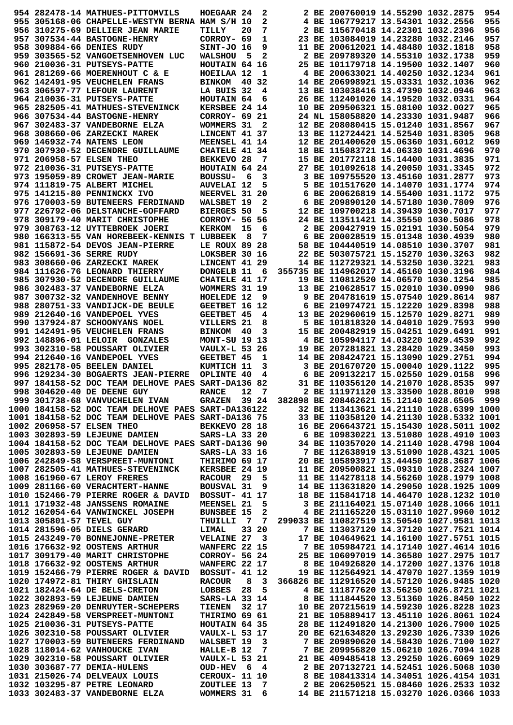|  | 954 282478-14 MATHUES-PITTOMVILS                                                                                                                                                                                                                                                                                                           | HOEGAAR 24             | 2  | 2 BE 200760019 14.55290 1032.2875          |  | 954 |
|--|--------------------------------------------------------------------------------------------------------------------------------------------------------------------------------------------------------------------------------------------------------------------------------------------------------------------------------------------|------------------------|----|--------------------------------------------|--|-----|
|  | 955 305168-06 CHAPELLE-WESTYN BERNA HAM S/H 10                                                                                                                                                                                                                                                                                             |                        | 2  | 4 BE 106779217 13.54301 1032.2556          |  | 955 |
|  | 956 310275-69 DELLIER JEAN MARIE                                                                                                                                                                                                                                                                                                           | TILLY<br>20            | 7  | 2 BE 115670418 14.22301 1032.2396          |  | 956 |
|  | 957 307534-44 BASTOGNE-HENRY                                                                                                                                                                                                                                                                                                               | CORROY- 69             | 1  | 23 BE 103084019 14.23280 1032.2146         |  | 957 |
|  |                                                                                                                                                                                                                                                                                                                                            |                        |    |                                            |  |     |
|  | 958 309884-66 DENIES RUDY                                                                                                                                                                                                                                                                                                                  | SINT-JO 16             | 9  | 11 BE 200612021 14.48480 1032.1818         |  | 958 |
|  | 959 303565-52 VANGOETSENHOVEN LUC                                                                                                                                                                                                                                                                                                          | <b>WALSHOU</b><br>- 5  | 2  | 2 BE 209789320 14.55310 1032.1738          |  | 959 |
|  | 960 210036-31 PUTSEYS-PATTE                                                                                                                                                                                                                                                                                                                | HOUTAIN 64 16          |    | 25 BE 101179718 14.19500 1032.1407         |  | 960 |
|  | 961 281269-66 MOERENHOUT C & E                                                                                                                                                                                                                                                                                                             | HOEILAA 12             | 1  | 4 BE 200633021 14.40250 1032.1234          |  | 961 |
|  | 962 142491-95 VEUCHELEN FRANS                                                                                                                                                                                                                                                                                                              | <b>BINKOM</b><br>40 32 |    | 14 BE 206998921 15.03331 1032.1036         |  | 962 |
|  |                                                                                                                                                                                                                                                                                                                                            |                        |    |                                            |  |     |
|  | 963 306597-77 LEFOUR LAURENT                                                                                                                                                                                                                                                                                                               | LA BUIS 32             | 4  | 13 BE 103038416 13.47390 1032.0946         |  | 963 |
|  | 964 210036-31 PUTSEYS-PATTE                                                                                                                                                                                                                                                                                                                | HOUTAIN 64             | 6  | 26 BE 112401020 14.19520 1032.0331         |  | 964 |
|  | 965 282505-41 MATHUES-STEVENINCK                                                                                                                                                                                                                                                                                                           | KERSBEE 24 14          |    | 10 BE 209506321 15.08100 1032.0027         |  | 965 |
|  | 966 307534-44 BASTOGNE-HENRY                                                                                                                                                                                                                                                                                                               | CORROY- 69 21          |    | 24 NL 158058820 14.23330 1031.9487         |  | 966 |
|  | 967 302483-37 VANDEBORNE ELZA                                                                                                                                                                                                                                                                                                              | WOMMERS 31             | 2  | 12 BE 208080415 15.01240 1031.8567         |  | 967 |
|  |                                                                                                                                                                                                                                                                                                                                            |                        |    |                                            |  |     |
|  | 968 308660-06 ZARZECKI MAREK                                                                                                                                                                                                                                                                                                               | LINCENT 41 37          |    | 13 BE 112724421 14.52540 1031.8305         |  | 968 |
|  | 969 146932-74 NATENS LEON                                                                                                                                                                                                                                                                                                                  | MEENSEL 41 14          |    | 12 BE 201400620 15.06360 1031.6012         |  | 969 |
|  | 970 307930-52 DECENDRE GUILLAUME                                                                                                                                                                                                                                                                                                           | CHATELE 41 34          |    | 18 BE 115083721 14.06330 1031.4696         |  | 970 |
|  | 971 206958-57 ELSEN THEO                                                                                                                                                                                                                                                                                                                   | BEKKEVO 28             | 7  | 15 BE 201772118 15.14400 1031.3835         |  | 971 |
|  | 972 210036-31 PUTSEYS-PATTE                                                                                                                                                                                                                                                                                                                | HOUTAIN 64             | 24 | 27 BE 101092618 14.20050 1031.3345         |  | 972 |
|  |                                                                                                                                                                                                                                                                                                                                            |                        |    |                                            |  |     |
|  | 973 195059-89 CROWET JEAN-MARIE                                                                                                                                                                                                                                                                                                            | BOUSSU-<br>6           | 3  | 3 BE 109755520 13.45160 1031.2877          |  | 973 |
|  | 974 111819-75 ALBERT MICHEL                                                                                                                                                                                                                                                                                                                | <b>AUVELAI 12</b>      | 5  | 5 BE 101517620 14.14070 1031.1774          |  | 974 |
|  | 975 141215-80 PENNINCKX IVO                                                                                                                                                                                                                                                                                                                | NEERVEL 31 20          |    | 6 BE 200626819 14.55400 1031.1172          |  | 975 |
|  | 976 170003-59 BUTENEERS FERDINAND                                                                                                                                                                                                                                                                                                          | WALSBET 19             | 2  | 6 BE 209890120 14.57180 1030.7809          |  | 976 |
|  | 977 226792-06 DELSTANCHE-GOFFARD                                                                                                                                                                                                                                                                                                           | <b>BIERGES 50</b>      | 5  | 12 BE 109700218 14.39439 1030.7017         |  | 977 |
|  | 978 309179-40 MARIT CHRISTOPHE                                                                                                                                                                                                                                                                                                             | CORROY- 56 56          |    | 24 BE 113511421 14.35550 1030.5086         |  | 978 |
|  |                                                                                                                                                                                                                                                                                                                                            |                        |    |                                            |  |     |
|  | 979 308763-12 UYTTEBROEK JOERI                                                                                                                                                                                                                                                                                                             | 15<br><b>KERKOM</b>    | 6  | 2 BE 200427919 15.02191 1030.5054          |  | 979 |
|  | 980 166313-55 VAN HOREBEEK-KENNIS T LUBBEEK                                                                                                                                                                                                                                                                                                | 8                      | 7  | 6 BE 200028519 15.01348 1030.4939          |  | 980 |
|  | 981 115872-54 DEVOS JEAN-PIERRE                                                                                                                                                                                                                                                                                                            | LE ROUX 89 28          |    | 58 BE 104440519 14.08510 1030.3707         |  | 981 |
|  | 982 156691-36 SERRE RUDY                                                                                                                                                                                                                                                                                                                   | LOKSBER 30 16          |    | 22 BE 503075721 15.15270 1030.3263         |  | 982 |
|  | 983 308660-06 ZARZECKI MAREK                                                                                                                                                                                                                                                                                                               | LINCENT 41 29          |    | 14 BE 112729321 14.53250 1030.3221         |  | 983 |
|  |                                                                                                                                                                                                                                                                                                                                            |                        |    |                                            |  |     |
|  | 984 111626-76 LEONARD THIERRY                                                                                                                                                                                                                                                                                                              | DONGELB 11             | 6  | 355735 BE 114962017 14.45160 1030.3196     |  | 984 |
|  | 985 307930-52 DECENDRE GUILLAUME                                                                                                                                                                                                                                                                                                           | CHATELE 41 17          |    | 19 BE 110812520 14.06570 1030.1254         |  | 985 |
|  | 986 302483-37 VANDEBORNE ELZA                                                                                                                                                                                                                                                                                                              | WOMMERS 31 19          |    | 13 BE 210628517 15.02010 1030.0990         |  | 986 |
|  | 987 300732-32 VANDENHOVE BENNY                                                                                                                                                                                                                                                                                                             | HOELEDE 12             | 9  | 9 BE 204781619 15.07540 1029.8614          |  | 987 |
|  | 988 280751-33 VANDIJCK-DE BEULE                                                                                                                                                                                                                                                                                                            | GEETBET 16 12          |    | 6 BE 210974721 15.12220 1029.8398          |  | 988 |
|  |                                                                                                                                                                                                                                                                                                                                            |                        |    |                                            |  |     |
|  | 989 212640-16 VANDEPOEL YVES                                                                                                                                                                                                                                                                                                               | GEETBET 45             | 4  | 13 BE 202960619 15.12570 1029.8271         |  | 989 |
|  | 990 137924-87 SCHOONYANS NOEL                                                                                                                                                                                                                                                                                                              | VILLERS 21             | 8  | 5 BE 101818320 14.04010 1029.7593          |  | 990 |
|  | 991 142491-95 VEUCHELEN FRANS                                                                                                                                                                                                                                                                                                              | <b>BINKOM</b><br>40    | 3  | 15 BE 200482919 15.04251 1029.6491         |  | 991 |
|  | 992 148896-01 LELOIR GONZALES                                                                                                                                                                                                                                                                                                              | MONT-SU 19 13          |    | 4 BE 105994117 14.03220 1029.4539          |  | 992 |
|  | 993 302310-58 POUSSART OLIVIER                                                                                                                                                                                                                                                                                                             | <b>VAULX-L 53 26</b>   |    | 19 BE 207281821 13.28420 1029.3450         |  | 993 |
|  |                                                                                                                                                                                                                                                                                                                                            |                        |    |                                            |  |     |
|  | 994 212640-16 VANDEPOEL YVES                                                                                                                                                                                                                                                                                                               | GEETBET 45             | 1  | 14 BE 208424721 15.13090 1029.2751         |  | 994 |
|  | 995 282178-05 BEELEN DANIEL                                                                                                                                                                                                                                                                                                                | KUMTICH 11             | 3  | 3 BE 201670720 15.00040 1029.1122          |  | 995 |
|  | 996 129234-30 BOGAERTS JEAN-PIERRE                                                                                                                                                                                                                                                                                                         | OPLINTE 40             | 4  | 6 BE 209132217 15.02550 1029.0158          |  | 996 |
|  | 997 184158-52 DOC TEAM DELHOVE PAES                                                                                                                                                                                                                                                                                                        | SART-DA136 82          |    | 31 BE 110356120 14.21070 1028.8535         |  | 997 |
|  | 998 304620-40 DE DEENE GUY                                                                                                                                                                                                                                                                                                                 | <b>RANCE</b><br>12 7   |    | 2 BE 111971120 13.33500 1028.8010 998      |  |     |
|  | 999 301738-68 VANVUCHELEN IVAN                                                                                                                                                                                                                                                                                                             | GRAZEN 39 24           |    | 382898 BE 208462621 15.12140 1028.6505 999 |  |     |
|  |                                                                                                                                                                                                                                                                                                                                            |                        |    |                                            |  |     |
|  | 1000 184158-52 DOC TEAM DELHOVE PAES SART-DA136122                                                                                                                                                                                                                                                                                         |                        |    | 32 BE 113413621 14.21110 1028.6399 1000    |  |     |
|  | 1001 184158-52 DOC TEAM DELHOVE PAES SART-DA136 75                                                                                                                                                                                                                                                                                         |                        |    | 33 BE 110358120 14.21130 1028.5332 1001    |  |     |
|  | 1002 206958-57 ELSEN THEO                                                                                                                                                                                                                                                                                                                  | <b>BEKKEVO 28 18</b>   |    | 16 BE 206643721 15.15430 1028.5011 1002    |  |     |
|  |                                                                                                                                                                                                                                                                                                                                            |                        |    |                                            |  |     |
|  |                                                                                                                                                                                                                                                                                                                                            |                        |    |                                            |  |     |
|  |                                                                                                                                                                                                                                                                                                                                            |                        |    |                                            |  |     |
|  |                                                                                                                                                                                                                                                                                                                                            |                        |    |                                            |  |     |
|  |                                                                                                                                                                                                                                                                                                                                            |                        |    |                                            |  |     |
|  |                                                                                                                                                                                                                                                                                                                                            |                        |    |                                            |  |     |
|  |                                                                                                                                                                                                                                                                                                                                            |                        |    |                                            |  |     |
|  | 1005 302893-59 LEJEUNE DAMIEN SARS-LA 33 16 7 BE 112638919 13.51090 1028.4321 1005<br>1006 242849-58 VERSPREET-MUNTONI THIRIMO 69 17 20 BE 105893917 13.44450 1028.3687 1006<br>1007 282505-41 MATHUES-STEVENINCK KERSBEE 24 19 11 B                                                                                                       |                        |    |                                            |  |     |
|  |                                                                                                                                                                                                                                                                                                                                            |                        |    |                                            |  |     |
|  |                                                                                                                                                                                                                                                                                                                                            |                        |    |                                            |  |     |
|  |                                                                                                                                                                                                                                                                                                                                            |                        |    |                                            |  |     |
|  | 1011 171932-48 JANSSENS ROMAINE MEENSEL 21 5 3 BE 211164021 15.07140 1028.1066 1011                                                                                                                                                                                                                                                        |                        |    |                                            |  |     |
|  |                                                                                                                                                                                                                                                                                                                                            |                        |    |                                            |  |     |
|  |                                                                                                                                                                                                                                                                                                                                            |                        |    |                                            |  |     |
|  |                                                                                                                                                                                                                                                                                                                                            |                        |    |                                            |  |     |
|  |                                                                                                                                                                                                                                                                                                                                            |                        |    |                                            |  |     |
|  |                                                                                                                                                                                                                                                                                                                                            |                        |    |                                            |  |     |
|  |                                                                                                                                                                                                                                                                                                                                            |                        |    |                                            |  |     |
|  |                                                                                                                                                                                                                                                                                                                                            |                        |    |                                            |  |     |
|  |                                                                                                                                                                                                                                                                                                                                            |                        |    |                                            |  |     |
|  |                                                                                                                                                                                                                                                                                                                                            |                        |    |                                            |  |     |
|  | 1011 171932-48 JANSSENS ROMAINE<br>1012 162054-64 VANWINCKEL JOSEPH BUNSBER 15 2<br>1012 162054-64 VANWINCKEL JOSEPH THUILLI 7 7 299033 BE 11165220 15.0310 1027.9960 1012<br>1013 305801-57 TEVEL GERARD LIMAL 33 20 7 BE 113037120<br>1020 174972-81 THIRY GHISLAIN       RACOUR     8   3   366826 BE 112916520 14.57120 1026.9485 1020 |                        |    |                                            |  |     |
|  |                                                                                                                                                                                                                                                                                                                                            |                        |    |                                            |  |     |
|  |                                                                                                                                                                                                                                                                                                                                            |                        |    |                                            |  |     |
|  |                                                                                                                                                                                                                                                                                                                                            |                        |    |                                            |  |     |
|  |                                                                                                                                                                                                                                                                                                                                            |                        |    |                                            |  |     |
|  |                                                                                                                                                                                                                                                                                                                                            |                        |    |                                            |  |     |
|  |                                                                                                                                                                                                                                                                                                                                            |                        |    |                                            |  |     |
|  | 1021 182424-64 DE BELS-CRETON<br>1022 302893-59 LEJEUNE DAMIEN SARS-LA 33 14 8 BE 111877620 13.56250 1026.8721 1021<br>1023 282969-20 DENRUYTER-SCHEPERS TIENEN 32 17 10 BE 207215619 14.59230 1026.8228 1023<br>1024 242849-58 VERS<br>1026 302310-58 POUSSART OLIVIER VAULX-L 53 17                                                      |                        |    | 20 BE 621634820 13.29230 1026.7339 1026    |  |     |
|  |                                                                                                                                                                                                                                                                                                                                            |                        |    |                                            |  |     |
|  |                                                                                                                                                                                                                                                                                                                                            |                        |    |                                            |  |     |
|  | 1027 170003-59 BUTENEERS FERDINAND   WALSBET 19  3        7 BE 209890620 14.58430 1026.7100 1027<br>1028 118014-62 VANHOUCKE IVAN          HALLE-B 12  7        7 BE 209956820 15.06210 1026.7094 1028                                                                                                                                     |                        |    |                                            |  |     |
|  |                                                                                                                                                                                                                                                                                                                                            |                        |    |                                            |  |     |
|  |                                                                                                                                                                                                                                                                                                                                            |                        |    |                                            |  |     |
|  |                                                                                                                                                                                                                                                                                                                                            |                        |    |                                            |  |     |
|  |                                                                                                                                                                                                                                                                                                                                            |                        |    |                                            |  |     |
|  | 1029 302310-58 POUSSART OLIVIER<br>1029 302310-58 POUSSART OLIVIER<br>1030 303687-77 DEMIA-HULENS<br>1031 215026-74 DELVEAUX LOUIS<br>1032 103295-87 PETRE LEONARD<br>2007LEE 13 7 2 BE 206250521 15.08460 1026.2533 1032<br>1033 302483-3                                                                                                 |                        |    |                                            |  |     |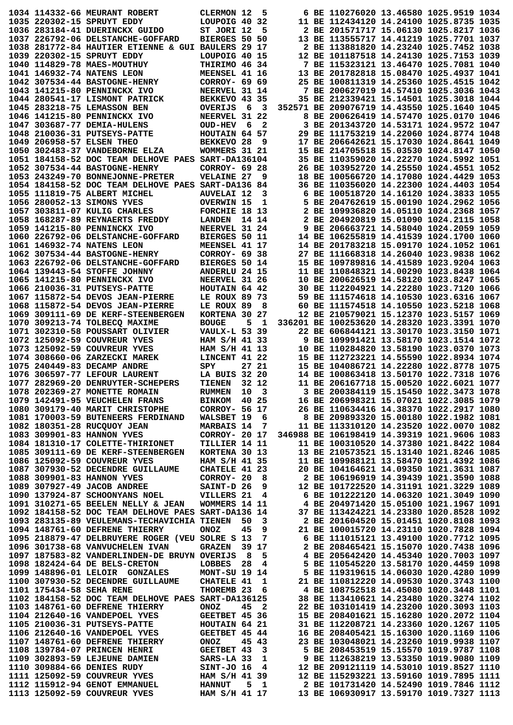|                          | 1034 114332-66 MEURANT ROBERT                                                                                                         | CLERMON 12<br>5                              |   | 6 BE 110276020 13.46580 1025.9519 1034                                                |
|--------------------------|---------------------------------------------------------------------------------------------------------------------------------------|----------------------------------------------|---|---------------------------------------------------------------------------------------|
|                          | 1035 220302-15 SPRUYT EDDY                                                                                                            | LOUPOIG 40 32                                |   | 11 BE 112434120 14.24100 1025.8735 1035                                               |
|                          | 1036 283184-41 DUERINCKX GUIDO                                                                                                        | ST JORI 12<br>- 5                            |   | 2 BE 201571717 15.06130 1025.8217 1036                                                |
|                          | 1037 226792-06 DELSTANCHE-GOFFARD                                                                                                     | BIERGES 50 50                                |   | 13 BE 113555717 14.41219 1025.7701 1037                                               |
|                          |                                                                                                                                       |                                              |   |                                                                                       |
|                          | 1038 281772-84 HAUTIER ETIENNE & GUI BAULERS 29 17                                                                                    |                                              |   | 2 BE 113881820 14.23240 1025.7452 1038                                                |
|                          | 1039 220302-15 SPRUYT EDDY                                                                                                            | LOUPOIG 40 15                                |   | 12 BE 101187518 14.24130 1025.7153 1039                                               |
|                          | 1040 114829-78 MAES-MOUTHUY                                                                                                           | THIRIMO 46 34                                |   | 7 BE 115323121 13.46470 1025.7081 1040                                                |
|                          | 1041 146932-74 NATENS LEON                                                                                                            | MEENSEL 41 16                                |   | 13 BE 201782818 15.08470 1025.4937 1041                                               |
|                          | 1042 307534-44 BASTOGNE-HENRY                                                                                                         | CORROY- 69 69                                |   | 25 BE 100811319 14.25360 1025.4515 1042                                               |
|                          | 1043 141215-80 PENNINCKX IVO                                                                                                          | NEERVEL 31 14                                |   | 7 BE 200627019 14.57410 1025.3036 1043                                                |
|                          | 1044 280541-17 LISMONT PATRICK                                                                                                        | BEKKEVO 43 35                                |   | 35 BE 212339421 15.14501 1025.3018 1044                                               |
|                          | 1045 283218-75 LEMASSON BEN                                                                                                           | OVERIJS<br>$\overline{\mathbf{3}}$<br>6      |   | 352571 BE 209076719 14.43550 1025.1640 1045                                           |
|                          | 1046 141215-80 PENNINCKX IVO                                                                                                          | NEERVEL 31 22                                |   | 8 BE 200626419 14.57470 1025.0170 1046                                                |
|                          | 1047 303687-77 DEMIA-HULENS                                                                                                           | $\overline{\mathbf{2}}$<br>OUD-HEV 6         |   | 3 BE 201343720 14.53171 1024.9572 1047                                                |
|                          | 1048 210036-31 PUTSEYS-PATTE                                                                                                          | HOUTAIN 64 57                                |   | 29 BE 111753219 14.22060 1024.8774 1048                                               |
|                          | 1049 206958-57 ELSEN THEO                                                                                                             | BEKKEVO 28<br>9                              |   | 17 BE 206642621 15.17030 1024.8641 1049                                               |
|                          | 1050 302483-37 VANDEBORNE ELZA                                                                                                        | WOMMERS 31 21                                |   | 15 BE 214705518 15.03530 1024.8147 1050                                               |
|                          | 1051 184158-52 DOC TEAM DELHOVE PAES SART-DA136104                                                                                    |                                              |   | 35 BE 110359020 14.22270 1024.5992 1051                                               |
|                          | 1052 307534-44 BASTOGNE-HENRY                                                                                                         | CORROY- 69 28                                |   | 26 BE 103952720 14.25550 1024.4551 1052                                               |
|                          | 1053 243249-70 BONNEJONNE-PRETER                                                                                                      | <b>VELAINE 27</b><br>9                       |   | 18 BE 100566720 14.17080 1024.4429 1053                                               |
|                          |                                                                                                                                       |                                              |   |                                                                                       |
|                          | 1054 184158-52 DOC TEAM DELHOVE PAES SART-DA136 84                                                                                    |                                              |   | 36 BE 110356020 14.22300 1024.4403 1054                                               |
|                          | 1055 111819-75 ALBERT MICHEL                                                                                                          | <b>AUVELAI 12</b><br>3                       | 6 | BE 100518720 14.16120 1024.3833 1055                                                  |
|                          | 1056 280052-13 SIMONS YVES                                                                                                            | <b>OVERWIN 15</b><br>1                       | 5 | BE 204762619 15.00190 1024.2962 1056                                                  |
|                          | 1057 303811-07 KULIG CHARLES                                                                                                          | FORCHIE 18 13                                |   | 2 BE 109936820 14.05110 1024.2368 1057                                                |
|                          | 1058 168287-89 REYNAERTS FREDDY                                                                                                       | LANDEN 14 14                                 |   | 2 BE 204920819 15.01090 1024.2115 1058                                                |
|                          | 1059 141215-80 PENNINCKX IVO                                                                                                          | NEERVEL 31 24                                |   | 9 BE 206663721 14.58040 1024.2059 1059                                                |
|                          | 1060 226792-06 DELSTANCHE-GOFFARD                                                                                                     | <b>BIERGES 50 11</b>                         |   | 14 BE 106255819 14.41539 1024.1700 1060                                               |
|                          | 1061 146932-74 NATENS LEON                                                                                                            | MEENSEL 41 17                                |   | 14 BE 201783218 15.09170 1024.1052 1061                                               |
|                          | 1062 307534-44 BASTOGNE-HENRY                                                                                                         | $CORROY - 69$ 38                             |   | 27 BE 111668318 14.26040 1023.9838 1062                                               |
|                          | 1063 226792-06 DELSTANCHE-GOFFARD                                                                                                     | BIERGES 50 14                                |   | 15 BE 109789816 14.41589 1023.9204 1063                                               |
|                          | 1064 139443-54 STOFFE JOHNNY                                                                                                          | <b>ANDERLU 24 15</b>                         |   | 11 BE 110848321 14.00290 1023.8438 1064                                               |
|                          | 1065 141215-80 PENNINCKX IVO                                                                                                          | NEERVEL 31 26                                |   | 10 BE 200626519 14.58120 1023.8247 1065                                               |
|                          | 1066 210036-31 PUTSEYS-PATTE                                                                                                          | HOUTAIN 64 42                                |   | 30 BE 112204921 14.22280 1023.7120 1066                                               |
|                          | 1067 115872-54 DEVOS JEAN-PIERRE                                                                                                      | LE ROUX 89 73                                |   | 59 BE 111574618 14.10530 1023.6316 1067                                               |
|                          | 1068 115872-54 DEVOS JEAN-PIERRE                                                                                                      | LE ROUX 89<br>- 8                            |   | 60 BE 111574518 14.10550 1023.5218 1068                                               |
|                          | 1069 309111-69 DE KERF-STEENBERGEN                                                                                                    | KORTENA 30 27                                |   | 12 BE 210579021 15.12370 1023.5157 1069                                               |
|                          |                                                                                                                                       |                                              |   |                                                                                       |
|                          | 1070 309213-74 TOLBECO MAXIME                                                                                                         | 5<br>1<br><b>BOUGE</b>                       |   | 336201 BE 100253620 14.28320 1023.3391 1070                                           |
|                          | 1071 302310-58 POUSSART OLIVIER                                                                                                       | <b>VAULX-L 53 39</b>                         |   | 22 BE 606844121 13.30170 1023.3150 1071                                               |
|                          | 1072 125092-59 COUVREUR YVES                                                                                                          | HAM S/H 41 33                                |   | 9 BE 109991421 13.58170 1023.1514 1072                                                |
|                          | 1073 125092-59 COUVREUR YVES                                                                                                          | HAM S/H 41 13                                |   | 10 BE 110284820 13.58190 1023.0370 1073                                               |
|                          | 1074 308660-06 ZARZECKI MAREK                                                                                                         | LINCENT 41 22                                |   | 15 BE 112723221 14.55590 1022.8934 1074                                               |
|                          | 1075 240449-83 DECAMP ANDRE                                                                                                           | 27 21<br>SPY                                 |   | 15 BE 104086721 14.22280 1022.8778 1075                                               |
|                          | 1076 306597-77 LEFOUR LAURENT                                                                                                         | LA BUIS 32 20                                |   | 14 BE 100863418 13.50170 1022.7318 1076                                               |
|                          | 1077 282969-20 DENRUYTER-SCHEPERS                                                                                                     | 32 12<br>TIENEN                              |   | 11 BE 206167718 15.00520 1022.6021 1077                                               |
|                          | 1078 202369-27 MONETTE ROMAIN                                                                                                         | RUMMEN 10 3                                  |   | 3 BE 200384119 15.15450 1022.3473 1078                                                |
|                          | 1079 142491-95 VEUCHELEN FRANS                                                                                                        | BINKOM 40 25                                 |   | 16 BE 206998321 15.07021 1022.3085 1079                                               |
|                          | 1080 309179-40 MARIT CHRISTOPHE                                                                                                       | CORROY- 56 17                                |   | 26 BE 110634416 14.38370 1022.2917 1080                                               |
|                          | 1081 170003-59 BUTENEERS FERDINAND                                                                                                    | WALSBET 19 6                                 |   | 8 BE 209893320 15.00180 1022.1982 1081                                                |
|                          | 1082 180351-28 RUCQUOY JEAN                                                                                                           | MARBAIS 14 7                                 |   | 11 BE 113310120 14.23520 1022.0070 1082                                               |
|                          | 1083 309901-83 HANNON YVES                                                                                                            | CORROY- 20 17                                |   | 346988 BE 106198419 14.39319 1021.9606 1083                                           |
|                          | 1084 181310-17 COLETTE-THIRIONET                                                                                                      | TILLIER 14 11                                |   | 11 BE 100310520 14.37380 1021.8422 1084                                               |
|                          | 1085 309111-69 DE KERF-STEENBERGEN                                                                                                    | KORTENA 30 13                                |   | 13 BE 210573521 15.13140 1021.8246 1085                                               |
|                          | 1086 125092-59 COUVREUR YVES                                                                                                          | HAM S/H 41 35                                |   | 11 BE 109988121 13.58470 1021.4392 1086                                               |
|                          | 1087 307930-52 DECENDRE GUILLAUME                                                                                                     | <b>CHATELE 41 23</b>                         |   | 20 BE 104164621 14.09350 1021.3631 1087                                               |
|                          |                                                                                                                                       |                                              |   | 2 BE 106196919 14.39439 1021.3590 1088                                                |
|                          |                                                                                                                                       |                                              |   |                                                                                       |
|                          |                                                                                                                                       |                                              |   | 12 BE 101722520 14.31191 1021.3229 1089                                               |
|                          |                                                                                                                                       |                                              |   | 6 BE 101222120 14.06320 1021.3049 1090                                                |
|                          | 1091 310271-65 BEELEN NELLY & JEAN WOMMERS 14 11                                                                                      |                                              |   | 4 BE 204971420 15.05100 1021.1967 1091                                                |
|                          | 1092 184158-52 DOC TEAM DELHOVE PAES SART-DA136 14                                                                                    |                                              |   | 37 BE 113424221 14.23380 1020.8528 1092                                               |
|                          | 1093 283135-89 VEULEMANS-TECHAVICHIA TIENEN 50 3                                                                                      |                                              |   | 2 BE 201604520 15.01451 1020.8108 1093                                                |
|                          | 1094 148761-60 DEFRENE THIERRY                                                                                                        | ONOZ<br>459                                  |   | 21 BE 100015720 14.23110 1020.7828 1094                                               |
|                          | 1095 218879-47 DELBRUYERE ROGER (VEU SOLRE S 13 7                                                                                     |                                              |   | 6 BE 111015121 13.49100 1020.7712 1095                                                |
|                          | 1096 301738-68 VANVUCHELEN IVAN                                                                                                       | GRAZEN 39 17                                 |   | 2 BE 208465421 15.15070 1020.7438 1096                                                |
|                          | 1097 187583-82 VANDERLINDEN-DE BRUYN OVERIJS 8                                                                                        | - 5                                          |   | 4 BE 205642420 14.45340 1020.7003 1097                                                |
|                          | 1098 182424-64 DE BELS-CRETON                                                                                                         | LOBBES 28<br>$\overline{\mathbf{4}}$         |   | 5 BE 110545220 13.58170 1020.4459 1098                                                |
|                          | 1099 148896-01 LELOIR GONZALES                                                                                                        | <b>MONT-SU 19 14</b>                         |   | 5 BE 119319615 14.06030 1020.4280 1099                                                |
|                          | 1100 307930-52 DECENDRE GUILLAUME                                                                                                     | <b>CHATELE 41</b><br>1                       |   | 21 BE 110812220 14.09530 1020.3743 1100                                               |
| 1101 175434-58 SEHA RENE |                                                                                                                                       | THOREMB 23 6                                 |   | 4 BE 108752518 14.45080 1020.3448 1101                                                |
|                          | 1102 184158-52 DOC TEAM DELHOVE PAES SART-DA136125                                                                                    |                                              |   | 38 BE 113410621 14.23480 1020.3274 1102                                               |
|                          | 1103 148761-60 DEFRENE THIERRY                                                                                                        | 45<br><b>ONOZ</b><br>$\overline{\mathbf{2}}$ |   | 22 BE 103101419 14.23200 1020.3093 1103                                               |
|                          | 1104 212640-16 VANDEPOEL YVES                                                                                                         |                                              |   | 15 BE 208401621 15.16280 1020.2072 1104                                               |
|                          | 1105 210036-31 PUTSEYS-PATTE                                                                                                          | <b>GEETBET 45 36<br/>HOUTAIN 64 21</b>       |   |                                                                                       |
|                          |                                                                                                                                       |                                              |   | 31 BE 112208721 14.23360 1020.1267 1105                                               |
|                          | 1106 212640-16 VANDEPOEL YVES GEETBET 45 44<br>1107 148761-60 DEFRENE THIERRY ONOZ 45 43<br>1108 139784-07 PRINCEN HENRI GEETBET 43 3 |                                              |   | 16 BE 208405421 15.16300 1020.1169 1106                                               |
|                          |                                                                                                                                       |                                              |   | 23 BE 103048021 14.23260 1019.9938 1107                                               |
|                          |                                                                                                                                       |                                              |   | 5 BE 208453519 15.15570 1019.9787 1108                                                |
|                          |                                                                                                                                       |                                              |   | 9 BE 112638219 13.53350 1019.9080 1109                                                |
|                          | 1109 302893-59 LEJEUNE DAMIEN SARS-LA 33 1<br>1110 309884-66 DENIES RUDY SINT-JO 16 4<br>1111 125092-59 COUVREUR YVES HAM S/H 41 39   |                                              |   | 12 BE 209121119 14.53010 1019.8527 1110                                               |
|                          |                                                                                                                                       |                                              |   | 12 BE 115293221 13.59160 1019.7895 1111                                               |
|                          |                                                                                                                                       |                                              |   |                                                                                       |
|                          | 1112 115912-94 GENOT EMMANUEL HANNUT 5 1<br>1113 125092-59 COUVREUR YVES HAM S/H 41 17                                                |                                              |   | 5 1 2 BE 101731420 14.52490 1019.7846 1112<br>13 BE 106930917 13.59170 1019.7327 1113 |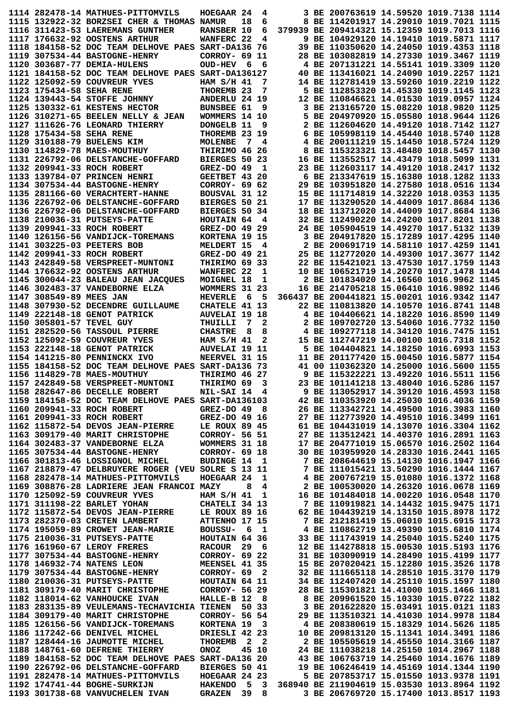|                          | 1114 282478-14 MATHUES-PITTOMVILS                                                                                                              | HOEGAAR 24                   | 4            |   |  | 3 BE 200763619 14.59520 1019.7138 1114      |  |
|--------------------------|------------------------------------------------------------------------------------------------------------------------------------------------|------------------------------|--------------|---|--|---------------------------------------------|--|
|                          | 1115 132922-32 BORZSEI CHER & THOMAS NAMUR                                                                                                     |                              | 18<br>6      |   |  | 8 BE 114201917 14.29010 1019.7021 1115      |  |
|                          | 1116 311423-53 LAEREMANS GUNTHER                                                                                                               | <b>RANSBER 10</b>            | 6            |   |  | 379939 BE 209414321 15.12359 1019.7013 1116 |  |
|                          | 1117 176632-92 OOSTENS ARTHUR                                                                                                                  | WANFERC 22                   | 4            |   |  | 9 BE 104929120 14.19410 1019.5871 1117      |  |
|                          | 1118 184158-52 DOC TEAM DELHOVE PAES SART-DA136 76                                                                                             |                              |              |   |  | 39 BE 110350620 14.24050 1019.4353 1118     |  |
|                          |                                                                                                                                                | CORROY- 69 11                |              |   |  |                                             |  |
|                          | 1119 307534-44 BASTOGNE-HENRY                                                                                                                  |                              |              |   |  | 28 BE 103082819 14.27330 1019.3467 1119     |  |
|                          | 1120 303687-77 DEMIA-HULENS                                                                                                                    | OUD-HEV 6                    | 6            |   |  | 4 BE 207131221 14.55141 1019.3309 1120      |  |
|                          | 1121 184158-52 DOC TEAM DELHOVE PAES SART-DA136127                                                                                             |                              |              |   |  | 40 BE 113416021 14.24090 1019.2257 1121     |  |
|                          | 1122 125092-59 COUVREUR YVES                                                                                                                   | HAM $S/H$ 41                 | 7            |   |  | 14 BE 112781419 13.59260 1019.2219 1122     |  |
| 1123 175434-58 SEHA RENE |                                                                                                                                                | THOREMB 23                   | 7            |   |  | 5 BE 112853320 14.45330 1019.1145 1123      |  |
|                          | 1124 139443-54 STOFFE JOHNNY                                                                                                                   | ANDERLU 24 19                |              |   |  | 12 BE 110846621 14.01530 1019.0957 1124     |  |
|                          | 1125 130332-61 KESTENS HECTOR                                                                                                                  | <b>BUNSBEE 61</b>            | 9            |   |  | 3 BE 213165720 15.08220 1018.9820 1125      |  |
|                          | 1126 310271-65 BEELEN NELLY & JEAN                                                                                                             | WOMMERS 14 10                |              | 5 |  | BE 204970920 15.05580 1018.9644 1126        |  |
|                          | 1127 111626-76 LEONARD THIERRY                                                                                                                 | DONGELB 11                   | 9            |   |  | 2 BE 112604620 14.49120 1018.7142 1127      |  |
| 1128 175434-58 SEHA RENE |                                                                                                                                                | THOREMB 23 19                |              |   |  | 6 BE 105998119 14.45440 1018.5740 1128      |  |
|                          | 1129 310188-79 BUELENS KIM                                                                                                                     | <b>MOLENBE</b>               | 7<br>4       | 4 |  | BE 200111219 15.14450 1018.5724 1129        |  |
|                          | 1130 114829-78 MAES-MOUTHUY                                                                                                                    | THIRIMO 46 26                |              | 8 |  | BE 115323321 13.48480 1018.5457 1130        |  |
|                          | 1131 226792-06 DELSTANCHE-GOFFARD                                                                                                              | BIERGES 50 23                |              |   |  | 16 BE 113552517 14.43479 1018.5099 1131     |  |
|                          |                                                                                                                                                |                              |              |   |  |                                             |  |
|                          | 1132 209941-33 ROCH ROBERT                                                                                                                     | $GREZ-DO$ 49                 | 1            |   |  | 23 BE 112603117 14.49120 1018.2417 1132     |  |
|                          | 1133 139784-07 PRINCEN HENRI                                                                                                                   | GEETBET 43 20                |              |   |  | 6 BE 213347619 15.16380 1018.1282 1133      |  |
|                          | 1134 307534-44 BASTOGNE-HENRY                                                                                                                  | $CORROY - 6962$              |              |   |  | 29 BE 103951820 14.27580 1018.0516 1134     |  |
|                          | 1135 281166-60 VERACHTERT-HANNE                                                                                                                | BOUSVAL 31 12                |              |   |  | 15 BE 111714819 14.32220 1018.0353 1135     |  |
|                          | 1136 226792-06 DELSTANCHE-GOFFARD                                                                                                              | BIERGES 50 21                |              |   |  | 17 BE 113290520 14.44009 1017.8684 1136     |  |
|                          | 1136 226792-06 DELSTANCHE-GOFFARD                                                                                                              | BIERGES 50 34                |              |   |  | 18 BE 113712020 14.44009 1017.8684 1136     |  |
|                          | 1138 210036-31 PUTSEYS-PATTE                                                                                                                   | HOUTAIN 64                   | 4            |   |  | 32 BE 112490220 14.24200 1017.8201 1138     |  |
|                          | 1139 209941-33 ROCH ROBERT                                                                                                                     | $GREZ-DO$ 49 29              |              |   |  | 24 BE 105904519 14.49270 1017.5132 1139     |  |
|                          | 1140 126156-56 VANDIJCK-TOREMANS                                                                                                               | KORTENA 19 15                |              |   |  | 3 BE 204917820 15.17289 1017.4295 1140      |  |
|                          | 1141 303225-03 PEETERS BOB                                                                                                                     | MELDERT 15                   | 4            | 2 |  | BE 200691719 14.58110 1017.4259 1141        |  |
|                          | 1142 209941-33 ROCH ROBERT                                                                                                                     | $GREZ-DO$ 49 21              |              |   |  | 25 BE 112772020 14.49300 1017.3677 1142     |  |
|                          |                                                                                                                                                |                              |              |   |  | 22 BE 115421021 13.47530 1017.1759 1143     |  |
|                          | 1143 242849-58 VERSPREET-MUNTONI                                                                                                               | THIRIMO 69 33                |              |   |  |                                             |  |
|                          | 1144 176632-92 OOSTENS ARTHUR                                                                                                                  | WANFERC 22                   | 1            |   |  | 10 BE 106521719 14.20270 1017.1478 1144     |  |
|                          | 1145 300044-23 BALEAU JEAN JACQUES                                                                                                             | MOIGNEL 18                   | 1            |   |  | 2 BE 101834020 14.16560 1016.9962 1145      |  |
|                          | 1146 302483-37 VANDEBORNE ELZA                                                                                                                 | WOMMERS 31 23                |              |   |  | 16 BE 214705218 15.06410 1016.9892 1146     |  |
| 1147 308549-89 MEES JAN  |                                                                                                                                                | <b>HEVERLE</b>               | 6<br>5       |   |  | 366437 BE 200441821 15.00201 1016.9342 1147 |  |
|                          | 1148 307930-52 DECENDRE GUILLAUME                                                                                                              | CHATELE 41 13                |              |   |  | 22 BE 110813820 14.10570 1016.8741 1148     |  |
|                          | 1149 222148-18 GENOT PATRICK                                                                                                                   | <b>AUVELAI 19 18</b>         |              |   |  | 4 BE 104406621 14.18220 1016.8590 1149      |  |
| 1150 305801-57 TEVEL GUY |                                                                                                                                                | THUILLI                      | 7<br>2       |   |  | 2 BE 109702720 13.54060 1016.7732 1150      |  |
|                          | 1151 282520-56 TASSOUL PIERRE                                                                                                                  | <b>CHASTRE</b>               | 8<br>8       |   |  | 4 BE 109277118 14.34120 1016.7475 1151      |  |
|                          | 1152 125092-59 COUVREUR YVES                                                                                                                   | HAM $S/H$ 41                 | 2            |   |  | 15 BE 112747219 14.00100 1016.7318 1152     |  |
|                          | 1153 222148-18 GENOT PATRICK                                                                                                                   | <b>AUVELAI 19 11</b>         |              |   |  | 5 BE 104404821 14.18250 1016.6993 1153      |  |
|                          | 1154 141215-80 PENNINCKX IVO                                                                                                                   | NEERVEL 31 15                |              |   |  | 11 BE 201177420 15.00450 1016.5877 1154     |  |
|                          | 1155 184158-52 DOC TEAM DELHOVE PAES SART-DA136 73                                                                                             |                              |              |   |  | 41 00 110362320 14.25000 1016.5600 1155     |  |
|                          | 1156 114829-78 MAES-MOUTHUY                                                                                                                    |                              |              |   |  | 9 BE 115322221 13.49220 1016.5511 1156      |  |
|                          |                                                                                                                                                | <b>THIRIMO 46 27</b>         |              |   |  |                                             |  |
|                          | 1157 242849-58 VERSPREET-MUNTONI                                                                                                               | THIRIMO 69                   | 3            |   |  | 23 BE 101141218 13.48040 1016.5286 1157     |  |
|                          | 1158 282647-86 DECELLE ROBERT                                                                                                                  | NIL-SAI 14                   | 4            |   |  | 9 BE 113052917 14.39120 1016.4593 1158      |  |
|                          | 1159 184158-52 DOC TEAM DELHOVE PAES SART-DA136103                                                                                             |                              |              |   |  | 42 BE 110353920 14.25030 1016.4036 1159     |  |
|                          | 1160 209941-33 ROCH ROBERT                                                                                                                     | $GREZ-DO 49 8$               |              |   |  | 26 BE 113342721 14.49500 1016.3983 1160     |  |
|                          | 1161 209941-33 ROCH ROBERT                                                                                                                     | <b>GREZ-DO 49 16</b>         |              |   |  | 27 BE 112773920 14.49510 1016.3499 1161     |  |
|                          | 1162 115872-54 DEVOS JEAN-PIERRE LE ROUX 89 45                                                                                                 |                              |              |   |  | 61 BE 104431019 14.13070 1016.3304 1162     |  |
|                          | 1163 309179-40 MARIT CHRISTOPHE                                                                                                                | CORROY- 56 51                |              |   |  | 27 BE 113512421 14.40370 1016.2891 1163     |  |
|                          | 1164 302483-37 VANDEBORNE ELZA                                                                                                                 | WOMMERS 31 18                |              |   |  | 17 BE 204771019 15.06570 1016.2502 1164     |  |
|                          | 1165 307534-44 BASTOGNE-HENRY                                                                                                                  | CORROY- 69 18                |              |   |  | 30 BE 103959920 14.28330 1016.2441 1165     |  |
|                          | 1166 301813-46 LOSSIGNOL MICHEL                                                                                                                | <b>BUDINGE 14 1</b>          |              |   |  | 7 BE 208644619 15.14130 1016.1947 1166      |  |
|                          | 1167 218879-47 DELBRUYERE ROGER (VEU SOLRE S 13 11                                                                                             |                              |              |   |  | 7 BE 111015421 13.50290 1016.1444 1167      |  |
|                          | 1168 282478-14 MATHUES-PITTOMVILS                                                                                                              | HOEGAAR 24                   | $\mathbf{1}$ |   |  | 4 BE 200767219 15.01080 1016.1372 1168      |  |
|                          | 1169 308876-28 LADRIERE JEAN FRANCOI MAZY                                                                                                      |                              | 8 4          |   |  | 2 BE 100530020 14.26320 1016.0678 1169      |  |
|                          | 1170 125092-59 COUVREUR YVES                                                                                                                   | HAM S/H 41 1                 |              |   |  | 16 BE 101484018 14.00220 1016.0548 1170     |  |
|                          |                                                                                                                                                |                              |              |   |  |                                             |  |
|                          | 1171 311198-22 BARLET YOHAN                                                                                                                    | CHATELI 34 13                |              |   |  | 7 BE 110919821 14.14432 1015.9475 1171      |  |
|                          | 1172 115872-54 DEVOS JEAN-PIERRE                                                                                                               | LE ROUX 89 16                |              |   |  | 62 BE 104439219 14.13150 1015.8978 1172     |  |
|                          | 1173 282370-03 CRETEN LAMBERT                                                                                                                  | <b>ATTENHO 17 15</b>         |              |   |  | 7 BE 212181419 15.06010 1015.6915 1173      |  |
|                          | 1174 195059-89 CROWET JEAN-MARIE                                                                                                               | BOUSSU- 6 1                  |              |   |  | 4 BE 110862719 13.49390 1015.6810 1174      |  |
|                          | 1175 210036-31 PUTSEYS-PATTE                                                                                                                   |                              |              |   |  | 33 BE 111743919 14.25040 1015.5240 1175     |  |
|                          | 1176 161960-67 LEROY FRERES                                                                                                                    | HOUTAIN 64 36<br>RACOUR 29 6 |              |   |  | 12 BE 114278818 15.00530 1015.5193 1176     |  |
|                          | 1177 307534-44 BASTOGNE-HENRY CORROY- 69 22<br>1178 146932-74 NATENS LEON MEENSEL 41 35<br>1179 307534-44 BASTOGNE-HENRY CORROY- 69 2          |                              |              |   |  | 31 BE 103090919 14.28490 1015.4199 1177     |  |
|                          |                                                                                                                                                |                              |              |   |  | 15 BE 207020421 15.12280 1015.3526 1178     |  |
|                          |                                                                                                                                                |                              |              |   |  | 32 BE 111665118 14.28510 1015.3170 1179     |  |
|                          |                                                                                                                                                |                              |              |   |  | 34 BE 112407420 14.25110 1015.1597 1180     |  |
|                          | 1180 210036-31 PUTSEYS-PATTE           HOUTAIN 64 11<br>1181 309179-40 MARIT CHRISTOPHE       CORROY- 56 29<br>1181 309179-40 MARIT CHRISTOPHE | CORROY- 56 29                |              |   |  | 28 BE 115301821 14.41000 1015.1466 1181     |  |
|                          | 1182 118014-62 VANHOUCKE IVAN                                                                                                                  | HALLE-B 12 8                 |              |   |  | 8 BE 209961520 15.10330 1015.0722 1182      |  |
|                          | 1183 283135-89 VEULEMANS-TECHAVICHIA TIENEN 50 33                                                                                              |                              |              |   |  | 3 BE 201622820 15.03491 1015.0121 1183      |  |
|                          | 1184 309179-40 MARIT CHRISTOPHE                                                                                                                | CORROY- 56 54                |              |   |  | 29 BE 113510321 14.41030 1014.9978 1184     |  |
|                          |                                                                                                                                                |                              |              |   |  |                                             |  |
|                          | 1185 126156-56 VANDIJCK-TOREMANS                                                                                                               | KORTENA 19 3                 |              |   |  | 4 BE 208380619 15.18329 1014.5626 1185      |  |
|                          | 1186 117242-66 DENIVEL MICHEL                                                                                                                  | DRIESLI 42 23                |              |   |  | 10 BE 209813120 15.11341 1014.3491 1186     |  |
|                          | 1187 128444-16 JAUMOTTE MICHEL                                                                                                                 | THOREMB <sub>2</sub> 2       |              |   |  | 2 BE 105505619 14.45550 1014.3166 1187      |  |
|                          | 1188 148761-60 DEFRENE THIERRY                                                                                                                 | <b>ONOZ</b>                  | 45 10        |   |  | 24 BE 111038218 14.25150 1014.2967 1188     |  |
|                          | 1189 184158-52 DOC TEAM DELHOVE PAES SART-DA136 20                                                                                             |                              |              |   |  | 43 BE 106763719 14.25460 1014.1676 1189     |  |
|                          | 1190 226792-06 DELSTANCHE-GOFFARD                                                                                                              | BIERGES 50 41                |              |   |  | 19 BE 106246419 14.45169 1014.1344 1190     |  |
|                          | 1191 282478-14 MATHUES-PITTOMVILS                                                                                                              | HOEGAAR 24 23                |              |   |  | 5 BE 207853717 15.01550 1013.9378 1191      |  |
|                          | 1192 174741-44 BOGHE-SURKIJN                                                                                                                   | HAKENDO 5 3                  |              |   |  | 368940 BE 211904619 15.03530 1013.8964 1192 |  |
|                          | 1193 301738-68 VANVUCHELEN IVAN                                                                                                                | GRAZEN 39 8                  |              |   |  | 3 BE 206769720 15.17400 1013.8517 1193      |  |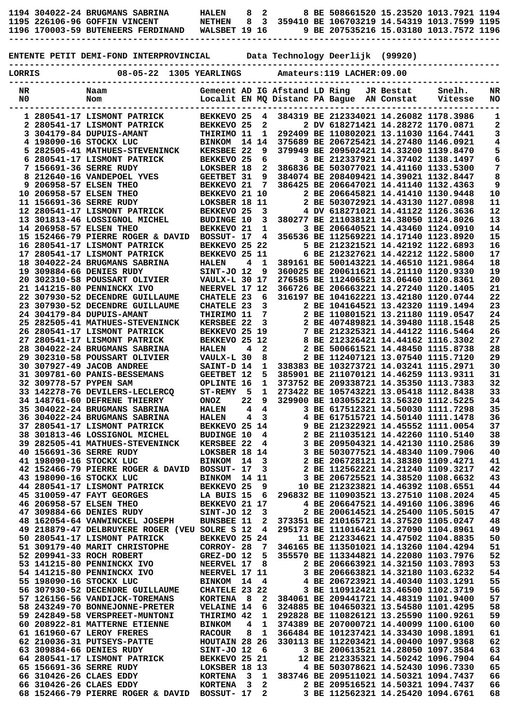**1194 304022-24 BRUGMANS SABRINA HALEN 8 2 8 BE 508661520 15.23520 1013.7921 1194 1195 226106-96 GOFFIN VINCENT NETHEN 8 3 359410 BE 106703219 14.54319 1013.7599 1195 1196 170003-59 BUTENEERS FERDINAND WALSBET 19 16 9 BE 207535216 15.03180 1013.7572 1196 -----------------------------------------------------------------------------------------------**

| LORRIS   | 08-05-22                                                        | 1305 YEARLINGS                     |         |                   |                                                                            | Amateurs:119 LACHER:09.00 |           |                                                                                  |          |
|----------|-----------------------------------------------------------------|------------------------------------|---------|-------------------|----------------------------------------------------------------------------|---------------------------|-----------|----------------------------------------------------------------------------------|----------|
| NR<br>N0 | Naam<br>Nom                                                     |                                    |         |                   | Gemeent AD IG Afstand LD Ring<br>Localit EN MQ Distanc PA Bague AN Constat |                           | JR Bestat | Snelh.<br>Vitesse                                                                | NR<br>NO |
|          | 1 280541-17 LISMONT PATRICK                                     | BEKKEVO 25                         |         | 4                 |                                                                            |                           |           | 384319 BE 212334021 14.26082 1178.3986                                           | 1        |
|          | 2 280541-17 LISMONT PATRICK                                     | BEKKEVO <sub>25</sub>              |         | $\overline{2}$    |                                                                            |                           |           | 2 DV 618271421 14.28272 1170.0871                                                | 2        |
|          | 3 304179-84 DUPUIS-AMANT                                        | THIRIMO 11                         |         | 1                 |                                                                            |                           |           | 292409 BE 110802021 13.11030 1164.7441                                           | 3        |
|          | 4 198090-16 STOCKX LUC                                          | <b>BINKOM</b>                      |         | 14 14             |                                                                            |                           |           | 375689 BE 206725421 14.27480 1146.0921                                           | 4        |
|          | 5 282505-41 MATHUES-STEVENINCK                                  | <b>KERSBEE 22</b>                  |         | 9                 |                                                                            |                           |           | 379949 BE 209502421 14.33200 1139.8470                                           | 5<br>6   |
|          | 6 280541-17 LISMONT PATRICK<br>7 156691-36 SERRE RUDY           | BEKKEVO 25<br>LOKSBER 18           |         | 6<br>$\mathbf{2}$ |                                                                            |                           |           | 3 BE 212337921 14.37402 1138.1497<br>386836 BE 503077021 14.41160 1133.5300      | 7        |
|          | 8 212640-16 VANDEPOEL YVES                                      | <b>GEETBET 31</b>                  |         | 9                 |                                                                            |                           |           | 384074 BE 208409421 14.39021 1132.8447                                           | 8        |
|          | 9 206958-57 ELSEN THEO                                          | <b>BEKKEVO 21</b>                  |         | 7                 |                                                                            |                           |           | 386425 BE 206647021 14.41140 1132.4363                                           | 9        |
|          | 10 206958-57 ELSEN THEO                                         | BEKKEVO 21 10                      |         |                   |                                                                            |                           |           | 2 BE 206645821 14.41410 1130.9448                                                | 10       |
|          | 11 156691-36 SERRE RUDY                                         | LOKSBER 18 11                      |         |                   |                                                                            |                           |           | 2 BE 503072921 14.43130 1127.0898                                                | 11       |
|          | 12 280541-17 LISMONT PATRICK<br>13 301813-46 LOSSIGNOL MICHEL   | BEKKEVO 25<br><b>BUDINGE 10</b>    |         | 3<br>3            |                                                                            |                           |           | 4 DV 618271021 14.41122 1126.3636<br>380277 BE 211038121 14.38050 1124.8026      | 12<br>13 |
|          | 14 206958-57 ELSEN THEO                                         | BEKKEVO <sub>21</sub>              |         | 1                 |                                                                            |                           |           | 3 BE 206640521 14.43460 1124.0910                                                | 14       |
|          | 15 152466-79 PIERRE ROGER & DAVID                               | BOSSUT- 17                         |         | 4                 |                                                                            |                           |           | 356536 BE 112569221 14.17140 1123.8920                                           | 15       |
|          | 16 280541-17 LISMONT PATRICK                                    | BEKKEVO 25 22                      |         |                   |                                                                            |                           |           | 5 BE 212321521 14.42192 1122.6893                                                | 16       |
|          | 17 280541-17 LISMONT PATRICK                                    | BEKKEVO 25 11                      |         |                   |                                                                            |                           |           | 6 BE 212327621 14.42212 1122.5800                                                | 17       |
|          | 18 304022-24 BRUGMANS SABRINA                                   | <b>HALEN</b>                       | 4       | - 1               |                                                                            |                           |           | 389161 BE 500143221 14.46510 1121.9864                                           | 18       |
|          | 19 309884-66 DENIES RUDY<br>20 302310-58 POUSSART OLIVIER       | SINT-JO 12<br><b>VAULX-L 30 17</b> |         | 9                 |                                                                            |                           |           | 360025 BE 200611621 14.21110 1120.9330<br>276585 BE 112406521 13.06460 1120.8361 | 19<br>20 |
|          | 21 141215-80 PENNINCKX IVO                                      | NEERVEL 17 12                      |         |                   |                                                                            |                           |           | 366726 BE 206663221 14.27240 1120.1405                                           | 21       |
|          | 22 307930-52 DECENDRE GUILLAUME                                 | <b>CHATELE 23</b>                  |         | 6                 |                                                                            |                           |           | 316197 BE 104162221 13.42180 1120.0744                                           | 22       |
|          | 23 307930-52 DECENDRE GUILLAUME                                 | <b>CHATELE 23</b>                  |         | 3                 |                                                                            |                           |           | 2 BE 104164521 13.42320 1119.1494                                                | 23       |
|          | 24 304179-84 DUPUIS-AMANT                                       | THIRIMO 11                         |         | 7                 |                                                                            |                           |           | 2 BE 110801521 13.21180 1119.0547                                                | 24       |
|          | 25 282505-41 MATHUES-STEVENINCK                                 | <b>KERSBEE 22</b>                  |         | 3                 |                                                                            |                           |           | 2 BE 407489821 14.39480 1118.1548                                                | 25       |
|          | 26 280541-17 LISMONT PATRICK<br>27 280541-17 LISMONT PATRICK    | BEKKEVO 25 19<br>BEKKEVO 25 12     |         |                   |                                                                            |                           |           | 7 BE 212325321 14.44122 1116.5464<br>8 BE 212326421 14.44162 1116.3302           | 26<br>27 |
|          | 28 304022-24 BRUGMANS SABRINA                                   | <b>HALEN</b>                       | 4       | 2                 |                                                                            |                           |           | 2 BE 500661521 14.48450 1115.8738                                                | 28       |
|          | 29 302310-58 POUSSART OLIVIER                                   | VAULX-L 30                         |         | 8                 |                                                                            |                           |           | 2 BE 112407121 13.07540 1115.7120                                                | 29       |
|          | 30 307927-49 JACOB ANDREE                                       | SAINT-D 14                         |         | 1                 |                                                                            |                           |           | 338383 BE 103273721 14.03241 1115.2971                                           | 30       |
|          | 31 309781-60 PANIS-BESSEMANS                                    | GEETBET 12                         |         | 5                 |                                                                            |                           |           | 385901 BE 211070121 14.46259 1113.9311                                           | 31       |
|          | 32 309778-57 PYPEN SAM                                          | OPLINTE 16                         |         | 1                 |                                                                            |                           |           | 373752 BE 209338721 14.35350 1113.7383                                           | 32       |
|          | 33 142278-76 DEVILERS-LECLERCO<br>34 148761-60 DEFRENE THIERRY  | <b>ST-REMY</b><br><b>ONOZ</b>      | 5<br>22 | 1<br>9            |                                                                            |                           |           | 273422 BE 105743221 13.05418 1112.8438<br>329900 BE 103055221 13.56320 1112.5225 | 33<br>34 |
|          | 35 304022-24 BRUGMANS SABRINA                                   | <b>HALEN</b>                       | 4       | 4                 |                                                                            |                           |           | 3 BE 617512321 14.50030 1111.7298                                                | 35       |
|          | 36 304022-24 BRUGMANS SABRINA                                   | <b>HALEN</b>                       | 4       | 3                 |                                                                            |                           |           | 4 BE 617515721 14.50140 1111.1478                                                | 36       |
|          | 37 280541-17 LISMONT PATRICK                                    | BEKKEVO 25 14                      |         |                   |                                                                            |                           |           | 9 BE 212322921 14.45552 1111.0054                                                | 37       |
|          | 38 301813-46 LOSSIGNOL MICHEL                                   | <b>BUDINGE 10</b>                  |         | 4                 |                                                                            |                           |           | 2 BE 211035121 14.42260 1110.5140                                                | 38       |
|          | 39 282505-41 MATHUES-STEVENINCK<br>40 156691-36 SERRE RUDY      | <b>KERSBEE 22</b><br>LOKSBER 18 14 |         | 4                 |                                                                            |                           |           | 3 BE 209504321 14.42130 1110.2586<br>3 BE 503077521 14.48340 1109.7906           | 39<br>40 |
|          | 41 198090-16 STOCKX LUC                                         | <b>BINKOM</b>                      | 14      | 3                 |                                                                            |                           |           | 2 BE 206728121 14.38380 1109.4271                                                | 41       |
|          | 42 152466-79 PIERRE ROGER & DAVID BOSSUT- 17                    |                                    |         | 3                 |                                                                            |                           |           | 2 BE 112562221 14.21240 1109.3217                                                | 42       |
|          | 43 198090-16 STOCKX LUC                                         | BINKOM 14 11                       |         |                   |                                                                            |                           |           | 3 BE 206725521 14.38520 1108.6632                                                | 43       |
|          | 44 280541-17 LISMONT PATRICK                                    | BEKKEVO 25                         |         | 9                 |                                                                            |                           |           | 10 BE 212323821 14.46392 1108.6551                                               | 44       |
|          | 45 310059-47 FAYT GEORGES                                       | LA BUIS 15                         |         | 6                 |                                                                            |                           |           | 296832 BE 110903521 13.27510 1108.2024                                           | 45       |
|          | 46 206958-57 ELSEN THEO<br>47 309884-66 DENIES RUDY             | BEKKEVO 21 17<br>SINT-JO 12        |         | 3                 |                                                                            |                           |           | 4 BE 206647521 14.49160 1106.3896<br>2 BE 200614521 14.25400 1105.5015           | 46<br>47 |
|          | 48 162054-64 VANWINCKEL JOSEPH                                  | <b>BUNSBEE 11</b>                  |         | 2                 |                                                                            |                           |           | 373351 BE 210165721 14.37520 1105.0247                                           | 48       |
|          | 49 218879-47 DELBRUYERE ROGER (VEU SOLRE S 12                   |                                    |         | 4                 |                                                                            |                           |           | 295173 BE 111016421 13.27090 1104.8961                                           | 49       |
|          | 50 280541-17 LISMONT PATRICK                                    | BEKKEVO 25 24                      |         |                   |                                                                            |                           |           | 11 BE 212334621 14.47502 1104.8835                                               | 50       |
|          | 51 309179-40 MARIT CHRISTOPHE                                   | CORROY- 28                         |         | 7                 |                                                                            |                           |           | 346165 BE 113501021 14.13260 1104.4294                                           | 51       |
|          | 52 209941-33 ROCH ROBERT<br>53 141215-80 PENNINCKX IVO          | GREZ-DO 12                         |         | 5<br>8            |                                                                            |                           |           | 355570 BE 113344821 14.22080 1103.7976<br>2 BE 206663921 14.32150 1103.7893      | 52<br>53 |
|          | 54 141215-80 PENNINCKX IVO                                      | <b>NEERVEL 17</b><br>NEERVEL 17 11 |         |                   |                                                                            |                           |           | 3 BE 206663821 14.32180 1103.6232                                                | 54       |
|          | 55 198090-16 STOCKX LUC                                         | BINKOM 14                          |         | 4                 |                                                                            |                           |           | 4 BE 206723921 14.40340 1103.1291                                                | 55       |
|          | 56 307930-52 DECENDRE GUILLAUME                                 | CHATELE 23 22                      |         |                   |                                                                            |                           |           | 3 BE 110912421 13.46500 1102.3719                                                | 56       |
|          | 57 126156-56 VANDIJCK-TOREMANS                                  | <b>KORTENA</b>                     | - 8     | 2                 |                                                                            |                           |           | 384061 BE 209441721 14.48319 1101.9400                                           | 57       |
|          | 58 243249-70 BONNEJONNE-PRETER                                  | <b>VELAINE 14</b>                  |         | 6                 |                                                                            |                           |           | 324885 BE 104650321 13.54580 1101.4295                                           | 58       |
|          | 59 242849-58 VERSPREET-MUNTONI<br>60 208922-81 MATTERNE ETIENNE | THIRIMO 42<br><b>BINKOM</b>        | 4       | 1<br>1            |                                                                            |                           |           | 292828 BE 110826121 13.25590 1100.9261<br>374389 BE 207000721 14.40099 1100.6100 | 59<br>60 |
|          | 61 161960-67 LEROY FRERES                                       | <b>RACOUR</b>                      | 8       | 1                 |                                                                            |                           |           | 366484 BE 101237421 14.33430 1098.1891                                           | 61       |
|          | 62 210036-31 PUTSEYS-PATTE                                      | HOUTAIN 28 26                      |         |                   |                                                                            |                           |           | 330113 BE 112203421 14.00400 1097.9368                                           | 62       |
|          | 63 309884-66 DENIES RUDY                                        | $SINT-JO$ 12 6                     |         |                   |                                                                            |                           |           | 3 BE 200613521 14.28050 1097.3584                                                | 63       |
|          | 64 280541-17 LISMONT PATRICK                                    | BEKKEVO 25 21                      |         |                   |                                                                            |                           |           | 12 BE 212335321 14.50242 1096.7904                                               | 64       |
|          | 65 156691-36 SERRE RUDY<br>66 310426-26 CLAES EDDY              | LOKSBER 18 13                      |         |                   |                                                                            |                           |           | 4 BE 503078621 14.52430 1096.7330<br>383746 BE 209511021 14.50321 1094.7437      | 65<br>66 |
|          | 66 310426-26 CLAES EDDY                                         | KORTENA 3<br><b>KORTENA</b>        | - 3     | 1<br>2            |                                                                            |                           |           | 2 BE 209516521 14.50321 1094.7437                                                | 66       |
|          | 68 152466-79 PIERRE ROGER & DAVID                               | BOSSUT- 17                         |         | 2                 |                                                                            |                           |           | 3 BE 112562321 14.25420 1094.6761                                                | 68       |
|          |                                                                 |                                    |         |                   |                                                                            |                           |           |                                                                                  |          |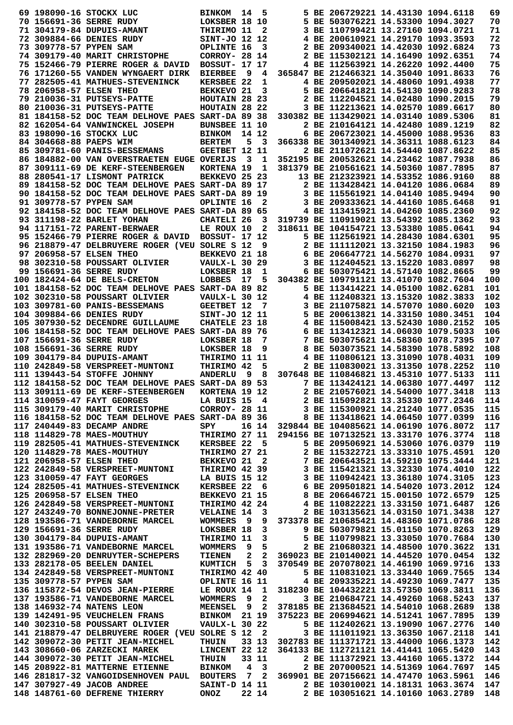|                         | 69 198090-16 STOCKX LUC                                                               | <b>BINKOM</b>        | 14                      | 5                       |                                                                                                             | 5 BE 206729221 14.43130 1094.6118      |  | 69       |
|-------------------------|---------------------------------------------------------------------------------------|----------------------|-------------------------|-------------------------|-------------------------------------------------------------------------------------------------------------|----------------------------------------|--|----------|
|                         | 70 156691-36 SERRE RUDY                                                               | LOKSBER 18 10        |                         |                         |                                                                                                             | 5 BE 503076221 14.53300 1094.3027      |  | 70       |
|                         | 71 304179-84 DUPUIS-AMANT                                                             | THIRIMO 11           |                         | $\mathbf{2}$            |                                                                                                             | 3 BE 110799421 13.27160 1094.0721      |  | 71       |
|                         | 72 309884-66 DENIES RUDY                                                              | SINT-JO 12 12        |                         |                         |                                                                                                             | 4 BE 200610921 14.29170 1093.3593      |  | 72       |
| 73 309778-57 PYPEN SAM  |                                                                                       | OPLINTE 16           |                         | 3                       |                                                                                                             | 2 BE 209340021 14.42030 1092.6824      |  | 73       |
|                         | 74 309179-40 MARIT CHRISTOPHE                                                         | CORROY- 28 14        |                         |                         |                                                                                                             | 2 BE 115302121 14.16490 1092.6351      |  | 74       |
|                         | 75 152466-79 PIERRE ROGER & DAVID                                                     | <b>BOSSUT- 17 17</b> |                         |                         |                                                                                                             | 4 BE 112563921 14.26220 1092.4400      |  | 75       |
|                         | 76 171260-55 VANDEN WYNGAERT DIRK                                                     | <b>BIERBEE</b>       | - 9                     | 4                       |                                                                                                             | 365847 BE 212466321 14.35040 1091.8633 |  | 76       |
|                         | 77 282505-41 MATHUES-STEVENINCK                                                       | <b>KERSBEE 22</b>    |                         | 1                       |                                                                                                             | 4 BE 209502021 14.48060 1091.4938      |  | 77       |
|                         | 78 206958-57 ELSEN THEO                                                               | BEKKEVO 21           |                         | 3                       |                                                                                                             | 5 BE 206641821 14.54130 1090.9283      |  | 78       |
|                         | 79 210036-31 PUTSEYS-PATTE                                                            | HOUTAIN 28 23        |                         |                         |                                                                                                             | 2 BE 112204521 14.02480 1090.2015      |  | 79       |
|                         | 80 210036-31 PUTSEYS-PATTE                                                            | HOUTAIN 28 22        |                         |                         |                                                                                                             | 3 BE 112213621 14.02570 1089.6617      |  | 80       |
|                         | 81 184158-52 DOC TEAM DELHOVE PAES SART-DA 89 38                                      |                      |                         |                         |                                                                                                             | 330382 BE 113429021 14.03140 1089.5306 |  | 81       |
|                         | 82 162054-64 VANWINCKEL JOSEPH                                                        | <b>BUNSBEE 11 10</b> |                         |                         |                                                                                                             | 2 BE 210164121 14.42480 1089.1219      |  | 82       |
|                         | 83 198090-16 STOCKX LUC                                                               | <b>BINKOM</b>        |                         | 14 12                   |                                                                                                             | 6 BE 206723021 14.45000 1088.9536      |  | 83       |
| 84 304668-88 PAEPS WIM  |                                                                                       | <b>BERTEM</b>        | 5                       | - 3                     |                                                                                                             | 366338 BE 301340921 14.36311 1088.6123 |  | 84       |
|                         |                                                                                       | GEETBET 12 11        |                         |                         |                                                                                                             | 2 BE 211072621 14.54440 1087.8622      |  | 85       |
|                         | 85 309781-60 PANIS-BESSEMANS<br>86 184882-00 VAN OVERSTRAETEN EUGE OVERIJS            |                      | $\overline{\mathbf{3}}$ | 1                       |                                                                                                             | 352195 BE 200532621 14.23462 1087.7938 |  | 86       |
|                         | 87 309111-69 DE KERF-STEENBERGEN                                                      | KORTENA 19           |                         | 1                       |                                                                                                             | 381379 BE 210561621 14.50360 1087.7895 |  | 87       |
|                         |                                                                                       |                      |                         |                         |                                                                                                             | 13 BE 212323921 14.53352 1086.9160     |  |          |
|                         | 88 280541-17 LISMONT PATRICK<br>89 184158-52 DOC TEAM DELHOVE PAES SART-DA 89 17      | BEKKEVO 25 23        |                         |                         |                                                                                                             | 2 BE 113428421 14.04120 1086.0684      |  | 88<br>89 |
|                         |                                                                                       |                      |                         |                         |                                                                                                             |                                        |  | 90       |
|                         | 90 184158-52 DOC TEAM DELHOVE PAES SART-DA 89 19                                      |                      |                         |                         |                                                                                                             | 3 BE 115561921 14.04140 1085.9494      |  |          |
| 91 309778-57 PYPEN SAM  |                                                                                       | OPLINTE 16           |                         | 2                       |                                                                                                             | 3 BE 209333621 14.44160 1085.6468      |  | 91       |
|                         | 92 184158-52 DOC TEAM DELHOVE PAES SART-DA 89 65                                      |                      |                         |                         |                                                                                                             | 4 BE 113415921 14.04260 1085.2360      |  | 92       |
|                         | 93 311198-22 BARLET YOHAN                                                             | CHATELI 26           |                         | 3                       |                                                                                                             | 319739 BE 110919021 13.54392 1085.1362 |  | 93       |
|                         | 94 117151-72 PARENT-BERWAER                                                           | LE ROUX 10           |                         | $\mathbf{2}$            |                                                                                                             | 318611 BE 104154721 13.53380 1085.0641 |  | 94       |
|                         | 95 152466-79 PIERRE ROGER & DAVID                                                     | <b>BOSSUT- 17 12</b> |                         |                         |                                                                                                             | 5 BE 112561921 14.28430 1084.6301      |  | 95       |
|                         | 96 218879-47 DELBRUYERE ROGER (VEU SOLRE S 12                                         |                      |                         | 9                       |                                                                                                             | 2 BE 111112021 13.32150 1084.1983      |  | 96       |
|                         | 97 206958-57 ELSEN THEO                                                               | BEKKEVO 21 18        |                         |                         |                                                                                                             | 6 BE 206647721 14.56270 1084.0931      |  | 97       |
|                         | 98 302310-58 POUSSART OLIVIER                                                         | <b>VAULX-L 30 29</b> |                         |                         |                                                                                                             | 3 BE 112404521 13.15220 1083.0897      |  | 98       |
|                         | 99 156691-36 SERRE RUDY                                                               | LOKSBER 18           |                         | 1                       |                                                                                                             | 6 BE 503075421 14.57140 1082.8665      |  | 99       |
|                         | 100 182424-64 DE BELS-CRETON                                                          | LOBBES               | 17                      | 5                       |                                                                                                             | 304382 BE 109791121 13.41070 1082.7604 |  | 100      |
|                         | 101 184158-52 DOC TEAM DELHOVE PAES SART-DA 89 82                                     |                      |                         |                         |                                                                                                             | 5 BE 113414221 14.05100 1082.6281      |  | 101      |
|                         | 102 302310-58 POUSSART OLIVIER                                                        | <b>VAULX-L 30 12</b> |                         |                         |                                                                                                             | 4 BE 112408321 13.15320 1082.3833      |  | 102      |
|                         | 103 309781-60 PANIS-BESSEMANS                                                         | <b>GEETBET 12</b>    |                         | - 7                     |                                                                                                             | 3 BE 211075821 14.57070 1080.6020      |  | 103      |
|                         | 104 309884-66 DENIES RUDY                                                             | SINT-JO 12 11        |                         |                         |                                                                                                             | 5 BE 200613821 14.33150 1080.3451      |  | 104      |
|                         | 105 307930-52 DECENDRE GUILLAUME                                                      | CHATELE 23 18        |                         |                         |                                                                                                             | 4 BE 115008421 13.52430 1080.2152      |  | 105      |
|                         | 106 184158-52 DOC TEAM DELHOVE PAES SART-DA 89 76                                     |                      |                         |                         |                                                                                                             | 6 BE 113412321 14.06030 1079.5033      |  | 106      |
|                         | 107 156691-36 SERRE RUDY                                                              | LOKSBER 18           |                         | 7                       |                                                                                                             | 7 BE 503075621 14.58360 1078.7395      |  | 107      |
|                         | 108 156691-36 SERRE RUDY                                                              | <b>LOKSBER 18</b>    |                         | 9                       |                                                                                                             | 8 BE 503073521 14.58390 1078.5892      |  | 108      |
|                         | 109 304179-84 DUPUIS-AMANT                                                            | THIRIMO 11 11        |                         |                         |                                                                                                             | 4 BE 110806121 13.31090 1078.4031      |  | 109      |
|                         | 110 242849-58 VERSPREET-MUNTONI                                                       | THIRIMO 42           |                         | 5                       |                                                                                                             | 2 BE 110830021 13.31350 1078.2252      |  | 110      |
|                         | 111 139443-54 STOFFE JOHNNY                                                           | <b>ANDERLU</b>       | 9                       | 8                       |                                                                                                             | 307648 BE 110846821 13.45310 1077.5133 |  | 111      |
|                         | 112 184158-52 DOC TEAM DELHOVE PAES SART-DA 89 53                                     |                      |                         |                         |                                                                                                             | 7 BE 113424121 14.06380 1077.4497      |  | 112      |
|                         | 113 309111-69 DE KERF-STEENBERGEN                                                     | KORTENA 19 12        |                         |                         |                                                                                                             | 2 BE 210576021 14.54000 1077.3418      |  | 113      |
|                         | 114 310059-47 FAYT GEORGES LA BUIS 15 4                                               |                      |                         |                         |                                                                                                             | 2 BE 210570021 14:34000 1077.3416      |  | 114      |
|                         | 115 309179-40 MARIT CHRISTOPHE CORROY- 28 11                                          |                      |                         |                         |                                                                                                             | 3 BE 115300921 14.21240 1077.0535      |  | 115      |
|                         | 116 184158-52 DOC TEAM DELHOVE PAES SART-DA 89 36                                     |                      |                         |                         |                                                                                                             | 8 BE 113418621 14.06450 1077.0399      |  | 116      |
|                         | 117 240449-83 DECAMP ANDRE                                                            | SPY                  |                         | 16 14                   | 329844 BE 104085621 14.06190 1076.8072                                                                      |                                        |  | 117      |
|                         | 118 114829-78 MAES-MOUTHUY                                                            | THIRIMO 27 11        |                         |                         | 294156 BE 107132521 13.33170 1076.3774                                                                      |                                        |  | 118      |
|                         | 119 282505-41 MATHUES-STEVENINCK KERSBEE 22 5                                         |                      |                         |                         |                                                                                                             | 5 BE 209506921 14.53060 1076.0379      |  | 119      |
|                         | 120 114829-78 MAES-MOUTHUY                                                            | THIRIMO 27 21        |                         |                         |                                                                                                             | 2 BE 115322721 13.33310 1075.4591      |  | 120      |
|                         | 121 206958-57 ELSEN THEO                                                              | BEKKEVO 21 2         |                         |                         | 7 BE 206643521 14.59210 1075.3444<br>3 BE 115421321 13.32330 1074.4010                                      |                                        |  | 121      |
|                         | 122 242849-58 VERSPREET-MUNTONI                                                       | THIRIMO 42 39        |                         |                         |                                                                                                             |                                        |  | 122      |
|                         | 123 310059-47 FAYT GEORGES                                                            | LA BUIS 15 12        |                         |                         | 3 BE 110942421 13.36180 1074.3105<br>6 BE 209501821 14.54020 1073.2012<br>8 BE 206646721 15.00150 1072.6579 |                                        |  | 123      |
|                         | 124 282505-41 MATHUES-STEVENINCK                                                      | KERSBEE 22 6         |                         |                         |                                                                                                             |                                        |  | 124      |
|                         | 125 206958-57 ELSEN THEO                                                              | BEKKEVO 21 15        |                         |                         |                                                                                                             |                                        |  | 125      |
|                         | 126 242849-58 VERSPREET-MUNTONI                                                       | THIRIMO 42 24        |                         |                         | 4 BE 110822221 13.33150 1071.6487                                                                           |                                        |  | 126      |
|                         | 127 243249-70 BONNEJONNE-PRETER                                                       | <b>VELAINE 14</b>    |                         | $\overline{\mathbf{3}}$ |                                                                                                             | 2 BE 103135621 14.03150 1071.3438      |  | 127      |
|                         | 128 193586-71 VANDEBORNE MARCEL                                                       | <b>WOMMERS</b>       | - 9                     |                         | 9 373378 BE 210685421 14.48360 1071.0786                                                                    |                                        |  | 128      |
|                         | 129 156691-36 SERRE RUDY                                                              | LOKSBER 18           |                         |                         | $3 \quad \blacksquare$                                                                                      | 9 BE 503079821 15.01150 1070.8263      |  | 129      |
|                         | 130 304179-84 DUPUIS-AMANT                                                            | THIRIMO 11           |                         | $3^{\circ}$             |                                                                                                             | 5 BE 110799821 13.33050 1070.7684      |  | 130      |
|                         | 131 193586-71 VANDEBORNE MARCEL                                                       | <b>WOMMERS</b>       | و _                     | 5 <sub>5</sub>          |                                                                                                             | 2 BE 210680321 14.48500 1070.3622      |  | 131      |
|                         | 132 282969-20 DENRUYTER-SCHEPERS                                                      | <b>TIENEN</b>        | $\mathbf{2}$            |                         | 2 369023 BE 210140021 14.44520 1070.0454                                                                    |                                        |  | 132      |
|                         | 133 282178-05 BEELEN DANIEL                                                           |                      |                         |                         | KUMTICH 5 3 370549 BE 207078021 14.46190 1069.9716                                                          |                                        |  | 133      |
|                         | 134 242849-58 VERSPREET-MUNTONI                                                       | THIRIMO 42 40        |                         |                         |                                                                                                             | 5 BE 110831021 13.33440 1069.7565      |  | 134      |
| 135 309778-57 PYPEN SAM |                                                                                       | OPLINTE 16 11        |                         |                         |                                                                                                             | 4 BE 209335221 14.49230 1069.7477      |  | 135      |
|                         | 136 115872-54 DEVOS JEAN-PIERRE                                                       | LE ROUX 14           |                         | $\mathbf{1}$            | 318230 BE 104432221 13.57350 1069.3811                                                                      |                                        |  | 136      |
|                         | 137 193586-71 VANDEBORNE MARCEL                                                       | <b>WOMMERS</b>       | - 9                     | $\mathbf{2}$            |                                                                                                             | 3 BE 210684721 14.49260 1068.5243      |  | 137      |
|                         | 138 146932-74 NATENS LEON                                                             | MEENSEL 9 2          |                         |                         | 378185 BE 213684521 14.54010 1068.2689                                                                      |                                        |  | 138      |
|                         | <b>139 142491-95 VEUCHELEN FRANS</b>                                                  | BINKOM 21 19         |                         |                         | 375223 BE 206994621 14.51241 1067.7895                                                                      |                                        |  | 139      |
|                         | 140 302310-58 POUSSART OLIVIER                                                        | <b>VAULX-L 30 22</b> |                         |                         |                                                                                                             | 5 BE 112402621 13.19090 1067.2776      |  | 140      |
|                         | 141 218879-47 DELBRUYERE ROGER (VEU SOLRE S 12 2                                      |                      |                         |                         |                                                                                                             | 3 BE 111011921 13.36350 1067.2118      |  | 141      |
|                         | 142 309072-30 PETIT JEAN-MICHEL                                                       | <b>THUIN</b>         |                         |                         | 33 13 302783 BE 111371721 13.44000 1066.1373                                                                |                                        |  | 142      |
|                         | 143 308660-06 ZARZECKI MAREK                                                          |                      |                         |                         | LINCENT 22 12 364133 BE 112721121 14.41441 1065.5420                                                        |                                        |  | 143      |
|                         | 144 309072-30 PETIT JEAN-MICHEL THUIN                                                 |                      |                         | 33 11                   |                                                                                                             | 2 BE 111372921 13.44160 1065.1372      |  | 144      |
|                         | 145 208922-81 MATTERNE ETIENNE BINKOM                                                 |                      |                         | $4 \quad 3$             |                                                                                                             | 2 BE 207000521 14.51369 1064.7697      |  | 145      |
|                         | 146 281817-32 VANGOIDSENHOVEN PAUL BOUTERS 7 2 369901 BE 207156621 14.47470 1063.5961 |                      |                         |                         |                                                                                                             |                                        |  | 146      |
|                         | 147 307927-49 JACOB ANDREE SAINT-D 14 11 2 BE 103010021 14.18131 1063.3674            |                      |                         |                         |                                                                                                             |                                        |  | 147      |
|                         |                                                                                       |                      |                         |                         | 22 14 2 BE 103051621 14.10160 1063.2789                                                                     |                                        |  | 148      |
|                         | 148 148761-60 DEFRENE THIERRY                                                         | <b>ONOZ</b>          |                         |                         |                                                                                                             |                                        |  |          |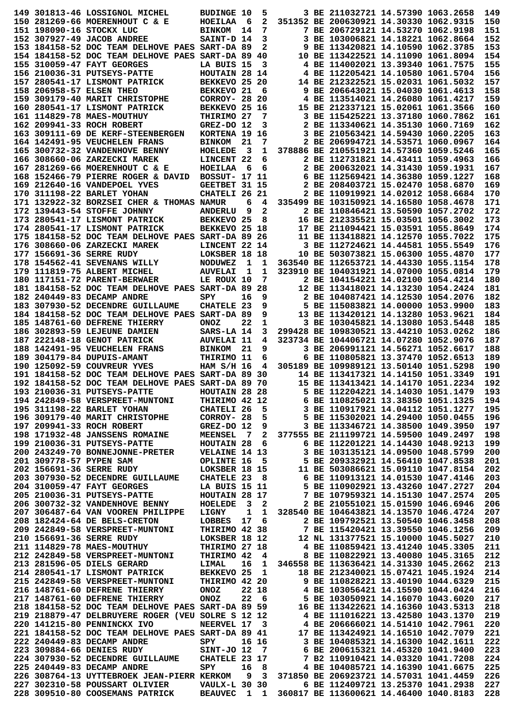|                         | 149 301813-46 LOSSIGNOL MICHEL                                                                                                                                       | <b>BUDINGE 10</b>     |                         | 5                       |                                                                                                    | 3 BE 211032721 14.57390 1063.2658      |  | 149        |
|-------------------------|----------------------------------------------------------------------------------------------------------------------------------------------------------------------|-----------------------|-------------------------|-------------------------|----------------------------------------------------------------------------------------------------|----------------------------------------|--|------------|
|                         | 150 281269-66 MOERENHOUT C & E                                                                                                                                       | HOEILAA               | - 6                     | 2                       |                                                                                                    | 351352 BE 200630921 14.30330 1062.9315 |  | 150        |
|                         | 151 198090-16 STOCKX LUC                                                                                                                                             | <b>BINKOM</b>         | 14                      | 7                       |                                                                                                    | 7 BE 206729121 14.53270 1062.9198      |  | 151        |
|                         | 152 307927-49 JACOB ANDREE                                                                                                                                           | SAINT-D 14            |                         | 3                       |                                                                                                    | 3 BE 103006821 14.18221 1062.8664      |  | 152        |
|                         | 153 184158-52 DOC TEAM DELHOVE PAES SART-DA 89                                                                                                                       |                       |                         | 2                       |                                                                                                    | 9 BE 113420821 14.10590 1062.3785      |  | 153        |
|                         | 154 184158-52 DOC TEAM DELHOVE PAES SART-DA 89 40                                                                                                                    |                       |                         |                         |                                                                                                    | 10 BE 113422521 14.11090 1061.8094     |  | 154        |
|                         |                                                                                                                                                                      |                       |                         |                         |                                                                                                    |                                        |  |            |
|                         | 155 310059-47 FAYT GEORGES                                                                                                                                           | LA BUIS 15            |                         | 3                       |                                                                                                    | 4 BE 114002021 13.39340 1061.7575      |  | 155        |
|                         | 156 210036-31 PUTSEYS-PATTE                                                                                                                                          | HOUTAIN 28 14         |                         |                         |                                                                                                    | 4 BE 112205421 14.10580 1061.5704      |  | 156        |
|                         | 157 280541-17 LISMONT PATRICK                                                                                                                                        | BEKKEVO 25 20         |                         |                         |                                                                                                    | 14 BE 212322521 15.02031 1061.5032     |  | 157        |
|                         | 158 206958-57 ELSEN THEO                                                                                                                                             | <b>BEKKEVO 21</b>     |                         | 6                       |                                                                                                    | 9 BE 206643021 15.04030 1061.4613      |  | 158        |
|                         | 159 309179-40 MARIT CHRISTOPHE                                                                                                                                       | CORROY- 28 20         |                         |                         |                                                                                                    | 4 BE 113514021 14.26080 1061.4217      |  | 159        |
|                         | 160 280541-17 LISMONT PATRICK                                                                                                                                        | BEKKEVO 25 16         |                         |                         |                                                                                                    | 15 BE 212337121 15.02061 1061.3566     |  | 160        |
|                         | 161 114829-78 MAES-MOUTHUY                                                                                                                                           | THIRIMO 27            |                         | 7                       |                                                                                                    | 3 BE 115425221 13.37180 1060.7862      |  | 161        |
|                         | 162 209941-33 ROCH ROBERT                                                                                                                                            | GREZ-DO 12            |                         | 3                       |                                                                                                    | 2 BE 113340621 14.35130 1060.7169      |  | 162        |
|                         | 163 309111-69 DE KERF-STEENBERGEN                                                                                                                                    | KORTENA 19 16         |                         |                         |                                                                                                    | 3 BE 210563421 14.59430 1060.2205      |  | 163        |
|                         | 164 142491-95 VEUCHELEN FRANS                                                                                                                                        | <b>BINKOM</b>         | 21                      | 7                       |                                                                                                    | 2 BE 206994721 14.53571 1060.0967      |  | 164        |
|                         |                                                                                                                                                                      | HOELEDE               | 3                       | 1                       |                                                                                                    | 378886 BE 210551921 14.57360 1059.5246 |  | 165        |
|                         | 165 300732-32 VANDENHOVE BENNY                                                                                                                                       |                       |                         |                         |                                                                                                    |                                        |  |            |
|                         | 166 308660-06 ZARZECKI MAREK                                                                                                                                         | LINCENT 22            |                         | 6                       |                                                                                                    | 2 BE 112731821 14.43411 1059.4963      |  | 166        |
|                         | 167 281269-66 MOERENHOUT C & E                                                                                                                                       | HOEILAA               | 6                       | 6                       |                                                                                                    | 2 BE 200632021 14.31430 1059.1931      |  | 167        |
|                         | 168 152466-79 PIERRE ROGER & DAVID                                                                                                                                   | <b>BOSSUT- 17 11</b>  |                         |                         |                                                                                                    | 6 BE 112569421 14.36380 1059.1227      |  | 168        |
|                         | 169 212640-16 VANDEPOEL YVES                                                                                                                                         | GEETBET 31 15         |                         |                         |                                                                                                    | 2 BE 208403721 15.02470 1058.6870      |  | 169        |
|                         | 170 311198-22 BARLET YOHAN                                                                                                                                           | CHATELI 26 21         |                         |                         |                                                                                                    | 2 BE 110919921 14.02012 1058.6684      |  | 170        |
|                         | 171 132922-32 BORZSEI CHER & THOMAS NAMUR                                                                                                                            |                       | 6                       | 4                       |                                                                                                    | 335499 BE 103150921 14.16580 1058.4678 |  | 171        |
|                         | 172 139443-54 STOFFE JOHNNY                                                                                                                                          | <b>ANDERLU</b>        | 9                       | 2                       |                                                                                                    | 2 BE 110846421 13.50590 1057.2702      |  | 172        |
|                         | 173 280541-17 LISMONT PATRICK                                                                                                                                        | BEKKEVO <sub>25</sub> |                         | 8                       |                                                                                                    | 16 BE 212335521 15.03501 1056.3002     |  | 173        |
|                         | 174 280541-17 LISMONT PATRICK                                                                                                                                        | BEKKEVO 25 18         |                         |                         |                                                                                                    | 17 BE 211094421 15.03591 1055.8649     |  | 174        |
|                         | 175 184158-52 DOC TEAM DELHOVE PAES SART-DA 89 26                                                                                                                    |                       |                         |                         |                                                                                                    | 11 BE 113418821 14.12570 1055.7022     |  | 175        |
|                         | 176 308660-06 ZARZECKI MAREK                                                                                                                                         |                       |                         |                         |                                                                                                    | 3 BE 112724621 14.44581 1055.5549      |  | 176        |
|                         |                                                                                                                                                                      | LINCENT 22 14         |                         |                         |                                                                                                    |                                        |  |            |
|                         | 177 156691-36 SERRE RUDY                                                                                                                                             | LOKSBER 18 18         |                         |                         |                                                                                                    | 10 BE 503073821 15.06300 1055.4870     |  | 177        |
|                         | 178 154562-41 SEVENANS WILLY                                                                                                                                         | <b>NODUWEZ</b>        | 1                       | 1                       |                                                                                                    | 363540 BE 112653721 14.44330 1055.1154 |  | 178        |
|                         | 179 111819-75 ALBERT MICHEL                                                                                                                                          | <b>AUVELAI</b>        | 1                       | 1                       |                                                                                                    | 323910 BE 104031921 14.07000 1055.0814 |  | 179        |
|                         | 180 117151-72 PARENT-BERWAER                                                                                                                                         | LE ROUX 10            |                         | 7                       |                                                                                                    | 2 BE 104154221 14.02100 1054.4214      |  | 180        |
|                         | 181 184158-52 DOC TEAM DELHOVE PAES SART-DA 89                                                                                                                       |                       |                         | 28                      |                                                                                                    | 12 BE 113418021 14.13230 1054.2424     |  | 181        |
|                         | 182 240449-83 DECAMP ANDRE                                                                                                                                           | SPY                   | 16                      | 9                       |                                                                                                    | 2 BE 104087421 14.12530 1054.2076      |  | 182        |
|                         | 183 307930-52 DECENDRE GUILLAUME                                                                                                                                     | <b>CHATELE 23</b>     |                         | 9                       |                                                                                                    | 5 BE 115083821 14.00000 1053.9900      |  | 183        |
|                         | 184 184158-52 DOC TEAM DELHOVE PAES SART-DA 89                                                                                                                       |                       |                         | 9                       |                                                                                                    | 13 BE 113420121 14.13280 1053.9621     |  | 184        |
|                         | 185 148761-60 DEFRENE THIERRY                                                                                                                                        | <b>ONOZ</b>           | 22                      | 1                       |                                                                                                    | 3 BE 103045821 14.13080 1053.5448      |  | 185        |
|                         | 186 302893-59 LEJEUNE DAMIEN                                                                                                                                         |                       |                         | 3                       |                                                                                                    | 299428 BE 109830521 13.44210 1053.0262 |  | 186        |
|                         |                                                                                                                                                                      | SARS-LA 14            |                         |                         |                                                                                                    |                                        |  |            |
|                         | 187 222148-18 GENOT PATRICK                                                                                                                                          | <b>AUVELAI 11</b>     |                         | 4                       |                                                                                                    | 323734 BE 104406721 14.07280 1052.9076 |  | 187        |
|                         | 188 142491-95 VEUCHELEN FRANS                                                                                                                                        | <b>BINKOM</b>         | 21                      | 9                       |                                                                                                    | 3 BE 206991121 14.56271 1052.6617      |  | 188        |
|                         | 189 304179-84 DUPUIS-AMANT                                                                                                                                           | THIRIMO 11            |                         | 6                       |                                                                                                    | 6 BE 110805821 13.37470 1052.6513      |  | 189        |
|                         | 190 125092-59 COUVREUR YVES                                                                                                                                          | HAM $S/H$ 16          |                         | 4                       |                                                                                                    | 305189 BE 109989121 13.50140 1051.5298 |  | 190        |
|                         | 191 184158-52 DOC TEAM DELHOVE PAES SART-DA 89 30                                                                                                                    |                       |                         |                         |                                                                                                    | 14 BE 113417321 14.14150 1051.3349     |  | 191        |
|                         | 192 184158-52 DOC TEAM DELHOVE PAES SART-DA 89 70                                                                                                                    |                       |                         |                         |                                                                                                    | 15 BE 113413421 14.14170 1051.2234     |  | 192        |
|                         | 193 210036-31 PUTSEYS-PATTE                                                                                                                                          | HOUTAIN 28 28         |                         |                         |                                                                                                    | 5 BE 112204221 14.14030 1051.1479      |  | 193        |
|                         | 194 242849-58 VERSPREET-MUNTONI                                                                                                                                      | THIRIMO 42 12         |                         |                         |                                                                                                    | 6 BE 110825021 13.38350 1051.1325      |  | 194        |
|                         | 195 311198-22 BARLET YOHAN                                                                                                                                           | CHATELI 26 5          |                         |                         |                                                                                                    | 3 BE 110917921 14.04112 1051.1277      |  | 195        |
|                         | 196 309179-40 MARIT CHRISTOPHE                                                                                                                                       | CORROY- 28            |                         | 5                       |                                                                                                    | 5 BE 115302021 14.29400 1050.0455      |  | 196        |
|                         | 197 209941-33 ROCH ROBERT                                                                                                                                            | GREZ-DO 12            |                         |                         | $9$ and $\sim$                                                                                     | 3 BE 113346721 14.38500 1049.3950      |  | 197        |
|                         | 198 171932-48 JANSSENS ROMAINE                                                                                                                                       | <b>MEENSEL</b> 7      |                         |                         | 2 377555 BE 211199721 14.59500 1049.2497                                                           |                                        |  | 198        |
|                         |                                                                                                                                                                      |                       |                         |                         |                                                                                                    |                                        |  |            |
|                         | 199 210036-31 PUTSEYS-PATTE                                                                                                                                          | <b>HOUTAIN 28</b>     |                         | 6                       |                                                                                                    | 6 BE 112201221 14.14430 1048.9213      |  | 199        |
|                         | 200 243249-70 BONNEJONNE-PRETER                                                                                                                                      | <b>VELAINE 14 13</b>  |                         |                         |                                                                                                    | 3 BE 103135121 14.09500 1048.5799      |  | 200        |
| 201 309778-57 PYPEN SAM |                                                                                                                                                                      | OPLINTE 16 5          |                         |                         |                                                                                                    | 5 BE 209332921 14.56410 1047.8538      |  | 201        |
|                         | 202 156691-36 SERRE RUDY                                                                                                                                             | LOKSBER 18 15         |                         |                         |                                                                                                    | 11 BE 503086621 15.09110 1047.8154     |  | 202        |
|                         | 203 307930-52 DECENDRE GUILLAUME                                                                                                                                     | CHATELE 23 8          |                         |                         | 6 BE 110913121 14.01530 1047.4146<br>5 BE 110902921 13.43260 1047.2727                             |                                        |  | 203        |
|                         | 204 310059-47 FAYT GEORGES                                                                                                                                           | LA BUIS 15 11         |                         |                         |                                                                                                    |                                        |  | 204        |
|                         | 205 210036-31 PUTSEYS-PATTE                                                                                                                                          | HOUTAIN 28 17         |                         |                         | 7 BE 107959321 14.15130 1047.2574                                                                  |                                        |  | 205        |
|                         | 206 300732-32 VANDENHOVE BENNY                                                                                                                                       |                       |                         | $\overline{\mathbf{2}}$ |                                                                                                    |                                        |  |            |
|                         |                                                                                                                                                                      | <b>HOELEDE</b>        | $\overline{\mathbf{3}}$ |                         |                                                                                                    | 2 BE 210551021 15.01590 1046.6946      |  |            |
|                         |                                                                                                                                                                      |                       |                         |                         |                                                                                                    |                                        |  | 206        |
|                         | 207 306487-64 VAN VOOREN PHILIPPE                                                                                                                                    | LIGNY                 | $\mathbf{1}$            | $\mathbf{1}$            |                                                                                                    | 328540 BE 104643821 14.13570 1046.4724 |  | 207        |
|                         | 208 182424-64 DE BELS-CRETON                                                                                                                                         | LOBBES 17             |                         | 6                       |                                                                                                    | 2 BE 109792521 13.50540 1046.3458      |  | 208        |
|                         |                                                                                                                                                                      | THIRIMO 42 38         |                         |                         |                                                                                                    | 7 BE 115420421 13.39550 1046.1256      |  | 209        |
|                         | 209 242849-58 VERSPREET-MUNTONI<br>210 156691-36 SERRE RUDY                                                                                                          | LOKSBER 18 12         |                         |                         |                                                                                                    | 12 NL 131377521 15.10000 1045.5027     |  | 210        |
|                         | 211 114829-78 MAES-MOUTHUY THIRIMO 27 18                                                                                                                             |                       |                         |                         |                                                                                                    | 4 BE 110859421 13.41240 1045.3305      |  | 211        |
|                         |                                                                                                                                                                      |                       |                         | $\overline{4}$          |                                                                                                    | 8 BE 110822921 13.40080 1045.3165      |  | 212        |
|                         | 212  242849-58  VERSPREET-MUNTONI  THIRIMO  42<br>213  281596-05  DIELS  GERARD  LIMAL  16<br>213 281596-05 DIELS GERARD                                             | LIMAL                 |                         | 16 1                    |                                                                                                    | 346558 BE 113636421 14.31330 1045.2662 |  | 213        |
|                         | 214 280541-17 LISMONT PATRICK BEKKEVO 25 1                                                                                                                           |                       |                         |                         |                                                                                                    | 18 BE 212340021 15.07421 1045.1924     |  | 214        |
|                         | 215 242849-58 VERSPREET-MUNTONI                                                                                                                                      | THIRIMO 42 20         |                         |                         |                                                                                                    | 9 BE 110828221 13.40190 1044.6329      |  | 215        |
|                         | 216 148761-60 DEFRENE THIERRY                                                                                                                                        | <b>ONOZ</b>           |                         | 22 18                   |                                                                                                    | 4 BE 103056421 14.15590 1044.0424      |  | 216        |
|                         | 217 148761-60 DEFRENE THIERRY                                                                                                                                        | <b>ONOZ</b>           |                         | $22\quad 6$             |                                                                                                    | 5 BE 103050921 14.16070 1043.6020      |  | 217        |
|                         | 218 184158-52 DOC TEAM DELHOVE PAES SART-DA 89 59                                                                                                                    |                       |                         |                         |                                                                                                    |                                        |  | 218        |
|                         | 219 218879-47 DELBRUYERE ROGER (VEU SOLRE S 12 12                                                                                                                    |                       |                         |                         | 16 BE 113422621 14.16360 1043.5313                                                                 | 4 BE 111016221 13.42580 1043.1370      |  | 219        |
|                         | 220 141215-80 PENNINCKX IVO                                                                                                                                          |                       |                         |                         |                                                                                                    |                                        |  | 220        |
|                         |                                                                                                                                                                      | NEERVEL 17 3          |                         |                         |                                                                                                    |                                        |  |            |
|                         | 221 184158-52 DOC TEAM DELHOVE PAES SART-DA 89 41                                                                                                                    |                       |                         |                         |                                                                                                    |                                        |  | 221        |
|                         | 222 240449-83 DECAMP ANDRE                                                                                                                                           | SPY                   |                         | 16 16                   | ماست 200000021 14.51410 1042.7961<br>17 BE 113424921 14.16510 1042.7079<br>3 BE 104085221 14.16510 | 3 BE 104085321 14.16300 1042.1611      |  | 222        |
|                         | SINT-JO 12 7<br>223 309884-66 DENIES RUDY                                                                                                                            |                       |                         |                         | 6 BE 200615321 14.45320 1041.9400                                                                  |                                        |  | 223        |
|                         | 224 307930-52 DECENDRE GUILLAUME CHATELE 23 17                                                                                                                       |                       |                         |                         |                                                                                                    | 7 B2 110910421 14.03320 1041.7208      |  | 224        |
|                         | 225 240449-83 DECAMP ANDRE<br>SPY                                                                                                                                    |                       |                         | 16 8                    |                                                                                                    | 4 BE 104085721 14.16390 1041.6675      |  | 225        |
|                         | 226 308764-13 UYTTEBROEK JEAN-PIERR KERKOM                                                                                                                           |                       |                         | 9 3                     |                                                                                                    | 371850 BE 206923721 14.57031 1041.4459 |  | 226        |
|                         | 227 302310-58 POUSSART OLIVIER WAULX-L 30 30 6 BE 112409721 13.25370 1041.2938<br>228 309510-80 COOSEMANS PATRICK BEAUVEC 1 1 360817 BE 113600621 14.46400 1040.8183 |                       |                         |                         |                                                                                                    |                                        |  | 227<br>228 |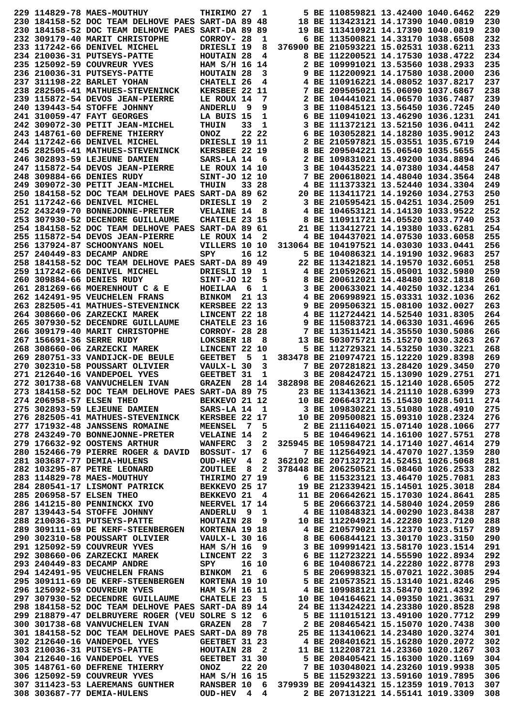|  | 229 114829-78 MAES-MOUTHUY                        | THIRIMO 27                          |             | 1              |                                                                         | 5 BE 110859821 13.42400 1040.6462      |  | 229 |
|--|---------------------------------------------------|-------------------------------------|-------------|----------------|-------------------------------------------------------------------------|----------------------------------------|--|-----|
|  | 230 184158-52 DOC TEAM DELHOVE PAES SART-DA 89 48 |                                     |             |                |                                                                         | 18 BE 113423121 14.17390 1040.0819     |  | 230 |
|  | 230 184158-52 DOC TEAM DELHOVE PAES SART-DA 89 89 |                                     |             |                |                                                                         | 19 BE 113410921 14.17390 1040.0819     |  | 230 |
|  | 232 309179-40 MARIT CHRISTOPHE                    | CORROY- 28                          |             | 1              |                                                                         | 6 BE 113500821 14.33170 1038.6508      |  | 232 |
|  | 233 117242-66 DENIVEL MICHEL                      | DRIESLI 19                          |             | 8              |                                                                         | 376900 BE 210593221 15.02531 1038.6211 |  | 233 |
|  | 234 210036-31 PUTSEYS-PATTE                       | HOUTAIN 28                          |             | 4              |                                                                         | 8 BE 112200521 14.17530 1038.4722      |  | 234 |
|  | 235 125092-59 COUVREUR YVES                       | HAM S/H 16 14                       |             |                |                                                                         | 2 BE 109991021 13.53560 1038.2933      |  | 235 |
|  | 236 210036-31 PUTSEYS-PATTE                       | HOUTAIN 28                          |             | 3              |                                                                         | 9 BE 112200921 14.17580 1038.2000      |  | 236 |
|  | 237 311198-22 BARLET YOHAN                        | CHATELI 26                          |             | 4              |                                                                         | 4 BE 110916221 14.08052 1037.8217      |  | 237 |
|  | 238 282505-41 MATHUES-STEVENINCK                  | KERSBEE 22 11                       |             |                |                                                                         | 7 BE 209505021 15.06090 1037.6867      |  | 238 |
|  | 239 115872-54 DEVOS JEAN-PIERRE                   | LE ROUX 14                          |             | 7              |                                                                         | 2 BE 104441021 14.06570 1036.7487      |  | 239 |
|  | 240 139443-54 STOFFE JOHNNY                       | <b>ANDERLU</b>                      | - 9         | 9              |                                                                         | 3 BE 110845121 13.56450 1036.7245      |  | 240 |
|  | 241 310059-47 FAYT GEORGES                        | LA BUIS 15                          |             | 1              |                                                                         | BE 110941021 13.46290 1036.1231        |  | 241 |
|  | 242 309072-30 PETIT JEAN-MICHEL                   | THUIN                               | 33          | 1              |                                                                         | 3 BE 111372121 13.52150 1036.0411      |  | 242 |
|  | 243 148761-60 DEFRENE THIERRY                     | <b>ONOZ</b>                         |             | 22 22          |                                                                         | 6 BE 103052821 14.18280 1035.9012      |  | 243 |
|  | 244 117242-66 DENIVEL MICHEL                      | DRIESLI 19 11                       |             |                |                                                                         | 2 BE 210597821 15.03551 1035.6719      |  | 244 |
|  | 245 282505-41 MATHUES-STEVENINCK                  | KERSBEE 22 19                       |             |                |                                                                         | 8 BE 209504221 15.06540 1035.5655      |  | 245 |
|  | 246 302893-59 LEJEUNE DAMIEN                      | $SARS-LA$ 14 6                      |             |                |                                                                         | 2 BE 109831021 13.49200 1034.8894      |  | 246 |
|  | 247 115872-54 DEVOS JEAN-PIERRE                   | LE ROUX 14 10                       |             |                |                                                                         | 3 BE 104435221 14.07380 1034.4458      |  | 247 |
|  | 248 309884-66 DENIES RUDY                         | SINT-JO 12 10                       |             |                |                                                                         | 7 BE 200618021 14.48040 1034.3564      |  | 248 |
|  | 249 309072-30 PETIT JEAN-MICHEL                   | <b>THUIN</b>                        |             | 33 28          |                                                                         | 4 BE 111373321 13.52440 1034.3304      |  | 249 |
|  | 250 184158-52 DOC TEAM DELHOVE PAES SART-DA 89 62 |                                     |             |                |                                                                         | 20 BE 113411721 14.19260 1034.2753     |  | 250 |
|  | 251 117242-66 DENIVEL MICHEL                      | DRIESLI 19                          |             | 2              |                                                                         | 3 BE 210595421 15.04251 1034.2509      |  | 251 |
|  | 252 243249-70 BONNEJONNE-PRETER                   | <b>VELAINE 14</b>                   |             | 8              |                                                                         | 4 BE 104653121 14.14130 1033.9522      |  | 252 |
|  | 253 307930-52 DECENDRE GUILLAUME                  | CHATELE 23 15                       |             |                |                                                                         | 8 BE 110911721 14.05520 1033.7740      |  | 253 |
|  | 254 184158-52 DOC TEAM DELHOVE PAES SART-DA 89 61 |                                     |             |                |                                                                         | 21 BE 113412721 14.19380 1033.6281     |  | 254 |
|  | 255 115872-54 DEVOS JEAN-PIERRE                   | LE ROUX 14                          |             | 2              |                                                                         | 4 BE 104437021 14.07530 1033.6058      |  | 255 |
|  | 256 137924-87 SCHOONYANS NOEL                     | VILLERS 10 10                       |             |                |                                                                         | 313064 BE 104197521 14.03030 1033.0441 |  | 256 |
|  | 257 240449-83 DECAMP ANDRE                        | SPY                                 |             | 16 12          |                                                                         | 5 BE 104086321 14.19190 1032.9683      |  | 257 |
|  | 258 184158-52 DOC TEAM DELHOVE PAES SART-DA 89 49 |                                     |             |                |                                                                         | 22 BE 113421821 14.19570 1032.6051     |  | 258 |
|  | 259 117242-66 DENIVEL MICHEL                      | DRIESLI 19                          |             | 1              |                                                                         | 4 BE 210592621 15.05001 1032.5980      |  | 259 |
|  | 260 309884-66 DENIES RUDY                         | SINT-JO 12                          |             | 5              |                                                                         | 8 BE 200612021 14.48480 1032.1818      |  | 260 |
|  | 261 281269-66 MOERENHOUT C & E                    | HOEILAA                             | -6          | 1              |                                                                         | 3 BE 200633021 14.40250 1032.1234      |  | 261 |
|  | 262 142491-95 VEUCHELEN FRANS                     | <b>BINKOM</b>                       | 21 13       |                |                                                                         | 4 BE 206998921 15.03331 1032.1036      |  | 262 |
|  | 263 282505-41 MATHUES-STEVENINCK                  | KERSBEE 22 13                       |             |                |                                                                         | 9 BE 209506321 15.08100 1032.0027      |  | 263 |
|  | 264 308660-06 ZARZECKI MAREK                      | LINCENT 22 18                       |             |                |                                                                         | 4 BE 112724421 14.52540 1031.8305      |  | 264 |
|  | 265 307930-52 DECENDRE GUILLAUME                  | CHATELE 23 16                       |             |                |                                                                         | 9 BE 115083721 14.06330 1031.4696      |  | 265 |
|  | 266 309179-40 MARIT CHRISTOPHE                    | CORROY- 28 28                       |             |                |                                                                         | 7 BE 113511421 14.35550 1030.5086      |  | 266 |
|  | 267 156691-36 SERRE RUDY                          | LOKSBER 18                          |             | 8              |                                                                         | 13 BE 503075721 15.15270 1030.3263     |  | 267 |
|  | 268 308660-06 ZARZECKI MAREK                      | LINCENT 22 10                       |             |                |                                                                         | 5 BE 112729321 14.53250 1030.3221      |  | 268 |
|  | 269 280751-33 VANDIJCK-DE BEULE                   | <b>GEETBET</b>                      | 5           | 1              |                                                                         | 383478 BE 210974721 15.12220 1029.8398 |  | 269 |
|  | 270 302310-58 POUSSART OLIVIER                    | VAULX-L 30                          |             | 3              |                                                                         | 7 BE 207281821 13.28420 1029.3450      |  | 270 |
|  | 271 212640-16 VANDEPOEL YVES                      | GEETBET 31                          |             | 1              |                                                                         | 3 BE 208424721 15.13090 1029.2751      |  | 271 |
|  | 272 301738-68 VANVUCHELEN IVAN                    | <b>GRAZEN</b>                       |             | 28 14          |                                                                         | 382898 BE 208462621 15.12140 1028.6505 |  | 272 |
|  | 273 184158-52 DOC TEAM DELHOVE PAES SART-DA 89 75 |                                     |             |                |                                                                         | 23 BE 113413621 14.21110 1028.6399     |  | 273 |
|  | 274 206958-57 ELSEN THEO                          | BEKKEVO 21 12                       |             |                |                                                                         | 10 BE 206643721 15.15430 1028.5011     |  | 274 |
|  | 275 302893-59 LEJEUNE DAMIEN                      | SARS-LA 14 1                        |             |                |                                                                         | 3 BE 109830221 13.51080 1028.4910      |  | 275 |
|  | 276 282505-41 MATHUES-STEVENINCK KERSBEE 22 17    |                                     |             |                | 10 BE 209500821 15.09310 1028.2324                                      |                                        |  | 276 |
|  | 277 171932-48 JANSSENS ROMAINE                    | <b>MEENSEL</b>                      | $7^{\circ}$ | 5              |                                                                         | 2 BE 211164021 15.07140 1028.1066      |  | 277 |
|  | 278 243249-70 BONNEJONNE-PRETER                   | <b>VELAINE 14</b>                   |             | $\mathbf{2}$   |                                                                         | 5 BE 104649621 14.16100 1027.5751      |  | 278 |
|  | 279 176632-92 OOSTENS ARTHUR                      | WANFERC                             | - 3         | - 2            |                                                                         | 325945 BE 105984721 14.17140 1027.4614 |  | 279 |
|  | 280 152466-79 PIERRE ROGER & DAVID BOSSUT- 17     |                                     |             | 6              |                                                                         | 7 BE 112564921 14.47070 1027.1359      |  | 280 |
|  | 281 303687-77 DEMIA-HULENS                        | <b>OUD-HEV 4</b>                    |             | $2^{\circ}$    |                                                                         | 362102 BE 207132721 14.52451 1026.5068 |  | 281 |
|  | 282 103295-87 PETRE LEONARD                       | ZOUTLEE 8 2                         |             |                |                                                                         | 378448 BE 206250521 15.08460 1026.2533 |  | 282 |
|  | 283 114829-78 MAES-MOUTHUY                        | THIRIMO 27 19<br>BEKKEVO 25 17      |             |                |                                                                         | 6 BE 115323121 13.46470 1025.7081      |  | 283 |
|  | 284  280541-17  LISMONT PATRICK                   |                                     |             |                |                                                                         | 19 BE 212339421 15.14501 1025.3018     |  | 284 |
|  | 285 206958-57 ELSEN THEO                          | BEKKEVO 21 4                        |             |                |                                                                         | 11 BE 206642621 15.17030 1024.8641     |  | 285 |
|  | 286 141215-80 PENNINCKX IVO                       | <b>NEERVEL 17 14</b><br>ANDERIU 0 1 |             |                |                                                                         | 5 BE 206663721 14.58040 1024.2059      |  | 286 |
|  | 287 139443-54 STOFFE JOHNNY                       | <b>ANDERLU 9 1</b>                  |             |                |                                                                         | 4 BE 110848321 14.00290 1023.8438      |  | 287 |
|  | 288 210036-31 PUTSEYS-PATTE                       | HOUTAIN 28 9                        |             |                |                                                                         | 10 BE 112204921 14.22280 1023.7120     |  | 288 |
|  | 289 309111-69 DE KERF-STEENBERGEN KORTENA 19 18   |                                     |             |                | 4 BE 210579021 15.12370 1023.5157                                       |                                        |  | 289 |
|  | 290 302310-58 POUSSART OLIVIER                    | <b>VAULX-L 30 16</b>                |             |                |                                                                         | 8 BE 606844121 13.30170 1023.3150      |  | 290 |
|  | 291 125092-59 COUVREUR YVES                       | HAM S/H 16 9                        |             |                |                                                                         | 3 BE 109991421 13.58170 1023.1514      |  | 291 |
|  | 292 308660-06 ZARZECKI MAREK                      | LINCENT 22 3                        |             |                |                                                                         | 6 BE 112723221 14.55590 1022.8934      |  | 292 |
|  | 293 240449-83 DECAMP ANDRE                        | SPY                                 |             | 16 10          |                                                                         | 6 BE 104086721 14.22280 1022.8778      |  | 293 |
|  | 294 142491-95 VEUCHELEN FRANS BINKOM 21 6         |                                     |             |                |                                                                         | 5 BE 206998321 15.07021 1022.3085      |  | 294 |
|  | 295 309111-69 DE KERF-STEENBERGEN KORTENA 19 10   |                                     |             |                |                                                                         | 5 BE 210573521 15.13140 1021.8246      |  | 295 |
|  | 296 125092-59 COUVREUR YVES                       | <b>HAM S/H 16 11</b>                |             |                |                                                                         |                                        |  | 296 |
|  | 297 307930-52 DECENDRE GUILLAUME                  | CHATELE 23 5                        |             |                | 4 BE 109988121 13.58470 1021.8246<br>10 BE 104164621 13.58470 1021.4392 |                                        |  | 297 |
|  | 298 184158-52 DOC TEAM DELHOVE PAES SART-DA 89 14 |                                     |             |                |                                                                         | 24 BE 113424221 14.23380 1020.8528     |  | 298 |
|  | 299 218879-47 DELBRUYERE ROGER (VEU SOLRE S 12 6  |                                     |             |                |                                                                         | 5 BE 111015121 13.49100 1020.7712      |  | 299 |
|  | 300 301738-68 VANVUCHELEN IVAN                    | GRAZEN 28                           |             | $\overline{7}$ |                                                                         | 2 BE 208465421 15.15070 1020.7438      |  | 300 |
|  | 301 184158-52 DOC TEAM DELHOVE PAES SART-DA 89 78 |                                     |             |                | 25 BE 113410621 14.23480 1020.3274                                      |                                        |  | 301 |
|  | 302 212640-16 VANDEPOEL YVES                      | GEETBET 31 23                       |             |                |                                                                         | 4 BE 208401621 15.16280 1020.2072      |  | 302 |
|  | 303 210036-31 PUTSEYS-PATTE                       | <b>HOUTAIN 28 2</b>                 |             |                |                                                                         | 11 BE 112208721 14.23360 1020.1267     |  | 303 |
|  | 304 212640-16 VANDEPOEL YVES                      | <b>GEETBET 31 30</b>                |             |                |                                                                         | 5 BE 208405421 15.16300 1020.1169      |  | 304 |
|  | 305 148761-60 DEFRENE THIERRY                     | <b>ONOZ</b>                         |             | 22 20          |                                                                         | 7 BE 103048021 14.23260 1019.9938      |  | 305 |
|  | 306 125092-59 COUVREUR YVES                       | HAM S/H 16 15                       |             |                |                                                                         | 5 BE 115293221 13.59160 1019.7895      |  | 306 |
|  | 307 311423-53 LAEREMANS GUNTHER RANSBER 10 6      |                                     |             |                | 379939 BE 209414321 15.12359 1019.7013                                  |                                        |  | 307 |
|  | 308 303687-77 DEMIA-HULENS                        | <b>OUD-HEV 4 4</b>                  |             |                |                                                                         | 2 BE 207131221 14.55141 1019.3309      |  | 308 |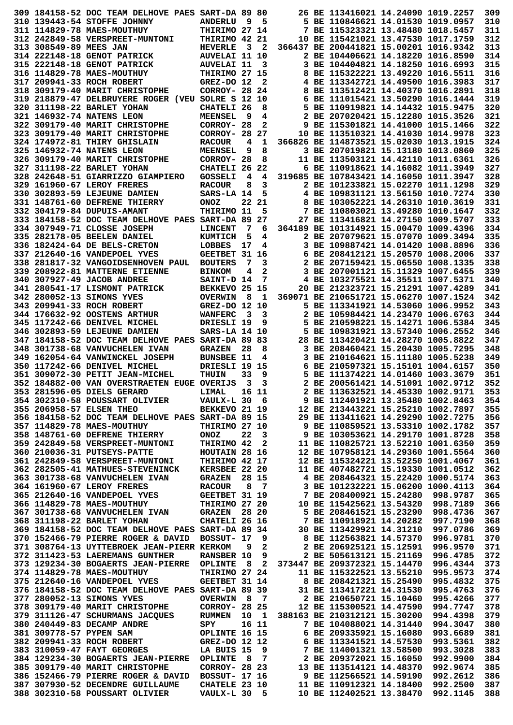|                        | 309 184158-52 DOC TEAM DELHOVE PAES SART-DA 89 80                            |                                      |                 |                         |  | 26 BE 113416021 14.24090 1019.2257                                          |                      | 309        |
|------------------------|------------------------------------------------------------------------------|--------------------------------------|-----------------|-------------------------|--|-----------------------------------------------------------------------------|----------------------|------------|
|                        | 310 139443-54 STOFFE JOHNNY                                                  | <b>ANDERLU</b>                       | 9               | 5                       |  | 5 BE 110846621 14.01530 1019.0957                                           |                      | 310        |
|                        | 311 114829-78 MAES-MOUTHUY                                                   | THIRIMO 27 14                        |                 |                         |  | 7 BE 115323321 13.48480 1018.5457                                           |                      | 311        |
|                        | 312 242849-58 VERSPREET-MUNTONI                                              | THIRIMO 42 21                        |                 |                         |  | 10 BE 115421021 13.47530 1017.1759                                          |                      | 312        |
| 313 308549-89 MEES JAN |                                                                              | <b>HEVERLE</b>                       | $_{3}$          | $\mathbf{2}$            |  | 366437 BE 200441821 15.00201 1016.9342                                      |                      | 313        |
|                        | 314 222148-18 GENOT PATRICK                                                  | <b>AUVELAI 11 10</b>                 |                 |                         |  | 2 BE 104406621 14.18220 1016.8590                                           |                      | 314        |
|                        | 315 222148-18 GENOT PATRICK                                                  | <b>AUVELAI 11</b>                    |                 | 3                       |  | 3 BE 104404821 14.18250 1016.6993                                           |                      | 315        |
|                        | 316 114829-78 MAES-MOUTHUY                                                   | THIRIMO 27 15                        |                 |                         |  | 8 BE 115322221 13.49220 1016.5511                                           |                      | 316        |
|                        | 317 209941-33 ROCH ROBERT                                                    | GREZ-DO 12                           |                 | 2                       |  | 4 BE 113342721 14.49500 1016.3983                                           |                      | 317        |
|                        | 318 309179-40 MARIT CHRISTOPHE                                               | CORROY- 28 24                        |                 |                         |  | 8 BE 113512421 14.40370 1016.2891                                           |                      | 318        |
|                        | 319 218879-47 DELBRUYERE ROGER (VEU SOLRE S 12 10                            |                                      |                 |                         |  | 6 BE 111015421 13.50290 1016.1444                                           |                      | 319        |
|                        | 320 311198-22 BARLET YOHAN                                                   | CHATELI 26                           |                 | 8                       |  | 5 BE 110919821 14.14432 1015.9475                                           |                      | 320        |
|                        | 321 146932-74 NATENS LEON                                                    | <b>MEENSEL</b>                       | 9               | 4                       |  | 2 BE 207020421 15.12280 1015.3526                                           |                      | 321        |
|                        | 322 309179-40 MARIT CHRISTOPHE                                               | CORROY- 28                           |                 | 2                       |  | 9 BE 115301821 14.41000 1015.1466                                           |                      | 322        |
|                        | 323 309179-40 MARIT CHRISTOPHE                                               | CORROY- 28                           |                 | 27                      |  | 10 BE 113510321 14.41030 1014.9978                                          |                      | 323        |
|                        | 324 174972-81 THIRY GHISLAIN                                                 | <b>RACOUR</b>                        | 4               | 1                       |  | 366826 BE 114873521 15.02030 1013.1915                                      |                      | 324        |
|                        | 325 146932-74 NATENS LEON                                                    | <b>MEENSEL</b>                       | 9               | 8                       |  | 3 BE 207019821 15.13180 1013.0860                                           |                      | 325        |
|                        | 326 309179-40 MARIT CHRISTOPHE                                               | CORROY- 28                           |                 | 8                       |  | 11 BE 113503121 14.42110 1011.6361                                          |                      | 326        |
|                        | 327 311198-22 BARLET YOHAN                                                   | <b>CHATELI 26</b>                    |                 | 22                      |  | 6 BE 110918621 14.16082 1011.3949                                           |                      | 327        |
|                        | 328 242648-51 GIARRIZZO GIAMPIERO                                            | <b>GOSSELI</b>                       | 4               | 4                       |  | 319685 BE 107843421 14.16050 1011.3947                                      |                      | 328        |
|                        | 329 161960-67 LEROY FRERES                                                   | <b>RACOUR</b>                        | 8               | 3                       |  | 2 BE 101233821 15.02270 1011.1298                                           |                      | 329        |
|                        | 330 302893-59 LEJEUNE DAMIEN                                                 | SARS-LA 14                           |                 | 5                       |  | 4 BE 109831121 13.56150 1010.7274                                           |                      | 330        |
|                        | 331 148761-60 DEFRENE THIERRY                                                | <b>ONOZ</b>                          |                 | 22 21                   |  | 8 BE 103052221 14.26310 1010.3619                                           |                      | 331        |
|                        | 332 304179-84 DUPUIS-AMANT<br>333 184158-52 DOC TEAM DELHOVE PAES SART-DA 89 | THIRIMO 11                           |                 | 5                       |  | 7 BE 110803021 13.49280 1010.1647                                           |                      | 332<br>333 |
|                        |                                                                              |                                      |                 | 27                      |  | 27 BE 113416821 14.27150 1009.5707                                          |                      |            |
|                        | 334 307949-71 CLOSSE JOSEPH<br>335 282178-05 BEELEN DANIEL                   | <b>LINCENT</b>                       | 7<br>5          | 6                       |  | 364189 BE 101314921 15.00470 1009.4396<br>2 BE 207079621 15.07070 1009.3494 |                      | 334<br>335 |
|                        |                                                                              | <b>KUMTICH</b>                       | 17              | 4<br>4                  |  | 3 BE 109887421 14.01420 1008.8896                                           |                      | 336        |
|                        | 336 182424-64 DE BELS-CRETON                                                 | LOBBES                               |                 |                         |  | 6 BE 208412121 15.20570 1008.2006                                           |                      | 337        |
|                        | 337 212640-16 VANDEPOEL YVES<br>338 281817-32 VANGOIDSENHOVEN PAUL           | GEETBET 31 16<br><b>BOUTERS</b>      | 7               | 3                       |  | 2 BE 207159421 15.06550 1008.1335                                           |                      | 338        |
|                        | 339 208922-81 MATTERNE ETIENNE                                               | <b>BINKOM</b>                        | 4               | 2                       |  | 3 BE 207001121 15.11329 1007.6455                                           |                      | 339        |
|                        | 340 307927-49 JACOB ANDREE                                                   | SAINT-D 14                           |                 | 7                       |  | 4 BE 103275521 14.35511 1007.5371                                           |                      | 340        |
|                        | 341 280541-17 LISMONT PATRICK                                                | BEKKEVO 25 15                        |                 |                         |  | 20 BE 212323721 15.21291 1007.4289                                          |                      | 341        |
|                        | 342 280052-13 SIMONS YVES                                                    | <b>OVERWIN</b>                       | 8               | 1                       |  | 369071 BE 210651721 15.06270 1007.1524                                      |                      | 342        |
|                        | 343 209941-33 ROCH ROBERT                                                    | GREZ-DO 12 10                        |                 |                         |  | 5 BE 113341921 14.53060 1006.9952                                           |                      | 343        |
|                        | 344 176632-92 OOSTENS ARTHUR                                                 | <b>WANFERC</b>                       | 3               | 3                       |  | 2 BE 105984421 14.23470 1006.6763                                           |                      | 344        |
|                        | 345 117242-66 DENIVEL MICHEL                                                 | DRIESLI 19                           |                 | 9                       |  | 5 BE 210598221 15.14271 1006.5384                                           |                      | 345        |
|                        | 346 302893-59 LEJEUNE DAMIEN                                                 | SARS-LA 14 10                        |                 |                         |  | 5 BE 109831921 13.57340 1006.2552                                           |                      | 346        |
|                        | 347 184158-52 DOC TEAM DELHOVE PAES SART-DA 89 83                            |                                      |                 |                         |  | 28 BE 113420421 14.28270 1005.8822                                          |                      | 347        |
|                        | 348 301738-68 VANVUCHELEN IVAN                                               | <b>GRAZEN</b>                        | 28              | 8                       |  | 3 BE 208460421 15.20430 1005.7295                                           |                      | 348        |
|                        | 349 162054-64 VANWINCKEL JOSEPH                                              | <b>BUNSBEE 11</b>                    |                 | 4                       |  | 3 BE 210164621 15.11180 1005.5238                                           |                      | 349        |
|                        | 350 117242-66 DENIVEL MICHEL                                                 | DRIESLI 19 15                        |                 |                         |  | 6 BE 210597321 15.15101 1004.6157                                           |                      | 350        |
|                        | 351 309072-30 PETIT JEAN-MICHEL                                              | <b>THUIN</b>                         | 33              | 9                       |  | 5 BE 111374221 14.01460 1003.3679                                           |                      | 351        |
|                        | 352 184882-00 VAN OVERSTRAETEN EUGE OVERIJS                                  |                                      | 3               | 3                       |  | 2 BE 200561421 14.51091 1002.9712                                           |                      | 352        |
|                        | 353 281596-05 DIELS GERARD                                                   | LIMAL                                | 16 11           |                         |  | 2 BE 113632521 14.45330 1002.9171                                           |                      | 353        |
|                        | 354 302310-58 POUSSART OLIVIER                                               | <b>VAULX-L 30 6</b>                  |                 |                         |  | 9 BE 112401921 13.35480 1002.8463                                           |                      | 354        |
|                        | 355 206958-57 ELSEN THEO                                                     | BEKKEVO 21 19                        |                 |                         |  | 12 BE 213443221 15.25210 1002.7897                                          |                      | 355        |
|                        | 356 184158-52 DOC TEAM DELHOVE PAES SART-DA 89 15                            |                                      |                 |                         |  | 29 BE 113411621 14.29290 1002.7275                                          |                      | 356        |
|                        | 357 114829-78 MAES-MOUTHUY                                                   | THIRIMO 27 10                        |                 |                         |  | 9 BE 110859521 13.53310 1002.1782                                           |                      | 357        |
|                        | 358 148761-60 DEFRENE THIERRY                                                | <b>ONOZ</b>                          | 22 <sub>2</sub> | $\overline{\mathbf{3}}$ |  | 9 BE 103053621 14.29170 1001.8728                                           |                      | 358        |
|                        | 359 242849-58 VERSPREET-MUNTONI                                              | THIRIMO 42 2                         |                 |                         |  | 11 BE 110825721 13.52210 1001.6350                                          |                      | 359        |
|                        | 360 210036-31 PUTSEYS-PATTE                                                  | HOUTAIN 28 16                        |                 |                         |  | 12 BE 107958121 14.29360 1001.5564                                          |                      | 360        |
|                        | 361 242849-58 VERSPREET-MUNTONI                                              | THIRIMO 42 17                        |                 |                         |  | 12 BE 115324221 13.52250 1001.4067                                          |                      | 361        |
|                        | 362 282505-41 MATHUES-STEVENINCK                                             | <b>KERSBEE 22 20</b>                 |                 |                         |  | 11 BE 407482721 15.19330 1001.0512                                          |                      | 362        |
|                        | 363 301738-68 VANVUCHELEN IVAN                                               | GRAZEN 28 15                         |                 |                         |  | 4 BE 208464321 15.22420 1000.5174                                           |                      | 363        |
|                        | 364 161960-67 LEROY FRERES                                                   | <b>RACOUR</b>                        |                 | 8 7                     |  | 3 BE 101232221 15.06200 1000.4113                                           |                      | 364        |
|                        | 365 212640-16 VANDEPOEL YVES                                                 | GEETBET 31 19                        |                 |                         |  | 7 BE 208400921 15.24280                                                     | 998.9787             | 365        |
|                        | 366 114829-78 MAES-MOUTHUY                                                   | <b>THIRIMO 27 20</b>                 |                 |                         |  | 10 BE 115425621 13.54320                                                    | 998.7189             | 366        |
|                        | 367 301738-68 VANVUCHELEN IVAN                                               | <b>GRAZEN 28 20</b>                  |                 |                         |  | 5 BE 208461521 15.23290                                                     | 998.4736             | 367        |
|                        | 368 311198-22 BARLET YOHAN                                                   | CHATELI 26 16                        |                 |                         |  | 7 BE 110918921 14.20282                                                     | 997.7190             | 368        |
|                        | 369 184158-52 DOC TEAM DELHOVE PAES SART-DA 89 34                            |                                      |                 |                         |  | 30 BE 113429921 14.31210                                                    | 997.0786             | 369        |
|                        | 370 152466-79 PIERRE ROGER & DAVID BOSSUT- 17 9                              |                                      |                 |                         |  | 8 BE 112563821 14.57370                                                     | 996.9781             | 370        |
|                        | 371 308764-13 UYTTEBROEK JEAN-PIERR KERKOM                                   |                                      |                 | 9 <sub>2</sub>          |  | 2 BE 206925121 15.12591                                                     | 996.9570             | 371        |
|                        | 372 311423-53 LAEREMANS GUNTHER                                              | <b>RANSBER 10</b>                    |                 | 9 <sup>°</sup>          |  | 2 BE 505613121 15.21169                                                     | 996.4785             | 372        |
|                        | 373 129234-30 BOGAERTS JEAN-PIERRE OPLINTE 8 2                               |                                      |                 |                         |  | 373447 BE 209372321 15.14470                                                | 996.4344             | 373        |
|                        | 374 114829-78 MAES-MOUTHUY                                                   | THIRIMO 27 24                        |                 |                         |  | 11 BE 115322521 13.55210                                                    | 995.9573             | 374        |
|                        | 375 212640-16 VANDEPOEL YVES                                                 | GEETBET 31 14                        |                 |                         |  | 8 BE 208421321 15.25490                                                     | 995.4832             | 375        |
|                        | 376 184158-52 DOC TEAM DELHOVE PAES SART-DA 89 39                            |                                      |                 |                         |  | 31 BE 113417221 14.31530                                                    | 995.4763             | 376        |
|                        | 377 280052-13 SIMONS YVES                                                    | OVERWIN 8 7                          |                 |                         |  | 2 BE 210650721 15.10460                                                     | 995.4266             | 377        |
|                        | 378 309179-40 MARIT CHRISTOPHE                                               | CORROY- 28 25                        |                 |                         |  | 12 BE 115300521 14.47590                                                    | 994.7747             | 378        |
|                        | 379 311126-47 SCHURMANS JACQUES                                              | <b>RUMMEN</b>                        |                 | 10 1                    |  | 388163 BE 210312121 15.30200                                                | 994.4398             | 379        |
|                        | 380 240449-83 DECAMP ANDRE                                                   | SPY                                  |                 | 16 11                   |  | 7 BE 104088021 14.31440                                                     | 994.3047             | 380        |
|                        | 381 309778-57 PYPEN SAM                                                      | <b>OPLINTE 16 15</b>                 |                 |                         |  | 6 BE 209335921 15.16080                                                     | 993.6689             | 381        |
|                        | 382 209941-33 ROCH ROBERT<br>383 310059-47 FAYT GEORGES                      | GREZ-DO 12 12                        |                 |                         |  | 6 BE 113341521 14.57530                                                     | 993.5361             | 382        |
|                        |                                                                              | LA BUIS 15 9                         |                 |                         |  | 7 BE 114001321 13.58500                                                     | 993.3028             | 383        |
|                        | 384 129234-30 BOGAERTS JEAN-PIERRE OPLINTE                                   |                                      |                 | 87                      |  | 2 BE 209372021 15.16050                                                     | 992.9900             | 384        |
|                        |                                                                              |                                      |                 |                         |  |                                                                             |                      |            |
|                        | 385 309179-40 MARIT CHRISTOPHE                                               | CORROY- 28 23                        |                 |                         |  | 13 BE 113514121 14.48370                                                    | 992.9674             | 385        |
|                        | 386 152466-79 PIERRE ROGER & DAVID                                           | <b>BOSSUT- 17 16</b>                 |                 |                         |  | 9 BE 112566521 14.59190                                                     | 992.2612             | 386        |
|                        | 387 307930-52 DECENDRE GUILLAUME<br>388 302310-58 POUSSART OLIVIER           | CHATELE 23 10<br><b>VAULX-L 30 5</b> |                 |                         |  | 11 BE 110912321 14.18400<br>10 BE 112402521 13.38470                        | 992.2500<br>992.1145 | 387<br>388 |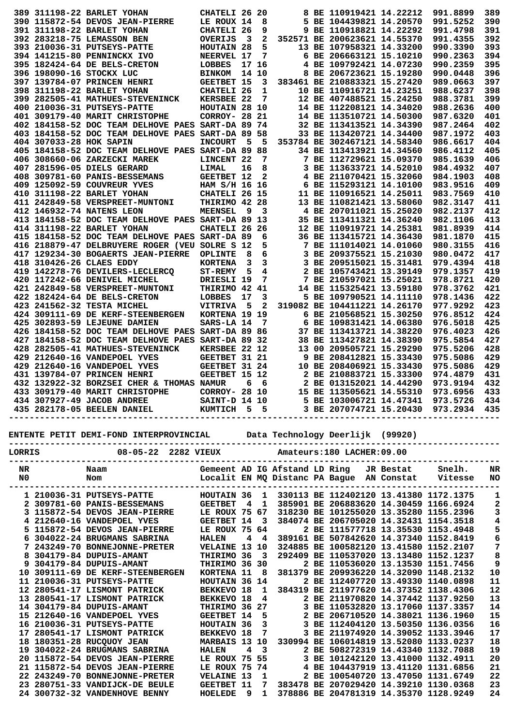|                         | 389 311198-22 BARLET YOHAN                        | CHATELI 26 20     |        |       |  | 8 BE 110919421 14.22212      | 991.8899 | 389 |
|-------------------------|---------------------------------------------------|-------------------|--------|-------|--|------------------------------|----------|-----|
|                         | 390 115872-54 DEVOS JEAN-PIERRE                   | LE ROUX 14        |        | 8     |  | 5 BE 104439821 14.20570      | 991.5252 | 390 |
|                         | 391 311198-22 BARLET YOHAN                        | CHATELI 26        |        | 9     |  | 9 BE 110918821 14.22292      | 991.4798 | 391 |
|                         | 392 283218-75 LEMASSON BEN                        | <b>OVERIJS</b>    | $_{3}$ | 2     |  | 352571 BE 200623621 14.55370 | 991.4355 | 392 |
|                         | 393 210036-31 PUTSEYS-PATTE                       | HOUTAIN 28        |        | 5     |  | 13 BE 107958321 14.33200     | 990.3390 | 393 |
|                         | 394 141215-80 PENNINCKX IVO                       | NEERVEL 17        |        | 7     |  | 6 BE 206663121 15.10210      | 990.2363 | 394 |
|                         | 395 182424-64 DE BELS-CRETON                      | LOBBES            |        | 17 16 |  | 4 BE 109792421 14.07230      | 990.2359 | 395 |
|                         | 396 198090-16 STOCKX LUC                          | <b>BINKOM</b>     |        | 14 10 |  | 8 BE 206723621 15.19280      | 990.0448 | 396 |
|                         | 397 139784-07 PRINCEN HENRI                       | GEETBET 15        |        | 3     |  | 383461 BE 210883321 15.27420 | 989.0663 | 397 |
|                         | 398 311198-22 BARLET YOHAN                        | CHATELI 26        |        | 1     |  | 10 BE 110916721 14.23251     | 988.6237 | 398 |
|                         | 399 282505-41 MATHUES-STEVENINCK                  | <b>KERSBEE 22</b> |        | 7     |  | 12 BE 407488521 15.24250     | 988.3781 | 399 |
|                         | 400 210036-31 PUTSEYS-PATTE                       | HOUTAIN 28 10     |        |       |  | 14 BE 112208121 14.34020     | 988.2636 | 400 |
|                         | 401 309179-40 MARIT CHRISTOPHE                    | CORROY- 28 21     |        |       |  | 14 BE 113510721 14.50300     | 987.6320 | 401 |
|                         | 402 184158-52 DOC TEAM DELHOVE PAES SART-DA 89 74 |                   |        |       |  | 32 BE 113413521 14.34390     | 987.2464 | 402 |
|                         | 403 184158-52 DOC TEAM DELHOVE PAES SART-DA 89 58 |                   |        |       |  | 33 BE 113420721 14.34400     | 987.1972 | 403 |
| 404 307033-28 HOK SAPIN |                                                   | <b>INCOURT</b>    | 5      | 5     |  | 353784 BE 302467121 14.58340 | 986.6617 | 404 |
|                         | 405 184158-52 DOC TEAM DELHOVE PAES SART-DA 89 88 |                   |        |       |  | 34 BE 113413921 14.34560     | 986.4112 | 405 |
|                         | 406 308660-06 ZARZECKI MAREK                      | LINCENT 22        |        | 7     |  | 7 BE 112729621 15.09370      | 985.1639 | 406 |
|                         | 407 281596-05 DIELS GERARD                        | LIMAL             | 16     | 8     |  | 3 BE 113633721 14.52010      | 984.4932 | 407 |
|                         | 408 309781-60 PANIS-BESSEMANS                     | <b>GEETBET 12</b> |        | 2     |  | 4 BE 211070421 15.32060      | 984.1903 | 408 |
|                         | 409 125092-59 COUVREUR YVES                       | HAM S/H 16 16     |        |       |  | 6 BE 115293121 14.10100      | 983.9516 | 409 |
|                         | 410 311198-22 BARLET YOHAN                        | CHATELI 26 15     |        |       |  | 11 BE 110916521 14.25011     | 983.7569 | 410 |
|                         | 411 242849-58 VERSPREET-MUNTONI                   | THIRIMO 42 28     |        |       |  | 13 BE 110821421 13.58060     | 982.3147 | 411 |
|                         | 412 146932-74 NATENS LEON                         | <b>MEENSEL</b>    | 9      | 3     |  | 4 BE 207011021 15.25020      | 982.2137 | 412 |
|                         | 413 184158-52 DOC TEAM DELHOVE PAES SART-DA 89 13 |                   |        |       |  | 35 BE 113411321 14.36240     | 982.1106 | 413 |
|                         | 414 311198-22 BARLET YOHAN                        | CHATELI 26 26     |        |       |  | 12 BE 110919721 14.25381     | 981.8939 | 414 |
|                         | 415 184158-52 DOC TEAM DELHOVE PAES SART-DA 89    |                   |        | 6     |  | 36 BE 113415721 14.36430     | 981.1870 | 415 |
|                         |                                                   |                   |        | 5     |  |                              |          |     |
|                         | 416 218879-47 DELBRUYERE ROGER (VEU SOLRE S 12    |                   |        |       |  | 7 BE 111014021 14.01060      | 980.3155 | 416 |
|                         | 417 129234-30 BOGAERTS JEAN-PIERRE                | <b>OPLINTE</b>    | 8      | 6     |  | 3 BE 209375521 15.21030      | 980.0472 | 417 |
|                         | 418 310426-26 CLAES EDDY                          | <b>KORTENA</b>    | 3      | 3     |  | 3 BE 209515021 15.31481      | 979.4394 | 418 |
|                         | 419 142278-76 DEVILERS-LECLERCQ                   | <b>ST-REMY</b>    | 5      | 4     |  | 2 BE 105743421 13.39149      | 979.1357 | 419 |
|                         | 420 117242-66 DENIVEL MICHEL                      | DRIESLI 19        |        | 7     |  | 7 BE 210597021 15.25021      | 978.8721 | 420 |
|                         | 421 242849-58 VERSPREET-MUNTONI                   | THIRIMO 42 41     |        |       |  | 14 BE 115325421 13.59180     | 978.3762 | 421 |
|                         | 422 182424-64 DE BELS-CRETON                      | LOBBES            | 17     | 3     |  | 5 BE 109790521 14.11110      | 978.1436 | 422 |
|                         | 423 241562-32 TESTA MICHEL                        | VITRIVA           | 5      | 2     |  | 319082 BE 104411221 14.26170 | 977.9292 | 423 |
|                         | 424 309111-69 DE KERF-STEENBERGEN                 | KORTENA 19 19     |        |       |  | 6 BE 210568521 15.30250      | 976.8512 | 424 |
|                         | 425 302893-59 LEJEUNE DAMIEN                      | SARS-LA 14        |        | 7     |  | 6 BE 109831421 14.06380      | 976.5018 | 425 |
|                         | 426 184158-52 DOC TEAM DELHOVE PAES SART-DA 89 86 |                   |        |       |  | 37 BE 113413721 14.38220     | 976.4023 | 426 |
|                         | 427 184158-52 DOC TEAM DELHOVE PAES               | SART-DA 89 32     |        |       |  | 38 BE 113427821 14.38390     | 975.5854 | 427 |
|                         | 428 282505-41 MATHUES-STEVENINCK                  | KERSBEE 22 12     |        |       |  | 13 00 209505721 15.29290     | 975.5206 | 428 |
|                         | 429 212640-16 VANDEPOEL YVES                      | GEETBET 31 21     |        |       |  | 9 BE 208412821 15.33430      | 975.5086 | 429 |
|                         | 429 212640-16 VANDEPOEL YVES                      | GEETBET 31 24     |        |       |  | 10 BE 208406921 15.33430     | 975.5086 | 429 |
|                         | 431 139784-07 PRINCEN HENRI                       | GEETBET 15 12     |        |       |  | 2 BE 210883721 15.33300      | 974.4879 | 431 |
|                         | 432 132922-32 BORZSEI CHER & THOMAS NAMUR         |                   | 6      | 6     |  | 2 BE 013152021 14.44290      | 973.9194 | 432 |
|                         | 433 309179-40 MARIT CHRISTOPHE                    | CORROY- 28 10     |        |       |  | 15 BE 113505621 14.55310     | 973.6956 | 433 |
|                         | 434 307927-49 JACOB ANDREE                        | SAINT-D 14 10     |        |       |  | 5 BE 103006721 14.47341      | 973.5726 | 434 |
|                         | 435 282178-05 BEELEN DANIEL                       | KUMTICH           | - 5    | 5     |  | 3 BE 207074721 15.20430      | 973.2934 | 435 |
|                         |                                                   |                   |        |       |  |                              |          |     |

|           |                                                                                                                                                                                                                                                                                                                                                                                                                                                                                                        |  |                                    |             |  | ENTENTE PETIT DEMI-FOND INTERPROVINCIAL Data Technology Deerlijk (99920)                                                                                                                                                                                                                                                                                                                                                              |                                                                                                                                                                                                                                                                                                                                                                                                                                                                                                      |                                                                                                                                       |
|-----------|--------------------------------------------------------------------------------------------------------------------------------------------------------------------------------------------------------------------------------------------------------------------------------------------------------------------------------------------------------------------------------------------------------------------------------------------------------------------------------------------------------|--|------------------------------------|-------------|--|---------------------------------------------------------------------------------------------------------------------------------------------------------------------------------------------------------------------------------------------------------------------------------------------------------------------------------------------------------------------------------------------------------------------------------------|------------------------------------------------------------------------------------------------------------------------------------------------------------------------------------------------------------------------------------------------------------------------------------------------------------------------------------------------------------------------------------------------------------------------------------------------------------------------------------------------------|---------------------------------------------------------------------------------------------------------------------------------------|
|           | --------------------------------                                                                                                                                                                                                                                                                                                                                                                                                                                                                       |  |                                    |             |  | LORRIS 68-05-22 2282 VIEUX Amateurs:180 LACHER:09.00                                                                                                                                                                                                                                                                                                                                                                                  | -----------------                                                                                                                                                                                                                                                                                                                                                                                                                                                                                    |                                                                                                                                       |
| NR<br>N0. |                                                                                                                                                                                                                                                                                                                                                                                                                                                                                                        |  |                                    |             |  |                                                                                                                                                                                                                                                                                                                                                                                                                                       | Naam                    Gemeent AD IG Afstand LD Ring   JR Bestat    Snelh.<br>Nom                             Localit EN MQ Distanc PA Bague  AN Constat    Vitesse                                                                                                                                                                                                                                                                                                                                 | NR<br>NO                                                                                                                              |
|           | 4 212640-16 VANDEPOEL YVES<br>5 115872-54 DEVOS JEAN-PIERRE LE ROUX 75 64<br>6 304022-24 BRUGMANS SABRINA<br>7 243249-70 BONNEJONNE-PRETER WELAINE 13 10 32<br>8 304179-84 DUPUIS-AMANT THIRIMO 36 3 29<br>9 304179-84 DUPUIS-AMANT THIRIMO 36 30<br>10 309111-69 DE KERF-STEENBERGEN KORTENA 11<br>11 210036-31 PUTSEYS-PATTE           HOUTAIN 36 14<br>12 280541-17 LISMONT PATRICK         BEKKEVO 18 1 3843<br>13 280541-17 LISMONT PATRICK BEKKEVO 18<br>17 280541-17 LISMONT PATRICK BEKKEVO 18 |  | <b>HALEN</b>                       |             |  | GEETBET 14 3 384074 BE 206705020 14.32431 1154.3518<br>2 BE 111577718 13.35530 1153.4948<br>4 4 389161 BE 507842620 14.37340 1152.8419<br>324885 BE 100582120 13.41580 1152.2107<br>3 292409 BE 110537020 13.13480 1152.1237<br>2 BE 110536020 13.13530 1151.7456<br>8 381379 BE 209936220 14.32090 1148.2132<br>2 BE 112407720 13.49330 1140.0898<br>1 384319 BE 211977620 14.37352 1138.4306<br>4 2 BE 211970820 14.37442 1137.9250 | 1 210036-31 PUTSEYS-PATTE MOUTAIN 36 1 330113 BE 112402120 13.41380 1172.1375<br>2 309781-60 PANIS-BESSEMANS GEETBET 4 1 385901 BE 206883620 14.30459 1166.6924<br>3 115872-54 DEVOS JEAN-PIERRE LE ROUX 75 67 318230 BE 101255020 13.35280 1155.2396<br>14 304179-84 DUPUIS-AMANT<br>15 212640-16 VANDEPOEL YVES<br>16 210036-31 PUTSEYS-PATTE<br>17 280541-17 LISMONT PATRICK<br>17 280541-17 LISMONT PATRICK<br>17 280541-17 LISMONT PATRICK<br>17 280541-17 LISMONT PATRICK<br>280541-17 LISMONT | 1<br>$\overline{\mathbf{c}}$<br>3<br>$\overline{\mathbf{4}}$<br>5<br>6<br>7<br>8<br>9<br>10<br>11<br>12<br>13<br>14<br>15<br>16<br>17 |
|           | 18 180351-28 RUCQUOY JEAN<br>19 304022-24 BRUGMANS SABRINA HALEN<br>20 115872-54 DEVOS JEAN-PIERRE<br>21 115872-54 DEVOS JEAN-PIERRE<br>22 243249-70 BONNEJONNE-PRETER                                                                                                                                                                                                                                                                                                                                 |  | LE ROUX 75 55<br><b>VELAINE 13</b> | $4 \quad 3$ |  | MARBAIS 13 10 330994 BE 106014819 13.52080 1133.0237<br>LE ROUX 75 74 4 BE 104437919 13.41120 1131.6856<br>1 2 BE 100540720 13.47050 1131.6749                                                                                                                                                                                                                                                                                        | 2 BE 508272319 14.43340 1132.7088<br>3 BE 101242120 13.41000 1132.4911<br>23 280751-33 VANDIJCK-DE BEULE GEETBET 11 7 383478 BE 207029420 14.39210 1130.0368<br>24 300732-32 VANDENHOVE BENNY HOELEDE 9 1 378886 BE 204781319 14.35370 1128.9249                                                                                                                                                                                                                                                     | 18<br>19<br>20<br>21<br>22<br>23<br>24                                                                                                |
|           |                                                                                                                                                                                                                                                                                                                                                                                                                                                                                                        |  |                                    |             |  |                                                                                                                                                                                                                                                                                                                                                                                                                                       |                                                                                                                                                                                                                                                                                                                                                                                                                                                                                                      |                                                                                                                                       |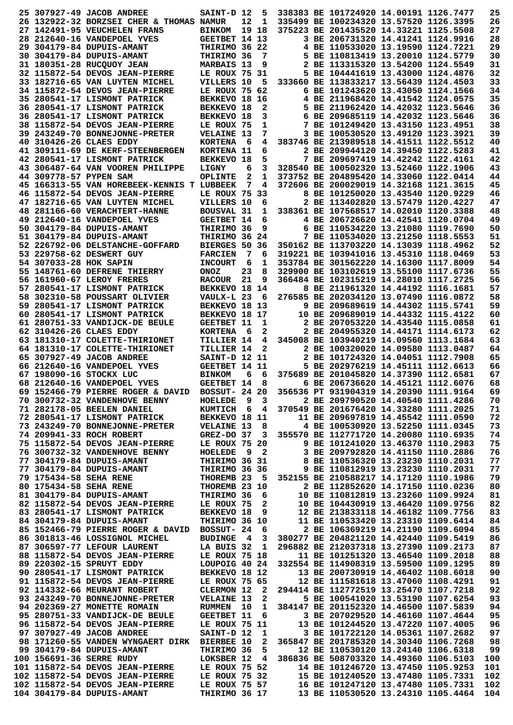|                        | 25 307927-49 JACOB ANDREE                                                     | SAINT-D 12                       |                   | 5                     |                                                    | 338383 BE 101724920 14.00191 1126.7477                                           |  | 25         |
|------------------------|-------------------------------------------------------------------------------|----------------------------------|-------------------|-----------------------|----------------------------------------------------|----------------------------------------------------------------------------------|--|------------|
|                        | 26 132922-32 BORZSEI CHER & THOMAS NAMUR                                      |                                  | 12                | $\mathbf{1}$          |                                                    | 335499 BE 100234320 13.57520 1126.3395                                           |  | 26         |
|                        | 27 142491-95 VEUCHELEN FRANS                                                  | <b>BINKOM</b>                    | 19 18             |                       |                                                    | 375223 BE 201435520 14.33221 1125.5508                                           |  | 27         |
|                        | 28 212640-16 VANDEPOEL YVES<br>29 304179-84 DUPUIS-AMANT                      | GEETBET 14 13<br>THIRIMO 36 22   |                   |                       |                                                    | 3 BE 206731320 14.41241 1124.9916<br>4 BE 110533020 13.19590 1124.7221           |  | 28<br>29   |
|                        | 30 304179-84 DUPUIS-AMANT                                                     | THIRIMO 36                       |                   | 7                     |                                                    | 5 BE 110813419 13.20010 1124.5779                                                |  | 30         |
|                        | 31 180351-28 RUCQUOY JEAN                                                     | <b>MARBAIS 13</b>                |                   | 9                     |                                                    | 2 BE 113315320 13.54200 1124.5549                                                |  | 31         |
|                        | 32 115872-54 DEVOS JEAN-PIERRE                                                | LE ROUX 75 31                    |                   |                       |                                                    | 5 BE 104441619 13.43000 1124.4876                                                |  | 32         |
|                        | 33 182716-65 VAN LUYTEN MICHEL                                                | VILLERS 10                       |                   | 5                     |                                                    | 333660 BE 113833217 13.56439 1124.4503                                           |  | 33         |
|                        | 34 115872-54 DEVOS JEAN-PIERRE                                                | LE ROUX 75 62                    |                   |                       |                                                    | 6 BE 101243620 13.43050 1124.1566                                                |  | 34         |
|                        | 35 280541-17 LISMONT PATRICK                                                  | BEKKEVO 18 16                    |                   |                       |                                                    | 4 BE 211968420 14.41542 1124.0575                                                |  | 35         |
|                        | 36 280541-17 LISMONT PATRICK<br>36 280541-17 LISMONT PATRICK                  | BEKKEVO 18<br><b>BEKKEVO 18</b>  |                   | 2<br>3                |                                                    | 5 BE 211962420 14.42032 1123.5646<br>6 BE 209685119 14.42032 1123.5646           |  | 36<br>36   |
|                        | 38 115872-54 DEVOS JEAN-PIERRE                                                | LE ROUX 75                       |                   | 1                     |                                                    | 7 BE 101249420 13.43150 1123.4951                                                |  | 38         |
|                        | 39 243249-70 BONNEJONNE-PRETER                                                | <b>VELAINE 13</b>                |                   | 7                     |                                                    | 3 BE 100530520 13.49120 1123.3921                                                |  | 39         |
|                        | 40 310426-26 CLAES EDDY                                                       | <b>KORTENA</b>                   | - 6               | 4                     |                                                    | 383746 BE 213989518 14.41511 1122.5512                                           |  | 40         |
|                        | 41 309111-69 DE KERF-STEENBERGEN                                              | KORTENA 11                       |                   | 6                     |                                                    | 2 BE 209944120 14.39450 1122.5283                                                |  | 41         |
|                        | 42 280541-17 LISMONT PATRICK                                                  | BEKKEVO 18                       |                   | 5                     |                                                    | 7 BE 209697419 14.42242 1122.4161                                                |  | 42         |
|                        | 43 306487-64 VAN VOOREN PHILIPPE                                              | LIGNY                            | 6                 | 3                     |                                                    | 328540 BE 100502320 13.52460 1122.1906                                           |  | 43         |
| 44 309778-57 PYPEN SAM | 45 166313-55 VAN HOREBEEK-KENNIS T LUBBEEK                                    | <b>OPLINTE</b>                   | $\mathbf{2}$<br>7 | 1<br>4                |                                                    | 373752 BE 204895420 14.33060 1122.0414<br>372606 BE 200029019 14.32168 1121.3615 |  | 44<br>45   |
|                        | 46 115872-54 DEVOS JEAN-PIERRE                                                | LE ROUX 75 33                    |                   |                       |                                                    | 8 BE 101250020 13.43540 1120.9229                                                |  | 46         |
|                        | 47 182716-65 VAN LUYTEN MICHEL                                                | VILLERS 10                       |                   | 6                     |                                                    | 2 BE 113402820 13.57479 1120.4227                                                |  | 47         |
|                        | 48 281166-60 VERACHTERT-HANNE                                                 | <b>BOUSVAL 31</b>                |                   | 1                     |                                                    | 338361 BE 107568517 14.02010 1120.3388                                           |  | 48         |
|                        | 49 212640-16 VANDEPOEL YVES                                                   | <b>GEETBET 14</b>                |                   | 6                     |                                                    | 4 BE 206726620 14.42541 1120.0704                                                |  | 49         |
|                        | 50 304179-84 DUPUIS-AMANT                                                     | THIRIMO 36                       |                   | 9                     |                                                    | 6 BE 110534220 13.21080 1119.7690                                                |  | 50         |
|                        | 51 304179-84 DUPUIS-AMANT                                                     | THIRIMO 36 24                    |                   |                       |                                                    | 7 BE 110534020 13.21250 1118.5553                                                |  | 51         |
|                        | 52 226792-06 DELSTANCHE-GOFFARD                                               | BIERGES 50 36                    |                   |                       |                                                    | 350162 BE 113703220 14.13039 1118.4962                                           |  | 52         |
| 54 307033-28 HOK SAPIN | 53 229758-62 DESWERT GUY                                                      | <b>FARCIEN</b><br><b>INCOURT</b> | 7<br>6            | 6<br>1                |                                                    | 319221 BE 103941016 13.45310 1118.0469<br>353784 BE 301562220 14.16300 1117.8009 |  | 53<br>54   |
|                        | 55 148761-60 DEFRENE THIERRY                                                  | <b>ONOZ</b>                      | 23                | 8                     |                                                    | 329900 BE 103102619 13.55100 1117.6736                                           |  | 55         |
|                        | 56 161960-67 LEROY FRERES                                                     | <b>RACOUR</b>                    | 21                | 9                     |                                                    | 366484 BE 102315219 14.28010 1117.2725                                           |  | 56         |
|                        | 57 280541-17 LISMONT PATRICK                                                  | BEKKEVO 18 14                    |                   |                       |                                                    | 8 BE 211961320 14.44192 1116.1681                                                |  | 57         |
|                        | 58 302310-58 POUSSART OLIVIER                                                 | VAULX-L 23                       |                   | - 6                   |                                                    | 276585 BE 202034120 13.07490 1116.0872                                           |  | 58         |
|                        | 59 280541-17 LISMONT PATRICK                                                  | BEKKEVO 18 13                    |                   |                       |                                                    | 9 BE 209689619 14.44302 1115.5741                                                |  | 59         |
|                        | 60 280541-17 LISMONT PATRICK                                                  | BEKKEVO 18 17                    |                   |                       |                                                    | 10 BE 209689019 14.44332 1115.4122                                               |  | 60         |
|                        | 61 280751-33 VANDIJCK-DE BEULE                                                | GEETBET 11                       |                   | 1                     |                                                    | 2 BE 207053220 14.43540 1115.0858                                                |  | 61<br>62   |
|                        | 62 310426-26 CLAES EDDY<br>63 181310-17 COLETTE-THIRIONET                     | <b>KORTENA</b><br>TILLIER 14     | - 6               | 2<br>4                |                                                    | 2 BE 204955320 14.44171 1114.6173<br>345008 BE 103940219 14.09560 1113.1684      |  | 63         |
|                        | 64 181310-17 COLETTE-THIRIONET                                                | TILLIER 14                       |                   | $\mathbf{2}$          |                                                    | 2 BE 100320020 14.09580 1113.0487                                                |  | 64         |
|                        | 65 307927-49 JACOB ANDREE                                                     | SAINT-D 12 11                    |                   |                       |                                                    | 2 BE 101724320 14.04051 1112.7908                                                |  | 65         |
|                        | 66 212640-16 VANDEPOEL YVES                                                   | GEETBET 14 11                    |                   |                       |                                                    | 5 BE 202976219 14.45111 1112.6613                                                |  | 66         |
|                        | 67 198090-16 STOCKX LUC                                                       | <b>BINKOM</b>                    | 6                 | 6                     |                                                    | 375689 BE 201045820 14.37390 1112.6581                                           |  | 67         |
|                        | 68 212640-16 VANDEPOEL YVES                                                   | <b>GEETBET 14</b>                |                   | 8                     |                                                    | 6 BE 206736620 14.45121 1112.6076                                                |  | 68         |
|                        | 69 152466-79 PIERRE ROGER & DAVID                                             | BOSSUT- 24 20<br>HOELEDE 9 3     |                   |                       | 2 BE 209790520 14.40540 1111.4286                  | 356536 PT 931904319 14.20390 1111.9164                                           |  | 69         |
|                        | 70 300732-32 VANDENHOVE BENNY<br>71 282178-05 BEELEN DANIEL                   |                                  |                   |                       | KUMTICH 6 4 370549 BE 201676420 14.33280 1111.2025 |                                                                                  |  | 70<br>71   |
|                        | 72 280541-17 LISMONT PATRICK                                                  | <b>BEKKEVO 18 11</b>             |                   |                       |                                                    | 11 BE 209697819 14.45542 1111.0590                                               |  | 72         |
|                        | 73 243249-70 BONNEJONNE-PRETER                                                | <b>VELAINE 13</b>                |                   | - 8                   |                                                    | 4 BE 100530920 13.52250 1111.0345                                                |  | 73         |
|                        | 74 209941-33 ROCH ROBERT                                                      | $GREZ-DO$ 37                     |                   | 3                     |                                                    | 355570 BE 112771720 14.20080 1110.6935                                           |  | 74         |
|                        | 75 115872-54 DEVOS JEAN-PIERRE                                                | LE ROUX 75 20                    |                   |                       |                                                    | 9 BE 101241020 13.46370 1110.2983                                                |  | 75         |
|                        | 76 300732-32 VANDENHOVE BENNY                                                 | HOELEDE                          | 92                |                       |                                                    | 3 BE 209792820 14.41150 1110.2886                                                |  | 76         |
|                        | 77 304179-84 DUPUIS-AMANT<br>77 304179-84 DUPUIS-AMANT                        | THIRIMO 36 31<br>THIRIMO 36 36   |                   |                       |                                                    | 8 BE 110536320 13.23230 1110.2031<br>9 BE 110812919 13.23230 1110.2031           |  | 77<br>77   |
| 79 175434-58 SEHA RENE |                                                                               | THOREMB 23 5                     |                   |                       | 352155 BE 210588217 14.17120 1110.1986             |                                                                                  |  | 79         |
| 80 175434-58 SEHA RENE |                                                                               | THOREMB 23 10                    |                   |                       |                                                    | 2 BE 112852620 14.17150 1110.0236                                                |  | 80         |
|                        | 81 304179-84 DUPUIS-AMANT THIRIMO 36                                          |                                  |                   | 6                     |                                                    | 10 BE 110812819 13.23260 1109.9924                                               |  | 81         |
|                        | 82 115872-54 DEVOS JEAN-PIERRE LE ROUX 75                                     |                                  |                   | $\mathbf{2}$          |                                                    | 10 BE 104430919 13.46420 1109.9756                                               |  | 82         |
|                        | 83 280541-17 LISMONT PATRICK                                                  | <b>BEKKEVO 18</b>                |                   | 9                     |                                                    | 12 BE 213833118 14.46182 1109.7756                                               |  | 83         |
|                        | 84 304179-84 DUPUIS-AMANT                                                     | THIRIMO 36 10                    |                   |                       |                                                    | 11 BE 110533420 13.23310 1109.6414                                               |  | 84         |
|                        | 85 152466-79 PIERRE ROGER & DAVID BOSSUT- 24<br>86 301813-46 LOSSIGNOL MICHEL |                                  |                   | - 6<br>3 <sup>7</sup> |                                                    | 2 BE 106369219 14.21190 1109.6094                                                |  | 85<br>86   |
|                        | 87 306597-77 LEFOUR LAURENT                                                   | <b>BUDINGE 4</b><br>LA BUIS 32 1 |                   |                       |                                                    | 380277 BE 204821120 14.42440 1109.5419<br>296882 BE 212037318 13.27390 1109.2173 |  | 87         |
|                        | 88 115872-54 DEVOS JEAN-PIERRE LE ROUX 75 18                                  |                                  |                   |                       |                                                    | 11 BE 101251320 13.46540 1109.2018                                               |  | 88         |
|                        | 89 220302-15 SPRUYT EDDY                                                      | LOUPOIG 40 24                    |                   |                       | 332554 BE 114908319 13.59500 1109.1295             |                                                                                  |  | 89         |
|                        | 90 280541-17 LISMONT PATRICK                                                  | BEKKEVO 18 12                    |                   |                       |                                                    | 13 BE 200730919 14.46402 1108.6018                                               |  | 90         |
|                        | 91 115872-54 DEVOS JEAN-PIERRE                                                | LE ROUX 75 65                    |                   |                       |                                                    | 12 BE 111581618 13.47060 1108.4291                                               |  | 91         |
|                        | 92 114332-66 MEURANT ROBERT                                                   | CLERMON 12                       |                   | $\overline{2}$        |                                                    | 294414 BE 112772519 13.25470 1107.7218                                           |  | 92         |
|                        | 93 243249-70 BONNEJONNE-PRETER                                                | <b>VELAINE 13</b>                |                   | $\overline{2}$        |                                                    | 5 BE 100541020 13.53190 1107.6254                                                |  | 93         |
|                        | 94 202369-27 MONETTE ROMAIN<br>95 280751-33 VANDIJCK-DE BEULE                 | RUMMEN 10<br>GEETBET 11          |                   | $\mathbf{1}$<br>6     | 384147 BE 201152320 14.46500 1107.5839             | 3 BE 207029520 14.46160 1107.4644                                                |  | 94<br>95   |
|                        | 96 115872-54 DEVOS JEAN-PIERRE                                                | LE ROUX 75 11                    |                   |                       |                                                    | 13 BE 101244520 13.47220 1107.4005                                               |  | 96         |
|                        | 97 307927-49 JACOB ANDREE                                                     | SAINT-D 12                       |                   | 1                     |                                                    | 3 BE 101722120 14.05361 1107.2682                                                |  | 97         |
|                        | 98 171260-55 VANDEN WYNGAERT DIRK BIERBEE 10                                  |                                  |                   | $\overline{2}$        |                                                    | 365847 BE 201785320 14.30340 1106.7268                                           |  | 98         |
|                        | 99 304179-84 DUPUIS-AMANT                                                     | THIRIMO 36                       |                   | 5                     |                                                    | 12 BE 110530120 13.24140 1106.6318                                               |  | 99         |
|                        | 100 156691-36 SERRE RUDY                                                      | LOKSBER 12 4                     |                   |                       | 386836 BE 508703320 14.49360 1106.5103             |                                                                                  |  | 100        |
|                        | 101 115872-54 DEVOS JEAN-PIERRE<br>102 115872-54 DEVOS JEAN-PIERRE            | LE ROUX 75 52<br>LE ROUX 75 32   |                   |                       |                                                    | 14 BE 101246720 13.47450 1105.9253<br>15 BE 101240520 13.47480 1105.7331         |  | 101<br>102 |
|                        | 102 115872-54 DEVOS JEAN-PIERRE                                               | LE ROUX 75 57                    |                   |                       | 16 BE 101247120 13.47480 1105.7331                 |                                                                                  |  | 102        |
|                        | 104 304179-84 DUPUIS-AMANT                                                    | THIRIMO 36 17                    |                   |                       |                                                    | 13 BE 110530520 13.24310 1105.4464                                               |  | 104        |
|                        |                                                                               |                                  |                   |                       |                                                    |                                                                                  |  |            |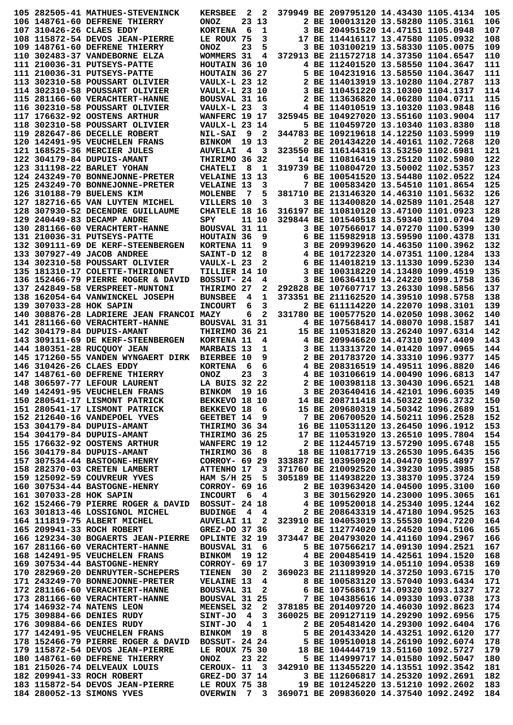|                         | 105 282505-41 MATHUES-STEVENINCK                                                                                                                                                                                                     | <b>KERSBEE</b>                       | 2   | $\mathbf{2}$ |                                                                                                                            | 379949 BE 209795120 14.43430 1105.4134 |                                   | 105        |
|-------------------------|--------------------------------------------------------------------------------------------------------------------------------------------------------------------------------------------------------------------------------------|--------------------------------------|-----|--------------|----------------------------------------------------------------------------------------------------------------------------|----------------------------------------|-----------------------------------|------------|
|                         | 106 148761-60 DEFRENE THIERRY                                                                                                                                                                                                        | <b>ONOZ</b>                          |     | 23 13        |                                                                                                                            | 2 BE 100013120 13.58280 1105.3161      |                                   | 106        |
|                         | 107 310426-26 CLAES EDDY                                                                                                                                                                                                             | <b>KORTENA</b>                       | 6   | 1            |                                                                                                                            | 3 BE 204951520 14.47151 1105.0948      |                                   | 107        |
|                         | 108 115872-54 DEVOS JEAN-PIERRE                                                                                                                                                                                                      | LE ROUX 75                           |     | 3            |                                                                                                                            | 17 BE 114416117 13.47580 1105.0932     |                                   | 108        |
|                         | 109 148761-60 DEFRENE THIERRY                                                                                                                                                                                                        | <b>ONOZ</b>                          | 23  | 5            |                                                                                                                            | 3 BE 103100219 13.58330 1105.0075      |                                   | 109        |
|                         | 110 302483-37 VANDEBORNE ELZA                                                                                                                                                                                                        | WOMMERS 31                           |     | 4            |                                                                                                                            | 372913 BE 211572718 14.37350 1104.6547 |                                   | 110        |
|                         | 111 210036-31 PUTSEYS-PATTE                                                                                                                                                                                                          | HOUTAIN 36 10                        |     |              |                                                                                                                            | 4 BE 112401520 13.58550 1104.3647      |                                   | 111        |
|                         | 111 210036-31 PUTSEYS-PATTE                                                                                                                                                                                                          | HOUTAIN 36 27                        |     |              |                                                                                                                            | 5 BE 104231916 13.58550 1104.3647      |                                   | 111        |
|                         | 113 302310-58 POUSSART OLIVIER                                                                                                                                                                                                       | <b>VAULX-L 23 12</b>                 |     |              |                                                                                                                            | 2 BE 114013919 13.10280 1104.2787      |                                   | 113        |
|                         |                                                                                                                                                                                                                                      |                                      |     |              |                                                                                                                            | 3 BE 110451220 13.10300 1104.1317      |                                   | 114        |
|                         | 114 302310-58 POUSSART OLIVIER                                                                                                                                                                                                       | <b>VAULX-L 23 10</b>                 |     |              |                                                                                                                            |                                        |                                   |            |
|                         | 115 281166-60 VERACHTERT-HANNE                                                                                                                                                                                                       | BOUSVAL 31 16                        |     |              |                                                                                                                            | 2 BE 113636820 14.06280 1104.0711      |                                   | 115        |
|                         | 116 302310-58 POUSSART OLIVIER                                                                                                                                                                                                       | VAULX-L 23                           |     | 3            |                                                                                                                            | 4 BE 114010519 13.10320 1103.9848      |                                   | 116        |
|                         | 117 176632-92 OOSTENS ARTHUR                                                                                                                                                                                                         | WANFERC 19 17                        |     |              |                                                                                                                            | 325945 BE 104927020 13.55160 1103.9004 |                                   | 117        |
|                         | 118 302310-58 POUSSART OLIVIER                                                                                                                                                                                                       | <b>VAULX-L 23 14</b>                 |     |              |                                                                                                                            | 5 BE 110459720 13.10340 1103.8380      |                                   | 118        |
|                         | 119  282647-86 DECELLE ROBERT                                                                                                                                                                                                        | <b>NIL-SAI</b>                       | 9   | 2            |                                                                                                                            | 344783 BE 109219618 14.12250 1103.5999 |                                   | 119        |
|                         | 120 142491-95 VEUCHELEN FRANS                                                                                                                                                                                                        | <b>BINKOM</b>                        |     | 19 13        |                                                                                                                            | 2 BE 201434220 14.40161 1102.7268      |                                   | 120        |
|                         | 121 168525-36 MERCIER JULES                                                                                                                                                                                                          | <b>AUVELAI</b>                       | 4   | 3            |                                                                                                                            | 323550 BE 116144316 13.53250 1102.6981 |                                   | 121        |
|                         | 122 304179-84 DUPUIS-AMANT                                                                                                                                                                                                           | THIRIMO 36 32                        |     |              |                                                                                                                            | 14 BE 110816419 13.25120 1102.5980     |                                   | 122        |
|                         | 123 311198-22 BARLET YOHAN                                                                                                                                                                                                           | <b>CHATELI</b>                       | - 8 | $\mathbf{1}$ |                                                                                                                            | 319739 BE 110804720 13.50002 1102.5357 |                                   | 123        |
|                         | 124 243249-70 BONNEJONNE-PRETER                                                                                                                                                                                                      | VELAINE 13 13                        |     |              |                                                                                                                            | 6 BE 100541520 13.54480 1102.0522      |                                   | 124        |
|                         | 125 243249-70 BONNEJONNE-PRETER                                                                                                                                                                                                      | <b>VELAINE 13</b>                    |     | 3            |                                                                                                                            | 7 BE 100583420 13.54510 1101.8654      |                                   | 125        |
|                         | 126 310188-79 BUELENS KIM                                                                                                                                                                                                            | <b>MOLENBE</b>                       | - 7 | 5            |                                                                                                                            | 381710 BE 213146320 14.46310 1101.5632 |                                   | 126        |
|                         | 127 182716-65 VAN LUYTEN MICHEL                                                                                                                                                                                                      | VILLERS 10                           |     | 3            |                                                                                                                            | 3 BE 113400820 14.02589 1101.2548      |                                   | 127        |
|                         | 128 307930-52 DECENDRE GUILLAUME                                                                                                                                                                                                     | CHATELE 18 16                        |     |              |                                                                                                                            | 316197 BE 110810120 13.47100 1101.0923 |                                   | 128        |
|                         | 129 240449-83 DECAMP ANDRE                                                                                                                                                                                                           | SPY                                  |     | 11 10        |                                                                                                                            | 329844 BE 101540518 13.59340 1101.0704 |                                   | 129        |
|                         | 130 281166-60 VERACHTERT-HANNE                                                                                                                                                                                                       | BOUSVAL 31 11                        |     |              |                                                                                                                            | 3 BE 107566017 14.07270 1100.5399      |                                   | 130        |
|                         | 131 210036-31 PUTSEYS-PATTE                                                                                                                                                                                                          | HOUTAIN 36                           |     | 9            |                                                                                                                            | 6 BE 115982918 13.59590 1100.4378      |                                   | 131        |
|                         | 132 309111-69 DE KERF-STEENBERGEN                                                                                                                                                                                                    | KORTENA 11                           |     | 9            |                                                                                                                            | 3 BE 209939620 14.46350 1100.3962      |                                   | 132        |
|                         | 133 307927-49 JACOB ANDREE                                                                                                                                                                                                           | SAINT-D 12                           |     | 8            |                                                                                                                            | 4 BE 101722320 14.07351 1100.1284      |                                   | 133        |
|                         | 134 302310-58 POUSSART OLIVIER                                                                                                                                                                                                       | VAULX-L 23                           |     | 2            |                                                                                                                            | 6 BE 114018219 13.11330 1099.5230      |                                   | 134        |
|                         | 135 181310-17 COLETTE-THIRIONET                                                                                                                                                                                                      | TILLIER 14 10                        |     |              |                                                                                                                            | 3 BE 100318220 14.13480 1099.4519      |                                   | 135        |
|                         | 136 152466-79 PIERRE ROGER & DAVID                                                                                                                                                                                                   | BOSSUT- 24                           |     | 4            |                                                                                                                            | 3 BE 106364119 14.24220 1099.1758      |                                   | 136        |
|                         | 137 242849-58 VERSPREET-MUNTONI                                                                                                                                                                                                      | THIRIMO 27                           |     | 2            |                                                                                                                            | 292828 BE 107607717 13.26330 1098.5856 |                                   | 137        |
|                         |                                                                                                                                                                                                                                      |                                      |     | 1            |                                                                                                                            | 373351 BE 211162520 14.39510 1098.5758 |                                   | 138        |
|                         | 138 162054-64 VANWINCKEL JOSEPH                                                                                                                                                                                                      | <b>BUNSBEE</b>                       | 4   |              |                                                                                                                            |                                        |                                   |            |
| 139 307033-28 HOK SAPIN |                                                                                                                                                                                                                                      | <b>INCOURT</b>                       | 6   | 3            |                                                                                                                            | 2 BE 611114220 14.22070 1098.3101      |                                   | 139        |
|                         | 140 308876-28 LADRIERE JEAN FRANCOI MAZY                                                                                                                                                                                             |                                      | 6   | $\mathbf{z}$ |                                                                                                                            | 331780 BE 100577520 14.02050 1098.3062 |                                   | 140        |
|                         | 141 281166-60 VERACHTERT-HANNE                                                                                                                                                                                                       | BOUSVAL 31 31                        |     |              |                                                                                                                            | 4 BE 107568417 14.08070 1098.1587      |                                   | 141        |
|                         | 142 304179-84 DUPUIS-AMANT                                                                                                                                                                                                           | THIRIMO 36 21                        |     |              |                                                                                                                            | 15 BE 110531820 13.26240 1097.6314     |                                   | 142        |
|                         | 143 309111-69 DE KERF-STEENBERGEN                                                                                                                                                                                                    | KORTENA 11                           |     | 4            |                                                                                                                            | 4 BE 209946620 14.47310 1097.4409      |                                   | 143        |
|                         | 144 180351-28 RUCQUOY JEAN                                                                                                                                                                                                           | MARBAIS 13                           |     | 1            |                                                                                                                            | 3 BE 113313720 14.01420 1097.0965      |                                   | 144        |
|                         | 145 171260-55 VANDEN WYNGAERT DIRK                                                                                                                                                                                                   | <b>BIERBEE 10</b>                    |     | 9            |                                                                                                                            | 2 BE 201783720 14.33310 1096.9377      |                                   | 145        |
|                         | 146 310426-26 CLAES EDDY                                                                                                                                                                                                             | <b>KORTENA</b>                       | - 6 | 6            |                                                                                                                            | 4 BE 208316519 14.49511 1096.8820      |                                   | 146        |
|                         | 147 148761-60 DEFRENE THIERRY                                                                                                                                                                                                        | <b>ONOZ</b>                          | 23  | 3            |                                                                                                                            | 4 BE 103106619 14.00490 1096.6813      |                                   | 147        |
|                         | 148 306597-77 LEFOUR LAURENT                                                                                                                                                                                                         | LA BUIS 32 22                        |     |              |                                                                                                                            | 2 BE 100398118 13.30430 1096.6521      |                                   | 148        |
|                         | 149 142491-95 VEUCHELEN FRANS                                                                                                                                                                                                        | BINKOM 19 16                         |     |              |                                                                                                                            | 3 BE 203640416 14.42101 1096.6035      |                                   | 149        |
|                         | 150 280541-17 LISMONT PATRICK                                                                                                                                                                                                        |                                      |     |              | BEKKEVO 18 10<br>BEKKEVO 18 10 14 BE 208711418 14.50322 1096.3732<br>BEKKEVO 18 6 15 BE 209680319 14.50342 1096.2689       |                                        |                                   | 150        |
|                         | 151 280541-17 LISMONT PATRICK                                                                                                                                                                                                        |                                      |     |              |                                                                                                                            |                                        |                                   | 151        |
|                         | 152 212640-16 VANDEPOEL YVES                                                                                                                                                                                                         | GEETBET 14 9                         |     |              |                                                                                                                            | 7 BE 206700520 14.50211 1096.2528      |                                   | 152        |
|                         | 153 304179-84 DUPUIS-AMANT                                                                                                                                                                                                           | THIRIMO 36 34                        |     |              | 16 BE 110531120 13.26450 1096.1912<br>17 BE 110531920 13.26510 1095.7804                                                   |                                        |                                   | 153        |
|                         | 154 304179-84 DUPUIS-AMANT                                                                                                                                                                                                           | THIRIMO 36 25                        |     |              |                                                                                                                            |                                        |                                   | 154        |
|                         | <b>155 176632-92 OOSTENS ARTHUR</b>                                                                                                                                                                                                  | WANFERC 19 12                        |     |              |                                                                                                                            | 2 BE 112445719 13.57290 1095.6748      |                                   | 155        |
|                         | 156 304179-84 DUPUIS-AMANT                                                                                                                                                                                                           | THIRIMO 36 8                         |     |              |                                                                                                                            | 18 BE 110817719 13.26530 1095.6435     |                                   | 156        |
|                         | 157 307534-44 BASTOGNE-HENRY                                                                                                                                                                                                         |                                      |     |              | CORROY- 69 29 333887 BE 103950920 14.04470 1095.4897                                                                       |                                        |                                   | 157        |
|                         | 158 282370-03 CRETEN LAMBERT                                                                                                                                                                                                         |                                      |     |              | ATTENHO 17 3 371760 BE 210092520 14.39230 1095.3985                                                                        |                                        |                                   | 158        |
|                         | 159 125092-59 COUVREUR YVES                                                                                                                                                                                                          |                                      |     |              | HAM S/H 25 5 305189 BE 114938220 13.38370 1095.3724                                                                        |                                        |                                   | 159        |
|                         | 160 307534-44 BASTOGNE-HENRY                                                                                                                                                                                                         | CORROY- 69 16                        |     |              |                                                                                                                            |                                        |                                   | 160        |
|                         |                                                                                                                                                                                                                                      |                                      |     |              |                                                                                                                            | 2 BE 103963420 14.04500 1095.3100      |                                   |            |
| 161 307033-28 HOK SAPIN |                                                                                                                                                                                                                                      | INCOURT 6 4                          |     |              | 3 BE 301562920 14.23000 1095.3065                                                                                          |                                        |                                   | 161        |
|                         | 162 152466-79 PIERRE ROGER & DAVID BOSSUT- 24 18                                                                                                                                                                                     |                                      |     |              |                                                                                                                            | $4$ BE 109520018 14.25340 1095.1244    |                                   | 162        |
|                         | 163 301813-46 LOSSIGNOL MICHEL                                                                                                                                                                                                       |                                      |     |              | BUDINGE 4 4 2 BE 208643319 14.47180 1094.9525                                                                              |                                        |                                   | 163        |
|                         | 164 111819-75 ALBERT MICHEL                                                                                                                                                                                                          |                                      |     |              | AUVELAI 11 2 323910 BE 104053019 13.55530 1094.7220                                                                        |                                        |                                   | 164        |
|                         | 165 209941-33 ROCH ROBERT                                                                                                                                                                                                            | GREZ-DO 37 36                        |     |              |                                                                                                                            | 2 BE 112774020 14.24520 1094.5106      |                                   | 165        |
|                         | 166 129234-30 BOGAERTS JEAN-PIERRE OPLINTE 32 19 373447 BE 204793020 14.41160 1094.2967                                                                                                                                              |                                      |     |              |                                                                                                                            |                                        |                                   | 166        |
|                         | 167 281166-60 VERACHTERT-HANNE                                                                                                                                                                                                       | BOUSVAL 31 6                         |     |              |                                                                                                                            | 5 BE 107566217 14.09130 1094.2521      |                                   | 167        |
|                         | 168 142491-95 VEUCHELEN FRANS                                                                                                                                                                                                        | BINKOM 19 12                         |     |              |                                                                                                                            |                                        |                                   | 168        |
|                         |                                                                                                                                                                                                                                      |                                      |     |              |                                                                                                                            |                                        | 4 BE 200485419 14.42561 1094.1520 |            |
|                         | 169 307534-44 BASTOGNE-HENRY                                                                                                                                                                                                         | CORROY- 69 17                        |     |              |                                                                                                                            | 3 BE 103093919 14.05110 1094.0538      |                                   | 169        |
|                         | 170 282969-20 DENRUYTER-SCHEPERS TIENEN 30 2                                                                                                                                                                                         |                                      |     |              |                                                                                                                            | 369023 BE 211189920 14.37250 1093.6715 |                                   | 170        |
|                         | 171  243249-70  BONNEJONNE-PRETER                                                                                                                                                                                                    |                                      |     |              |                                                                                                                            |                                        |                                   | 171        |
|                         | 172 281166-60 VERACHTERT-HANNE                                                                                                                                                                                                       |                                      |     |              |                                                                                                                            |                                        |                                   | 172        |
|                         | 173 281166-60 VERACHTERT-HANNE                                                                                                                                                                                                       | <b>VELAINE 13 4<br/>BOUSVAL 31 2</b> |     |              | 8 BE 100583120 13.57040 1093.6434<br>8 BE 100583120 13.57040 1093.6434<br>6 BE 107568617 14 09390 1003 1005                |                                        |                                   | 173        |
|                         | 174 146932-74 NATENS LEON                                                                                                                                                                                                            |                                      |     |              |                                                                                                                            |                                        |                                   | 174        |
|                         |                                                                                                                                                                                                                                      |                                      |     |              |                                                                                                                            |                                        |                                   |            |
|                         | 175 309884-66 DENIES RUDY                                                                                                                                                                                                            |                                      |     |              | BOUSVAL 31 25<br>MEENSEL 32 2 378185 BE 201409720 14.46030 1092.8623<br>SINT-JO 4 3 360025 BE 209127119 14.29290 1092.6956 |                                        |                                   | 175        |
|                         | 176 309884-66 DENIES RUDY                                                                                                                                                                                                            |                                      |     |              | SINT-JO 4 1 2 BE 205481420 14.29300 1092.6404                                                                              |                                        |                                   | 176        |
|                         |                                                                                                                                                                                                                                      |                                      |     |              |                                                                                                                            |                                        |                                   | 177        |
|                         |                                                                                                                                                                                                                                      |                                      |     |              |                                                                                                                            |                                        |                                   | 178        |
|                         | 177 142491-95 VEUCHELEN FRANS BINKOM 19 8 5 BE 201433420 14.43251 1092.6120<br>178 152466-79 PIERRE ROGER & DAVID BOSSUT- 24 24 5 BE 109510018 14.26190 1092.6074<br>179 115872-54 DEVOS JEAN-PIERRE LE ROUX 75 30 18 BE 104444719 1 |                                      |     |              |                                                                                                                            |                                        |                                   | 179        |
|                         | 180 148761-60 DEFRENE THIERRY                                                                                                                                                                                                        | <b>ONOZ</b>                          |     | 23 22        |                                                                                                                            | 5 BE 114999717 14.01580 1092.5047      |                                   | 180        |
|                         | 181 215026-74 DELVEAUX LOUIS                                                                                                                                                                                                         |                                      |     |              |                                                                                                                            |                                        |                                   | 181        |
|                         | 182 209941-33 ROCH ROBERT                                                                                                                                                                                                            |                                      |     |              | S<br>CEROUX- 11 3 342910 BE 113455220 14.13551 1092.3542<br>GREZ-DO 37 14 3 BE 112606817 14.25320 1092.2691                |                                        |                                   | 182        |
|                         | 183 115872-54 DEVOS JEAN-PIERRE LE ROUX 75 38 19 BE 101245220 13.51210 1092.2602<br>184 280052-13 SIMONS YVES OVERWIN 7 3 369071 BE 209836020 14.37540 1092.2492                                                                     |                                      |     |              |                                                                                                                            |                                        |                                   | 183<br>184 |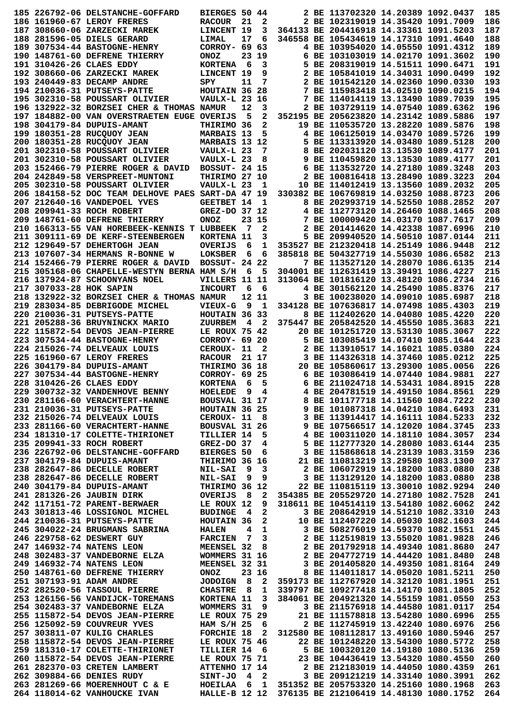|                         | 185 226792-06 DELSTANCHE-GOFFARD                                                                                                                                       | BIERGES 50 44                        |                |        |                                                                                                                                                                                                                                        | 2 BE 113702320 14.20389 1092.0437                                       |  | 185        |
|-------------------------|------------------------------------------------------------------------------------------------------------------------------------------------------------------------|--------------------------------------|----------------|--------|----------------------------------------------------------------------------------------------------------------------------------------------------------------------------------------------------------------------------------------|-------------------------------------------------------------------------|--|------------|
|                         | 186 161960-67 LEROY FRERES                                                                                                                                             | <b>RACOUR</b>                        | 21             | 2      |                                                                                                                                                                                                                                        | 2 BE 102319019 14.35420 1091.7009                                       |  | 186        |
|                         | 187 308660-06 ZARZECKI MAREK                                                                                                                                           | LINCENT 19                           |                | 3      |                                                                                                                                                                                                                                        | 364133 BE 204416918 14.33361 1091.5203                                  |  | 187        |
|                         | 188 281596-05 DIELS GERARD                                                                                                                                             | LIMAL                                | 17             | 6      |                                                                                                                                                                                                                                        | 346558 BE 105434619 14.17310 1091.4640                                  |  | 188        |
|                         | 189 307534-44 BASTOGNE-HENRY                                                                                                                                           | CORROY- 69 63                        |                |        |                                                                                                                                                                                                                                        | 4 BE 103954020 14.05550 1091.4312                                       |  | 189        |
|                         | 190 148761-60 DEFRENE THIERRY                                                                                                                                          | <b>ONOZ</b>                          |                | 23 19  |                                                                                                                                                                                                                                        | 6 BE 103103019 14.02170 1091.3602                                       |  | 190        |
|                         | 191 310426-26 CLAES EDDY                                                                                                                                               | <b>KORTENA</b>                       | - 6            | 3      |                                                                                                                                                                                                                                        | 5 BE 208319019 14.51511 1090.6471                                       |  | 191        |
|                         | 192 308660-06 ZARZECKI MAREK                                                                                                                                           | LINCENT 19                           |                | 9      |                                                                                                                                                                                                                                        | 2 BE 105841019 14.34031 1090.0499                                       |  | 192        |
|                         | 193 240449-83 DECAMP ANDRE                                                                                                                                             | SPY                                  | 11             | 7      |                                                                                                                                                                                                                                        | 2 BE 101542120 14.02360 1090.0330                                       |  | 193        |
|                         | 194 210036-31 PUTSEYS-PATTE                                                                                                                                            | HOUTAIN 36 28                        |                |        |                                                                                                                                                                                                                                        | 7 BE 115983418 14.02510 1090.0215                                       |  | 194        |
|                         | 195 302310-58 POUSSART OLIVIER                                                                                                                                         | <b>VAULX-L 23 16</b>                 |                |        |                                                                                                                                                                                                                                        | 7 BE 114014119 13.13490 1089.7039                                       |  | 195        |
|                         | 196 132922-32 BORZSEI CHER & THOMAS NAMUR                                                                                                                              |                                      | 12             | 3      |                                                                                                                                                                                                                                        | 2 BE 103729119 14.07540 1089.6362                                       |  | 196        |
|                         | 197 184882-00 VAN OVERSTRAETEN EUGE OVERIJS                                                                                                                            |                                      | 5              | 2      |                                                                                                                                                                                                                                        | 352195 BE 205623820 14.23142 1089.5886                                  |  | 197        |
|                         | 198 304179-84 DUPUIS-AMANT<br>199 180351-28 RUCQUOY JEAN                                                                                                               | THIRIMO 36<br><b>MARBAIS 13</b>      |                | 2<br>5 |                                                                                                                                                                                                                                        | 19 BE 110535720 13.28220 1089.5876<br>4 BE 106125019 14.03470 1089.5726 |  | 198<br>199 |
|                         | 200 180351-28 RUCOUOY JEAN                                                                                                                                             | MARBAIS 13 12                        |                |        |                                                                                                                                                                                                                                        | 5 BE 113313920 14.03480 1089.5128                                       |  | 200        |
|                         | 201 302310-58 POUSSART OLIVIER                                                                                                                                         | VAULX-L 23                           |                | 7      |                                                                                                                                                                                                                                        | 8 BE 202031120 13.13530 1089.4177                                       |  | 201        |
|                         | 201 302310-58 POUSSART OLIVIER                                                                                                                                         | VAULX-L 23                           |                | 8      |                                                                                                                                                                                                                                        | 9 BE 110459820 13.13530 1089.4177                                       |  | 201        |
|                         | 203 152466-79 PIERRE ROGER & DAVID                                                                                                                                     | <b>BOSSUT- 24 15</b>                 |                |        |                                                                                                                                                                                                                                        | 6 BE 113532720 14.27180 1089.3248                                       |  | 203        |
|                         | 204 242849-58 VERSPREET-MUNTONI                                                                                                                                        | THIRIMO 27 10                        |                |        |                                                                                                                                                                                                                                        | 2 BE 100816418 13.28490 1089.3223                                       |  | 204        |
|                         | 205 302310-58 POUSSART OLIVIER                                                                                                                                         | VAULX-L 23                           |                | 1      |                                                                                                                                                                                                                                        | 10 BE 114012419 13.13560 1089.2032                                      |  | 205        |
|                         | 206 184158-52 DOC TEAM DELHOVE PAES SART-DA 47 19                                                                                                                      |                                      |                |        |                                                                                                                                                                                                                                        | 330382 BE 106769819 14.03250 1088.8723                                  |  | 206        |
|                         | 207 212640-16 VANDEPOEL YVES                                                                                                                                           | GEETBET 14                           |                | - 1    |                                                                                                                                                                                                                                        | 8 BE 202993719 14.52550 1088.2852                                       |  | 207        |
|                         | 208 209941-33 ROCH ROBERT                                                                                                                                              | GREZ-DO 37 12                        |                |        |                                                                                                                                                                                                                                        | 4 BE 112773120 14.26460 1088.1465                                       |  | 208        |
|                         | 209 148761-60 DEFRENE THIERRY                                                                                                                                          | ONOZ                                 |                | 23 15  |                                                                                                                                                                                                                                        | 7 BE 100009420 14.03170 1087.7617                                       |  | 209        |
|                         | 210 166313-55 VAN HOREBEEK-KENNIS T LUBBEEK                                                                                                                            |                                      | $\overline{7}$ | 2      |                                                                                                                                                                                                                                        | 2 BE 201414620 14.42338 1087.6996                                       |  | 210        |
|                         | 211 309111-69 DE KERF-STEENBERGEN                                                                                                                                      | KORTENA 11                           |                | 3      |                                                                                                                                                                                                                                        | 5 BE 209940520 14.50510 1087.0144                                       |  | 211        |
|                         | 212 129649-57 DEHERTOGH JEAN                                                                                                                                           | <b>OVERIJS</b>                       | 6              | 1      |                                                                                                                                                                                                                                        | 353527 BE 212320418 14.25149 1086.9448                                  |  | 212        |
|                         | 213 107607-34 HERMANS R-BONNE W                                                                                                                                        | <b>LOKSBER</b>                       | 6              | 6      |                                                                                                                                                                                                                                        | 385818 BE 504327719 14.55030 1086.6582                                  |  | 213        |
|                         | 214 152466-79 PIERRE ROGER & DAVID                                                                                                                                     | <b>BOSSUT- 24 22</b>                 |                |        |                                                                                                                                                                                                                                        | 7 BE 113527120 14.28070 1086.6135                                       |  | 214        |
|                         | 215 305168-06 CHAPELLE-WESTYN BERNA HAM S/H                                                                                                                            |                                      | -6             | 5      |                                                                                                                                                                                                                                        | 304001 BE 112631419 13.39491 1086.4227                                  |  | 215        |
|                         | 216 137924-87 SCHOONYANS NOEL                                                                                                                                          | VILLERS 11 11                        |                |        |                                                                                                                                                                                                                                        | 313064 BE 101816120 13.48120 1086.2734                                  |  | 216        |
| 217 307033-28 HOK SAPIN |                                                                                                                                                                        | <b>INCOURT</b>                       | 6              | 6      |                                                                                                                                                                                                                                        | 4 BE 301562120 14.25490 1085.8376                                       |  | 217        |
|                         | 218 132922-32 BORZSEI CHER & THOMAS NAMUR                                                                                                                              |                                      |                | 12 11  |                                                                                                                                                                                                                                        | 3 BE 100238020 14.09010 1085.6987                                       |  | 218        |
|                         | 219 283034-85 DEBRIGODE MICHEL                                                                                                                                         | <b>VIEUX-G</b>                       | - 9            | 1      |                                                                                                                                                                                                                                        | 334128 BE 107636817 14.07498 1085.4303                                  |  | 219        |
|                         | 220 210036-31 PUTSEYS-PATTE                                                                                                                                            | HOUTAIN 36 33                        |                |        |                                                                                                                                                                                                                                        | 8 BE 112402620 14.04080 1085.4220                                       |  | 220        |
|                         | 221 205288-36 BRUYNINCKX MARIO                                                                                                                                         | <b>ZUURBEM</b>                       | 4              | - 2    |                                                                                                                                                                                                                                        | 375447 BE 205842520 14.45550 1085.3683                                  |  | 221        |
|                         | 222 115872-54 DEVOS JEAN-PIERRE                                                                                                                                        | LE ROUX 75 42                        |                |        |                                                                                                                                                                                                                                        | 20 BE 101251720 13.53130 1085.3067                                      |  | 222        |
|                         | 223 307534-44 BASTOGNE-HENRY                                                                                                                                           | CORROY- 69 20                        |                |        |                                                                                                                                                                                                                                        | 5 BE 103085419 14.07410 1085.1644                                       |  | 223        |
|                         | 224 215026-74 DELVEAUX LOUIS                                                                                                                                           | CEROUX- 11                           |                | 2      |                                                                                                                                                                                                                                        | 2 BE 113910517 14.16021 1085.0380                                       |  | 224        |
|                         | 225 161960-67 LEROY FRERES                                                                                                                                             | <b>RACOUR</b>                        |                | 21 17  |                                                                                                                                                                                                                                        | 3 BE 114326318 14.37460 1085.0212                                       |  | 225        |
|                         | 226 304179-84 DUPUIS-AMANT                                                                                                                                             | THIRIMO 36 18                        |                |        |                                                                                                                                                                                                                                        | 20 BE 105860617 13.29300 1085.0056                                      |  | 226        |
|                         | 227 307534-44 BASTOGNE-HENRY                                                                                                                                           | CORROY- 69 25                        |                |        |                                                                                                                                                                                                                                        | 6 BE 103086419 14.07440 1084.9881                                       |  | 227        |
|                         | 228 310426-26 CLAES EDDY                                                                                                                                               | <b>KORTENA</b>                       | - 6            | 5      |                                                                                                                                                                                                                                        | 6 BE 211024718 14.53431 1084.8915                                       |  | 228        |
|                         | 229 300732-32 VANDENHOVE BENNY                                                                                                                                         | HOELEDE                              | 9              | 4      |                                                                                                                                                                                                                                        | 4 BE 204781519 14.49150 1084.8561                                       |  | 229        |
|                         | 230 281166-60 VERACHTERT-HANNE                                                                                                                                         | BOUSVAL 31 17                        |                |        |                                                                                                                                                                                                                                        | 8 BE 101177718 14.11560 1084.7222                                       |  | 230        |
|                         | 231 210036-31 PUTSEYS-PATTE                                                                                                                                            | <b>HOUTAIN 36 25</b>                 |                |        |                                                                                                                                                                                                                                        | 9 BE 101087318 14.04210 1084.6493                                       |  | 231        |
|                         | 232 215026-74 DELVEAUX LOUIS<br>233 281166-60 VERACHTERT-HANNE                                                                                                         | <b>CEROUX- 11 8</b><br>BOUSVAL 31 26 |                |        |                                                                                                                                                                                                                                        | 3 BE 113914417 14.16111 1084.5233                                       |  | 232<br>233 |
|                         | 234 181310-17 COLETTE-THIRIONET                                                                                                                                        |                                      |                |        | 9 BE 107566517 14.12020 1084.3745                                                                                                                                                                                                      |                                                                         |  | 234        |
|                         | 235 209941-33 ROCH ROBERT                                                                                                                                              | TILLIER 14 5<br>GREZ-DO 37           |                | 4      |                                                                                                                                                                                                                                        | 4 BE 100311020 14.18110 1084.3057<br>5 BE 112777320 14.28080 1083.6144  |  | 235        |
|                         | 236 226792-06 DELSTANCHE-GOFFARD                                                                                                                                       | BIERGES 50 6                         |                |        |                                                                                                                                                                                                                                        | 3 BE 115868618 14.23139 1083.3159                                       |  | 236        |
|                         | 237 304179-84 DUPUIS-AMANT                                                                                                                                             | THIRIMO 36 16                        |                |        |                                                                                                                                                                                                                                        | 21 BE 110813219 13.29580 1083.1300                                      |  | 237        |
|                         | 238 282647-86 DECELLE ROBERT                                                                                                                                           | NIL-SAI 9                            |                | 3      |                                                                                                                                                                                                                                        | 2 BE 106072919 14.18200 1083.0880                                       |  | 238        |
|                         | 238 282647-86 DECELLE ROBERT                                                                                                                                           | NIL-SAI 9 9                          |                |        |                                                                                                                                                                                                                                        | 3 BE 113129120 14.18200 1083.0880                                       |  | 238        |
|                         | 240 304179-84 DUPUIS-AMANT                                                                                                                                             | THIRIMO 36 12                        |                |        |                                                                                                                                                                                                                                        | 22 BE 110815119 13.30010 1082.9294                                      |  | 240        |
|                         | 241 281326-26 JAUBIN DIRK                                                                                                                                              | OVERIJS                              |                |        | 8 2 354385 BE 205529720 14.27180 1082.7528                                                                                                                                                                                             |                                                                         |  | 241        |
|                         | 242 117151-72 PARENT-BERWAER LE ROUX 12                                                                                                                                |                                      |                | 9      | 318611 BE 104514119 13.54180 1082.6062                                                                                                                                                                                                 |                                                                         |  | 242        |
|                         | 243 301813-46 LOSSIGNOL MICHEL                                                                                                                                         | <b>BUDINGE</b>                       | 4              |        | $2^{\sim}$                                                                                                                                                                                                                             | 3 BE 208642919 14.51210 1082.3310                                       |  | 243        |
|                         | 244 210036-31 PUTSEYS-PATTE                                                                                                                                            | HOUTAIN 36 2                         |                |        |                                                                                                                                                                                                                                        | 10 BE 112407220 14.05030 1082.1603                                      |  | 244        |
|                         | 245 304022-24 BRUGMANS SABRINA                                                                                                                                         |                                      |                |        |                                                                                                                                                                                                                                        |                                                                         |  | 245        |
|                         | 246 229758-62 DESWERT GUY                                                                                                                                              |                                      |                |        | HALEN 4 1 3 BE 508276019 14.59370 1082.1551<br>FARCIEN 7 3 2 BE 112519819 13.55020 1081.9828<br>MEENSEL 32 8 2 BE 201792918 14.49340 1081.8680<br>MOMMERS 31 16 2 BE 204772719 14.44420 1081.8480<br>MEENSEL 32 31 3 BE 201405820 14.4 |                                                                         |  | 246        |
|                         | 247 146932-74 NATENS LEON                                                                                                                                              |                                      |                |        |                                                                                                                                                                                                                                        |                                                                         |  | 247        |
|                         |                                                                                                                                                                        |                                      |                |        |                                                                                                                                                                                                                                        |                                                                         |  | 248        |
|                         | 248 302483-37 VANDEBORNE ELZA WOMMERS 31 16<br>249 146932-74 NATENS LEON MEENSEL 32 31                                                                                 |                                      |                |        |                                                                                                                                                                                                                                        |                                                                         |  | 249        |
|                         | 250 148761-60 DEFRENE THIERRY                                                                                                                                          | ONOZ                                 |                |        | 23 16 8 BE 114011817 14.05020 1081.5211                                                                                                                                                                                                |                                                                         |  | 250        |
|                         | 251 307193-91 ADAM ANDRE                                                                                                                                               |                                      |                |        | JODOIGN 8 2 359173 BE 112767920 14.32120 1081.1951                                                                                                                                                                                     |                                                                         |  | 251        |
|                         | 252 282520-56 TASSOUL PIERRE                                                                                                                                           |                                      |                |        | CHASTRE 8 1 339797 BE 109277418 14.14170 1081.1805                                                                                                                                                                                     |                                                                         |  | 252        |
|                         | 253 126156-56 VANDIJCK-TOREMANS                                                                                                                                        | <b>KORTENA 11</b>                    |                |        | 3 384061 BE 204921320 14.55159 1081.0550                                                                                                                                                                                               |                                                                         |  | 253        |
|                         | 254 302483-37 VANDEBORNE ELZA                                                                                                                                          | WOMMERS 31 9<br>LE ROUX 75 29        |                |        |                                                                                                                                                                                                                                        | 3 BE 211576918 14.44580 1081.0117                                       |  | 254        |
|                         | 255 115872-54 DEVOS JEAN-PIERRE                                                                                                                                        |                                      |                |        |                                                                                                                                                                                                                                        | 21 BE 111578818 13.54280 1080.6996                                      |  | 255        |
|                         | 256 125092-59 COUVREUR YVES                                                                                                                                            | HAM S/H 25 6                         |                |        |                                                                                                                                                                                                                                        | 2 BE 112745919 13.42240 1080.6976                                       |  | 256        |
|                         | 257 303811-07 KULIG CHARLES                                                                                                                                            |                                      |                |        | FORCHIE 18 2 312580 BE 108112817 13.49160 1080.5946                                                                                                                                                                                    |                                                                         |  | 257        |
|                         | 258 115872-54 DEVOS JEAN-PIERRE                                                                                                                                        | LE ROUX 75 46                        |                |        |                                                                                                                                                                                                                                        | 22 BE 101248220 13.54300 1080.5772                                      |  | 258        |
|                         | 259 181310-17 COLETTE-THIRIONET                                                                                                                                        |                                      |                |        |                                                                                                                                                                                                                                        |                                                                         |  | 259        |
|                         | 260 115872-54 DEVOS JEAN-PIERRE                                                                                                                                        |                                      |                |        |                                                                                                                                                                                                                                        |                                                                         |  | 260        |
|                         | 261 282370-03 CRETEN LAMBERT                                                                                                                                           |                                      |                |        | TILLIER 14 6 5 BE 100320120 14.19180 1080.5136<br>LE ROUX 75 71 23 BE 104436419 13.54320 1080.4550<br>ATTENHO 17 14 2 BE 212183019 14.44050 1080.4359<br>SINT-JO 4 2 3 BE 209121219 14.33140 1080.3991                                 |                                                                         |  | 261        |
|                         | 262 309884-66 DENIES RUDY                                                                                                                                              |                                      |                |        |                                                                                                                                                                                                                                        |                                                                         |  | 262        |
|                         | 263 281269-66 MOERENHOUT C & E HOEILAA 6 1 351352 BE 205753320 14.25160 1080.1968<br>264 118014-62 VANHOUCKE IVAN HALLE-B 12 12 376135 BE 212106419 14.48130 1080.1752 |                                      |                |        |                                                                                                                                                                                                                                        |                                                                         |  | 263        |
|                         |                                                                                                                                                                        |                                      |                |        |                                                                                                                                                                                                                                        |                                                                         |  | 264        |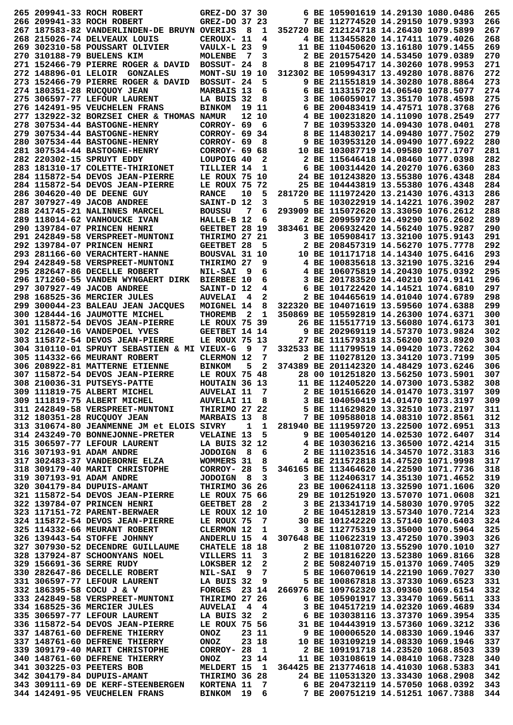|  | 265 209941-33 ROCH ROBERT                                                    | GREZ-DO 37 30                             |                |                         |                                                                         | 6 BE 105901619 14.29130 1080.0486                                      |  | 265        |
|--|------------------------------------------------------------------------------|-------------------------------------------|----------------|-------------------------|-------------------------------------------------------------------------|------------------------------------------------------------------------|--|------------|
|  | 266 209941-33 ROCH ROBERT                                                    | GREZ-DO 37 23                             |                |                         |                                                                         | 7 BE 112774520 14.29150 1079.9393                                      |  | 266        |
|  | 267 187583-82 VANDERLINDEN-DE BRUYN OVERIJS                                  |                                           | - 8            | 1                       |                                                                         | 352720 BE 212124718 14.26430 1079.5899                                 |  | 267        |
|  | 268 215026-74 DELVEAUX LOUIS                                                 | CEROUX- 11                                |                | 4                       |                                                                         | 4 BE 113455820 14.17411 1079.4026                                      |  | 268        |
|  | 269 302310-58 POUSSART OLIVIER                                               | VAULX-L 23                                |                | 9                       |                                                                         | 11 BE 110450620 13.16180 1079.1455                                     |  | 269        |
|  | 270 310188-79 BUELENS KIM                                                    | <b>MOLENBE</b>                            | $\overline{7}$ | 3                       |                                                                         | 2 BE 201575420 14.53450 1079.0389                                      |  | 270        |
|  | 271 152466-79 PIERRE ROGER & DAVID                                           | BOSSUT- 24                                |                | 8                       |                                                                         | 8 BE 210954717 14.30260 1078.9953                                      |  | 271        |
|  | 272 148896-01 LELOIR GONZALES                                                | MONT-SU 19 10                             |                |                         |                                                                         | 312302 BE 105994317 13.49280 1078.8876                                 |  | 272        |
|  | 273 152466-79 PIERRE ROGER & DAVID                                           | BOSSUT- 24                                |                | 5                       |                                                                         | 9 BE 211551819 14.30280 1078.8864                                      |  | 273        |
|  | 274 180351-28 RUCQUOY JEAN                                                   | <b>MARBAIS 13</b>                         |                | 6                       |                                                                         | 6 BE 113315720 14.06540 1078.5077                                      |  | 274        |
|  | 275 306597-77 LEFOUR LAURENT                                                 | LA BUIS 32                                |                | 8                       |                                                                         | 3 BE 106059017 13.35170 1078.4598                                      |  | 275        |
|  | 276 142491-95 VEUCHELEN FRANS                                                | <b>BINKOM</b>                             |                | 19 11                   |                                                                         | 6 BE 200483419 14.47571 1078.3768                                      |  | 276        |
|  | 277 132922-32 BORZSEI CHER & THOMAS NAMUR                                    |                                           |                | 12 10                   |                                                                         | 4 BE 100231820 14.11090 1078.2549                                      |  | 277        |
|  | 278 307534-44 BASTOGNE-HENRY                                                 | CORROY- 69<br>CORROY- 69 34               |                | 6                       |                                                                         | 7 BE 103953320 14.09430 1078.0401<br>8 BE 114830217 14.09480 1077.7502 |  | 278<br>279 |
|  | 279 307534-44 BASTOGNE-HENRY                                                 | CORROY- 69                                |                | 8                       |                                                                         | 9 BE 103953120 14.09490 1077.6922                                      |  | 280        |
|  | 280 307534-44 BASTOGNE-HENRY<br>281 307534-44 BASTOGNE-HENRY                 | CORROY- 69 68                             |                |                         |                                                                         | 10 BE 103087719 14.09580 1077.1707                                     |  | 281        |
|  | 282 220302-15 SPRUYT EDDY                                                    | LOUPOIG 40                                |                | 2                       |                                                                         | 2 BE 115646418 14.08460 1077.0398                                      |  | 282        |
|  | 283 181310-17 COLETTE-THIRIONET                                              | TILLIER 14                                |                | 1                       |                                                                         | 6 BE 100314420 14.20270 1076.6360                                      |  | 283        |
|  | 284 115872-54 DEVOS JEAN-PIERRE                                              | LE ROUX 75 10                             |                |                         |                                                                         | 24 BE 101243820 13.55380 1076.4348                                     |  | 284        |
|  | 284 115872-54 DEVOS JEAN-PIERRE                                              | LE ROUX 75 72                             |                |                         |                                                                         | 25 BE 104443819 13.55380 1076.4348                                     |  | 284        |
|  | 286 304620-40 DE DEENE GUY                                                   | <b>RANCE</b>                              | 10             | 5                       |                                                                         | 281720 BE 111972420 13.21430 1076.4313                                 |  | 286        |
|  | 287 307927-49 JACOB ANDREE                                                   | SAINT-D 12                                |                | 3                       |                                                                         | 5 BE 103022919 14.14221 1076.3902                                      |  | 287        |
|  | 288  241745-21  NALINNES MARCEL                                              | <b>BOUSSU</b>                             | 7              | 6                       |                                                                         | 293909 BE 115072620 13.33050 1076.2612                                 |  | 288        |
|  | 289 118014-62 VANHOUCKE IVAN                                                 | HALLE-B 12                                |                | 6                       |                                                                         | 2 BE 209959720 14.49290 1076.2602                                      |  | 289        |
|  | 290 139784-07 PRINCEN HENRI                                                  | GEETBET 28 19                             |                |                         |                                                                         | 383461 BE 206932420 14.56240 1075.9287                                 |  | 290        |
|  | 291 242849-58 VERSPREET-MUNTONI                                              | THIRIMO 27 21                             |                |                         |                                                                         | 3 BE 105908417 13.32100 1075.9143                                      |  | 291        |
|  | 292 139784-07 PRINCEN HENRI                                                  | GEETBET 28                                |                | 5                       |                                                                         | 2 BE 208457319 14.56270 1075.7778                                      |  | 292        |
|  | 293 281166-60 VERACHTERT-HANNE                                               | BOUSVAL 31 10                             |                |                         |                                                                         | 10 BE 101171718 14.14340 1075.6416                                     |  | 293        |
|  | 294 242849-58 VERSPREET-MUNTONI                                              | THIRIMO 27                                |                | 9                       |                                                                         | 4 BE 100835618 13.32190 1075.3216                                      |  | 294        |
|  | 295 282647-86 DECELLE ROBERT                                                 | <b>NIL-SAI</b>                            | 9              | 6                       |                                                                         | 4 BE 106075819 14.20430 1075.0392                                      |  | 295        |
|  | 296 171260-55 VANDEN WYNGAERT DIRK                                           | <b>BIERBEE 10</b>                         |                | 6                       |                                                                         | 3 BE 201783520 14.40210 1074.9141                                      |  | 296        |
|  | 297 307927-49 JACOB ANDREE                                                   | SAINT-D 12                                |                | 4                       |                                                                         | 6 BE 101722420 14.14521 1074.6810                                      |  | 297        |
|  | 298 168525-36 MERCIER JULES                                                  | <b>AUVELAI</b>                            | 4              | 2                       |                                                                         | 2 BE 104465619 14.01040 1074.6789                                      |  | 298        |
|  | 299 300044-23 BALEAU JEAN JACQUES                                            | MOIGNEL 14                                |                | 8                       |                                                                         | 322320 BE 104071619 13.59560 1074.6388                                 |  | 299        |
|  | 300 128444-16 JAUMOTTE MICHEL                                                | THOREMB                                   | 2              | 1                       |                                                                         | 350869 BE 105592819 14.26300 1074.6371                                 |  | 300        |
|  | 301 115872-54 DEVOS JEAN-PIERRE                                              | LE ROUX 75 39                             |                |                         |                                                                         | 26 BE 115517719 13.56080 1074.6173                                     |  | 301        |
|  | 302 212640-16 VANDEPOEL YVES                                                 | GEETBET 14 14                             |                |                         |                                                                         | 9 BE 202969119 14.57370 1073.9824                                      |  | 302        |
|  | 303 115872-54 DEVOS JEAN-PIERRE                                              | LE ROUX 75 13                             |                |                         |                                                                         | 27 BE 111579318 13.56200 1073.8920                                     |  | 303        |
|  | 304 310110-01 SPRUYT SEBASTIEN & MI VIEUX-G                                  |                                           | 9              | 7                       |                                                                         | 332533 BE 111799519 14.09420 1073.7262                                 |  | 304        |
|  | 305 114332-66 MEURANT ROBERT                                                 | CLERMON 12                                |                | 7                       |                                                                         | 2 BE 110278120 13.34120 1073.7199                                      |  | 305        |
|  | 306 208922-81 MATTERNE ETIENNE                                               | <b>BINKOM</b>                             | 5              | $\mathbf{2}$            |                                                                         | 374389 BE 201142320 14.48429 1073.6246                                 |  | 306        |
|  | 307 115872-54 DEVOS JEAN-PIERRE                                              | LE ROUX 75 48                             |                |                         |                                                                         | 28 00 101251820 13.56250 1073.5901                                     |  | 307        |
|  | 308 210036-31 PUTSEYS-PATTE                                                  | HOUTAIN 36 13                             |                |                         |                                                                         | 11 BE 112405220 14.07300 1073.5382                                     |  | 308        |
|  | 309 111819-75 ALBERT MICHEL                                                  | AUVELAI 11 7                              |                |                         |                                                                         | 2 BE 101516620 14.01470 1073.3197                                      |  | 309        |
|  | 309 111819-75 ALBERT MICHEL                                                  | AUVELAI 11 8                              |                |                         |                                                                         | 3 BE 104050419 14.01470 1073.3197                                      |  | 309        |
|  | 311 242849-58 VERSPREET-MUNTONI                                              | <b>THIRIMO 27 22</b><br><b>MARBAIS 13</b> |                |                         |                                                                         | 5 BE 111629820 13.32510 1073.2197                                      |  | 311        |
|  | 312 180351-28 RUCOUOY JEAN                                                   |                                           |                | - 8                     | 281940 BE 111959720 13.22500 1072.6951                                  | 7 BE 109588018 14.08310 1072.8561                                      |  | 312<br>313 |
|  | 313 310674-80 JEANMENNE JM et ELOIS SIVRY<br>314 243249-70 BONNEJONNE-PRETER | <b>VELAINE 13</b>                         | 1              | 1<br>5                  |                                                                         |                                                                        |  | 314        |
|  | 315 306597-77 LEFOUR LAURENT                                                 | LA BUIS 32 12                             |                |                         |                                                                         | 9 BE 100540120 14.02530 1072.6407<br>4 BE 103036216 13.36500 1072.4214 |  | 315        |
|  | 316 307193-91 ADAM ANDRE                                                     | JODOIGN 8                                 |                | 6                       |                                                                         | 2 BE 111023516 14.34570 1072.3183                                      |  | 316        |
|  | 317 302483-37 VANDEBORNE ELZA                                                | WOMMERS 31                                |                | 8                       |                                                                         | 4 BE 211572818 14.47520 1071.9998                                      |  | 317        |
|  | 318 309179-40 MARIT CHRISTOPHE                                               | CORROY- 28                                |                | 5                       |                                                                         | 346165 BE 113464620 14.22590 1071.7736                                 |  | 318        |
|  | 319 307193-91 ADAM ANDRE                                                     | JODOIGN 8                                 |                | 3                       |                                                                         | 3 BE 112406317 14.35130 1071.4652                                      |  | 319        |
|  | 320 304179-84 DUPUIS-AMANT                                                   | THIRIMO 36 26                             |                |                         |                                                                         | 23 BE 100624118 13.32590 1071.1606                                     |  | 320        |
|  | 321 115872-54 DEVOS JEAN-PIERRE LE ROUX 75 66                                |                                           |                |                         | 29 BE 101251920 13.57070 1071.0608                                      |                                                                        |  | 321        |
|  | 322 139784-07 PRINCEN HENRI                                                  | GEETBET 28 2                              |                |                         |                                                                         |                                                                        |  | 322        |
|  | 323 117151-72 PARENT-BERWAER                                                 | LE ROUX 12 10                             |                |                         | 3 BE 213341719 14.58030 1070.9705<br>2 BE 104512819 13.57340 1070.7214  | 2 BE 104512819 13.57340 1070.7214                                      |  | 323        |
|  | 324 115872-54 DEVOS JEAN-PIERRE                                              | LE ROUX 75                                |                | - 7                     |                                                                         | 30 BE 101242220 13.57140 1070.6403                                     |  | 324        |
|  | 325 114332-66 MEURANT ROBERT                                                 | CLERMON 12                                |                | 1                       |                                                                         | 3 BE 112775319 13.35000 1070.5964                                      |  | 325        |
|  | 326 139443-54 STOFFE JOHNNY                                                  | ANDERLU 15                                |                |                         | 4 307648 BE 110622319 13.47250 1070.3903                                |                                                                        |  | 326        |
|  | 327 307930-52 DECENDRE GUILLAUME                                             | <b>CHATELE 18 18</b>                      |                |                         |                                                                         | 2 BE 110810720 13.55290 1070.1010                                      |  | 327        |
|  | 328 137924-87 SCHOONYANS NOEL                                                | VILLERS 11                                |                | $\overline{\mathbf{3}}$ |                                                                         | 2 BE 101816220 13.52380 1069.8166                                      |  | 328        |
|  | 329 156691-36 SERRE RUDY                                                     | <b>LOKSBER 12</b>                         |                | $\mathbf{2}$            |                                                                         | 2 BE 508240719 15.01370 1069.7405                                      |  | 329        |
|  | 330 282647-86 DECELLE ROBERT                                                 | <b>NIL-SAI</b>                            | - 9            |                         | $7\overline{ }$                                                         | 5 BE 106070619 14.22190 1069.7027                                      |  | 330        |
|  | 331 306597-77 LEFOUR LAURENT                                                 | LA BUIS 32                                |                | 9                       |                                                                         | 5 BE 100867818 13.37330 1069.6523                                      |  | 331        |
|  | 332 186395-58 COCU J & V                                                     |                                           |                |                         | FORGES 23 14 266976 BE 109762320 13.09360 1069.6154                     |                                                                        |  | 332        |
|  | 333 242849-58 VERSPREET-MUNTONI THIRIMO 27 26                                |                                           |                |                         |                                                                         | 6 BE 105901917 13.33470 1069.5611                                      |  | 333        |
|  | 334 168525-36 MERCIER JULES                                                  | AUVELAI 4 4                               |                |                         |                                                                         |                                                                        |  | 334        |
|  | 335 306597-77 LEFOUR LAURENT                                                 | LA BUIS 32 2                              |                |                         | 3 BE 104517219 14.02320 1069.3054<br>6 BE 103038116 13.37370 1069.3954  |                                                                        |  | 335        |
|  | 336 115872-54 DEVOS JEAN-PIERRE                                              | LE ROUX 75 56                             |                |                         | 31 BE 104443919 13.57360 1069.3212                                      |                                                                        |  | 336        |
|  | 337 148761-60 DEFRENE THIERRY                                                | ONOZ                                      |                | 23 11                   | 9 BE 100006520 14.08330 1069.1946<br>10 BE 103109219 14.08330 1069.1946 |                                                                        |  | 337        |
|  | 337 148761-60 DEFRENE THIERRY                                                | <b>ONOZ</b>                               |                | 23 18                   |                                                                         |                                                                        |  | 337        |
|  | 339 309179-40 MARIT CHRISTOPHE                                               | CORROY- 28 1                              |                |                         |                                                                         | 2 BE 109191718 14.23520 1068.8503                                      |  | 339        |
|  | 340 148761-60 DEFRENE THIERRY                                                | <b>ONOZ</b>                               |                | 23 14                   |                                                                         | 11 BE 103108619 14.08410 1068.7328                                     |  | 340        |
|  | 341 303225-03 PEETERS BOB<br>342 304179-84 DUPUIS-AMANT                      | MELDERT 15 1<br>THIRIMO 36 28             |                |                         | 364425 BE 213774618 14.41030 1068.5383                                  | 24 BE 110531320 13.33430 1068.2908                                     |  | 341<br>342 |
|  | 343 309111-69 DE KERF-STEENBERGEN KORTENA 11                                 |                                           |                | 7                       | 6 BE 204732119 14.57050 1068.0392                                       |                                                                        |  | 343        |
|  | 344 142491-95 VEUCHELEN FRANS                                                | BINKOM 19 6                               |                |                         |                                                                         | 7 BE 200751219 14.51251 1067.7388                                      |  | 344        |
|  |                                                                              |                                           |                |                         |                                                                         |                                                                        |  |            |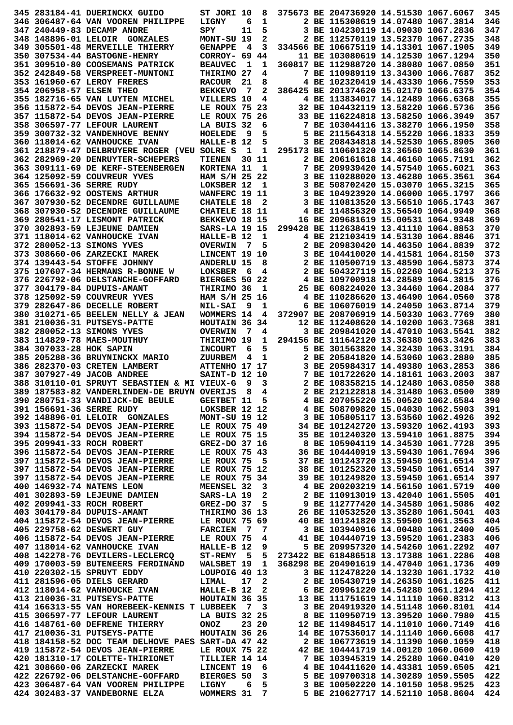|                         | 345 283184-41 DUERINCKX GUIDO                                            | ST JORI 10                                   |     | 8              |                                     | 375673 BE 204736920 14.51530 1067.6067                                     |  | 345        |
|-------------------------|--------------------------------------------------------------------------|----------------------------------------------|-----|----------------|-------------------------------------|----------------------------------------------------------------------------|--|------------|
|                         | 346 306487-64 VAN VOOREN PHILIPPE                                        | LIGNY                                        | 6   | 1              |                                     | 2 BE 115308619 14.07480 1067.3814                                          |  | 346        |
|                         | 347 240449-83 DECAMP ANDRE                                               | SPY                                          | 11  | 5              |                                     | 3 BE 104230119 14.09030 1067.2836                                          |  | 347        |
|                         | 348 148896-01 LELOIR GONZALES                                            | MONT-SU 19                                   |     | 2              |                                     | 2 BE 112570119 13.52370 1067.2735                                          |  | 348        |
|                         | 349 305501-48 MERVEILLE THIERRY                                          | <b>GENAPPE</b>                               | - 4 | 3              |                                     | 334566 BE 106675119 14.13301 1067.1905                                     |  | 349        |
|                         | 350 307534-44 BASTOGNE-HENRY                                             | CORROY- 69                                   |     | 44             |                                     | 11 BE 103080619 14.12530 1067.1294                                         |  | 350        |
|                         | 351 309510-80 COOSEMANS PATRICK                                          | <b>BEAUVEC</b>                               | 1   | 1              |                                     | 360817 BE 112988720 14.38080 1067.0850                                     |  | 351        |
|                         | 352 242849-58 VERSPREET-MUNTONI                                          | THIRIMO 27                                   |     | 4              |                                     | 7 BE 110989119 13.34300 1066.7687                                          |  | 352        |
|                         | 353 161960-67 LEROY FRERES                                               | <b>RACOUR</b>                                | 21  | 8              |                                     | 4 BE 102320419 14.43330 1066.7559                                          |  | 353        |
|                         | 354 206958-57 ELSEN THEO                                                 | <b>BEKKEVO</b>                               | -7  | 2              |                                     | 386425 BE 201374620 15.02170 1066.6375                                     |  | 354        |
|                         | 355 182716-65 VAN LUYTEN MICHEL                                          | VILLERS 10                                   |     | 4              |                                     | 4 BE 113834017 14.12489 1066.6368                                          |  | 355        |
|                         | 356 115872-54 DEVOS JEAN-PIERRE                                          | LE ROUX 75 23                                |     |                |                                     | 32 BE 104432119 13.58220 1066.5736                                         |  | 356        |
|                         | 357 115872-54 DEVOS JEAN-PIERRE                                          | LE ROUX 75 26                                |     |                |                                     | 33 BE 116224818 13.58250 1066.3949                                         |  | 357        |
|                         | 358 306597-77 LEFOUR LAURENT<br>359 300732-32 VANDENHOVE BENNY           | LA BUIS 32                                   | 9   | 6<br>5         |                                     | 7 BE 103044116 13.38270 1066.1950<br>5 BE 211564318 14.55220 1066.1833     |  | 358<br>359 |
|                         | 360 118014-62 VANHOUCKE IVAN                                             | HOELEDE<br>HALLE-B 12                        |     | 5              |                                     | 3 BE 208434818 14.52530 1065.8905                                          |  | 360        |
|                         | 361 218879-47 DELBRUYERE ROGER (VEU SOLRE S                              |                                              | 1   | 1              |                                     | 295173 BE 110601320 13.36560 1065.8630                                     |  | 361        |
|                         | 362 282969-20 DENRUYTER-SCHEPERS                                         | <b>TIENEN</b>                                |     | 30 11          |                                     | 2 BE 206161618 14.46160 1065.7191                                          |  | 362        |
|                         | 363 309111-69 DE KERF-STEENBERGEN                                        | KORTENA 11                                   |     | 1              |                                     | 7 BE 209939420 14.57540 1065.6021                                          |  | 363        |
|                         | 364 125092-59 COUVREUR YVES                                              | HAM S/H 25 22                                |     |                |                                     | 3 BE 110288020 13.46280 1065.3561                                          |  | 364        |
|                         | 365 156691-36 SERRE RUDY                                                 | LOKSBER 12                                   |     | 1              |                                     | 3 BE 508702420 15.03070 1065.3215                                          |  | 365        |
|                         | 366 176632-92 OOSTENS ARTHUR                                             | WANFERC 19 11                                |     |                |                                     | 3 BE 104923920 14.06000 1065.1797                                          |  | 366        |
|                         | 367 307930-52 DECENDRE GUILLAUME                                         | <b>CHATELE 18</b>                            |     | 2              |                                     | 3 BE 110813520 13.56510 1065.1743                                          |  | 367        |
|                         | 368 307930-52 DECENDRE GUILLAUME                                         | CHATELE 18 11                                |     |                |                                     | 4 BE 114856320 13.56540 1064.9949                                          |  | 368        |
|                         | 369 280541-17 LISMONT PATRICK                                            | BEKKEVO 18 15                                |     |                |                                     | 16 BE 209681619 15.00531 1064.9348                                         |  | 369        |
|                         | 370 302893-59 LEJEUNE DAMIEN                                             | SARS-LA 19 15                                |     |                |                                     | 299428 BE 112638419 13.41110 1064.8853                                     |  | 370        |
|                         | 371 118014-62 VANHOUCKE IVAN                                             | HALLE-B 12                                   |     | 1              |                                     | 4 BE 212103419 14.53130 1064.8846                                          |  | 371        |
|                         | 372 280052-13 SIMONS YVES                                                | <b>OVERWIN</b>                               | 7   | 5              |                                     | 2 BE 209830420 14.46350 1064.8839                                          |  | 372        |
|                         | 373 308660-06 ZARZECKI MAREK                                             | LINCENT 19 10                                |     |                |                                     | 3 BE 104410020 14.41581 1064.8150                                          |  | 373        |
|                         | 374 139443-54 STOFFE JOHNNY                                              | <b>ANDERLU 15</b>                            |     | 8              |                                     | 2 BE 110500719 13.48590 1064.5873                                          |  | 374        |
|                         | 375 107607-34 HERMANS R-BONNE W                                          | <b>LOKSBER</b>                               | - 6 | 4              |                                     | 2 BE 504327119 15.02260 1064.5213                                          |  | 375        |
|                         | 376 226792-06 DELSTANCHE-GOFFARD                                         | BIERGES 50 22                                |     |                |                                     | 4 BE 109700918 14.28589 1064.3815                                          |  | 376        |
|                         | 377 304179-84 DUPUIS-AMANT                                               | THIRIMO 36                                   |     | 1              |                                     | 25 BE 608224020 13.34460 1064.2084                                         |  | 377        |
|                         | 378 125092-59 COUVREUR YVES                                              | HAM S/H 25 16                                |     |                |                                     | 4 BE 110286620 13.46490 1064.0560                                          |  | 378        |
|                         | 379 282647-86 DECELLE ROBERT                                             | <b>NIL-SAI</b>                               | 9   | 1              |                                     | 6 BE 106076019 14.24050 1063.8714                                          |  | 379        |
|                         | 380 310271-65 BEELEN NELLY & JEAN                                        | WOMMERS 14                                   |     | 4              |                                     | 372907 BE 208706919 14.50330 1063.7769                                     |  | 380        |
|                         | 381 210036-31 PUTSEYS-PATTE                                              | HOUTAIN 36 34                                |     |                |                                     | 12 BE 112408620 14.10200 1063.7368                                         |  | 381        |
|                         | 382 280052-13 SIMONS YVES                                                | <b>OVERWIN</b>                               | - 7 | 4              |                                     | 3 BE 209841020 14.47010 1063.5541                                          |  | 382        |
|                         | 383 114829-78 MAES-MOUTHUY                                               | THIRIMO 19                                   |     | 1              |                                     | 294156 BE 111642120 13.36380 1063.3426                                     |  | 383        |
| 384 307033-28 HOK SAPIN |                                                                          | <b>INCOURT</b>                               | 6   | 5              |                                     | 5 BE 301563820 14.32430 1063.3191                                          |  | 384        |
|                         | 385 205288-36 BRUYNINCKX MARIO                                           | ZUURBEM                                      | 4   | 1              |                                     | 2 BE 205841820 14.53060 1063.2880                                          |  | 385        |
|                         | 386 282370-03 CRETEN LAMBERT                                             | ATTENHO 17 17                                |     |                |                                     | 3 BE 205984317 14.49380 1063.2853                                          |  | 386        |
|                         | 387 307927-49 JACOB ANDREE                                               | <b>SAINT-D 12 10</b>                         |     |                |                                     | 7 BE 101722620 14.18161 1063.2003                                          |  | 387        |
|                         | 388 310110-01 SPRUYT SEBASTIEN & MI VIEUX-G                              |                                              | 9   | 3              |                                     | 2 BE 108358215 14.12480 1063.0850                                          |  | 388        |
|                         | 389 187583-82 VANDERLINDEN-DE BRUYN OVERIJS                              |                                              | 8   | 4              |                                     | 2 BE 212122818 14.31480 1063.0500                                          |  | 389        |
|                         | 390 280751-33 VANDIJCK-DE BEULE                                          | GEETBET 11 5                                 |     |                |                                     | 4 BE 207055220 15.00520 1062.6584                                          |  | 390        |
|                         | 391 156691-36 SERRE RUDY                                                 | LOKSBER 12 12                                |     |                |                                     | 4 BE 508709820 15.04030 1062.5903                                          |  | 391        |
|                         | 392 148896-01 LELOIR GONZALES<br>393 115872-54 DEVOS JEAN-PIERRE         | MONT-SU 19 12                                |     |                |                                     | 3 BE 105805117 13.53560 1062.4926<br>34 BE 101242720 13.59320 1062.4193    |  | 392        |
|                         | 394 115872-54 DEVOS JEAN-PIERRE                                          | <b>LE ROUX 75 49</b><br><b>LE ROUX 75 15</b> |     |                |                                     | 35 BE 101240320 13.59410 1061.8875                                         |  | 393<br>394 |
|                         | 395 209941-33 ROCH ROBERT                                                |                                              |     |                |                                     | 8 BE 105904119 14.34530 1061.7728                                          |  | 395        |
|                         | 396 115872-54 DEVOS JEAN-PIERRE                                          | GREZ-DO 37 16<br>LE ROUX 75 43               |     |                |                                     | 36 BE 104440919 13.59430 1061.7694                                         |  | 396        |
|                         | 397 115872-54 DEVOS JEAN-PIERRE                                          | LE ROUX 75 5                                 |     |                |                                     | 37 BE 101243720 13.59450 1061.6514                                         |  | 397        |
|                         | 397 115872-54 DEVOS JEAN-PIERRE                                          | LE ROUX 75 12                                |     |                |                                     | 38 BE 101252320 13.59450 1061.6514                                         |  | 397        |
|                         | 397 115872-54 DEVOS JEAN-PIERRE                                          | LE ROUX 75 34                                |     |                |                                     | 39 BE 101249820 13.59450 1061.6514                                         |  | 397        |
|                         | 400 146932-74 NATENS LEON                                                | <b>MEENSEL 32</b>                            |     | $\mathbf{3}$   |                                     | 4 BE 200203219 14.56150 1061.5719                                          |  | 400        |
|                         | 401 302893-59 LEJEUNE DAMIEN                                             | SARS-LA 19                                   |     | $\mathbf{2}$   |                                     | 2 BE 110913019 13.42040 1061.5505                                          |  | 401        |
|                         | 402 209941-33 ROCH ROBERT                                                | GREZ-DO 37 5                                 |     |                |                                     | 9 BE 112777420 14.34580 1061.5505<br>26 BE 112777420 14.34580 1061.5086 36 |  | 402        |
|                         | 403 304179-84 DUPUIS-AMANT                                               | THIRIMO 36 13                                |     |                |                                     |                                                                            |  | 403        |
|                         | 404 115872-54 DEVOS JEAN-PIERRE LE ROUX 75 69                            |                                              |     |                |                                     | 40 BE 101241820 13.59500 1061.3563                                         |  | 404        |
|                         | 405 229758-62 DESWERT GUY                                                | <b>FARCIEN 7</b>                             |     | 7              |                                     | 3 BE 103940916 14.00480 1061.2400                                          |  | 405        |
|                         | 406 115872-54 DEVOS JEAN-PIERRE                                          | LE ROUX 75                                   |     | 4              |                                     | 41 BE 104440719 13.59520 1061.2383                                         |  | 406        |
|                         | 407 118014-62 VANHOUCKE IVAN                                             | <b>HALLE-B 12</b>                            |     | 9              |                                     | 5 BE 209957320 14.54260 1061.2292                                          |  | 407        |
|                         | 408 142278-76 DEVILERS-LECLERCO                                          | <b>ST-REMY</b> 5                             |     | 5 <sub>1</sub> |                                     | 273422 BE 618486518 13.17388 1061.2286                                     |  | 408        |
|                         | 409 170003-59 BUTENEERS FERDINAND WALSBET 19 1                           |                                              |     |                |                                     | 368298 BE 204901619 14.47040 1061.1736                                     |  | 409        |
|                         | 410 220302-15 SPRUYT EDDY                                                | LOUPOIG 40 13                                |     |                |                                     | 3 BE 112478220 14.13230 1061.1732                                          |  | 410        |
|                         | 411 281596-05 DIELS GERARD                                               | <b>LIMAL</b>                                 | 17  | $\mathbf{2}$   |                                     | 2 BE 105430719 14.26350 1061.1625                                          |  | 411        |
|                         | 412 118014-62 VANHOUCKE IVAN                                             | $HALLE-B$ 12 2                               |     |                |                                     | 6 BE 209961220 14.54280 1061.1294                                          |  | 412        |
|                         | 413 210036-31 PUTSEYS-PATTE                                              | HOUTAIN 36 35                                |     |                |                                     | 13 BE 111751619 14.11110 1060.8312                                         |  | 413        |
|                         | 414 166313-55 VAN HOREBEEK-KENNIS T LUBBEEK 7 3                          |                                              |     |                |                                     | 3 BE 204919320 14.51148 1060.8101                                          |  | 414        |
|                         | 415 306597-77 LEFOUR LAURENT                                             | LA BUIS 32 25                                |     |                |                                     | 8 BE 110950719 13.39520 1060.7980                                          |  | 415        |
|                         | 416 148761-60 DEFRENE THIERRY                                            | <b>ONOZ</b>                                  |     | 23 20          |                                     | 12 BE 114984517 14.11010 1060.7149                                         |  | 416        |
|                         | 417 210036-31 PUTSEYS-PATTE                                              | HOUTAIN 36 26                                |     |                |                                     | 14 BE 107536017 14.11140 1060.6608                                         |  | 417        |
|                         | 418 184158-52 DOC TEAM DELHOVE PAES SART-DA 47 42                        |                                              |     |                |                                     | 2 BE 106773619 14.11390 1060.1059                                          |  | 418        |
|                         | 419 115872-54 DEVOS JEAN-PIERRE                                          | LE ROUX 75 22                                |     |                |                                     | 42 BE 104441719 14.00120 1060.0600                                         |  | 419        |
|                         | 420 181310-17 COLETTE-THIRIONET                                          | <b>TILLIER 14 14</b>                         |     |                |                                     | 7 BE 103945319 14.25280 1060.0410                                          |  | 420        |
|                         | 421 308660-06 ZARZECKI MAREK                                             | <b>LINCENT 19 6</b>                          |     |                |                                     | 4 BE 104411620 14.43381 1059.6505                                          |  | 421        |
|                         | 422 226792-06 DELSTANCHE-GOFFARD BIERGES 50                              |                                              |     | 3              |                                     | 5 BE 109700318 14.30289 1059.5505                                          |  | 422        |
|                         | 423 306487-64 VAN VOOREN PHILIPPE LIGNY<br>424 302483-37 VANDEBORNE ELZA | WOMMERS 31                                   | 6   | 7              | 5 3 BE 100502220 14.10150 1058.9525 | 5 BE 210627717 14.52110 1058.8604                                          |  | 423<br>424 |
|                         |                                                                          |                                              |     |                |                                     |                                                                            |  |            |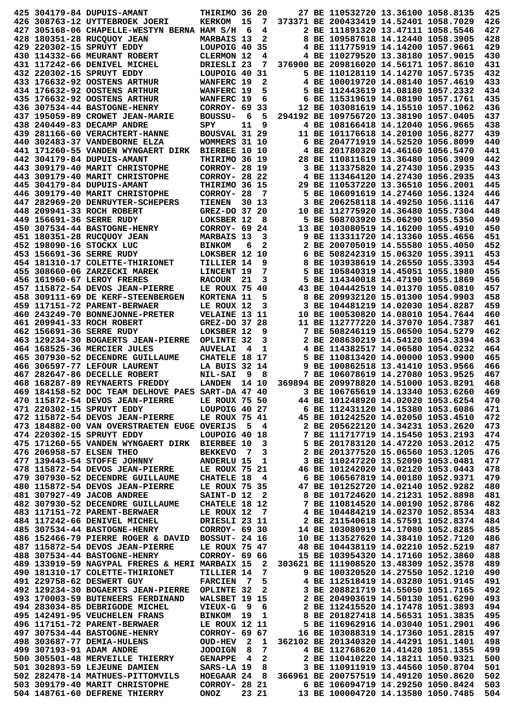|  | 425 304179-84 DUPUIS-AMANT                                                                                                                                                                                                           | <b>THIRIMO 36 20</b>           |                |              | 27 BE 110532720 13.36100 1058.8135                                                                                                                                                       |  | 425        |
|--|--------------------------------------------------------------------------------------------------------------------------------------------------------------------------------------------------------------------------------------|--------------------------------|----------------|--------------|------------------------------------------------------------------------------------------------------------------------------------------------------------------------------------------|--|------------|
|  | 426 308763-12 UYTTEBROEK JOERI                                                                                                                                                                                                       | <b>KERKOM</b>                  | 15             | 7            | 373371 BE 200433419 14.52401 1058.7029                                                                                                                                                   |  | 426        |
|  | 427 305168-06 CHAPELLE-WESTYN BERNA HAM S/H                                                                                                                                                                                          |                                | - 6            | 4            | 2 BE 111891320 13.47111 1058.5546                                                                                                                                                        |  | 427        |
|  | 428 180351-28 RUCOUOY JEAN                                                                                                                                                                                                           | <b>MARBAIS 13</b>              |                | 2            | 8 BE 109587618 14.12440 1058.3905                                                                                                                                                        |  | 428        |
|  | 429 220302-15 SPRUYT EDDY                                                                                                                                                                                                            | LOUPOIG 40 35                  |                |              | 4 BE 111775919 14.14200 1057.9661                                                                                                                                                        |  | 429        |
|  | 430 114332-66 MEURANT ROBERT                                                                                                                                                                                                         | CLERMON 12                     |                | 4            | 4 BE 110279520 13.38180 1057.9015                                                                                                                                                        |  | 430        |
|  | 431 117242-66 DENIVEL MICHEL                                                                                                                                                                                                         | DRIESLI 23                     |                | 7            | 376900 BE 209816020 14.56171 1057.8610                                                                                                                                                   |  | 431        |
|  | 432 220302-15 SPRUYT EDDY                                                                                                                                                                                                            | LOUPOIG 40 31                  |                |              | 5 BE 110128119 14.14270 1057.5735                                                                                                                                                        |  | 432        |
|  | 433 176632-92 OOSTENS ARTHUR                                                                                                                                                                                                         | WANFERC 19                     |                | 2            | 4 BE 100019720 14.08140 1057.4619                                                                                                                                                        |  | 433        |
|  | 434 176632-92 OOSTENS ARTHUR                                                                                                                                                                                                         | WANFERC 19                     |                | 5            | 5 BE 112443619 14.08180 1057.2332                                                                                                                                                        |  | 434        |
|  | 435 176632-92 OOSTENS ARTHUR                                                                                                                                                                                                         | WANFERC 19                     |                | 6            | 6 BE 115319619 14.08190 1057.1761                                                                                                                                                        |  | 435        |
|  | 436 307534-44 BASTOGNE-HENRY                                                                                                                                                                                                         | CORROY- 69 33                  |                |              | 12 BE 103081619 14.15510 1057.1062                                                                                                                                                       |  | 436        |
|  | 437 195059-89 CROWET JEAN-MARIE                                                                                                                                                                                                      | BOUSSU-                        | 6              | 5            | 294192 BE 109756720 13.38190 1057.0405                                                                                                                                                   |  | 437        |
|  | 438 240449-83 DECAMP ANDRE                                                                                                                                                                                                           | SPY                            | 11             | 9            | 4 BE 108166418 14.12040 1056.9665                                                                                                                                                        |  | 438        |
|  | 439 281166-60 VERACHTERT-HANNE                                                                                                                                                                                                       | BOUSVAL 31 29                  |                |              | 11 BE 101176618 14.20100 1056.8277                                                                                                                                                       |  | 439        |
|  | 440 302483-37 VANDEBORNE ELZA                                                                                                                                                                                                        | WOMMERS 31 10                  |                |              | 6 BE 204771919 14.52520 1056.8099                                                                                                                                                        |  | 440        |
|  | 441 171260-55 VANDEN WYNGAERT DIRK<br>442 304179-84 DUPUIS-AMANT                                                                                                                                                                     | BIERBEE 10 10<br>THIRIMO 36 19 |                |              | 4 BE 201780320 14.46160 1056.5470<br>28 BE 110811619 13.36480 1056.3909                                                                                                                  |  | 441<br>442 |
|  | 443 309179-40 MARIT CHRISTOPHE                                                                                                                                                                                                       | CORROY- 28 19                  |                |              | 3 BE 113375820 14.27430 1056.2935                                                                                                                                                        |  | 443        |
|  | 443 309179-40 MARIT CHRISTOPHE                                                                                                                                                                                                       | CORROY- 28 22                  |                |              | 4 BE 113464120 14.27430 1056.2935                                                                                                                                                        |  | 443        |
|  | 445 304179-84 DUPUIS-AMANT                                                                                                                                                                                                           | THIRIMO 36 15                  |                |              | 29 BE 110537220 13.36510 1056.2001                                                                                                                                                       |  | 445        |
|  | 446 309179-40 MARIT CHRISTOPHE                                                                                                                                                                                                       | CORROY- 28                     |                | 7            | 5 BE 106091619 14.27460 1056.1324                                                                                                                                                        |  | 446        |
|  | 447 282969-20 DENRUYTER-SCHEPERS                                                                                                                                                                                                     | <b>TIENEN</b>                  |                | 30 13        | 3 BE 206258118 14.49250 1056.1116                                                                                                                                                        |  | 447        |
|  | 448 209941-33 ROCH ROBERT                                                                                                                                                                                                            | GREZ-DO 37 20                  |                |              | 10 BE 112775920 14.36480 1055.7304                                                                                                                                                       |  | 448        |
|  | 449 156691-36 SERRE RUDY                                                                                                                                                                                                             | LOKSBER 12                     |                | 8            | 5 BE 508703920 15.06290 1055.5350                                                                                                                                                        |  | 449        |
|  | 450 307534-44 BASTOGNE-HENRY                                                                                                                                                                                                         | CORROY- 69 24                  |                |              | 13 BE 103080519 14.16200 1055.4910                                                                                                                                                       |  | 450        |
|  | 451 180351-28 RUCQUOY JEAN                                                                                                                                                                                                           | MARBAIS 13                     |                | 3            | 9 BE 113311720 14.13360 1055.4656                                                                                                                                                        |  | 451        |
|  | 452 198090-16 STOCKX LUC                                                                                                                                                                                                             | <b>BINKOM</b>                  | 6              | 2            | 2 BE 200705019 14.55580 1055.4050                                                                                                                                                        |  | 452        |
|  | 453 156691-36 SERRE RUDY                                                                                                                                                                                                             | LOKSBER 12 10                  |                |              | 6 BE 508242319 15.06320 1055.3911                                                                                                                                                        |  | 453        |
|  | 454 181310-17 COLETTE-THIRIONET                                                                                                                                                                                                      | TILLIER 14                     |                | 9            | 8 BE 103938619 14.26550 1055.3393                                                                                                                                                        |  | 454        |
|  | 455 308660-06 ZARZECKI MAREK                                                                                                                                                                                                         | LINCENT 19                     |                | 7            | 5 BE 105840319 14.45051 1055.1980                                                                                                                                                        |  | 455        |
|  | 456 161960-67 LEROY FRERES                                                                                                                                                                                                           | <b>RACOUR</b>                  | 21             | 3            | 5 BE 114340018 14.47190 1055.1869                                                                                                                                                        |  | 456        |
|  | 457 115872-54 DEVOS JEAN-PIERRE                                                                                                                                                                                                      | LE ROUX 75                     |                | 40           | 43 BE 104442519 14.01370 1055.0810                                                                                                                                                       |  | 457        |
|  | 458 309111-69 DE KERF-STEENBERGEN                                                                                                                                                                                                    | KORTENA 11                     |                | 5            | 8 BE 209932120 15.01300 1054.9903                                                                                                                                                        |  | 458        |
|  | 459 117151-72 PARENT-BERWAER                                                                                                                                                                                                         | LE ROUX 12                     |                | 3            | 3 BE 104481219 14.02030 1054.8287                                                                                                                                                        |  | 459        |
|  | 460 243249-70 BONNEJONNE-PRETER                                                                                                                                                                                                      | <b>VELAINE 13 11</b>           |                |              | 10 BE 100530820 14.08010 1054.7644                                                                                                                                                       |  | 460        |
|  | 461 209941-33 ROCH ROBERT                                                                                                                                                                                                            | GREZ-DO 37 28                  |                |              | 11 BE 112777220 14.37070 1054.7387                                                                                                                                                       |  | 461        |
|  | 462 156691-36 SERRE RUDY                                                                                                                                                                                                             | LOKSBER 12                     |                | 9            | 7 BE 508246119 15.06500 1054.5279                                                                                                                                                        |  | 462        |
|  | 463 129234-30 BOGAERTS JEAN-PIERRE                                                                                                                                                                                                   | OPLINTE 32                     |                | 3            | 2 BE 208630219 14.54120 1054.3394                                                                                                                                                        |  | 463        |
|  | 464 168525-36 MERCIER JULES                                                                                                                                                                                                          | <b>AUVELAI</b>                 | 4              | 1            | 4 BE 114382517 14.06580 1054.0232                                                                                                                                                        |  | 464        |
|  | 465 307930-52 DECENDRE GUILLAUME                                                                                                                                                                                                     | CHATELE 18 17                  |                |              | 5 BE 110813420 14.00000 1053.9900                                                                                                                                                        |  | 465        |
|  | 466 306597-77 LEFOUR LAURENT                                                                                                                                                                                                         | LA BUIS 32 14                  |                |              | 9 BE 100862518 13.41410 1053.9566                                                                                                                                                        |  | 466        |
|  | 467 282647-86 DECELLE ROBERT                                                                                                                                                                                                         | <b>NIL-SAI</b>                 | 9              | - 8          | 7 BE 106078619 14.27080 1053.9525                                                                                                                                                        |  | 467        |
|  | 468 168287-89 REYNAERTS FREDDY                                                                                                                                                                                                       | <b>LANDEN</b>                  |                | 14 10        | 369894 BE 209978820 14.51000 1053.8291                                                                                                                                                   |  | 468        |
|  | 469 184158-52 DOC TEAM DELHOVE PAES SART-DA 47 40                                                                                                                                                                                    |                                |                |              | 3 BE 106765619 14.13340 1053.6260                                                                                                                                                        |  | 469        |
|  | 470 115872-54 DEVOS JEAN-PIERRE LE ROUX 75 50<br>471 220302-15 SPRUYT EDDY LOUPOIG 40 27                                                                                                                                             |                                |                |              | 44 BE 101248920 14.02020 1053.6254                                                                                                                                                       |  | 470        |
|  | 472 115872-54 DEVOS JEAN-PIERRE LE ROUX 75 41                                                                                                                                                                                        |                                |                |              | 6 BE 112431120 14.15380 1053.6086                                                                                                                                                        |  | 471        |
|  |                                                                                                                                                                                                                                      |                                |                |              | 45 BE 101242520 14.02050 1053.4510                                                                                                                                                       |  | 472        |
|  | 473 184882-00 VAN OVERSTRAETEN EUGE OVERIJS                                                                                                                                                                                          |                                |                | 5 4          | 2 BE 205622120 14.34231 1053.2620                                                                                                                                                        |  | 473        |
|  | 474 220302-15 SPRUYT EDDY                                                                                                                                                                                                            | LOUPOIG 40 18                  |                |              | 7 BE 111717719 14.15450 1053.2193                                                                                                                                                        |  | 474        |
|  | 475 171260-55 VANDEN WYNGAERT DIRK BIERBEE 10<br>476 206958-57 ELSEN THEO                                                                                                                                                            | <b>BEKKEVO</b>                 | $\overline{7}$ | 3<br>3       | 5 BE 201783120 14.47220 1053.2012<br>2 BE 201377520 15.06560 1053.1205                                                                                                                   |  | 475<br>476 |
|  | 477 139443-54 STOFFE JOHNNY                                                                                                                                                                                                          | <b>ANDERLU 15</b>              |                | $\mathbf{1}$ | 3 BE 110247220 13.52090 1053.0481                                                                                                                                                        |  | 477        |
|  | 478 115872-54 DEVOS JEAN-PIERRE LE ROUX 75 21                                                                                                                                                                                        |                                |                |              | 46 BE 101242020 14.02120 1053.0443                                                                                                                                                       |  | 478        |
|  | 479 307930-52 DECENDRE GUILLAUME                                                                                                                                                                                                     | <b>CHATELE 18</b>              |                | - 4          | 6 BE 106567819 14.00180 1052.9371                                                                                                                                                        |  | 479        |
|  | 480 115872-54 DEVOS JEAN-PIERRE                                                                                                                                                                                                      | LE ROUX 75 35                  |                |              | 47 BE 101252720 14.02140 1052.9282                                                                                                                                                       |  | 480        |
|  | 481 307927-49 JACOB ANDREE                                                                                                                                                                                                           | SAINT-D 12 2                   |                |              | 8 BE 101724620 14.21231 1052.8898                                                                                                                                                        |  | 481        |
|  | 482 307930-52 DECENDRE GUILLAUME                                                                                                                                                                                                     | <b>CHATELE 18 12</b>           |                |              |                                                                                                                                                                                          |  | 482        |
|  | 483 117151-72 PARENT-BERWAER                                                                                                                                                                                                         | LE ROUX 12 7                   |                |              | 7 BE 110814520 14.00190 1052.8786<br>4 BE 104484219 14.02370 1052.8534                                                                                                                   |  | 483        |
|  | 484 117242-66 DENIVEL MICHEL                                                                                                                                                                                                         | DRIESLI 23 11                  |                |              |                                                                                                                                                                                          |  | 484        |
|  | 485 307534-44 BASTOGNE-HENRY                                                                                                                                                                                                         | CORROY- 69 30                  |                |              |                                                                                                                                                                                          |  | 485        |
|  | 486 152466-79 PIERRE ROGER & DAVID BOSSUT- 24 16                                                                                                                                                                                     |                                |                |              | 2 BE 104464219 14.02370 1052.8374<br>2 BE 211540618 14.57591 1052.8374<br>14 BE 103080919 14.17080 1052.8285<br>10 BE 113527620 14.38410 1052.7120<br>48 BE 104438119 14.02210 1052.5219 |  | 486        |
|  | 487 115872-54 DEVOS JEAN-PIERRE                                                                                                                                                                                                      | LE ROUX 75 47                  |                |              |                                                                                                                                                                                          |  | 487        |
|  | 488 307534-44 BASTOGNE-HENRY                                                                                                                                                                                                         | CORROY- 69 66                  |                |              | 15 BE 103954320 14.17160 1052.3860                                                                                                                                                       |  | 488        |
|  | 489 133919-59 NAGYPAL FRERES & HERI MARBAIX 15 2 303621 BE 111908520 13.48309 1052.3578                                                                                                                                              |                                |                |              |                                                                                                                                                                                          |  | 489        |
|  | 490 181310-17 COLETTE-THIRIONET                                                                                                                                                                                                      | TILLIER 14                     |                |              | 7 9 BE 100320520 14.27550 1052.1210                                                                                                                                                      |  | 490        |
|  |                                                                                                                                                                                                                                      |                                |                |              |                                                                                                                                                                                          |  | 491        |
|  |                                                                                                                                                                                                                                      |                                |                |              |                                                                                                                                                                                          |  | 492        |
|  |                                                                                                                                                                                                                                      |                                |                |              |                                                                                                                                                                                          |  | 493        |
|  |                                                                                                                                                                                                                                      |                                |                |              |                                                                                                                                                                                          |  | 494        |
|  | 490 181310-17 COLETIE-THIRLONET 111111-ER 13<br>491 229758-62 DESWERT GUY<br>492 129234-30 BOGAERTS JEAN-PIERRE OPLINTE 32 2 3 BE 208821719 14.55050 1051.7165<br>493 170003-59 BUTENEERS FERDINAND WALSBET 19 15 2 BE 204903619 14. |                                |                |              |                                                                                                                                                                                          |  | 495        |
|  | 496 117151-72 PARENT-BERWAER                                                                                                                                                                                                         | LE ROUX 12 11                  |                |              | 5 BE 116962916 14.03040 1051.2901                                                                                                                                                        |  | 496        |
|  | 497 307534-44 BASTOGNE-HENRY                                                                                                                                                                                                         | CORROY- 69 67                  |                |              | 16 BE 103088319 14.17360 1051.2815                                                                                                                                                       |  | 497        |
|  | 498 303687-77 DEMIA-HULENS                                                                                                                                                                                                           |                                |                |              | OUD-HEV 2 1 362102 BE 201340320 14.44291 1051.1401<br>JODOIGN 8 7 4 BE 112768620 14.41420 1051.1355                                                                                      |  | 498        |
|  | 499 307193-91 ADAM ANDRE                                                                                                                                                                                                             |                                |                |              |                                                                                                                                                                                          |  | 499        |
|  | 499 307193-31 AMAR ANSI-<br>500 305501-48 MERVEILLE THIERRY GENAPPE 4 2<br>501 302893-59 LEJEUNE DAMIEN SARS-LA 19 8                                                                                                                 |                                |                |              | 2 BE 110410220 14.18211 1050.9321                                                                                                                                                        |  | 500        |
|  |                                                                                                                                                                                                                                      |                                |                |              | 3 BE 110911919 13.44560 1050.8704                                                                                                                                                        |  | 501        |
|  | 502 282478-14 MATHUES-PITTOMVILS HOEGAAR 24 8 366961 BE 200757519 14.49120 1050.8620                                                                                                                                                 |                                |                |              |                                                                                                                                                                                          |  | 502        |
|  | 503 309179-40 MARIT CHRISTOPHE                                                                                                                                                                                                       |                                |                | 23 21        | CORROY- 28 21 6 BE 106094719 14.29250 1050.8424<br>13 BE 100004720 14.13580 1050.7485                                                                                                    |  | 503<br>504 |
|  | 504 148761-60 DEFRENE THIERRY                                                                                                                                                                                                        | <b>ONOZ</b>                    |                |              |                                                                                                                                                                                          |  |            |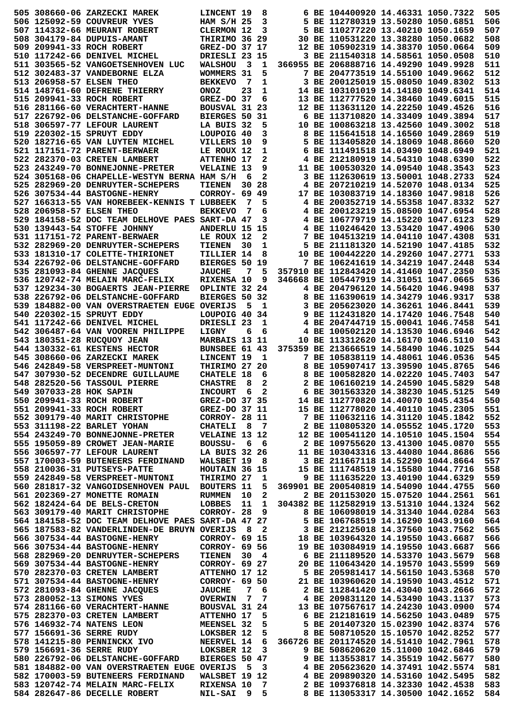|                         | 505 308660-06 ZARZECKI MAREK                                          | LINCENT 19                     |        | 8                   | 6 BE 104400920 14.46331 1050.7322                                                                                     |                                   | 505        |
|-------------------------|-----------------------------------------------------------------------|--------------------------------|--------|---------------------|-----------------------------------------------------------------------------------------------------------------------|-----------------------------------|------------|
|                         | 506 125092-59 COUVREUR YVES                                           | HAM $S/H$ 25                   |        | 3                   | 5 BE 112780319 13.50280 1050.6851                                                                                     |                                   | 506        |
|                         | 507 114332-66 MEURANT ROBERT                                          | CLERMON 12                     |        | 3                   | 5 BE 110277220 13.40210 1050.1659                                                                                     |                                   | 507        |
|                         | 508 304179-84 DUPUIS-AMANT                                            | THIRIMO 36 29                  |        |                     | 30 BE 110531220 13.38280 1050.0682                                                                                    |                                   | 508        |
|                         | 509 209941-33 ROCH ROBERT                                             | GREZ-DO 37 17                  |        |                     | 12 BE 105902319 14.38370 1050.0664                                                                                    |                                   | 509        |
|                         | 510 117242-66 DENIVEL MICHEL                                          | DRIESLI 23 15                  |        |                     | 3 BE 211540318 14.58561 1050.0508                                                                                     |                                   | 510        |
|                         | 511 303565-52 VANGOETSENHOVEN LUC                                     | <b>WALSHOU</b>                 | $_{3}$ | 1                   | 366955 BE 206888716 14.49290 1049.9928                                                                                |                                   | 511        |
|                         | 512 302483-37 VANDEBORNE ELZA                                         | WOMMERS 31                     |        | 5                   | 7 BE 204773519 14.55100 1049.9662                                                                                     |                                   | 512        |
|                         | 513 206958-57 ELSEN THEO                                              | <b>BEKKEVO</b>                 | 7      | 1                   | 3 BE 200125019 15.08050 1049.8302                                                                                     |                                   | 513        |
|                         | 514 148761-60 DEFRENE THIERRY                                         | <b>ONOZ</b>                    | 23     | 1                   | 14 BE 103101019 14.14180 1049.6341                                                                                    |                                   | 514        |
|                         | 515 209941-33 ROCH ROBERT                                             | $GREZ-DO$ 37                   |        | 6                   | 13 BE 112777520 14.38460 1049.6015                                                                                    |                                   | 515        |
|                         | 516 281166-60 VERACHTERT-HANNE                                        | BOUSVAL 31 23                  |        |                     | 12 BE 113631120 14.22250 1049.4526                                                                                    |                                   | 516        |
|                         | 517 226792-06 DELSTANCHE-GOFFARD                                      | BIERGES 50 31                  |        |                     | 6 BE 113710820 14.33409 1049.3894                                                                                     |                                   | 517        |
|                         | 518 306597-77 LEFOUR LAURENT                                          | LA BUIS 32                     |        | 5                   | 10 BE 100863218 13.42560 1049.3002                                                                                    |                                   | 518        |
|                         | 519 220302-15 SPRUYT EDDY                                             | LOUPOIG 40                     |        | 3                   | 8 BE 115641518 14.16560 1049.2869                                                                                     |                                   | 519        |
|                         | 520 182716-65 VAN LUYTEN MICHEL                                       | VILLERS 10                     |        | 9                   | 5 BE 113405820 14.18069 1048.8660                                                                                     |                                   | 520        |
|                         | 521 117151-72 PARENT-BERWAER                                          | LE ROUX 12                     |        | 1                   | 6 BE 111491518 14.03490 1048.6949                                                                                     |                                   | 521        |
|                         | 522 282370-03 CRETEN LAMBERT                                          | <b>ATTENHO 17</b>              |        | 2                   | 4 BE 212180919 14.54310 1048.6390                                                                                     |                                   | 522        |
|                         | 523 243249-70 BONNEJONNE-PRETER                                       | <b>VELAINE 13</b>              |        | 9                   | 11 BE 100530320 14.09540 1048.3543                                                                                    |                                   | 523        |
|                         | 524 305168-06 CHAPELLE-WESTYN BERNA HAM S/H                           |                                | - 6    | 2                   | 3 BE 112630619 13.50001 1048.2733                                                                                     |                                   | 524        |
|                         | 525 282969-20 DENRUYTER-SCHEPERS                                      | <b>TIENEN</b>                  |        | 30 28               | 4 BE 207210219 14.52070 1048.0134                                                                                     |                                   | 525        |
|                         | 526 307534-44 BASTOGNE-HENRY                                          | CORROY- 69                     |        | 49                  | 17 BE 103083719 14.18360 1047.9818                                                                                    |                                   | 526        |
|                         | 527 166313-55 VAN HOREBEEK-KENNIS T LUBBEEK                           |                                | 7      | 5                   | 4 BE 200352719 14.55358 1047.8332                                                                                     |                                   | 527        |
|                         | 528 206958-57 ELSEN THEO                                              | <b>BEKKEVO</b>                 | 7      | 6                   | 4 BE 200123219 15.08500 1047.6954                                                                                     |                                   | 528        |
|                         | 529 184158-52 DOC TEAM DELHOVE PAES SART-DA 47                        |                                |        | 3                   | 4 BE 106779719 14.15220 1047.6123                                                                                     |                                   | 529        |
|                         | 530 139443-54 STOFFE JOHNNY                                           | <b>ANDERLU 15 15</b>           |        |                     | 4 BE 110246420 13.53420 1047.4906                                                                                     |                                   | 530        |
|                         | 531 117151-72 PARENT-BERWAER                                          | LE ROUX 12                     |        | 2                   | 7 BE 104513219 14.04110 1047.4308                                                                                     |                                   | 531        |
|                         | 532 282969-20 DENRUYTER-SCHEPERS                                      | <b>TIENEN</b>                  | 30     | 1                   | 5 BE 211181320 14.52190 1047.4185                                                                                     |                                   | 532        |
|                         | 533 181310-17 COLETTE-THIRIONET                                       | TILLIER 14                     |        | 8                   | 10 BE 100442220 14.29260 1047.2771                                                                                    |                                   | 533        |
|                         | 534 226792-06 DELSTANCHE-GOFFARD                                      | BIERGES 50 19                  |        |                     | 7 BE 106241619 14.34219 1047.2448<br>357910 BE 112843420 14.41460 1047.2350                                           |                                   | 534<br>535 |
|                         | 535 281093-84 GHENNE JACQUES                                          | <b>JAUCHE</b>                  | 7      | 5<br>9              | 346668 BE 105447919 14.31051 1047.0665                                                                                |                                   | 536        |
|                         | 536 120742-74 MELAIN MARC-FELIX<br>537 129234-30 BOGAERTS JEAN-PIERRE | RIXENSA 10<br>OPLINTE 32 24    |        |                     | 4 BE 204796120 14.56420 1046.9498                                                                                     |                                   | 537        |
|                         | 538 226792-06 DELSTANCHE-GOFFARD                                      | BIERGES 50 32                  |        |                     | 8 BE 116390619 14.34279 1046.9317                                                                                     |                                   | 538        |
|                         | 539 184882-00 VAN OVERSTRAETEN EUGE OVERIJS                           |                                | 5      | 1                   | 3 BE 205623020 14.36261 1046.8441                                                                                     |                                   | 539        |
|                         | 540 220302-15 SPRUYT EDDY                                             | LOUPOIG 40 34                  |        |                     | 9 BE 112431820 14.17420 1046.7548                                                                                     |                                   | 540        |
|                         | 541 117242-66 DENIVEL MICHEL                                          | DRIESLI 23                     |        | 1                   | 4 BE 204744719 15.00041 1046.7458                                                                                     |                                   | 541        |
|                         | 542 306487-64 VAN VOOREN PHILIPPE                                     | LIGNY                          | 6      | 6                   | 4 BE 100502120 14.13530 1046.6946                                                                                     |                                   | 542        |
|                         | 543 180351-28 RUCOUOY JEAN                                            | MARBAIS 13 11                  |        |                     | 10 BE 113312620 14.16170 1046.5110                                                                                    |                                   | 543        |
|                         | 544 130332-61 KESTENS HECTOR                                          | <b>BUNSBEE 61 43</b>           |        |                     | 375359 BE 213666519 14.58490 1046.1025                                                                                |                                   | 544        |
|                         | 545 308660-06 ZARZECKI MAREK                                          | LINCENT 19                     |        | 1                   | 7 BE 105838119 14.48061 1046.0536                                                                                     |                                   | 545        |
|                         | 546 242849-58 VERSPREET-MUNTONI                                       | THIRIMO 27                     |        | 20                  | 8 BE 105907417 13.39590 1045.8765                                                                                     |                                   | 546        |
|                         | 547 307930-52 DECENDRE GUILLAUME                                      | <b>CHATELE 18</b>              |        | 6                   | 8 BE 100582820 14.02220 1045.7403                                                                                     |                                   | 547        |
|                         | 548 282520-56 TASSOUL PIERRE                                          | <b>CHASTRE</b>                 | 8      | 2                   | 2 BE 106160219 14.24590 1045.5829                                                                                     |                                   | 548        |
| 549 307033-28 HOK SAPIN |                                                                       | <b>INCOURT</b>                 | 6      | $\overline{a}$      | 6 BE 301563320 14.38230 1045.5125                                                                                     |                                   | 549        |
|                         |                                                                       | GREZ-DO 37 35                  |        |                     | 14 BE 112770820 14.40070 1045.4354                                                                                    |                                   | 550        |
|                         | 550 209941-33 ROCH ROBERT<br>551 209941-33 ROCH ROBERT                | GREZ-DO 37 11                  |        |                     | 15 BE 112778020 14.40110 1045.2305                                                                                    |                                   | 551        |
|                         | 552 309179-40 MARIT CHRISTOPHE                                        | <b>CORROY- 28 11</b>           |        |                     | 7 BE 110632116 14.31120 1045.1842                                                                                     |                                   | 552        |
|                         | 553 311198-22 BARLET YOHAN                                            | CHATELI 8 7                    |        |                     | 2 BE 110805320 14.05552 1045.1720                                                                                     |                                   | 553        |
|                         | 554 243249-70 BONNEJONNE-PRETER                                       | <b>VELAINE 13 12</b>           |        |                     | 12 BE 100541120 14.10510 1045.1504                                                                                    |                                   | 554        |
|                         | 555 195059-89 CROWET JEAN-MARIE                                       | BOUSSU- 6 6                    |        |                     | 2 BE 109755620 13.41300 1045.0870                                                                                     |                                   | 555        |
|                         | 556 306597-77 LEFOUR LAURENT                                          | LA BUIS 32 26                  |        |                     | 11 BE 103043316 13.44080 1044.8686                                                                                    |                                   | 556        |
|                         | 557 170003-59 BUTENEERS FERDINAND                                     | WALSBET 19 8                   |        |                     | 3 BE 211667118 14.52290 1044.8664                                                                                     |                                   | 557        |
|                         | 558 210036-31 PUTSEYS-PATTE                                           | HOUTAIN 36 15                  |        |                     | 15 BE 111748519 14.15580 1044.7716                                                                                    |                                   | 558        |
|                         | 559 242849-58 VERSPREET-MUNTONI                                       | THIRIMO 27                     |        | 1                   | 9 BE 111635220 13.40190 1044.6329                                                                                     |                                   | 559        |
|                         | 560 281817-32 VANGOIDSENHOVEN PAUL BOUTERS 11                         |                                |        | 5                   | 369901 BE 200540819 14.54090 1044.4755                                                                                |                                   | 560        |
|                         | 561 202369-27 MONETTE ROMAIN                                          | RUMMEN 10                      |        | $\mathbf{2}$        | 2 BE 201153020 15.07520 1044.2561                                                                                     |                                   | 561        |
|                         | 562 182424-64 DE BELS-CRETON                                          | LOBBES 11                      |        | 1                   | 304382 BE 112582919 13.51310 1044.1324                                                                                |                                   | 562        |
|                         | 563 309179-40 MARIT CHRISTOPHE                                        | CORROY- 28                     |        | 9                   | 8 BE 106098019 14.31340 1044.0284                                                                                     |                                   | 563        |
|                         | 564 184158-52 DOC TEAM DELHOVE PAES SART-DA 47 27                     |                                |        |                     | 5 BE 106768519 14.16290 1043.9160                                                                                     |                                   | 564        |
|                         | 565 187583-82 VANDERLINDEN-DE BRUYN OVERIJS                           |                                | - 8    | - 2                 |                                                                                                                       | 3 BE 212125018 14.37560 1043.7562 | 565        |
|                         |                                                                       |                                |        |                     |                                                                                                                       |                                   | 566        |
|                         | 566 307534-44 BASTOGNE-HENRY                                          | CORROY- 69 15                  |        |                     |                                                                                                                       |                                   |            |
|                         | 566 307534-44 BASTOGNE-HENRY                                          | CORROY- 69 56                  |        |                     | 3 BE 212123010 11.3.2.<br>18 BE 103964320 14.19550 1043.6687<br>10550 1043 6687<br>19 BE 103084919 14.19550 1043.6687 |                                   | 566        |
|                         | 568 282969-20 DENRUYTER-SCHEPERS                                      | <b>TIENEN</b>                  |        | $30 \t 4$           | 6 BE 211189520 14.53370 1043.5679                                                                                     |                                   | 568        |
|                         | 569 307534-44 BASTOGNE-HENRY                                          | CORROY- 69 27                  |        |                     | 20 BE 110643420 14.19570 1043.5599                                                                                    |                                   | 569        |
|                         | 570 282370-03 CRETEN LAMBERT                                          | ATTENHO 17 12                  |        |                     | 5 BE 205981417 14.56150 1043.5368                                                                                     |                                   | 570        |
|                         | 571 307534-44 BASTOGNE-HENRY                                          | CORROY- 69 50                  |        |                     | 21 BE 103960620 14.19590 1043.4512                                                                                    |                                   | 571        |
|                         | 572 281093-84 GHENNE JACQUES                                          | <b>JAUCHE</b>                  | 7      | 6                   | 2 BE 112841420 14.43040 1043.2666                                                                                     |                                   | 572        |
|                         | 573 280052-13 SIMONS YVES                                             | <b>OVERWIN 7</b>               |        | 7                   | 4 BE 209831120 14.53490 1043.1137                                                                                     |                                   | 573        |
|                         | 574 281166-60 VERACHTERT-HANNE                                        | BOUSVAL 31 24                  |        |                     | 13 BE 107567617 14.24230 1043.0900                                                                                    |                                   | 574        |
|                         | 575 282370-03 CRETEN LAMBERT                                          | <b>ATTENHO 17</b>              |        | 5                   | 6 BE 212181619 14.56250 1043.0489                                                                                     |                                   | 575        |
|                         | 576 146932-74 NATENS LEON                                             | <b>MEENSEL 32</b>              |        | 5                   | 5 BE 201407320 15.02390 1042.8374                                                                                     |                                   | 576        |
|                         | 577 156691-36 SERRE RUDY                                              | LOKSBER 12                     |        | 5                   | 8 BE 508710520 15.10570 1042.8252                                                                                     |                                   | 577        |
|                         | 578 141215-80 PENNINCKX IVO                                           | <b>NEERVEL 14</b>              |        | 6                   | 366726 BE 201174520 14.51410 1042.7961                                                                                |                                   | 578        |
|                         | LOKSBER 12<br>579 156691-36 SERRE RUDY                                |                                |        | 3                   | 9 BE 508620620 15.11000 1042.6846                                                                                     |                                   | 579        |
|                         | 580 226792-06 DELSTANCHE-GOFFARD                                      | BIERGES 50 47                  |        |                     | 9 BE 113553817 14.35519 1042.5677                                                                                     |                                   | 580        |
|                         | 581 184882-00 VAN OVERSTRAETEN EUGE OVERIJS                           |                                | - 5    | 3                   | 4 BE 205623620 14.37491 1042.5574                                                                                     |                                   | 581        |
|                         | 582 170003-59 BUTENEERS FERDINAND                                     | WALSBET 19 12                  |        |                     | 4 BE 209890320 14.53160 1042.5495                                                                                     |                                   | 582        |
|                         | 583 120742-74 MELAIN MARC-FELIX<br>584 282647-86 DECELLE ROBERT       | <b>RIXENSA 10</b><br>NIL-SAI 9 |        | $\overline{7}$<br>5 | 2 BE 109376818 14.32330 1042.4538<br>8 BE 113053317 14.30500 1042.1652                                                |                                   | 583<br>584 |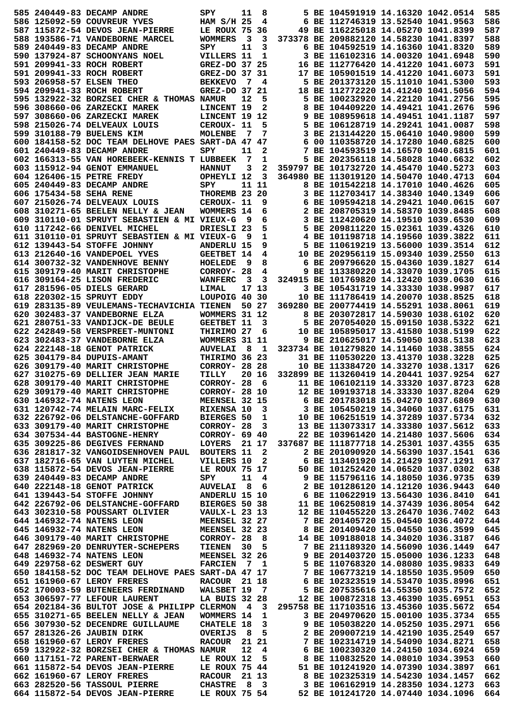|                         | 585 240449-83 DECAMP ANDRE                                                             | SPY                     | 11                      | 8                       |                                                                          | 5 BE 104591919 14.16320 1042.0514      |                                   | 585        |
|-------------------------|----------------------------------------------------------------------------------------|-------------------------|-------------------------|-------------------------|--------------------------------------------------------------------------|----------------------------------------|-----------------------------------|------------|
|                         | 586 125092-59 COUVREUR YVES                                                            | HAM S/H 25              |                         | 4                       |                                                                          | 6 BE 112746319 13.52540 1041.9563      |                                   | 586        |
|                         | 587 115872-54 DEVOS JEAN-PIERRE                                                        | LE ROUX 75 36           |                         |                         |                                                                          | 49 BE 116225018 14.05270 1041.8399     |                                   | 587        |
|                         | 588 193586-71 VANDEBORNE MARCEL                                                        | <b>WOMMERS</b>          | $\overline{\mathbf{3}}$ | 3                       |                                                                          | 373378 BE 209882120 14.58230 1041.8397 |                                   | 588        |
|                         | 589 240449-83 DECAMP ANDRE                                                             | SPY                     | 11                      | 3                       |                                                                          | 6 BE 104592519 14.16360 1041.8320      |                                   | 589        |
|                         | 590 137924-87 SCHOONYANS NOEL                                                          | VILLERS 11              |                         | 1                       |                                                                          | 3 BE 116102316 14.00320 1041.6948      |                                   | 590        |
|                         | 591 209941-33 ROCH ROBERT                                                              | GREZ-DO 37 25           |                         |                         |                                                                          | 16 BE 112776420 14.41220 1041.6073     |                                   | 591        |
|                         | 591 209941-33 ROCH ROBERT                                                              | GREZ-DO 37 31           |                         |                         |                                                                          | 17 BE 105901519 14.41220 1041.6073     |                                   | 591        |
|                         | 593 206958-57 ELSEN THEO                                                               | <b>BEKKEVO</b>          | - 7                     | 4                       |                                                                          | 5 BE 201373120 15.11010 1041.5300      |                                   | 593        |
|                         | 594 209941-33 ROCH ROBERT                                                              | GREZ-DO 37              |                         | 21                      |                                                                          | 18 BE 112772220 14.41240 1041.5056     |                                   | 594        |
|                         | 595 132922-32 BORZSEI CHER & THOMAS NAMUR                                              |                         | 12                      | 5                       |                                                                          | 5 BE 100232920 14.22120 1041.2756      |                                   | 595        |
|                         | 596 308660-06 ZARZECKI MAREK                                                           | LINCENT 19              |                         | 2                       |                                                                          | 8 BE 104409220 14.49421 1041.2676      |                                   | 596        |
|                         | 597 308660-06 ZARZECKI MAREK                                                           | LINCENT 19 12           |                         |                         |                                                                          | 9 BE 108959618 14.49451 1041.1187      |                                   | 597        |
|                         | 598 215026-74 DELVEAUX LOUIS                                                           | CEROUX- 11              |                         | 5                       |                                                                          | 5 BE 106128719 14.29241 1041.0087      |                                   | 598        |
|                         | 599 310188-79 BUELENS KIM                                                              | <b>MOLENBE</b>          | 7                       | 7                       |                                                                          | 3 BE 213144220 15.06410 1040.9800      |                                   | 599        |
|                         | 600 184158-52 DOC TEAM DELHOVE PAES SART-DA 47                                         |                         |                         | 47                      | 6                                                                        | 00 110358720 14.17280 1040.6825        |                                   | 600        |
|                         | 601 240449-83 DECAMP ANDRE                                                             | SPY                     | 11                      | 2                       |                                                                          | 7 BE 104593519 14.16570 1040.6815      |                                   | 601        |
|                         | 602 166313-55 VAN HOREBEEK-KENNIS T LUBBEEK                                            |                         | 7                       | 1                       |                                                                          | 5 BE 202356118 14.58028 1040.6632      |                                   | 602        |
|                         | 603 115912-94 GENOT EMMANUEL                                                           | <b>HANNUT</b>           | 3                       | 2                       |                                                                          | 359797 BE 101732720 14.45470 1040.5273 |                                   | 603        |
|                         | 604 126406-15 PETRE FREDY                                                              | OPHEYLI 12              |                         | 3                       |                                                                          | 364980 BE 113019120 14.50470 1040.4713 |                                   | 604        |
|                         | 605 240449-83 DECAMP ANDRE                                                             | SPY                     |                         | 11 11                   |                                                                          | 8 BE 101542218 14.17010 1040.4626      |                                   | 605        |
| 606 175434-58 SEHA RENE |                                                                                        | THOREMB 23 20           |                         |                         |                                                                          | 3 BE 112703417 14.38340 1040.1349      |                                   | 606        |
|                         | 607 215026-74 DELVEAUX LOUIS                                                           | CEROUX- 11              |                         | 9                       |                                                                          | 6 BE 109594218 14.29421 1040.0615      |                                   | 607        |
|                         | 608 310271-65 BEELEN NELLY & JEAN                                                      | WOMMERS 14              |                         | 6                       |                                                                          | 2 BE 208705319 14.58370 1039.8485      |                                   | 608        |
|                         | 609 310110-01 SPRUYT SEBASTIEN & MI VIEUX-G                                            |                         | 9                       | 6                       |                                                                          | 3 BE 112420620 14.19510 1039.6530      |                                   | 609        |
|                         | 610 117242-66 DENIVEL MICHEL                                                           | DRIESLI 23              |                         | 5                       |                                                                          | 5 BE 209811220 15.02361 1039.4326      |                                   | 610        |
|                         | 611 310110-01 SPRUYT SEBASTIEN & MI VIEUX-G                                            |                         | 9                       | 1                       |                                                                          | 4 BE 101198718 14.19560 1039.3822      |                                   | 611        |
|                         | 612 139443-54 STOFFE JOHNNY                                                            | <b>ANDERLU 15</b>       |                         | 9                       |                                                                          | 5 BE 110619219 13.56000 1039.3514      |                                   | 612        |
|                         | 613 212640-16 VANDEPOEL YVES                                                           | GEETBET 14              |                         | 4                       |                                                                          | 10 BE 202956119 15.09340 1039.2550     |                                   | 613        |
|                         | 614 300732-32 VANDENHOVE BENNY                                                         | HOELEDE                 | 9                       | 8                       |                                                                          | 6 BE 209796620 15.04360 1039.1827      |                                   | 614        |
|                         | 615 309179-40 MARIT CHRISTOPHE                                                         | CORROY- 28              |                         | 4                       |                                                                          | 9 BE 113380220 14.33070 1039.1705      |                                   | 615        |
|                         | 616 309164-25 LISON FREDERIC                                                           | <b>WANFERC</b>          | 3                       | 3                       |                                                                          | 324915 BE 101769820 14.12420 1039.0630 |                                   | 616        |
|                         | 617 281596-05 DIELS GERARD                                                             | LIMAL                   |                         | 17 13                   |                                                                          | 3 BE 105431719 14.33330 1038.9987      |                                   | 617        |
|                         | 618 220302-15 SPRUYT EDDY                                                              | LOUPOIG 40 30           |                         |                         |                                                                          | 10 BE 111786419 14.20070 1038.8525     |                                   | 618        |
|                         | 619 283135-89 VEULEMANS-TECHAVICHIA TIENEN                                             |                         |                         | 50 27                   |                                                                          | 369280 BE 200774419 14.55291 1038.8061 |                                   | 619        |
|                         |                                                                                        | WOMMERS 31 12           |                         |                         |                                                                          | 8 BE 203072817 14.59030 1038.6102      |                                   | 620        |
|                         | 620 302483-37 VANDEBORNE ELZA                                                          |                         |                         |                         |                                                                          | 5 BE 207054020 15.09150 1038.5322      |                                   | 621        |
|                         | 621 280751-33 VANDIJCK-DE BEULE                                                        | GEETBET 11              |                         | 3                       |                                                                          |                                        |                                   |            |
|                         | 622 242849-58 VERSPREET-MUNTONI                                                        | THIRIMO 27              |                         | 6                       |                                                                          | 10 BE 105895017 13.41580 1038.5199     |                                   | 622        |
|                         | 623 302483-37 VANDEBORNE ELZA                                                          | WOMMERS 31 11           |                         |                         |                                                                          | 9 BE 210625017 14.59050 1038.5138      |                                   | 623        |
|                         | 624 222148-18 GENOT PATRICK                                                            | <b>AUVELAI</b>          | 8                       | 1                       |                                                                          | 323734 BE 101279820 14.11460 1038.3855 |                                   | 624        |
|                         | 625 304179-84 DUPUIS-AMANT                                                             | THIRIMO 36 23           |                         |                         |                                                                          | 31 BE 110530220 13.41370 1038.3228     |                                   | 625        |
|                         | 626 309179-40 MARIT CHRISTOPHE                                                         | CORROY- 28 28           |                         |                         |                                                                          | 10 BE 113384720 14.33270 1038.1317     |                                   | 626        |
|                         | 627 310275-69 DELLIER JEAN MARIE                                                       | TILLY                   |                         | 20 16                   |                                                                          | 332899 BE 113260419 14.20441 1037.9254 |                                   | 627        |
|                         | 628 309179-40 MARIT CHRISTOPHE                                                         | CORROY- 28              |                         | 6                       |                                                                          | 11 BE 106102119 14.33320 1037.8723     |                                   | 628        |
|                         | 629 309179-40 MARIT CHRISTOPHE                                                         | CORROY- 28 10           |                         |                         |                                                                          | 12 BE 109193718 14.33330 1037.8204     |                                   | 629        |
|                         | 630 146932-74 NATENS LEON                                                              | MEENSEL 32 15           |                         |                         |                                                                          | 6 BE 201783018 15.04270 1037.6869      |                                   | 630        |
|                         | 631 120742-74 MELAIN MARC-FELIX                                                        | <b>RIXENSA 10 3</b>     |                         |                         |                                                                          | 3 BE 105450219 14.34060 1037.6175      |                                   | 631        |
|                         | 632 226792-06 DELSTANCHE-GOFFARD                                                       | <b>BIERGES 50</b>       |                         | $\mathbf{1}$            |                                                                          | 10 BE 106251519 14.37289 1037.5734     |                                   | 632        |
|                         | 633 309179-40 MARIT CHRISTOPHE                                                         | CORROY- 28              |                         | 3                       |                                                                          | 13 BE 113073317 14.33380 1037.5612     |                                   | 633        |
|                         | 634 307534-44 BASTOGNE-HENRY                                                           | CORROY- 69 40           |                         |                         |                                                                          | 22 BE 103961420 14.21480 1037.5606     |                                   | 634        |
|                         | 635 309225-86 DEGIVES FERNAND                                                          | LOYERS 21 17            |                         |                         |                                                                          | 337687 BE 111877718 14.25301 1037.4355 |                                   | 635        |
|                         | 636 281817-32 VANGOIDSENHOVEN PAUL                                                     | <b>BOUTERS 11</b>       |                         | $\overline{2}$          |                                                                          | 2 BE 201090920 14.56390 1037.1541      |                                   | 636        |
|                         | 637 182716-65 VAN LUYTEN MICHEL                                                        | <b>VILLERS 10</b>       |                         | $\mathbf{2}$            |                                                                          | 6 BE 113401920 14.21429 1037.1291      |                                   | 637        |
|                         | 638 115872-54 DEVOS JEAN-PIERRE                                                        | LE ROUX 75 17           |                         |                         | 50 BE 101252420 14.06520 1037.0302                                       |                                        |                                   | 638        |
|                         | 639 240449-83 DECAMP ANDRE                                                             | SPY                     | 11                      | 4                       |                                                                          | 9 BE 115796116 14.18050 1036.9735      |                                   | 639        |
|                         | 640 222148-18 GENOT PATRICK                                                            | <b>AUVELAI</b>          |                         | 86                      | 6 BE 110622919 13.56430 1036.8410                                        | 2 BE 101286120 14.12120 1036.9443      |                                   | 640        |
|                         | 641 139443-54 STOFFE JOHNNY                                                            | ANDERLU 15 10           |                         |                         |                                                                          |                                        |                                   | 641        |
|                         | 642 226792-06 DELSTANCHE-GOFFARD BIERGES 50 38                                         |                         |                         |                         | 11 BE 106250819 14.37439 1036.8054<br>12 BE 110455220 13.26470 1036.7402 |                                        |                                   | 642        |
|                         | 643 302310-58 POUSSART OLIVIER VAULX-L 23 13                                           |                         |                         |                         |                                                                          |                                        |                                   | 643        |
|                         | 644 146932-74 NATENS LEON                                                              | MEENSEL 32 27           |                         |                         |                                                                          | 7 BE 201405720 15.04540 1036.4072      |                                   | 644        |
|                         | 645 146932-74 NATENS LEON MEENSEL 32 23<br>646 309179-40 MARIT CHRISTOPHE CORROY- 28 8 |                         |                         |                         | 8 BE 201409420 15.04550 1036.3599<br>14 BE 109188018 14.34020 1036.3187  |                                        |                                   | 645        |
|                         |                                                                                        |                         |                         |                         |                                                                          |                                        |                                   | 646        |
|                         | 647 282969-20 DENRUYTER-SCHEPERS TIENEN 30 5                                           |                         |                         |                         |                                                                          | 7 BE 211189320 14.56090 1036.1449      |                                   | 647        |
|                         | 648 146932-74 NATENS LEON                                                              | <b>MEENSEL 32 26</b>    |                         |                         | 9 BE 201403720 15.05000 1036.1233                                        |                                        |                                   | 648        |
|                         | 649 229758-62 DESWERT GUY                                                              | FARCIEN 7 1             |                         |                         |                                                                          | 5 BE 110768320 14.08080 1035.9833      |                                   | 649        |
|                         | 650 184158-52 DOC TEAM DELHOVE PAES SART-DA 47 17                                      |                         |                         |                         |                                                                          | 7 BE 106773219 14.18550 1035.9509      |                                   | 650        |
|                         | 651 161960-67 LEROY FRERES                                                             | RACOUR <sub>21</sub> 18 |                         |                         |                                                                          | 6 BE 102323519 14.53470 1035.8996      |                                   | 651        |
|                         | 652 170003-59 BUTENEERS FERDINAND                                                      | WALSBET 19 7            |                         |                         |                                                                          | 5 BE 207535616 14.55350 1035.7572      |                                   | 652        |
|                         | 653 306597-77 LEFOUR LAURENT                                                           | LA BUIS 32 28           |                         |                         |                                                                          | 12 BE 100872318 13.46390 1035.6951     |                                   | 653        |
|                         | 654 202184-36 BULTOT JOSE & PHILIPP CLERMON                                            |                         | $\frac{4}{3}$           | $\overline{\mathbf{3}}$ | 295758 BE 117103516 13.45360 1035.5672                                   |                                        |                                   | 654        |
|                         | 655 310271-65 BEELEN NELLY & JEAN                                                      | WOMMERS 14 1            |                         |                         |                                                                          | 3 BE 204970620 15.00100 1035.3734      |                                   | 655        |
|                         |                                                                                        | <b>CHATELE 18</b>       |                         | 3                       |                                                                          | 9 BE 105038220 14.05250 1035.2971      |                                   | 656        |
|                         | 656 307930-52 DECENDRE GUILLAUME                                                       |                         |                         |                         |                                                                          |                                        |                                   |            |
|                         | 657 281326-26 JAUBIN DIRK                                                              | OVERIJS                 | - 8                     | 5                       |                                                                          |                                        | 2 BE 209007219 14.42190 1035.2549 | 657        |
|                         | 658 161960-67 LEROY FRERES                                                             | RACOUR                  |                         | 21 21                   |                                                                          | 7 BE 102314719 14.54090 1034.8271      |                                   | 658        |
|                         | 659 132922-32 BORZSEI CHER & THOMAS NAMUR                                              |                         |                         | $12 \quad 4$            |                                                                          | 6 BE 100230320 14.24150 1034.6924      |                                   | 659        |
|                         | 660 117151-72 PARENT-BERWAER                                                           | LE ROUX 12 5            |                         |                         |                                                                          | 8 BE 110832520 14.08010 1034.3953      |                                   | 660        |
|                         | 661 115872-54 DEVOS JEAN-PIERRE                                                        | <b>LE ROUX 75 44</b>    |                         |                         |                                                                          |                                        |                                   | 661        |
|                         | 662 161960-67 LEROY FRERES                                                             | RACOUR <sub>2113</sub>  |                         |                         | 8 BE 110832520 14.08010 1034.3953<br>51 BE 101241920 14.07390 1034.3897  | 8 BE 102325319 14.54230 1034.1457      |                                   | 662        |
|                         |                                                                                        |                         |                         |                         | 3 BE 106162919 14.28350 1034.1273                                        | 52 BE 101241720 14.07440 1034.1096     |                                   | 663<br>664 |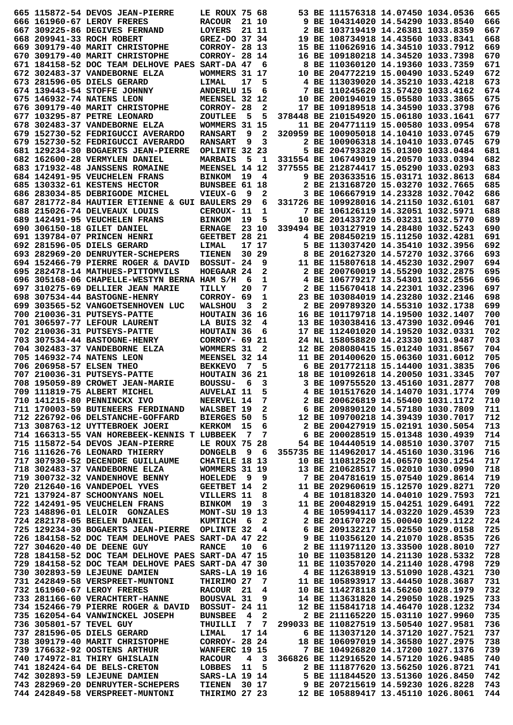|                         | 665 115872-54 DEVOS JEAN-PIERRE                                | LE ROUX 75 68                   |                |                   | 53 BE 111576318 14.07450 1034.0536                                           |  | 665        |
|-------------------------|----------------------------------------------------------------|---------------------------------|----------------|-------------------|------------------------------------------------------------------------------|--|------------|
|                         | 666 161960-67 LEROY FRERES                                     | <b>RACOUR</b>                   |                | 21 10             | 9 BE 104314020 14.54290 1033.8540                                            |  | 666        |
|                         | 667 309225-86 DEGIVES FERNAND                                  | LOYERS                          |                | 21 11             | 2 BE 103719419 14.26381 1033.8359                                            |  | 667        |
|                         | 668 209941-33 ROCH ROBERT                                      | GREZ-DO 37 34                   |                |                   | 19 BE 108734918 14.43560 1033.8341                                           |  | 668        |
|                         | 669 309179-40 MARIT CHRISTOPHE                                 | CORROY- 28 13                   |                |                   | 15 BE 110626916 14.34510 1033.7912                                           |  | 669        |
|                         | 670 309179-40 MARIT CHRISTOPHE                                 | CORROY- 28 14                   |                |                   | 16 BE 109180218 14.34520 1033.7398                                           |  | 670        |
|                         | 671 184158-52 DOC TEAM DELHOVE PAES SART-DA 47                 |                                 |                | 6                 | 8 BE 110360120 14.19360 1033.7359                                            |  | 671        |
|                         | 672 302483-37 VANDEBORNE ELZA                                  | WOMMERS 31 17                   |                |                   | 10 BE 204772219 15.00490 1033.5249                                           |  | 672        |
|                         | 673 281596-05 DIELS GERARD                                     | LIMAL                           | 17             | 5                 | 4 BE 113039020 14.35210 1033.4218                                            |  | 673        |
|                         | 674 139443-54 STOFFE JOHNNY                                    | ANDERLU 15                      |                | 6                 | 7 BE 110245620 13.57420 1033.4162                                            |  | 674        |
|                         | 675 146932-74 NATENS LEON                                      | MEENSEL 32 12                   |                |                   | 10 BE 200194019 15.05580 1033.3865                                           |  | 675        |
|                         | 676 309179-40 MARIT CHRISTOPHE                                 | CORROY- 28                      |                | 2                 | 17 BE 109189518 14.34590 1033.3798                                           |  | 676        |
|                         | 677 103295-87 PETRE LEONARD<br>678 302483-37 VANDEBORNE ELZA   | <b>ZOUTLEE</b>                  | 5              | 5                 | 378448 BE 210154920 15.06180 1033.1641                                       |  | 677        |
|                         | 679 152730-52 FEDRIGUCCI AVERARDO                              | WOMMERS 31 15<br><b>RANSART</b> | 9              | 2                 | 11 BE 204771119 15.00580 1033.0954<br>320959 BE 100905018 14.10410 1033.0745 |  | 678<br>679 |
|                         | 679 152730-52 FEDRIGUCCI AVERARDO                              | <b>RANSART</b>                  | 9              | 3                 | 2 BE 100906318 14.10410 1033.0745                                            |  | 679        |
|                         | 681 129234-30 BOGAERTS JEAN-PIERRE                             | OPLINTE 32 23                   |                |                   | 5 BE 204793320 15.01300 1033.0484                                            |  | 681        |
|                         | 682 162600-28 VERMYLEN DANIEL                                  | <b>MARBAIS</b>                  | 5              | 1                 | 331554 BE 106749019 14.20570 1033.0394                                       |  | 682        |
|                         | 683 171932-48 JANSSENS ROMAINE                                 | MEENSEL 14 12                   |                |                   | 377555 BE 212874417 15.05290 1033.0293                                       |  | 683        |
|                         | 684 142491-95 VEUCHELEN FRANS                                  | <b>BINKOM</b>                   | 19             | 4                 | 9 BE 203633516 15.03171 1032.8613                                            |  | 684        |
|                         | 685 130332-61 KESTENS HECTOR                                   | <b>BUNSBEE 61 18</b>            |                |                   | 2 BE 213168720 15.03270 1032.7665                                            |  | 685        |
|                         | 686 283034-85 DEBRIGODE MICHEL                                 | <b>VIEUX-G</b>                  | 9              | 2                 | 3 BE 106667919 14.23328 1032.7042                                            |  | 686        |
|                         | 687 281772-84 HAUTIER ETIENNE & GUI BAULERS 29                 |                                 |                | 6                 | 331726 BE 109928016 14.21150 1032.6101                                       |  | 687        |
|                         | 688 215026-74 DELVEAUX LOUIS                                   | CEROUX- 11                      |                | 1                 | 7 BE 106126119 14.32051 1032.5971                                            |  | 688        |
|                         | 689 142491-95 VEUCHELEN FRANS                                  | <b>BINKOM</b>                   | 19             | 5                 | 10 BE 201433720 15.03231 1032.5770                                           |  | 689        |
|                         | 690 306150-18 GILET DANIEL                                     | <b>ERNAGE</b>                   |                | 23 10             | 339494 BE 103127919 14.28480 1032.5243                                       |  | 690        |
|                         | 691 139784-07 PRINCEN HENRI                                    | GEETBET 28 21                   |                |                   | 4 BE 208450219 15.11250 1032.4281                                            |  | 691        |
|                         | 692 281596-05 DIELS GERARD                                     | LIMAL                           |                | 17 17             | 5 BE 113037420 14.35410 1032.3956                                            |  | 692        |
|                         | 693 282969-20 DENRUYTER-SCHEPERS                               | <b>TIENEN</b>                   |                | 30 29             | 8 BE 201627320 14.57270 1032.3766                                            |  | 693        |
|                         | 694 152466-79 PIERRE ROGER & DAVID                             | BOSSUT- 24                      |                | 9                 | 11 BE 115807618 14.45230 1032.2907                                           |  | 694        |
|                         | 695 282478-14 MATHUES-PITTOMVILS                               | HOEGAAR 24                      |                | 2                 | 2 BE 200760019 14.55290 1032.2875                                            |  | 695        |
|                         | 696 305168-06 CHAPELLE-WESTYN BERNA HAM S/H                    |                                 | - 6            | 1                 | 4 BE 106779217 13.54301 1032.2556                                            |  | 696        |
|                         | 697 310275-69 DELLIER JEAN MARIE                               | TILLY                           | 20             | 7                 | 2 BE 115670418 14.22301 1032.2396                                            |  | 697        |
|                         | 698 307534-44 BASTOGNE-HENRY                                   | CORROY- 69                      |                | 1                 | 23 BE 103084019 14.23280 1032.2146                                           |  | 698        |
|                         | 699 303565-52 VANGOETSENHOVEN LUC                              | <b>WALSHOU</b>                  | - 3            | 2                 | 2 BE 209789320 14.55310 1032.1738                                            |  | 699        |
|                         | 700 210036-31 PUTSEYS-PATTE                                    | HOUTAIN 36 16                   |                |                   | 16 BE 101179718 14.19500 1032.1407                                           |  | 700        |
|                         | 701 306597-77 LEFOUR LAURENT                                   | LA BUIS 32                      |                | 4                 | 13 BE 103038416 13.47390 1032.0946                                           |  | 701        |
|                         | 702 210036-31 PUTSEYS-PATTE                                    | HOUTAIN 36                      |                | 6                 | 17 BE 112401020 14.19520 1032.0331                                           |  | 702        |
|                         | 703 307534-44 BASTOGNE-HENRY                                   | CORROY- 69 21                   |                |                   | 24 NL 158058820 14.23330 1031.9487                                           |  | 703        |
|                         | 704 302483-37 VANDEBORNE ELZA                                  | WOMMERS 31                      |                | 2                 | 12 BE 208080415 15.01240 1031.8567                                           |  | 704        |
|                         | 705 146932-74 NATENS LEON                                      | MEENSEL 32 14                   |                |                   | 11 BE 201400620 15.06360 1031.6012                                           |  | 705        |
|                         | 706 206958-57 ELSEN THEO                                       | <b>BEKKEVO</b>                  | 7              | 5                 | 6 BE 201772118 15.14400 1031.3835                                            |  | 706        |
|                         | 707 210036-31 PUTSEYS-PATTE<br>708 195059-89 CROWET JEAN-MARIE | HOUTAIN 36 21<br>BOUSSU-        | 6              |                   | 18 BE 101092618 14.20050 1031.3345<br>3 BE 109755520 13.45160 1031.2877      |  | 707<br>708 |
|                         |                                                                | <b>AUVELAI 11</b>               |                | 3<br>5            |                                                                              |  |            |
|                         | 709 111819-75 ALBERT MICHEL<br>710 141215-80 PENNINCKX IVO     | NEERVEL 14                      |                | 7                 | 4 BE 101517620 14.14070 1031.1774<br>2 BE 200626819 14.55400 1031.1172       |  | 709<br>710 |
|                         | 711 170003-59 BUTENEERS FERDINAND                              | WALSBET 19                      |                | 2                 | 6 BE 209890120 14.57180 1030.7809                                            |  | 711        |
|                         | 712 226792-06 DELSTANCHE-GOFFARD                               | <b>BIERGES 50</b>               |                | 5                 | 12 BE 109700218 14.39439 1030.7017                                           |  | 712        |
|                         | 713 308763-12 UYTTEBROEK JOERI                                 | <b>KERKOM</b>                   | 15             | 6                 | 2 BE 200427919 15.02191 1030.5054                                            |  | 713        |
|                         | 714 166313-55 VAN HOREBEEK-KENNIS T LUBBEEK                    |                                 | - 7            | 7                 | 6 BE 200028519 15.01348 1030.4939                                            |  | 714        |
|                         | 715 115872-54 DEVOS JEAN-PIERRE                                | LE ROUX 75 28                   |                |                   | 54 BE 104440519 14.08510 1030.3707                                           |  | 715        |
|                         | 716 111626-76 LEONARD THIERRY                                  | <b>DONGELB</b>                  |                | 96                | 355735 BE 114962017 14.45160 1030.3196                                       |  | 716        |
|                         | 717 307930-52 DECENDRE GUILLAUME                               | CHATELE 18 13                   |                |                   | 10 BE 110812520 14.06570 1030.1254                                           |  | 717        |
|                         | 718 302483-37 VANDEBORNE ELZA                                  | WOMMERS 31 19                   |                |                   | 13 BE 210628517 15.02010 1030.0990                                           |  | 718        |
|                         | 719 300732-32 VANDENHOVE BENNY                                 | HOELEDE                         | - 9            | 9                 | 7 BE 204781619 15.07540 1029.8614                                            |  | 719        |
|                         | 720 212640-16 VANDEPOEL YVES                                   | <b>GEETBET 14</b>               |                | 2                 | 11 BE 202960619 15.12570 1029.8271                                           |  | 720        |
|                         | 721 137924-87 SCHOONYANS NOEL                                  | VILLERS 11                      |                | 8                 | 4 BE 101818320 14.04010 1029.7593                                            |  | 721        |
|                         | 722 142491-95 VEUCHELEN FRANS                                  | <b>BINKOM</b>                   | 19             | 3                 | 11 BE 200482919 15.04251 1029.6491                                           |  | 722        |
|                         | 723 148896-01 LELOIR GONZALES                                  | MONT-SU 19 13                   |                |                   | 4 BE 105994117 14.03220 1029.4539                                            |  | 723        |
|                         | 724 282178-05 BEELEN DANIEL                                    | <b>KUMTICH</b>                  | - 6            | 2                 | 2 BE 201670720 15.00040 1029.1122                                            |  | 724        |
|                         | 725 129234-30 BOGAERTS JEAN-PIERRE                             | OPLINTE 32                      |                | 4                 | 6 BE 209132217 15.02550 1029.0158                                            |  | 725        |
|                         | 726 184158-52 DOC TEAM DELHOVE PAES SART-DA 47 22              |                                 |                |                   | 9 BE 110356120 14.21070 1028.8535                                            |  | 726        |
|                         | 727 304620-40 DE DEENE GUY                                     | <b>RANCE</b>                    | 10             | 6                 | 2 BE 111971120 13.33500 1028.8010                                            |  | 727        |
|                         | 728 184158-52 DOC TEAM DELHOVE PAES SART-DA 47 15              |                                 |                |                   | 10 BE 110358120 14.21130 1028.5332                                           |  | 728        |
|                         | 729 184158-52 DOC TEAM DELHOVE PAES SART-DA 47 30              |                                 |                |                   | 11 BE 110357020 14.21140 1028.4798                                           |  | 729        |
|                         | 730 302893-59 LEJEUNE DAMIEN                                   | SARS-LA 19 16                   |                |                   | 4 BE 112638919 13.51090 1028.4321                                            |  | 730        |
|                         | 731 242849-58 VERSPREET-MUNTONI                                | THIRIMO 27                      |                | 7                 | 11 BE 105893917 13.44450 1028.3687                                           |  | 731        |
|                         | 732 161960-67 LEROY FRERES                                     | <b>RACOUR</b>                   | 21             | 4                 | 10 BE 114278118 14.56260 1028.1979                                           |  | 732        |
|                         | 733 281166-60 VERACHTERT-HANNE                                 | <b>BOUSVAL 31</b>               |                | 9                 | 14 BE 113631820 14.29050 1028.1925                                           |  | 733        |
|                         | 734 152466-79 PIERRE ROGER & DAVID                             | <b>BOSSUT- 24 11</b>            |                |                   | 12 BE 115841718 14.46470 1028.1232                                           |  | 734        |
| 736 305801-57 TEVEL GUY | 735 162054-64 VANWINCKEL JOSEPH                                | <b>BUNSBEE</b><br>THUILLI       | $\overline{4}$ | $\mathbf{2}$<br>7 | 2 BE 211165220 15.03110 1027.9960<br>299033 BE 110827519 13.50540 1027.9581  |  | 735<br>736 |
|                         | 737 281596-05 DIELS GERARD                                     | LIMAL                           | 7              | 17 14             | 6 BE 113037120 14.37120 1027.7521                                            |  | 737        |
|                         | 738 309179-40 MARIT CHRISTOPHE                                 | CORROY- 28 24                   |                |                   | 18 BE 106097019 14.36580 1027.2975                                           |  | 738        |
|                         | 739 176632-92 OOSTENS ARTHUR                                   | WANFERC 19 15                   |                |                   | 7 BE 104926820 14.17200 1027.1376                                            |  | 739        |
|                         | 740 174972-81 THIRY GHISLAIN                                   | <b>RACOUR</b>                   | 4              | 3                 | 366826 BE 112916520 14.57120 1026.9485                                       |  | 740        |
|                         | 741 182424-64 DE BELS-CRETON                                   | LOBBES                          | 11             | 5                 | 2 BE 111877620 13.56250 1026.8721                                            |  | 741        |
|                         | 742 302893-59 LEJEUNE DAMIEN                                   | <b>SARS-LA 19 14</b>            |                |                   | 5 BE 111844520 13.51360 1026.8450                                            |  | 742        |
|                         | 743 282969-20 DENRUYTER-SCHEPERS                               | <b>TIENEN</b>                   |                | 30 17             | 9 BE 207215619 14.59230 1026.8228                                            |  | 743        |
|                         |                                                                |                                 |                |                   |                                                                              |  |            |